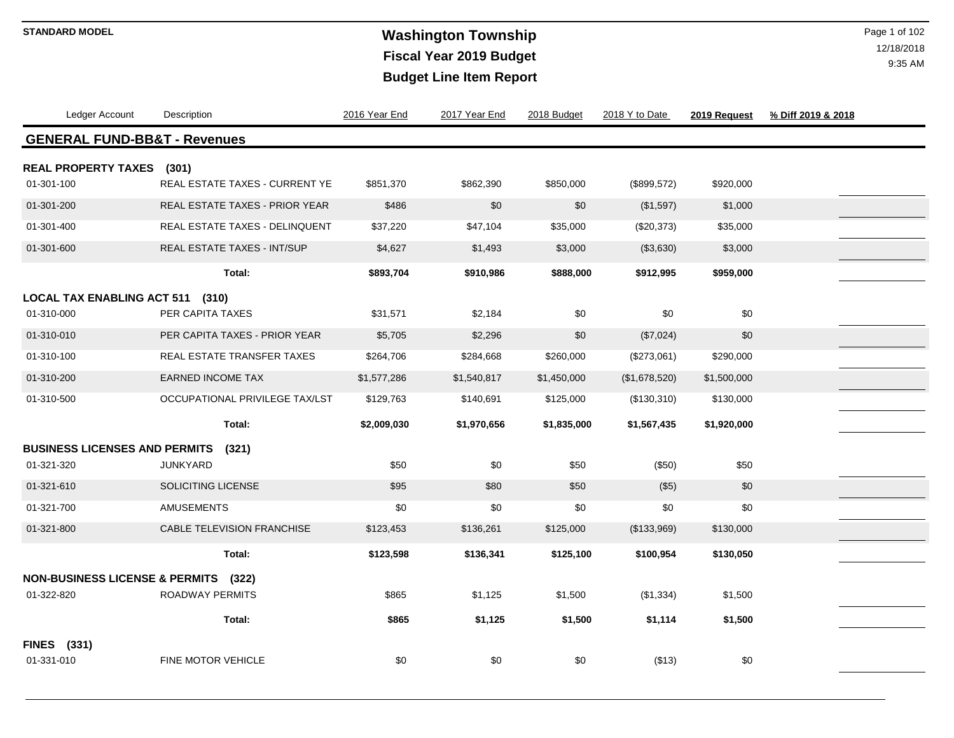# **Washington Township STANDARD MODEL** Page 1 of 102 **Fiscal Year 2019 Budget Budget Line Item Report**

| Ledger Account                          | Description                       | 2016 Year End | 2017 Year End | 2018 Budget | 2018 Y to Date | 2019 Request | % Diff 2019 & 2018 |  |
|-----------------------------------------|-----------------------------------|---------------|---------------|-------------|----------------|--------------|--------------------|--|
| <b>GENERAL FUND-BB&amp;T - Revenues</b> |                                   |               |               |             |                |              |                    |  |
| <b>REAL PROPERTY TAXES (301)</b>        |                                   |               |               |             |                |              |                    |  |
| 01-301-100                              | REAL ESTATE TAXES - CURRENT YE    | \$851,370     | \$862,390     | \$850,000   | (\$899,572)    | \$920,000    |                    |  |
| 01-301-200                              | REAL ESTATE TAXES - PRIOR YEAR    | \$486         | \$0           | \$0         | (\$1,597)      | \$1,000      |                    |  |
| 01-301-400                              | REAL ESTATE TAXES - DELINQUENT    | \$37,220      | \$47,104      | \$35,000    | (\$20,373)     | \$35,000     |                    |  |
| 01-301-600                              | REAL ESTATE TAXES - INT/SUP       | \$4,627       | \$1,493       | \$3,000     | (\$3,630)      | \$3,000      |                    |  |
|                                         | Total:                            | \$893,704     | \$910,986     | \$888,000   | \$912,995      | \$959,000    |                    |  |
| <b>LOCAL TAX ENABLING ACT 511</b>       | (310)                             |               |               |             |                |              |                    |  |
| 01-310-000                              | PER CAPITA TAXES                  | \$31,571      | \$2,184       | \$0         | \$0            | \$0          |                    |  |
| 01-310-010                              | PER CAPITA TAXES - PRIOR YEAR     | \$5,705       | \$2,296       | \$0         | (\$7,024)      | \$0          |                    |  |
| 01-310-100                              | REAL ESTATE TRANSFER TAXES        | \$264,706     | \$284,668     | \$260,000   | (\$273,061)    | \$290,000    |                    |  |
| 01-310-200                              | <b>EARNED INCOME TAX</b>          | \$1,577,286   | \$1,540,817   | \$1,450,000 | (\$1,678,520)  | \$1,500,000  |                    |  |
| 01-310-500                              | OCCUPATIONAL PRIVILEGE TAX/LST    | \$129,763     | \$140,691     | \$125,000   | (\$130,310)    | \$130,000    |                    |  |
|                                         | Total:                            | \$2,009,030   | \$1,970,656   | \$1,835,000 | \$1,567,435    | \$1,920,000  |                    |  |
| <b>BUSINESS LICENSES AND PERMITS</b>    | (321)                             |               |               |             |                |              |                    |  |
| 01-321-320                              | <b>JUNKYARD</b>                   | \$50          | \$0           | \$50        | (\$50)         | \$50         |                    |  |
| 01-321-610                              | SOLICITING LICENSE                | \$95          | \$80          | \$50        | (\$5)          | \$0          |                    |  |
| 01-321-700                              | <b>AMUSEMENTS</b>                 | \$0           | \$0           | \$0         | \$0            | \$0          |                    |  |
| 01-321-800                              | <b>CABLE TELEVISION FRANCHISE</b> | \$123,453     | \$136,261     | \$125,000   | (\$133,969)    | \$130,000    |                    |  |
|                                         | Total:                            | \$123,598     | \$136,341     | \$125,100   | \$100,954      | \$130,050    |                    |  |
| NON-BUSINESS LICENSE & PERMITS (322)    |                                   |               |               |             |                |              |                    |  |
| 01-322-820                              | ROADWAY PERMITS                   | \$865         | \$1,125       | \$1,500     | (\$1,334)      | \$1,500      |                    |  |
|                                         | Total:                            | \$865         | \$1,125       | \$1,500     | \$1,114        | \$1,500      |                    |  |
| <b>FINES</b> (331)                      |                                   |               |               |             |                |              |                    |  |
| 01-331-010                              | FINE MOTOR VEHICLE                | \$0           | \$0           | \$0         | (\$13)         | $\$0$        |                    |  |
|                                         |                                   |               |               |             |                |              |                    |  |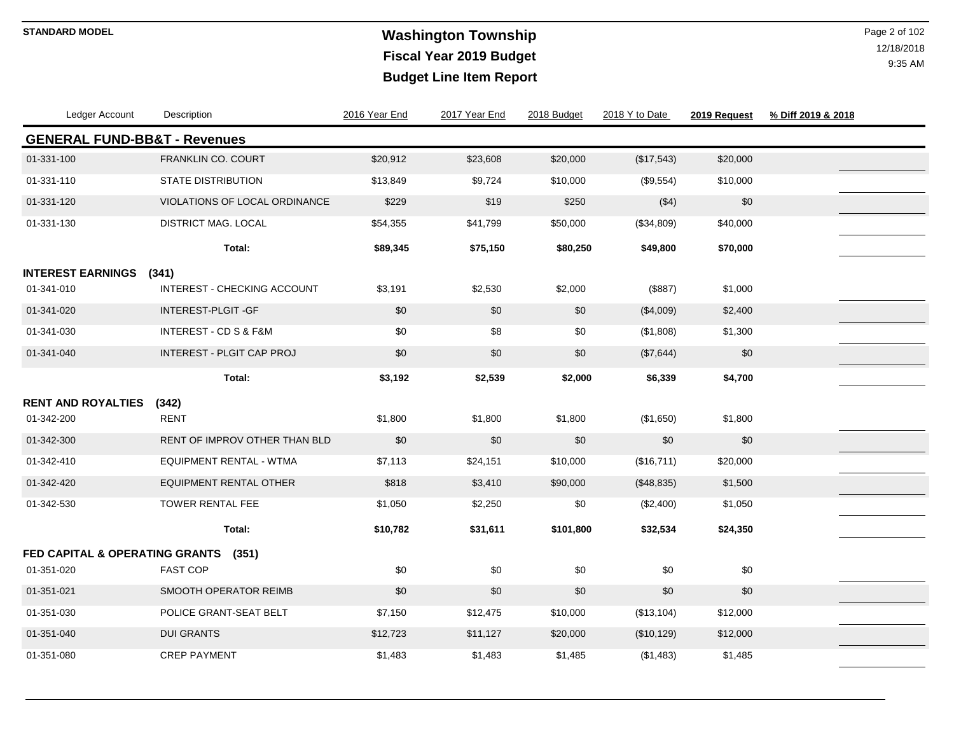# **Washington Township STANDARD MODEL** Page 2 of 102 **Fiscal Year 2019 Budget Budget Line Item Report**

| Ledger Account            | Description                             | 2016 Year End | 2017 Year End | 2018 Budget | 2018 Y to Date | 2019 Request | % Diff 2019 & 2018 |
|---------------------------|-----------------------------------------|---------------|---------------|-------------|----------------|--------------|--------------------|
|                           | <b>GENERAL FUND-BB&amp;T - Revenues</b> |               |               |             |                |              |                    |
| 01-331-100                | <b>FRANKLIN CO. COURT</b>               | \$20,912      | \$23,608      | \$20,000    | (\$17,543)     | \$20,000     |                    |
| 01-331-110                | <b>STATE DISTRIBUTION</b>               | \$13,849      | \$9,724       | \$10,000    | (\$9,554)      | \$10,000     |                    |
| 01-331-120                | VIOLATIONS OF LOCAL ORDINANCE           | \$229         | \$19          | \$250       | (\$4)          | \$0          |                    |
| 01-331-130                | DISTRICT MAG. LOCAL                     | \$54,355      | \$41,799      | \$50,000    | (\$34,809)     | \$40,000     |                    |
|                           | Total:                                  | \$89,345      | \$75,150      | \$80,250    | \$49,800       | \$70,000     |                    |
| <b>INTEREST EARNINGS</b>  | (341)                                   |               |               |             |                |              |                    |
| 01-341-010                | INTEREST - CHECKING ACCOUNT             | \$3,191       | \$2,530       | \$2,000     | (\$887)        | \$1,000      |                    |
| 01-341-020                | INTEREST-PLGIT-GF                       | \$0           | \$0           | \$0         | (\$4,009)      | \$2,400      |                    |
| 01-341-030                | <b>INTEREST - CD S &amp; F&amp;M</b>    | \$0           | \$8           | \$0         | (\$1,808)      | \$1,300      |                    |
| 01-341-040                | INTEREST - PLGIT CAP PROJ               | \$0           | \$0           | \$0         | (\$7,644)      | \$0          |                    |
|                           | Total:                                  | \$3,192       | \$2,539       | \$2,000     | \$6,339        | \$4,700      |                    |
| <b>RENT AND ROYALTIES</b> | (342)                                   |               |               |             |                |              |                    |
| 01-342-200                | <b>RENT</b>                             | \$1,800       | \$1,800       | \$1,800     | (\$1,650)      | \$1,800      |                    |
| 01-342-300                | RENT OF IMPROV OTHER THAN BLD           | \$0           | \$0           | \$0         | \$0            | \$0          |                    |
| 01-342-410                | <b>EQUIPMENT RENTAL - WTMA</b>          | \$7,113       | \$24,151      | \$10,000    | (\$16,711)     | \$20,000     |                    |
| 01-342-420                | <b>EQUIPMENT RENTAL OTHER</b>           | \$818         | \$3,410       | \$90,000    | (\$48,835)     | \$1,500      |                    |
| 01-342-530                | <b>TOWER RENTAL FEE</b>                 | \$1,050       | \$2,250       | \$0         | (\$2,400)      | \$1,050      |                    |
|                           | Total:                                  | \$10,782      | \$31,611      | \$101,800   | \$32,534       | \$24,350     |                    |
|                           | FED CAPITAL & OPERATING GRANTS<br>(351) |               |               |             |                |              |                    |
| 01-351-020                | <b>FAST COP</b>                         | \$0           | \$0           | \$0         | \$0            | \$0          |                    |
| 01-351-021                | SMOOTH OPERATOR REIMB                   | \$0           | \$0           | \$0         | \$0            | \$0          |                    |
| 01-351-030                | POLICE GRANT-SEAT BELT                  | \$7,150       | \$12,475      | \$10,000    | (\$13,104)     | \$12,000     |                    |
| 01-351-040                | <b>DUI GRANTS</b>                       | \$12,723      | \$11,127      | \$20,000    | (\$10, 129)    | \$12,000     |                    |
| 01-351-080                | <b>CREP PAYMENT</b>                     | \$1,483       | \$1,483       | \$1,485     | (\$1,483)      | \$1,485      |                    |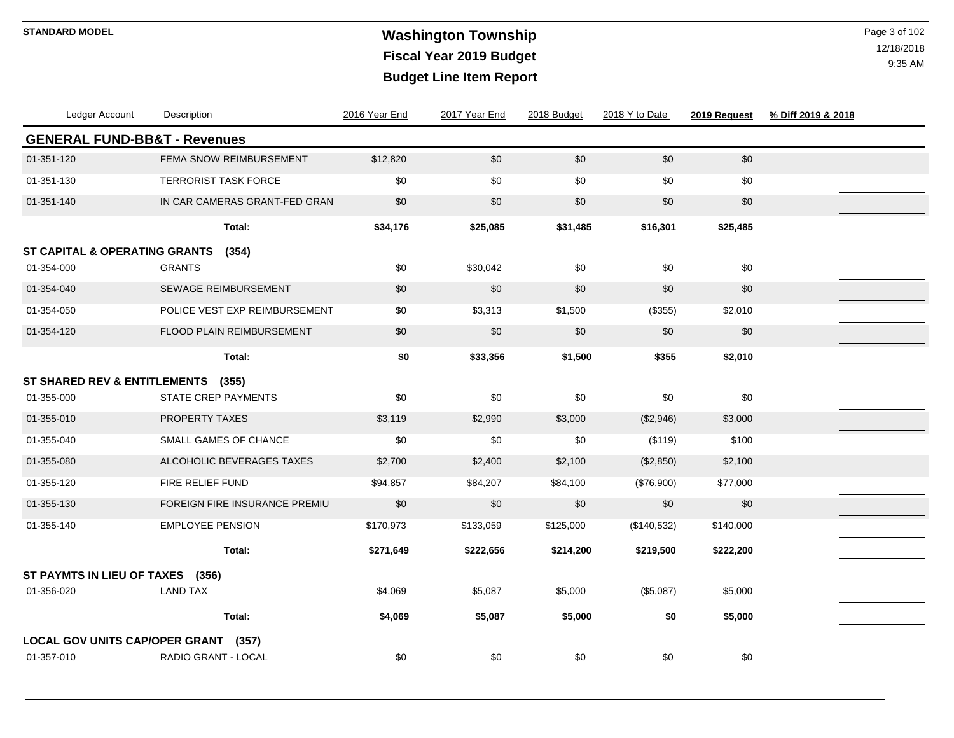## **Washington Township STANDARD MODEL** Page 3 of 102 **Fiscal Year 2019 Budget Budget Line Item Report**

| Ledger Account                          | Description                   | 2016 Year End | 2017 Year End | 2018 Budget | 2018 Y to Date | 2019 Request | % Diff 2019 & 2018 |
|-----------------------------------------|-------------------------------|---------------|---------------|-------------|----------------|--------------|--------------------|
| <b>GENERAL FUND-BB&amp;T - Revenues</b> |                               |               |               |             |                |              |                    |
| 01-351-120                              | FEMA SNOW REIMBURSEMENT       | \$12,820      | \$0           | \$0         | \$0            | $$0$$        |                    |
| 01-351-130                              | <b>TERRORIST TASK FORCE</b>   | \$0           | \$0           | \$0         | \$0            | \$0          |                    |
| 01-351-140                              | IN CAR CAMERAS GRANT-FED GRAN | \$0           | \$0           | \$0         | \$0            | \$0          |                    |
|                                         | Total:                        | \$34,176      | \$25,085      | \$31,485    | \$16,301       | \$25,485     |                    |
| ST CAPITAL & OPERATING GRANTS           | (354)                         |               |               |             |                |              |                    |
| 01-354-000                              | <b>GRANTS</b>                 | \$0           | \$30,042      | \$0         | \$0            | \$0          |                    |
| 01-354-040                              | <b>SEWAGE REIMBURSEMENT</b>   | \$0           | \$0           | \$0         | \$0            | \$0          |                    |
| 01-354-050                              | POLICE VEST EXP REIMBURSEMENT | \$0           | \$3,313       | \$1,500     | (\$355)        | \$2,010      |                    |
| 01-354-120                              | FLOOD PLAIN REIMBURSEMENT     | \$0           | \$0           | \$0         | \$0            | \$0          |                    |
|                                         | Total:                        | \$0           | \$33,356      | \$1,500     | \$355          | \$2,010      |                    |
| <b>ST SHARED REV &amp; ENTITLEMENTS</b> | (355)                         |               |               |             |                |              |                    |
| 01-355-000                              | <b>STATE CREP PAYMENTS</b>    | \$0           | \$0           | \$0         | \$0            | \$0          |                    |
| 01-355-010                              | PROPERTY TAXES                | \$3,119       | \$2,990       | \$3,000     | (\$2,946)      | \$3,000      |                    |
| 01-355-040                              | SMALL GAMES OF CHANCE         | \$0           | \$0           | \$0         | (\$119)        | \$100        |                    |
| 01-355-080                              | ALCOHOLIC BEVERAGES TAXES     | \$2,700       | \$2,400       | \$2,100     | (\$2,850)      | \$2,100      |                    |
| 01-355-120                              | FIRE RELIEF FUND              | \$94,857      | \$84,207      | \$84,100    | (\$76,900)     | \$77,000     |                    |
| 01-355-130                              | FOREIGN FIRE INSURANCE PREMIU | \$0           | \$0           | \$0         | \$0            | \$0          |                    |
| 01-355-140                              | <b>EMPLOYEE PENSION</b>       | \$170,973     | \$133,059     | \$125,000   | (\$140,532)    | \$140,000    |                    |
|                                         | Total:                        | \$271,649     | \$222,656     | \$214,200   | \$219,500      | \$222,200    |                    |
| ST PAYMTS IN LIEU OF TAXES (356)        |                               |               |               |             |                |              |                    |
| 01-356-020                              | <b>LAND TAX</b>               | \$4,069       | \$5,087       | \$5,000     | (\$5,087)      | \$5,000      |                    |
|                                         | Total:                        | \$4,069       | \$5,087       | \$5,000     | \$0            | \$5,000      |                    |
| LOCAL GOV UNITS CAP/OPER GRANT (357)    |                               |               |               |             |                |              |                    |
| 01-357-010                              | RADIO GRANT - LOCAL           | \$0           | \$0           | \$0         | \$0            | \$0          |                    |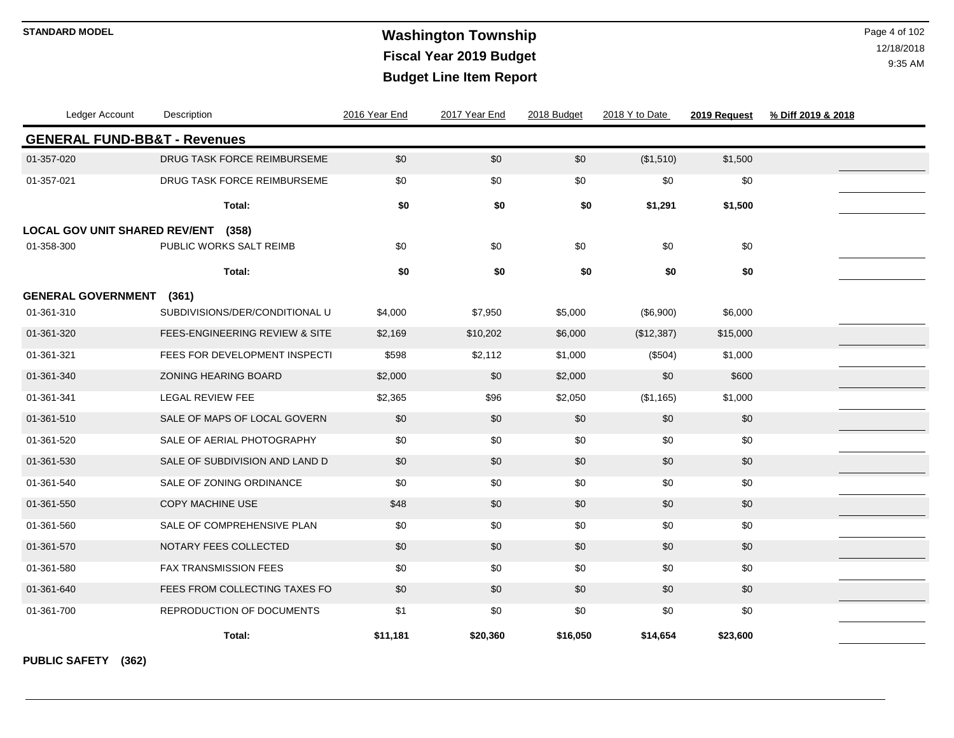## **Washington Township STANDARD MODEL** Page 4 of 102 **Fiscal Year 2019 Budget Budget Line Item Report**

12/18/2018 9:35 AM

| Ledger Account                          | Description                               | 2016 Year End | 2017 Year End | 2018 Budget | 2018 Y to Date | 2019 Request | % Diff 2019 & 2018 |
|-----------------------------------------|-------------------------------------------|---------------|---------------|-------------|----------------|--------------|--------------------|
| <b>GENERAL FUND-BB&amp;T - Revenues</b> |                                           |               |               |             |                |              |                    |
| 01-357-020                              | DRUG TASK FORCE REIMBURSEME               | \$0           | \$0           | \$0         | (\$1,510)      | \$1,500      |                    |
| 01-357-021                              | DRUG TASK FORCE REIMBURSEME               | \$0           | \$0           | \$0         | \$0            | \$0          |                    |
|                                         | Total:                                    | \$0           | \$0           | \$0         | \$1,291        | \$1,500      |                    |
| <b>LOCAL GOV UNIT SHARED REV/ENT</b>    | (358)                                     |               |               |             |                |              |                    |
| 01-358-300                              | PUBLIC WORKS SALT REIMB                   | \$0           | \$0           | \$0         | \$0            | \$0          |                    |
|                                         | Total:                                    | \$0           | \$0           | \$0         | \$0            | \$0          |                    |
| <b>GENERAL GOVERNMENT</b>               | (361)                                     |               |               |             |                |              |                    |
| 01-361-310                              | SUBDIVISIONS/DER/CONDITIONAL U            | \$4,000       | \$7,950       | \$5,000     | (\$6,900)      | \$6,000      |                    |
| 01-361-320                              | <b>FEES-ENGINEERING REVIEW &amp; SITE</b> | \$2,169       | \$10,202      | \$6,000     | (\$12,387)     | \$15,000     |                    |
| 01-361-321                              | FEES FOR DEVELOPMENT INSPECTI             | \$598         | \$2,112       | \$1,000     | (\$504)        | \$1,000      |                    |
| 01-361-340                              | ZONING HEARING BOARD                      | \$2,000       | \$0           | \$2,000     | \$0            | \$600        |                    |
| 01-361-341                              | LEGAL REVIEW FEE                          | \$2,365       | \$96          | \$2,050     | (\$1,165)      | \$1,000      |                    |
| 01-361-510                              | SALE OF MAPS OF LOCAL GOVERN              | \$0           | \$0           | \$0         | \$0            | \$0          |                    |
| 01-361-520                              | SALE OF AERIAL PHOTOGRAPHY                | \$0           | \$0           | \$0         | \$0            | \$0          |                    |
| 01-361-530                              | SALE OF SUBDIVISION AND LAND D            | \$0           | \$0           | \$0         | \$0            | \$0          |                    |
| 01-361-540                              | SALE OF ZONING ORDINANCE                  | \$0           | \$0           | \$0         | \$0            | \$0          |                    |
| 01-361-550                              | <b>COPY MACHINE USE</b>                   | \$48          | \$0           | \$0         | \$0            | \$0          |                    |
| 01-361-560                              | SALE OF COMPREHENSIVE PLAN                | \$0           | \$0           | \$0         | \$0            | \$0          |                    |
| 01-361-570                              | NOTARY FEES COLLECTED                     | \$0           | \$0           | \$0         | \$0            | \$0          |                    |
| 01-361-580                              | <b>FAX TRANSMISSION FEES</b>              | \$0           | \$0           | \$0         | \$0            | \$0          |                    |
| 01-361-640                              | FEES FROM COLLECTING TAXES FO             | \$0           | \$0           | \$0         | \$0            | \$0          |                    |
| 01-361-700                              | <b>REPRODUCTION OF DOCUMENTS</b>          | \$1           | \$0           | \$0         | \$0            | \$0          |                    |
|                                         | Total:                                    | \$11,181      | \$20,360      | \$16,050    | \$14,654       | \$23,600     |                    |

**PUBLIC SAFETY (362)**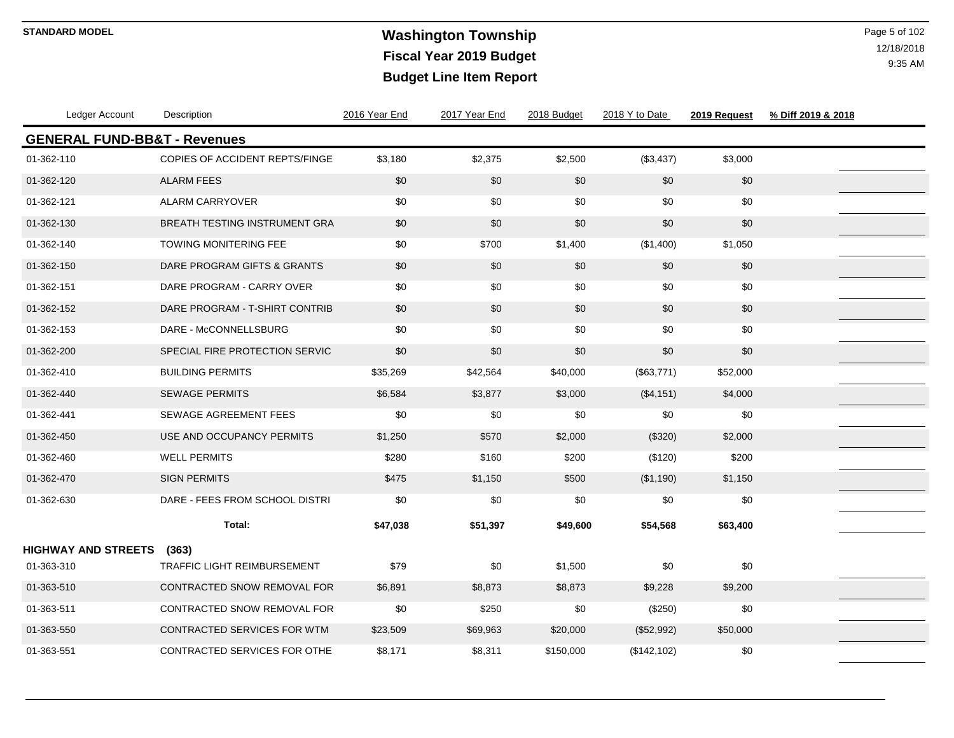# **Washington Township STANDARD MODEL** Page 5 of 102 **Fiscal Year 2019 Budget Budget Line Item Report**

| Ledger Account                          | Description                          | 2016 Year End | 2017 Year End | 2018 Budget | 2018 Y to Date | 2019 Request | % Diff 2019 & 2018 |  |
|-----------------------------------------|--------------------------------------|---------------|---------------|-------------|----------------|--------------|--------------------|--|
| <b>GENERAL FUND-BB&amp;T - Revenues</b> |                                      |               |               |             |                |              |                    |  |
| 01-362-110                              | COPIES OF ACCIDENT REPTS/FINGE       | \$3,180       | \$2,375       | \$2,500     | (\$3,437)      | \$3,000      |                    |  |
| 01-362-120                              | <b>ALARM FEES</b>                    | \$0           | \$0           | \$0         | \$0            | \$0          |                    |  |
| 01-362-121                              | ALARM CARRYOVER                      | \$0           | \$0           | \$0         | \$0            | \$0          |                    |  |
| 01-362-130                              | <b>BREATH TESTING INSTRUMENT GRA</b> | \$0           | \$0           | \$0         | \$0            | \$0          |                    |  |
| 01-362-140                              | <b>TOWING MONITERING FEE</b>         | \$0           | \$700         | \$1,400     | (\$1,400)      | \$1,050      |                    |  |
| 01-362-150                              | DARE PROGRAM GIFTS & GRANTS          | \$0           | \$0           | \$0         | \$0            | \$0          |                    |  |
| 01-362-151                              | DARE PROGRAM - CARRY OVER            | \$0           | \$0           | \$0         | \$0            | \$0          |                    |  |
| 01-362-152                              | DARE PROGRAM - T-SHIRT CONTRIB       | \$0           | \$0           | \$0         | \$0            | \$0          |                    |  |
| 01-362-153                              | DARE - McCONNELLSBURG                | \$0           | \$0           | \$0         | \$0            | \$0          |                    |  |
| 01-362-200                              | SPECIAL FIRE PROTECTION SERVIC       | \$0           | \$0           | \$0         | \$0            | \$0          |                    |  |
| 01-362-410                              | <b>BUILDING PERMITS</b>              | \$35,269      | \$42,564      | \$40,000    | (\$63,771)     | \$52,000     |                    |  |
| 01-362-440                              | <b>SEWAGE PERMITS</b>                | \$6,584       | \$3,877       | \$3,000     | (\$4,151)      | \$4,000      |                    |  |
| 01-362-441                              | <b>SEWAGE AGREEMENT FEES</b>         | \$0           | \$0           | \$0         | \$0            | \$0          |                    |  |
| 01-362-450                              | USE AND OCCUPANCY PERMITS            | \$1,250       | \$570         | \$2,000     | (\$320)        | \$2,000      |                    |  |
| 01-362-460                              | <b>WELL PERMITS</b>                  | \$280         | \$160         | \$200       | (\$120)        | \$200        |                    |  |
| 01-362-470                              | <b>SIGN PERMITS</b>                  | \$475         | \$1,150       | \$500       | (\$1,190)      | \$1,150      |                    |  |
| 01-362-630                              | DARE - FEES FROM SCHOOL DISTRI       | \$0           | \$0           | \$0         | \$0            | \$0          |                    |  |
|                                         | Total:                               | \$47,038      | \$51,397      | \$49,600    | \$54,568       | \$63,400     |                    |  |
| <b>HIGHWAY AND STREETS</b>              | (363)                                |               |               |             |                |              |                    |  |
| 01-363-310                              | <b>TRAFFIC LIGHT REIMBURSEMENT</b>   | \$79          | \$0           | \$1,500     | $$0$$          | \$0          |                    |  |
| 01-363-510                              | CONTRACTED SNOW REMOVAL FOR          | \$6,891       | \$8,873       | \$8,873     | \$9,228        | \$9,200      |                    |  |
| 01-363-511                              | CONTRACTED SNOW REMOVAL FOR          | \$0           | \$250         | \$0         | (\$250)        | \$0          |                    |  |
| 01-363-550                              | CONTRACTED SERVICES FOR WTM          | \$23,509      | \$69,963      | \$20,000    | (\$52,992)     | \$50,000     |                    |  |
| 01-363-551                              | CONTRACTED SERVICES FOR OTHE         | \$8,171       | \$8,311       | \$150,000   | (\$142, 102)   | \$0          |                    |  |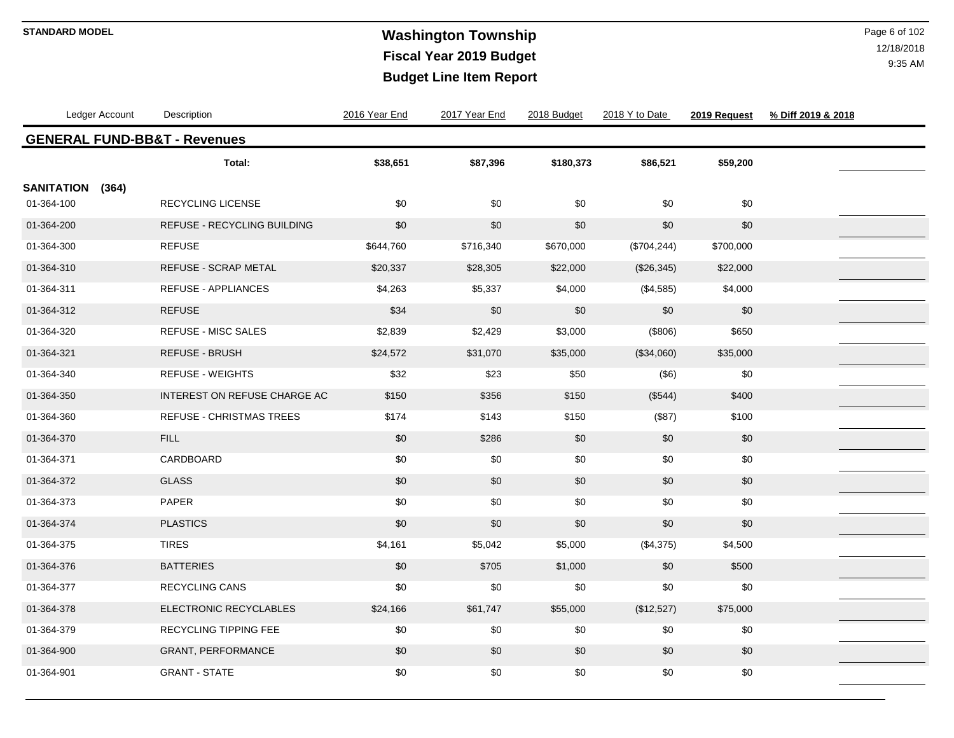# **STANDARD MODEL** Page 6 of 102 **Fiscal Year 2019 Budget Budget Line Item Report**

| Ledger Account                          | Description                     | 2016 Year End | 2017 Year End | 2018 Budget | 2018 Y to Date | 2019 Request | % Diff 2019 & 2018 |  |
|-----------------------------------------|---------------------------------|---------------|---------------|-------------|----------------|--------------|--------------------|--|
| <b>GENERAL FUND-BB&amp;T - Revenues</b> |                                 |               |               |             |                |              |                    |  |
|                                         | Total:                          | \$38,651      | \$87,396      | \$180,373   | \$86,521       | \$59,200     |                    |  |
| <b>SANITATION</b><br>(364)              |                                 |               |               |             |                |              |                    |  |
| 01-364-100                              | <b>RECYCLING LICENSE</b>        | \$0           | \$0           | \$0         | \$0            | \$0          |                    |  |
| 01-364-200                              | REFUSE - RECYCLING BUILDING     | \$0           | \$0           | \$0         | \$0            | \$0          |                    |  |
| 01-364-300                              | <b>REFUSE</b>                   | \$644,760     | \$716,340     | \$670,000   | (\$704, 244)   | \$700,000    |                    |  |
| 01-364-310                              | REFUSE - SCRAP METAL            | \$20,337      | \$28,305      | \$22,000    | (\$26,345)     | \$22,000     |                    |  |
| 01-364-311                              | <b>REFUSE - APPLIANCES</b>      | \$4,263       | \$5,337       | \$4,000     | (\$4,585)      | \$4,000      |                    |  |
| 01-364-312                              | <b>REFUSE</b>                   | \$34          | \$0           | \$0         | \$0            | \$0          |                    |  |
| 01-364-320                              | <b>REFUSE - MISC SALES</b>      | \$2,839       | \$2,429       | \$3,000     | (\$806)        | \$650        |                    |  |
| 01-364-321                              | REFUSE - BRUSH                  | \$24,572      | \$31,070      | \$35,000    | (\$34,060)     | \$35,000     |                    |  |
| 01-364-340                              | <b>REFUSE - WEIGHTS</b>         | \$32          | \$23          | \$50        | (\$6)          | \$0          |                    |  |
| 01-364-350                              | INTEREST ON REFUSE CHARGE AC    | \$150         | \$356         | \$150       | (\$544)        | \$400        |                    |  |
| 01-364-360                              | <b>REFUSE - CHRISTMAS TREES</b> | \$174         | \$143         | \$150       | (\$87)         | \$100        |                    |  |
| 01-364-370                              | <b>FILL</b>                     | \$0           | \$286         | \$0         | \$0            | \$0          |                    |  |
| 01-364-371                              | CARDBOARD                       | \$0           | \$0           | \$0         | \$0            | \$0          |                    |  |
| 01-364-372                              | <b>GLASS</b>                    | \$0           | \$0           | \$0         | \$0            | \$0          |                    |  |
| 01-364-373                              | PAPER                           | \$0           | \$0           | \$0         | \$0            | \$0          |                    |  |
| 01-364-374                              | <b>PLASTICS</b>                 | \$0           | \$0           | \$0         | \$0            | \$0          |                    |  |
| 01-364-375                              | <b>TIRES</b>                    | \$4,161       | \$5,042       | \$5,000     | (\$4,375)      | \$4,500      |                    |  |
| 01-364-376                              | <b>BATTERIES</b>                | \$0           | \$705         | \$1,000     | \$0            | \$500        |                    |  |
| 01-364-377                              | <b>RECYCLING CANS</b>           | \$0           | \$0           | \$0         | \$0            | \$0          |                    |  |
| 01-364-378                              | ELECTRONIC RECYCLABLES          | \$24,166      | \$61,747      | \$55,000    | (\$12,527)     | \$75,000     |                    |  |
| 01-364-379                              | <b>RECYCLING TIPPING FEE</b>    | \$0           | \$0           | \$0         | \$0            | \$0          |                    |  |
| 01-364-900                              | <b>GRANT, PERFORMANCE</b>       | \$0           | \$0           | \$0         | \$0            | \$0          |                    |  |
| 01-364-901                              | <b>GRANT - STATE</b>            | \$0           | \$0           | \$0         | \$0            | \$0          |                    |  |
|                                         |                                 |               |               |             |                |              |                    |  |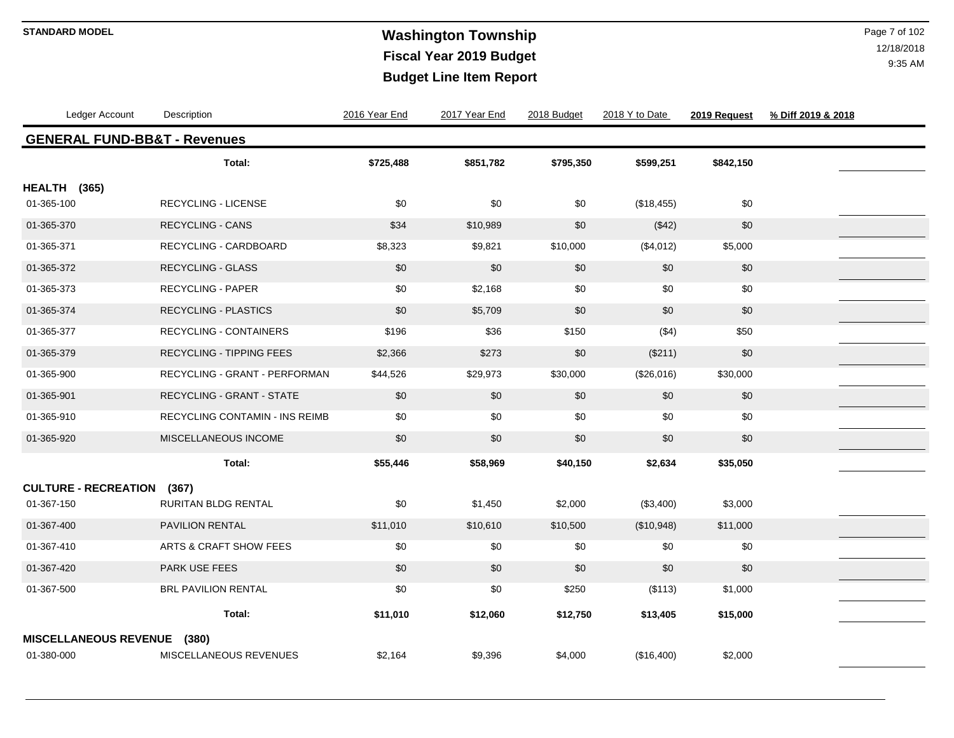# **Washington Township STANDARD MODEL** Page 7 of 102 **Fiscal Year 2019 Budget Budget Line Item Report**

| Ledger Account                          | Description                     | 2016 Year End | 2017 Year End | 2018 Budget | 2018 Y to Date | 2019 Request | % Diff 2019 & 2018 |  |
|-----------------------------------------|---------------------------------|---------------|---------------|-------------|----------------|--------------|--------------------|--|
| <b>GENERAL FUND-BB&amp;T - Revenues</b> |                                 |               |               |             |                |              |                    |  |
|                                         | Total:                          | \$725,488     | \$851,782     | \$795,350   | \$599,251      | \$842,150    |                    |  |
| HEALTH (365)                            |                                 |               |               |             |                |              |                    |  |
| 01-365-100                              | RECYCLING - LICENSE             | \$0           | \$0           | \$0         | (\$18,455)     | \$0          |                    |  |
| 01-365-370                              | <b>RECYCLING - CANS</b>         | \$34          | \$10,989      | \$0         | (\$42)         | \$0          |                    |  |
| 01-365-371                              | RECYCLING - CARDBOARD           | \$8,323       | \$9,821       | \$10,000    | (\$4,012)      | \$5,000      |                    |  |
| 01-365-372                              | <b>RECYCLING - GLASS</b>        | \$0           | \$0           | \$0         | \$0            | \$0          |                    |  |
| 01-365-373                              | RECYCLING - PAPER               | \$0           | \$2,168       | \$0         | \$0            | \$0          |                    |  |
| 01-365-374                              | <b>RECYCLING - PLASTICS</b>     | \$0           | \$5,709       | $\$0$       | $$0$$          | \$0          |                    |  |
| 01-365-377                              | RECYCLING - CONTAINERS          | \$196         | \$36          | \$150       | ( \$4)         | \$50         |                    |  |
| 01-365-379                              | <b>RECYCLING - TIPPING FEES</b> | \$2,366       | \$273         | \$0         | (\$211)        | \$0          |                    |  |
| 01-365-900                              | RECYCLING - GRANT - PERFORMAN   | \$44,526      | \$29,973      | \$30,000    | (\$26,016)     | \$30,000     |                    |  |
| 01-365-901                              | RECYCLING - GRANT - STATE       | \$0           | \$0           | \$0         | \$0            | \$0          |                    |  |
| 01-365-910                              | RECYCLING CONTAMIN - INS REIMB  | \$0           | \$0           | \$0         | \$0            | \$0          |                    |  |
| 01-365-920                              | MISCELLANEOUS INCOME            | \$0           | \$0           | \$0         | $$0$$          | \$0          |                    |  |
|                                         | Total:                          | \$55,446      | \$58,969      | \$40,150    | \$2,634        | \$35,050     |                    |  |
| <b>CULTURE - RECREATION</b>             | (367)                           |               |               |             |                |              |                    |  |
| 01-367-150                              | <b>RURITAN BLDG RENTAL</b>      | \$0           | \$1,450       | \$2,000     | (\$3,400)      | \$3,000      |                    |  |
| 01-367-400                              | <b>PAVILION RENTAL</b>          | \$11,010      | \$10,610      | \$10,500    | (\$10,948)     | \$11,000     |                    |  |
| 01-367-410                              | ARTS & CRAFT SHOW FEES          | \$0           | \$0           | \$0         | \$0            | \$0          |                    |  |
| 01-367-420                              | <b>PARK USE FEES</b>            | \$0           | \$0           | \$0         | \$0            | \$0          |                    |  |
| 01-367-500                              | <b>BRL PAVILION RENTAL</b>      | \$0           | \$0           | \$250       | (\$113)        | \$1,000      |                    |  |
|                                         | Total:                          | \$11,010      | \$12,060      | \$12,750    | \$13,405       | \$15,000     |                    |  |
| <b>MISCELLANEOUS REVENUE</b>            | (380)                           |               |               |             |                |              |                    |  |
| 01-380-000                              | MISCELLANEOUS REVENUES          | \$2,164       | \$9,396       | \$4,000     | (\$16,400)     | \$2,000      |                    |  |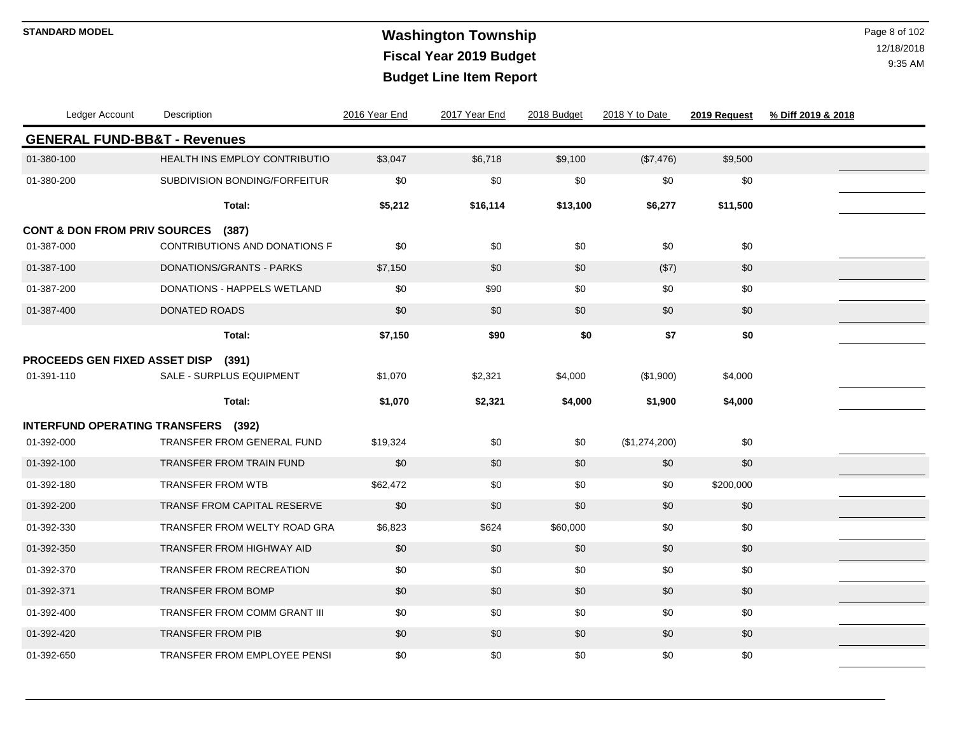# **Washington Township STANDARD MODEL** Page 8 of 102 **Fiscal Year 2019 Budget Budget Line Item Report**

| Ledger Account                          | Description                        | 2016 Year End | 2017 Year End | 2018 Budget | 2018 Y to Date | 2019 Request | % Diff 2019 & 2018 |  |
|-----------------------------------------|------------------------------------|---------------|---------------|-------------|----------------|--------------|--------------------|--|
| <b>GENERAL FUND-BB&amp;T - Revenues</b> |                                    |               |               |             |                |              |                    |  |
| 01-380-100                              | HEALTH INS EMPLOY CONTRIBUTIO      | \$3,047       | \$6,718       | \$9,100     | (\$7,476)      | \$9,500      |                    |  |
| 01-380-200                              | SUBDIVISION BONDING/FORFEITUR      | \$0           | \$0           | \$0         | \$0            | \$0          |                    |  |
|                                         | Total:                             | \$5,212       | \$16,114      | \$13,100    | \$6,277        | \$11,500     |                    |  |
| <b>CONT &amp; DON FROM PRIV SOURCES</b> | (387)                              |               |               |             |                |              |                    |  |
| 01-387-000                              | CONTRIBUTIONS AND DONATIONS F      | \$0           | \$0           | \$0         | \$0            | \$0          |                    |  |
| 01-387-100                              | DONATIONS/GRANTS - PARKS           | \$7,150       | \$0           | \$0         | (\$7)          | \$0          |                    |  |
| 01-387-200                              | DONATIONS - HAPPELS WETLAND        | \$0           | \$90          | \$0         | \$0            | \$0          |                    |  |
| 01-387-400                              | <b>DONATED ROADS</b>               | \$0           | \$0           | \$0         | \$0            | \$0          |                    |  |
|                                         | Total:                             | \$7,150       | \$90          | \$0         | \$7            | \$0          |                    |  |
| PROCEEDS GEN FIXED ASSET DISP           | (391)                              |               |               |             |                |              |                    |  |
| 01-391-110                              | SALE - SURPLUS EQUIPMENT           | \$1,070       | \$2,321       | \$4,000     | (\$1,900)      | \$4,000      |                    |  |
|                                         | Total:                             | \$1,070       | \$2,321       | \$4,000     | \$1,900        | \$4,000      |                    |  |
| <b>INTERFUND OPERATING TRANSFERS</b>    | (392)                              |               |               |             |                |              |                    |  |
| 01-392-000                              | TRANSFER FROM GENERAL FUND         | \$19,324      | \$0           | \$0         | (\$1,274,200)  | \$0          |                    |  |
| 01-392-100                              | <b>TRANSFER FROM TRAIN FUND</b>    | \$0           | \$0           | \$0         | \$0            | \$0          |                    |  |
| 01-392-180                              | <b>TRANSFER FROM WTB</b>           | \$62,472      | \$0           | \$0         | \$0            | \$200,000    |                    |  |
| 01-392-200                              | <b>TRANSF FROM CAPITAL RESERVE</b> | \$0           | \$0           | \$0         | \$0            | \$0          |                    |  |
| 01-392-330                              | TRANSFER FROM WELTY ROAD GRA       | \$6,823       | \$624         | \$60,000    | \$0            | \$0          |                    |  |
| 01-392-350                              | <b>TRANSFER FROM HIGHWAY AID</b>   | \$0           | \$0           | \$0         | \$0            | \$0          |                    |  |
| 01-392-370                              | TRANSFER FROM RECREATION           | \$0           | \$0           | \$0         | \$0            | \$0          |                    |  |
| 01-392-371                              | <b>TRANSFER FROM BOMP</b>          | \$0           | \$0           | \$0         | \$0            | \$0          |                    |  |
| 01-392-400                              | TRANSFER FROM COMM GRANT III       | \$0           | \$0           | \$0         | \$0            | \$0          |                    |  |
| 01-392-420                              | <b>TRANSFER FROM PIB</b>           | \$0           | \$0           | \$0         | \$0            | \$0          |                    |  |
| 01-392-650                              | TRANSFER FROM EMPLOYEE PENSI       | \$0           | \$0           | \$0         | \$0            | \$0          |                    |  |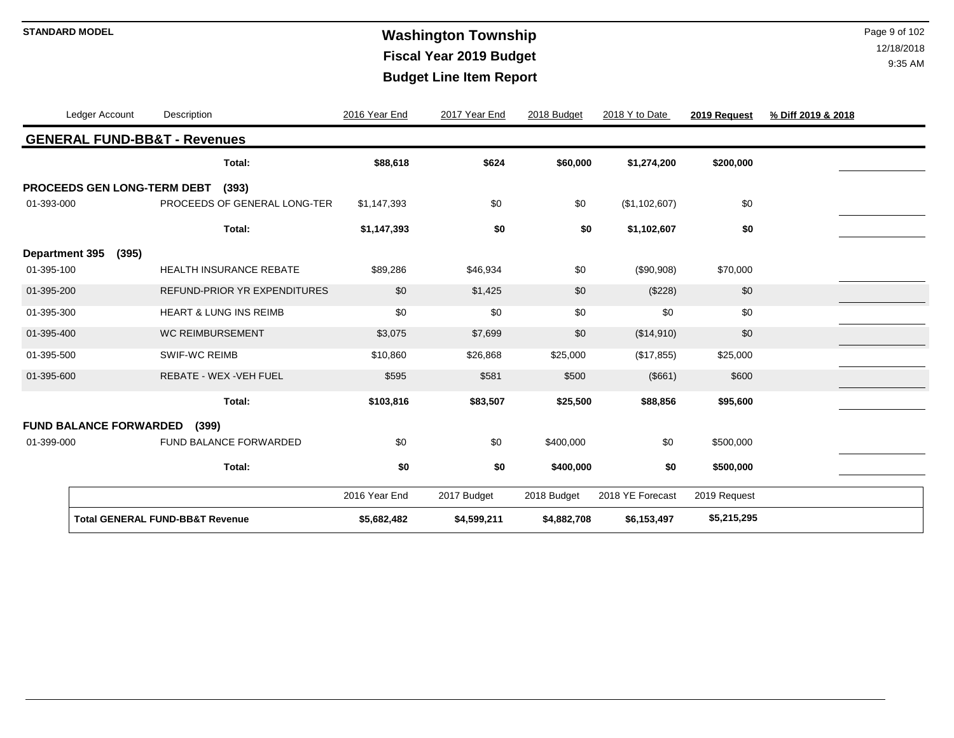# **Washington Township STANDARD MODEL** Page 9 of 102 **Fiscal Year 2019 Budget Budget Line Item Report**

|                       | Ledger Account                | Description                                | 2016 Year End | 2017 Year End | 2018 Budget | 2018 Y to Date   | 2019 Request | % Diff 2019 & 2018 |
|-----------------------|-------------------------------|--------------------------------------------|---------------|---------------|-------------|------------------|--------------|--------------------|
|                       |                               | <b>GENERAL FUND-BB&amp;T - Revenues</b>    |               |               |             |                  |              |                    |
|                       |                               | Total:                                     | \$88,618      | \$624         | \$60,000    | \$1,274,200      | \$200,000    |                    |
|                       | PROCEEDS GEN LONG-TERM DEBT   | (393)                                      |               |               |             |                  |              |                    |
| 01-393-000            |                               | PROCEEDS OF GENERAL LONG-TER               | \$1,147,393   | \$0           | \$0         | (\$1,102,607)    | \$0          |                    |
|                       |                               | Total:                                     | \$1,147,393   | \$0           | \$0         | \$1,102,607      | \$0          |                    |
| <b>Department 395</b> | (395)                         |                                            |               |               |             |                  |              |                    |
| 01-395-100            |                               | <b>HEALTH INSURANCE REBATE</b>             | \$89,286      | \$46,934      | \$0         | (\$90,908)       | \$70,000     |                    |
| 01-395-200            |                               | <b>REFUND-PRIOR YR EXPENDITURES</b>        | \$0           | \$1,425       | \$0         | (\$228)          | \$0          |                    |
| 01-395-300            |                               | <b>HEART &amp; LUNG INS REIMB</b>          | \$0           | \$0           | \$0         | \$0              | \$0          |                    |
| 01-395-400            |                               | <b>WC REIMBURSEMENT</b>                    | \$3,075       | \$7,699       | \$0         | (\$14,910)       | \$0          |                    |
| 01-395-500            |                               | <b>SWIF-WC REIMB</b>                       | \$10,860      | \$26,868      | \$25,000    | (\$17,855)       | \$25,000     |                    |
| 01-395-600            |                               | REBATE - WEX - VEH FUEL                    | \$595         | \$581         | \$500       | (\$661)          | \$600        |                    |
|                       |                               | Total:                                     | \$103,816     | \$83,507      | \$25,500    | \$88,856         | \$95,600     |                    |
|                       | <b>FUND BALANCE FORWARDED</b> | (399)                                      |               |               |             |                  |              |                    |
| 01-399-000            |                               | FUND BALANCE FORWARDED                     | \$0           | \$0           | \$400,000   | \$0              | \$500,000    |                    |
|                       |                               | Total:                                     | \$0           | \$0           | \$400,000   | \$0              | \$500,000    |                    |
|                       |                               |                                            | 2016 Year End | 2017 Budget   | 2018 Budget | 2018 YE Forecast | 2019 Request |                    |
|                       |                               | <b>Total GENERAL FUND-BB&amp;T Revenue</b> | \$5,682,482   | \$4,599,211   | \$4,882,708 | \$6,153,497      | \$5,215,295  |                    |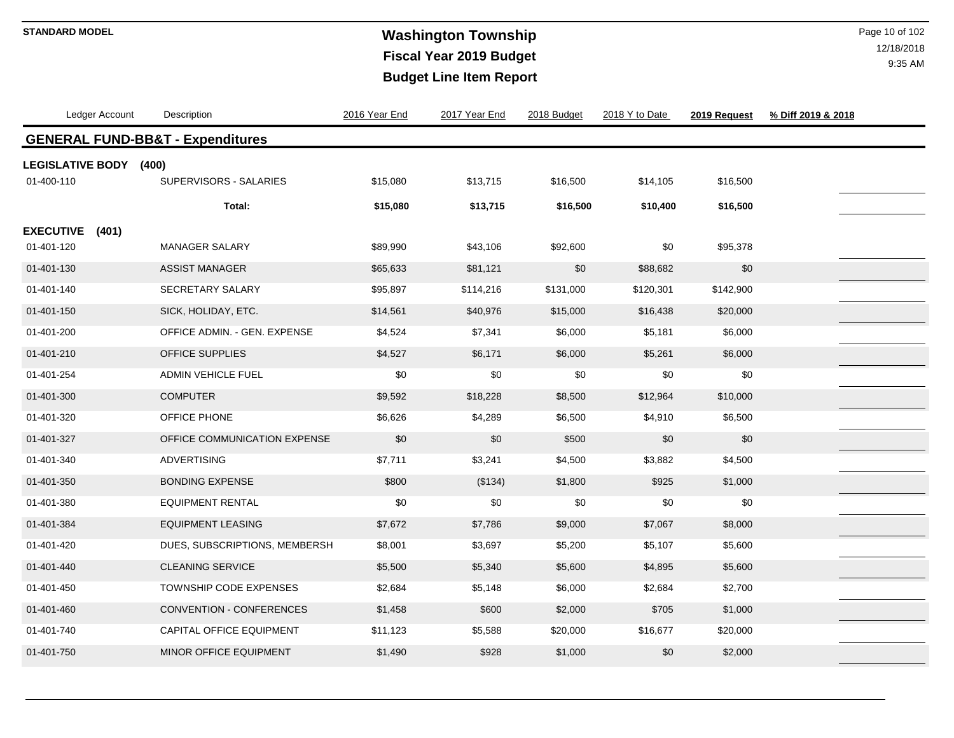# **Washington Township STANDARD MODEL** Page 10 of 102 **Fiscal Year 2019 Budget Budget Line Item Report**

| Ledger Account                          | Description                                 | 2016 Year End | 2017 Year End | 2018 Budget | 2018 Y to Date | 2019 Request | % Diff 2019 & 2018 |
|-----------------------------------------|---------------------------------------------|---------------|---------------|-------------|----------------|--------------|--------------------|
|                                         | <b>GENERAL FUND-BB&amp;T - Expenditures</b> |               |               |             |                |              |                    |
| LEGISLATIVE BODY (400)<br>01-400-110    | SUPERVISORS - SALARIES                      | \$15,080      | \$13,715      | \$16,500    | \$14,105       | \$16,500     |                    |
|                                         | Total:                                      | \$15,080      | \$13,715      | \$16,500    | \$10,400       | \$16,500     |                    |
| <b>EXECUTIVE</b><br>(401)<br>01-401-120 | <b>MANAGER SALARY</b>                       | \$89,990      | \$43,106      | \$92,600    | \$0            | \$95,378     |                    |
| 01-401-130                              | <b>ASSIST MANAGER</b>                       | \$65,633      | \$81,121      | \$0         | \$88,682       | \$0          |                    |
| 01-401-140                              | SECRETARY SALARY                            | \$95,897      | \$114,216     | \$131,000   | \$120,301      | \$142,900    |                    |
| 01-401-150                              | SICK, HOLIDAY, ETC.                         | \$14,561      | \$40,976      | \$15,000    | \$16,438       | \$20,000     |                    |
| 01-401-200                              | OFFICE ADMIN. - GEN. EXPENSE                | \$4,524       | \$7,341       | \$6,000     | \$5,181        | \$6,000      |                    |
| 01-401-210                              | OFFICE SUPPLIES                             | \$4,527       | \$6,171       | \$6,000     | \$5,261        | \$6,000      |                    |
| 01-401-254                              | ADMIN VEHICLE FUEL                          | \$0           | \$0           | \$0         | \$0            | \$0          |                    |
| 01-401-300                              | <b>COMPUTER</b>                             | \$9,592       | \$18,228      | \$8,500     | \$12,964       | \$10,000     |                    |
| 01-401-320                              | OFFICE PHONE                                | \$6,626       | \$4,289       | \$6,500     | \$4,910        | \$6,500      |                    |
| 01-401-327                              | OFFICE COMMUNICATION EXPENSE                | \$0           | \$0           | \$500       | \$0            | \$0          |                    |
| 01-401-340                              | <b>ADVERTISING</b>                          | \$7,711       | \$3,241       | \$4,500     | \$3,882        | \$4,500      |                    |
| 01-401-350                              | <b>BONDING EXPENSE</b>                      | \$800         | (\$134)       | \$1,800     | \$925          | \$1,000      |                    |
| 01-401-380                              | <b>EQUIPMENT RENTAL</b>                     | \$0           | \$0           | \$0         | \$0            | \$0          |                    |
| 01-401-384                              | <b>EQUIPMENT LEASING</b>                    | \$7,672       | \$7,786       | \$9,000     | \$7,067        | \$8,000      |                    |
| 01-401-420                              | DUES, SUBSCRIPTIONS, MEMBERSH               | \$8,001       | \$3,697       | \$5,200     | \$5,107        | \$5,600      |                    |
| 01-401-440                              | <b>CLEANING SERVICE</b>                     | \$5,500       | \$5,340       | \$5,600     | \$4,895        | \$5,600      |                    |
| 01-401-450                              | <b>TOWNSHIP CODE EXPENSES</b>               | \$2,684       | \$5,148       | \$6,000     | \$2,684        | \$2,700      |                    |
| 01-401-460                              | <b>CONVENTION - CONFERENCES</b>             | \$1,458       | \$600         | \$2,000     | \$705          | \$1,000      |                    |
| 01-401-740                              | <b>CAPITAL OFFICE EQUIPMENT</b>             | \$11,123      | \$5,588       | \$20,000    | \$16,677       | \$20,000     |                    |
| 01-401-750                              | MINOR OFFICE EQUIPMENT                      | \$1,490       | \$928         | \$1,000     | \$0            | \$2,000      |                    |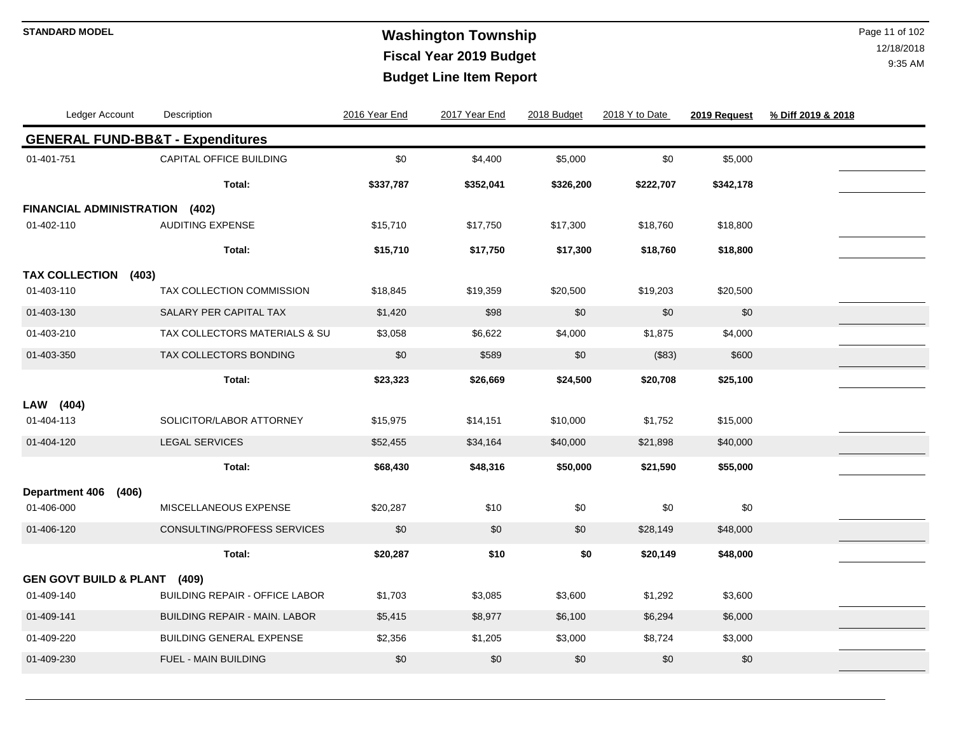# **Washington Township STANDARD MODEL** Page 11 of 102 **Fiscal Year 2019 Budget Budget Line Item Report**

| Ledger Account                    | Description                                 | 2016 Year End | 2017 Year End | 2018 Budget | 2018 Y to Date | 2019 Request | % Diff 2019 & 2018 |  |
|-----------------------------------|---------------------------------------------|---------------|---------------|-------------|----------------|--------------|--------------------|--|
|                                   | <b>GENERAL FUND-BB&amp;T - Expenditures</b> |               |               |             |                |              |                    |  |
| 01-401-751                        | CAPITAL OFFICE BUILDING                     | \$0           | \$4,400       | \$5,000     | $$0$$          | \$5,000      |                    |  |
|                                   | Total:                                      | \$337,787     | \$352,041     | \$326,200   | \$222,707      | \$342,178    |                    |  |
| <b>FINANCIAL ADMINISTRATION</b>   | (402)                                       |               |               |             |                |              |                    |  |
| 01-402-110                        | <b>AUDITING EXPENSE</b>                     | \$15,710      | \$17,750      | \$17,300    | \$18,760       | \$18,800     |                    |  |
|                                   | Total:                                      | \$15,710      | \$17,750      | \$17,300    | \$18,760       | \$18,800     |                    |  |
| <b>TAX COLLECTION</b>             | (403)                                       |               |               |             |                |              |                    |  |
| 01-403-110                        | TAX COLLECTION COMMISSION                   | \$18,845      | \$19,359      | \$20,500    | \$19,203       | \$20,500     |                    |  |
| 01-403-130                        | SALARY PER CAPITAL TAX                      | \$1,420       | \$98          | \$0         | \$0            | \$0          |                    |  |
| 01-403-210                        | TAX COLLECTORS MATERIALS & SU               | \$3,058       | \$6,622       | \$4,000     | \$1,875        | \$4,000      |                    |  |
| 01-403-350                        | TAX COLLECTORS BONDING                      | \$0           | \$589         | \$0         | (\$83)         | \$600        |                    |  |
|                                   | Total:                                      | \$23,323      | \$26,669      | \$24,500    | \$20,708       | \$25,100     |                    |  |
| LAW (404)                         |                                             |               |               |             |                |              |                    |  |
| 01-404-113                        | SOLICITOR/LABOR ATTORNEY                    | \$15,975      | \$14,151      | \$10,000    | \$1,752        | \$15,000     |                    |  |
| 01-404-120                        | <b>LEGAL SERVICES</b>                       | \$52,455      | \$34,164      | \$40,000    | \$21,898       | \$40,000     |                    |  |
|                                   | Total:                                      | \$68,430      | \$48,316      | \$50,000    | \$21,590       | \$55,000     |                    |  |
| <b>Department 406</b>             | (406)                                       |               |               |             |                |              |                    |  |
| 01-406-000                        | MISCELLANEOUS EXPENSE                       | \$20,287      | \$10          | \$0         | $$0$$          | \$0          |                    |  |
| 01-406-120                        | CONSULTING/PROFESS SERVICES                 | \$0           | \$0           | $$0$        | \$28,149       | \$48,000     |                    |  |
|                                   | Total:                                      | \$20,287      | \$10          | \$0         | \$20,149       | \$48,000     |                    |  |
| <b>GEN GOVT BUILD &amp; PLANT</b> | (409)                                       |               |               |             |                |              |                    |  |
| 01-409-140                        | <b>BUILDING REPAIR - OFFICE LABOR</b>       | \$1,703       | \$3,085       | \$3,600     | \$1,292        | \$3,600      |                    |  |
| 01-409-141                        | <b>BUILDING REPAIR - MAIN, LABOR</b>        | \$5,415       | \$8,977       | \$6,100     | \$6,294        | \$6,000      |                    |  |
| 01-409-220                        | <b>BUILDING GENERAL EXPENSE</b>             | \$2,356       | \$1,205       | \$3,000     | \$8,724        | \$3,000      |                    |  |
| 01-409-230                        | FUEL - MAIN BUILDING                        | \$0           | \$0           | \$0         | \$0            | \$0          |                    |  |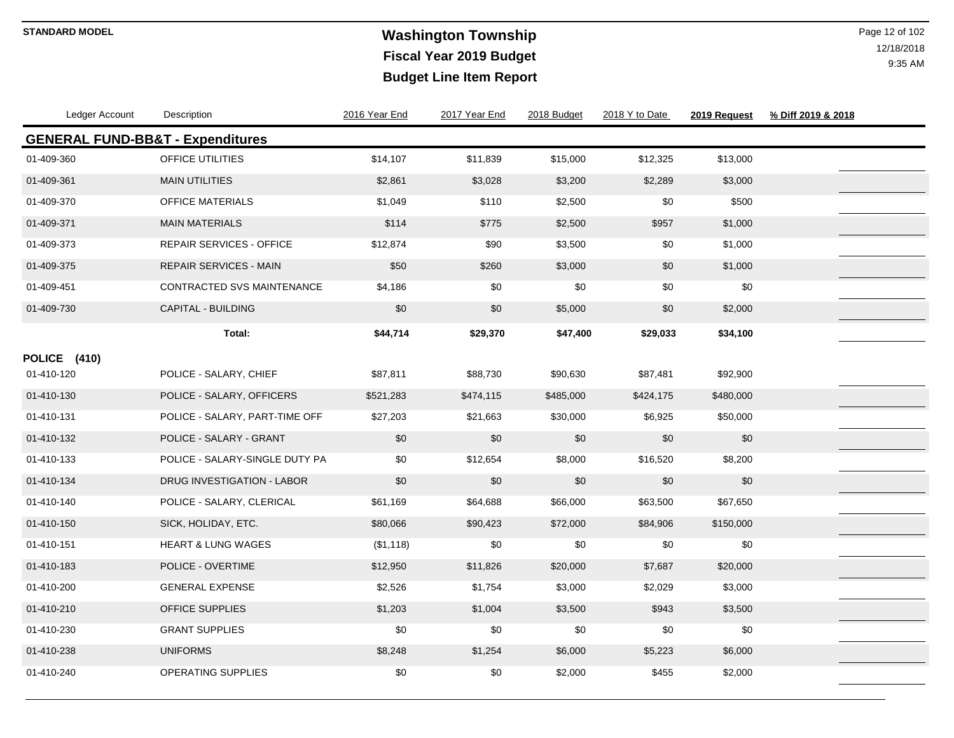# **Washington Township STANDARD MODEL** Page 12 of 102 **Fiscal Year 2019 Budget Budget Line Item Report**

| Ledger Account                              | Description                     | 2016 Year End | 2017 Year End | 2018 Budget | 2018 Y to Date | 2019 Request | % Diff 2019 & 2018 |  |
|---------------------------------------------|---------------------------------|---------------|---------------|-------------|----------------|--------------|--------------------|--|
| <b>GENERAL FUND-BB&amp;T - Expenditures</b> |                                 |               |               |             |                |              |                    |  |
| 01-409-360                                  | OFFICE UTILITIES                | \$14,107      | \$11,839      | \$15,000    | \$12,325       | \$13,000     |                    |  |
| 01-409-361                                  | <b>MAIN UTILITIES</b>           | \$2,861       | \$3,028       | \$3,200     | \$2,289        | \$3,000      |                    |  |
| 01-409-370                                  | <b>OFFICE MATERIALS</b>         | \$1,049       | \$110         | \$2,500     | \$0            | \$500        |                    |  |
| 01-409-371                                  | <b>MAIN MATERIALS</b>           | \$114         | \$775         | \$2,500     | \$957          | \$1,000      |                    |  |
| 01-409-373                                  | <b>REPAIR SERVICES - OFFICE</b> | \$12,874      | \$90          | \$3,500     | \$0            | \$1,000      |                    |  |
| 01-409-375                                  | <b>REPAIR SERVICES - MAIN</b>   | \$50          | \$260         | \$3,000     | \$0            | \$1,000      |                    |  |
| 01-409-451                                  | CONTRACTED SVS MAINTENANCE      | \$4,186       | \$0           | \$0         | \$0            | \$0          |                    |  |
| 01-409-730                                  | CAPITAL - BUILDING              | \$0           | \$0           | \$5,000     | \$0            | \$2,000      |                    |  |
|                                             | Total:                          | \$44,714      | \$29,370      | \$47,400    | \$29,033       | \$34,100     |                    |  |
| POLICE (410)                                |                                 |               |               |             |                |              |                    |  |
| 01-410-120                                  | POLICE - SALARY, CHIEF          | \$87,811      | \$88,730      | \$90,630    | \$87,481       | \$92,900     |                    |  |
| 01-410-130                                  | POLICE - SALARY, OFFICERS       | \$521,283     | \$474,115     | \$485,000   | \$424,175      | \$480,000    |                    |  |
| 01-410-131                                  | POLICE - SALARY, PART-TIME OFF  | \$27,203      | \$21,663      | \$30,000    | \$6,925        | \$50,000     |                    |  |
| 01-410-132                                  | POLICE - SALARY - GRANT         | \$0           | \$0           | \$0         | \$0            | \$0          |                    |  |
| 01-410-133                                  | POLICE - SALARY-SINGLE DUTY PA  | \$0           | \$12,654      | \$8,000     | \$16,520       | \$8,200      |                    |  |
| 01-410-134                                  | DRUG INVESTIGATION - LABOR      | \$0           | \$0           | \$0         | \$0            | \$0          |                    |  |
| 01-410-140                                  | POLICE - SALARY, CLERICAL       | \$61,169      | \$64,688      | \$66,000    | \$63,500       | \$67,650     |                    |  |
| 01-410-150                                  | SICK, HOLIDAY, ETC.             | \$80,066      | \$90,423      | \$72,000    | \$84,906       | \$150,000    |                    |  |
| 01-410-151                                  | <b>HEART &amp; LUNG WAGES</b>   | (\$1,118)     | \$0           | \$0         | \$0            | \$0          |                    |  |
| 01-410-183                                  | POLICE - OVERTIME               | \$12,950      | \$11,826      | \$20,000    | \$7,687        | \$20,000     |                    |  |
| 01-410-200                                  | <b>GENERAL EXPENSE</b>          | \$2,526       | \$1,754       | \$3,000     | \$2,029        | \$3,000      |                    |  |
| 01-410-210                                  | <b>OFFICE SUPPLIES</b>          | \$1,203       | \$1,004       | \$3,500     | \$943          | \$3,500      |                    |  |
| 01-410-230                                  | <b>GRANT SUPPLIES</b>           | \$0           | \$0           | \$0         | \$0            | \$0          |                    |  |
| 01-410-238                                  | <b>UNIFORMS</b>                 | \$8,248       | \$1,254       | \$6,000     | \$5,223        | \$6,000      |                    |  |
| 01-410-240                                  | OPERATING SUPPLIES              | \$0           | \$0           | \$2,000     | \$455          | \$2,000      |                    |  |
|                                             |                                 |               |               |             |                |              |                    |  |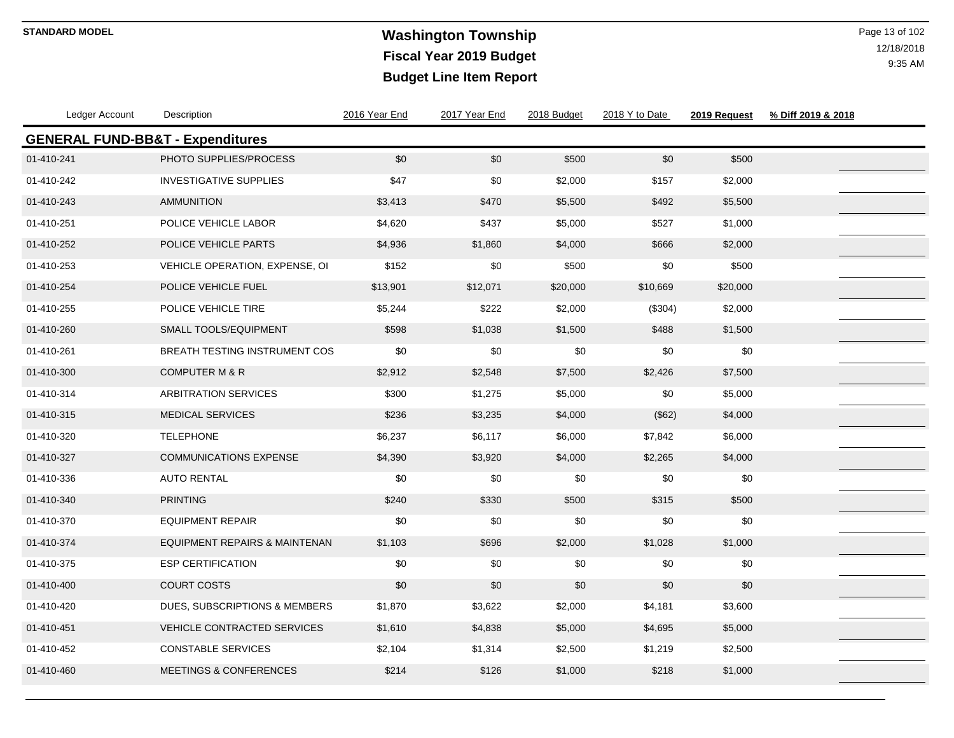# **Washington Township STANDARD MODEL** Page 13 of 102 **Fiscal Year 2019 Budget Budget Line Item Report**

| Ledger Account                              | Description                          | 2016 Year End | 2017 Year End | 2018 Budget | 2018 Y to Date | 2019 Request | % Diff 2019 & 2018 |
|---------------------------------------------|--------------------------------------|---------------|---------------|-------------|----------------|--------------|--------------------|
| <b>GENERAL FUND-BB&amp;T - Expenditures</b> |                                      |               |               |             |                |              |                    |
| 01-410-241                                  | PHOTO SUPPLIES/PROCESS               | \$0           | \$0           | \$500       | \$0            | \$500        |                    |
| 01-410-242                                  | <b>INVESTIGATIVE SUPPLIES</b>        | \$47          | \$0           | \$2,000     | \$157          | \$2,000      |                    |
| 01-410-243                                  | <b>AMMUNITION</b>                    | \$3,413       | \$470         | \$5,500     | \$492          | \$5,500      |                    |
| 01-410-251                                  | POLICE VEHICLE LABOR                 | \$4,620       | \$437         | \$5,000     | \$527          | \$1,000      |                    |
| 01-410-252                                  | POLICE VEHICLE PARTS                 | \$4,936       | \$1,860       | \$4,000     | \$666          | \$2,000      |                    |
| 01-410-253                                  | VEHICLE OPERATION, EXPENSE, OI       | \$152         | \$0           | \$500       | \$0            | \$500        |                    |
| 01-410-254                                  | POLICE VEHICLE FUEL                  | \$13,901      | \$12,071      | \$20,000    | \$10,669       | \$20,000     |                    |
| 01-410-255                                  | POLICE VEHICLE TIRE                  | \$5,244       | \$222         | \$2,000     | (\$304)        | \$2,000      |                    |
| 01-410-260                                  | <b>SMALL TOOLS/EQUIPMENT</b>         | \$598         | \$1,038       | \$1,500     | \$488          | \$1,500      |                    |
| 01-410-261                                  | <b>BREATH TESTING INSTRUMENT COS</b> | \$0           | \$0           | \$0         | \$0            | \$0          |                    |
| 01-410-300                                  | <b>COMPUTER M &amp; R</b>            | \$2,912       | \$2,548       | \$7,500     | \$2,426        | \$7,500      |                    |
| 01-410-314                                  | <b>ARBITRATION SERVICES</b>          | \$300         | \$1,275       | \$5,000     | \$0            | \$5,000      |                    |
| 01-410-315                                  | <b>MEDICAL SERVICES</b>              | \$236         | \$3,235       | \$4,000     | (\$62)         | \$4,000      |                    |
| 01-410-320                                  | <b>TELEPHONE</b>                     | \$6,237       | \$6,117       | \$6,000     | \$7,842        | \$6,000      |                    |
| 01-410-327                                  | <b>COMMUNICATIONS EXPENSE</b>        | \$4,390       | \$3,920       | \$4,000     | \$2,265        | \$4,000      |                    |
| 01-410-336                                  | <b>AUTO RENTAL</b>                   | \$0           | \$0           | \$0         | \$0            | \$0          |                    |
| 01-410-340                                  | <b>PRINTING</b>                      | \$240         | \$330         | \$500       | \$315          | \$500        |                    |
| 01-410-370                                  | <b>EQUIPMENT REPAIR</b>              | \$0           | \$0           | \$0         | \$0            | \$0          |                    |
| 01-410-374                                  | EQUIPMENT REPAIRS & MAINTENAN        | \$1,103       | \$696         | \$2,000     | \$1,028        | \$1,000      |                    |
| 01-410-375                                  | <b>ESP CERTIFICATION</b>             | \$0           | \$0           | \$0         | \$0            | \$0          |                    |
| 01-410-400                                  | <b>COURT COSTS</b>                   | \$0           | \$0           | \$0         | \$0            | \$0          |                    |
| 01-410-420                                  | DUES, SUBSCRIPTIONS & MEMBERS        | \$1,870       | \$3,622       | \$2,000     | \$4,181        | \$3,600      |                    |
| 01-410-451                                  | <b>VEHICLE CONTRACTED SERVICES</b>   | \$1,610       | \$4,838       | \$5,000     | \$4,695        | \$5,000      |                    |
| 01-410-452                                  | <b>CONSTABLE SERVICES</b>            | \$2,104       | \$1,314       | \$2,500     | \$1,219        | \$2,500      |                    |
| 01-410-460                                  | <b>MEETINGS &amp; CONFERENCES</b>    | \$214         | \$126         | \$1,000     | \$218          | \$1,000      |                    |
|                                             |                                      |               |               |             |                |              |                    |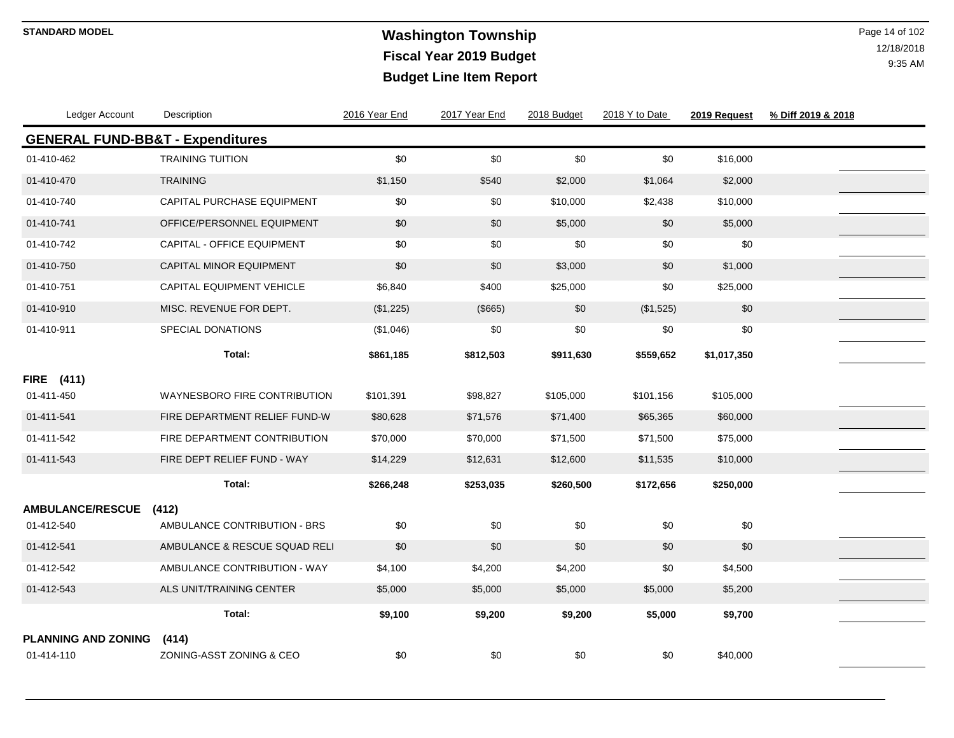# **Washington Township STANDARD MODEL** Page 14 of 102 **Fiscal Year 2019 Budget Budget Line Item Report**

| Ledger Account                              | Description                       | 2016 Year End | 2017 Year End | 2018 Budget | 2018 Y to Date | 2019 Request | % Diff 2019 & 2018 |
|---------------------------------------------|-----------------------------------|---------------|---------------|-------------|----------------|--------------|--------------------|
| <b>GENERAL FUND-BB&amp;T - Expenditures</b> |                                   |               |               |             |                |              |                    |
| 01-410-462                                  | <b>TRAINING TUITION</b>           | \$0           | \$0           | \$0         | \$0            | \$16,000     |                    |
| 01-410-470                                  | <b>TRAINING</b>                   | \$1,150       | \$540         | \$2,000     | \$1,064        | \$2,000      |                    |
| 01-410-740                                  | CAPITAL PURCHASE EQUIPMENT        | \$0           | \$0           | \$10,000    | \$2,438        | \$10,000     |                    |
| 01-410-741                                  | OFFICE/PERSONNEL EQUIPMENT        | \$0           | \$0           | \$5,000     | \$0            | \$5,000      |                    |
| 01-410-742                                  | CAPITAL - OFFICE EQUIPMENT        | \$0           | \$0           | \$0         | \$0            | \$0          |                    |
| 01-410-750                                  | CAPITAL MINOR EQUIPMENT           | \$0           | \$0           | \$3,000     | \$0            | \$1,000      |                    |
| 01-410-751                                  | CAPITAL EQUIPMENT VEHICLE         | \$6,840       | \$400         | \$25,000    | \$0            | \$25,000     |                    |
| 01-410-910                                  | MISC. REVENUE FOR DEPT.           | (\$1,225)     | (\$665)       | \$0         | (\$1,525)      | \$0          |                    |
| 01-410-911                                  | SPECIAL DONATIONS                 | (\$1,046)     | \$0           | \$0         | \$0            | \$0          |                    |
|                                             | Total:                            | \$861,185     | \$812,503     | \$911,630   | \$559,652      | \$1,017,350  |                    |
| <b>FIRE</b> (411)                           |                                   |               |               |             |                |              |                    |
| 01-411-450                                  | WAYNESBORO FIRE CONTRIBUTION      | \$101,391     | \$98,827      | \$105,000   | \$101,156      | \$105,000    |                    |
| 01-411-541                                  | FIRE DEPARTMENT RELIEF FUND-W     | \$80,628      | \$71,576      | \$71,400    | \$65,365       | \$60,000     |                    |
| 01-411-542                                  | FIRE DEPARTMENT CONTRIBUTION      | \$70,000      | \$70,000      | \$71,500    | \$71,500       | \$75,000     |                    |
| 01-411-543                                  | FIRE DEPT RELIEF FUND - WAY       | \$14,229      | \$12,631      | \$12,600    | \$11,535       | \$10,000     |                    |
|                                             | Total:                            | \$266,248     | \$253,035     | \$260,500   | \$172,656      | \$250,000    |                    |
| <b>AMBULANCE/RESCUE</b>                     | (412)                             |               |               |             |                |              |                    |
| 01-412-540                                  | AMBULANCE CONTRIBUTION - BRS      | \$0           | \$0           | \$0         | \$0            | \$0          |                    |
| 01-412-541                                  | AMBULANCE & RESCUE SQUAD RELI     | \$0           | \$0           | \$0         | \$0            | \$0          |                    |
| 01-412-542                                  | AMBULANCE CONTRIBUTION - WAY      | \$4,100       | \$4,200       | \$4,200     | \$0            | \$4,500      |                    |
| 01-412-543                                  | ALS UNIT/TRAINING CENTER          | \$5,000       | \$5,000       | \$5,000     | \$5,000        | \$5,200      |                    |
|                                             | Total:                            | \$9,100       | \$9,200       | \$9,200     | \$5,000        | \$9,700      |                    |
| <b>PLANNING AND ZONING</b><br>01-414-110    | (414)<br>ZONING-ASST ZONING & CEO | \$0           | \$0           | \$0         | \$0            | \$40,000     |                    |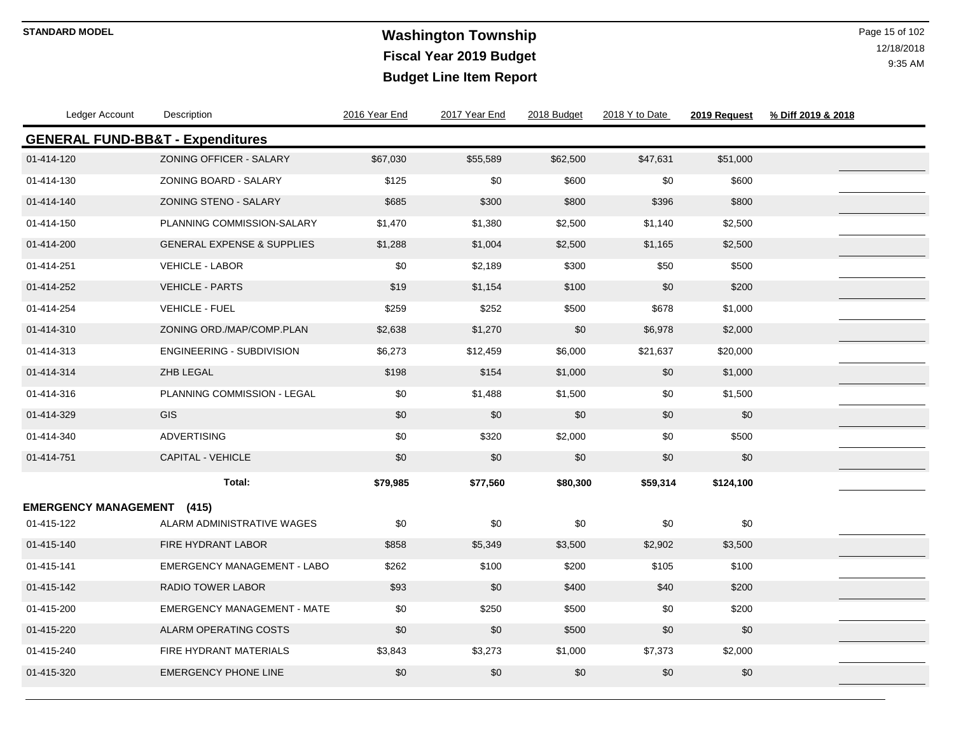# **Washington Township STANDARD MODEL** Page 15 of 102 **Fiscal Year 2019 Budget Budget Line Item Report**

| Ledger Account                              | Description                           | 2016 Year End | 2017 Year End | 2018 Budget | 2018 Y to Date | 2019 Request | % Diff 2019 & 2018 |
|---------------------------------------------|---------------------------------------|---------------|---------------|-------------|----------------|--------------|--------------------|
| <b>GENERAL FUND-BB&amp;T - Expenditures</b> |                                       |               |               |             |                |              |                    |
| 01-414-120                                  | <b>ZONING OFFICER - SALARY</b>        | \$67,030      | \$55,589      | \$62,500    | \$47,631       | \$51,000     |                    |
| 01-414-130                                  | ZONING BOARD - SALARY                 | \$125         | \$0           | \$600       | \$0            | \$600        |                    |
| 01-414-140                                  | ZONING STENO - SALARY                 | \$685         | \$300         | \$800       | \$396          | \$800        |                    |
| 01-414-150                                  | PLANNING COMMISSION-SALARY            | \$1,470       | \$1,380       | \$2,500     | \$1,140        | \$2,500      |                    |
| 01-414-200                                  | <b>GENERAL EXPENSE &amp; SUPPLIES</b> | \$1,288       | \$1,004       | \$2,500     | \$1,165        | \$2,500      |                    |
| 01-414-251                                  | <b>VEHICLE - LABOR</b>                | \$0           | \$2,189       | \$300       | \$50           | \$500        |                    |
| 01-414-252                                  | <b>VEHICLE - PARTS</b>                | \$19          | \$1,154       | \$100       | \$0            | \$200        |                    |
| 01-414-254                                  | <b>VEHICLE - FUEL</b>                 | \$259         | \$252         | \$500       | \$678          | \$1,000      |                    |
| 01-414-310                                  | ZONING ORD./MAP/COMP.PLAN             | \$2,638       | \$1,270       | \$0         | \$6,978        | \$2,000      |                    |
| 01-414-313                                  | <b>ENGINEERING - SUBDIVISION</b>      | \$6,273       | \$12,459      | \$6,000     | \$21,637       | \$20,000     |                    |
| 01-414-314                                  | ZHB LEGAL                             | \$198         | \$154         | \$1,000     | \$0            | \$1,000      |                    |
| 01-414-316                                  | PLANNING COMMISSION - LEGAL           | \$0           | \$1,488       | \$1,500     | \$0            | \$1,500      |                    |
| 01-414-329                                  | <b>GIS</b>                            | \$0           | \$0           | \$0         | \$0            | \$0          |                    |
| 01-414-340                                  | <b>ADVERTISING</b>                    | \$0           | \$320         | \$2,000     | \$0            | \$500        |                    |
| 01-414-751                                  | <b>CAPITAL - VEHICLE</b>              | \$0           | \$0           | \$0         | \$0            | \$0          |                    |
|                                             | Total:                                | \$79,985      | \$77,560      | \$80,300    | \$59,314       | \$124,100    |                    |
| <b>EMERGENCY MANAGEMENT (415)</b>           |                                       |               |               |             |                |              |                    |
| 01-415-122                                  | ALARM ADMINISTRATIVE WAGES            | \$0           | \$0           | \$0         | \$0            | \$0          |                    |
| 01-415-140                                  | FIRE HYDRANT LABOR                    | \$858         | \$5,349       | \$3,500     | \$2,902        | \$3,500      |                    |
| 01-415-141                                  | <b>EMERGENCY MANAGEMENT - LABO</b>    | \$262         | \$100         | \$200       | \$105          | \$100        |                    |
| 01-415-142                                  | <b>RADIO TOWER LABOR</b>              | \$93          | \$0           | \$400       | \$40           | \$200        |                    |
| 01-415-200                                  | <b>EMERGENCY MANAGEMENT - MATE</b>    | \$0           | \$250         | \$500       | \$0            | \$200        |                    |
| 01-415-220                                  | ALARM OPERATING COSTS                 | \$0           | \$0           | \$500       | \$0            | \$0          |                    |
| 01-415-240                                  | FIRE HYDRANT MATERIALS                | \$3,843       | \$3,273       | \$1,000     | \$7,373        | \$2,000      |                    |
| 01-415-320                                  | <b>EMERGENCY PHONE LINE</b>           | \$0           | \$0           | \$0         | \$0            | \$0          |                    |
|                                             |                                       |               |               |             |                |              |                    |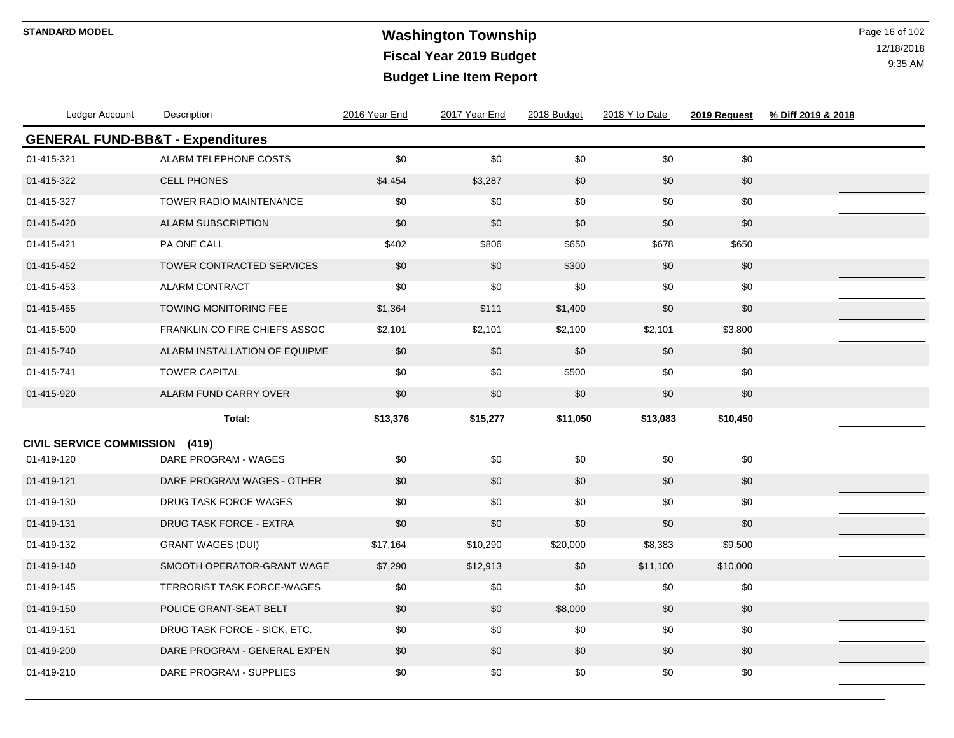# **Washington Township STANDARD MODEL** Page 16 of 102 **Fiscal Year 2019 Budget Budget Line Item Report**

| Ledger Account                              | Description                          | 2016 Year End | 2017 Year End | 2018 Budget | 2018 Y to Date | 2019 Request | % Diff 2019 & 2018 |
|---------------------------------------------|--------------------------------------|---------------|---------------|-------------|----------------|--------------|--------------------|
| <b>GENERAL FUND-BB&amp;T - Expenditures</b> |                                      |               |               |             |                |              |                    |
| 01-415-321                                  | ALARM TELEPHONE COSTS                | \$0           | \$0           | \$0         | \$0            | \$0          |                    |
| 01-415-322                                  | <b>CELL PHONES</b>                   | \$4,454       | \$3,287       | \$0         | \$0            | \$0          |                    |
| 01-415-327                                  | TOWER RADIO MAINTENANCE              | \$0           | \$0           | \$0         | \$0            | \$0          |                    |
| 01-415-420                                  | <b>ALARM SUBSCRIPTION</b>            | \$0           | \$0           | \$0         | \$0            | \$0          |                    |
| 01-415-421                                  | PA ONE CALL                          | \$402         | \$806         | \$650       | \$678          | \$650        |                    |
| 01-415-452                                  | TOWER CONTRACTED SERVICES            | \$0           | \$0           | \$300       | \$0            | \$0          |                    |
| 01-415-453                                  | <b>ALARM CONTRACT</b>                | \$0           | \$0           | \$0         | \$0            | \$0          |                    |
| 01-415-455                                  | <b>TOWING MONITORING FEE</b>         | \$1,364       | \$111         | \$1,400     | \$0            | \$0          |                    |
| 01-415-500                                  | <b>FRANKLIN CO FIRE CHIEFS ASSOC</b> | \$2,101       | \$2,101       | \$2,100     | \$2,101        | \$3,800      |                    |
| 01-415-740                                  | ALARM INSTALLATION OF EQUIPME        | \$0           | \$0           | \$0         | \$0            | \$0          |                    |
| 01-415-741                                  | <b>TOWER CAPITAL</b>                 | \$0           | \$0           | \$500       | \$0            | \$0          |                    |
| 01-415-920                                  | ALARM FUND CARRY OVER                | \$0           | \$0           | \$0         | \$0            | \$0          |                    |
|                                             | Total:                               | \$13,376      | \$15,277      | \$11,050    | \$13,083       | \$10,450     |                    |
| CIVIL SERVICE COMMISSION (419)              |                                      |               |               |             |                |              |                    |
| 01-419-120                                  | DARE PROGRAM - WAGES                 | \$0           | \$0           | \$0         | \$0            | \$0          |                    |
| 01-419-121                                  | DARE PROGRAM WAGES - OTHER           | \$0           | \$0           | \$0         | \$0            | \$0          |                    |
| 01-419-130                                  | <b>DRUG TASK FORCE WAGES</b>         | \$0           | \$0           | \$0         | \$0            | \$0          |                    |
| 01-419-131                                  | <b>DRUG TASK FORCE - EXTRA</b>       | \$0           | \$0           | \$0         | \$0            | \$0          |                    |
| 01-419-132                                  | <b>GRANT WAGES (DUI)</b>             | \$17,164      | \$10,290      | \$20,000    | \$8,383        | \$9,500      |                    |
| 01-419-140                                  | SMOOTH OPERATOR-GRANT WAGE           | \$7,290       | \$12,913      | \$0         | \$11,100       | \$10,000     |                    |
| 01-419-145                                  | <b>TERRORIST TASK FORCE-WAGES</b>    | \$0           | \$0           | \$0         | \$0            | \$0          |                    |
| 01-419-150                                  | POLICE GRANT-SEAT BELT               | \$0           | \$0           | \$8,000     | \$0            | \$0          |                    |
| 01-419-151                                  | DRUG TASK FORCE - SICK, ETC.         | \$0           | \$0           | \$0         | \$0            | \$0          |                    |
| 01-419-200                                  | DARE PROGRAM - GENERAL EXPEN         | \$0           | \$0           | \$0         | \$0            | \$0          |                    |
| 01-419-210                                  | DARE PROGRAM - SUPPLIES              | \$0           | \$0           | \$0         | \$0            | \$0          |                    |
|                                             |                                      |               |               |             |                |              |                    |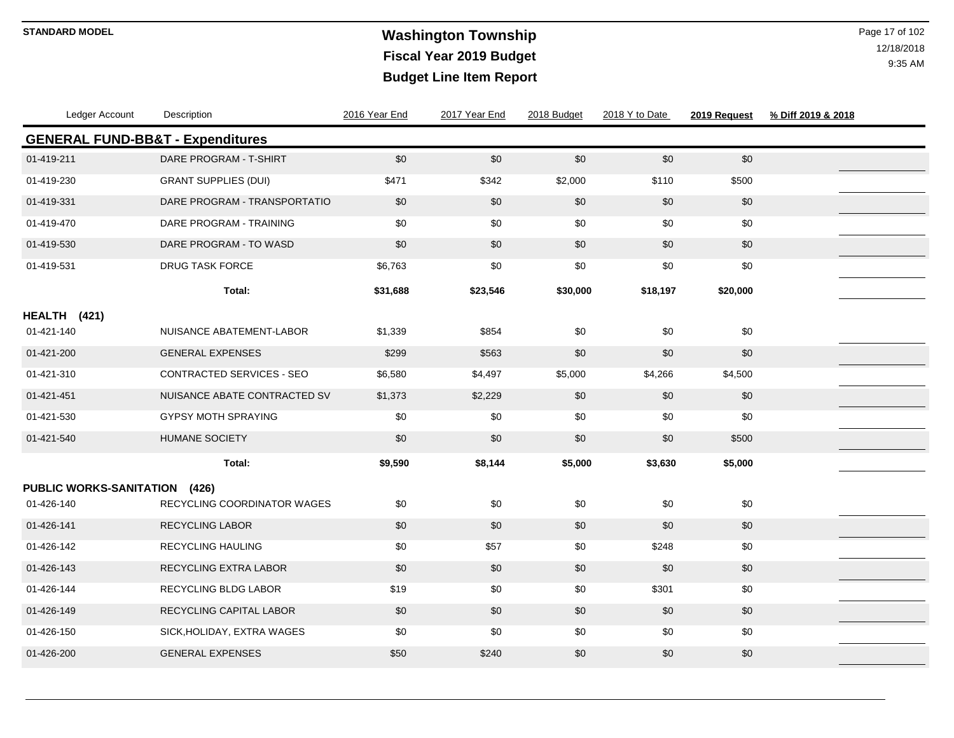# **Washington Township STANDARD MODEL** Page 17 of 102 **Fiscal Year 2019 Budget Budget Line Item Report**

| Ledger Account                              | Description                  | 2016 Year End | 2017 Year End | 2018 Budget | 2018 Y to Date | 2019 Request | % Diff 2019 & 2018 |
|---------------------------------------------|------------------------------|---------------|---------------|-------------|----------------|--------------|--------------------|
| <b>GENERAL FUND-BB&amp;T - Expenditures</b> |                              |               |               |             |                |              |                    |
| 01-419-211                                  | DARE PROGRAM - T-SHIRT       | \$0           | $\$0$         | $$0$$       | \$0            | \$0          |                    |
| 01-419-230                                  | <b>GRANT SUPPLIES (DUI)</b>  | \$471         | \$342         | \$2,000     | \$110          | \$500        |                    |
| 01-419-331                                  | DARE PROGRAM - TRANSPORTATIO | \$0           | \$0           | \$0         | \$0            | \$0          |                    |
| 01-419-470                                  | DARE PROGRAM - TRAINING      | \$0           | \$0           | \$0         | \$0            | \$0          |                    |
| 01-419-530                                  | DARE PROGRAM - TO WASD       | \$0           | \$0           | \$0         | \$0            | \$0          |                    |
| 01-419-531                                  | <b>DRUG TASK FORCE</b>       | \$6,763       | \$0           | \$0         | \$0            | \$0          |                    |
|                                             | Total:                       | \$31,688      | \$23,546      | \$30,000    | \$18,197       | \$20,000     |                    |
| HEALTH (421)                                |                              |               |               |             |                |              |                    |
| 01-421-140                                  | NUISANCE ABATEMENT-LABOR     | \$1,339       | \$854         | \$0         | \$0            | \$0          |                    |
| 01-421-200                                  | <b>GENERAL EXPENSES</b>      | \$299         | \$563         | \$0         | \$0            | \$0          |                    |
| 01-421-310                                  | CONTRACTED SERVICES - SEO    | \$6,580       | \$4,497       | \$5,000     | \$4,266        | \$4,500      |                    |
| 01-421-451                                  | NUISANCE ABATE CONTRACTED SV | \$1,373       | \$2,229       | \$0         | \$0            | \$0          |                    |
| 01-421-530                                  | <b>GYPSY MOTH SPRAYING</b>   | \$0           | \$0           | \$0         | \$0            | \$0          |                    |
| 01-421-540                                  | <b>HUMANE SOCIETY</b>        | \$0           | \$0           | \$0         | \$0            | \$500        |                    |
|                                             | Total:                       | \$9,590       | \$8,144       | \$5,000     | \$3,630        | \$5,000      |                    |
| PUBLIC WORKS-SANITATION (426)               |                              |               |               |             |                |              |                    |
| 01-426-140                                  | RECYCLING COORDINATOR WAGES  | \$0           | \$0           | \$0         | \$0            | \$0          |                    |
| 01-426-141                                  | <b>RECYCLING LABOR</b>       | \$0           | \$0           | \$0         | \$0            | \$0          |                    |
| 01-426-142                                  | RECYCLING HAULING            | \$0           | \$57          | \$0         | \$248          | \$0          |                    |
| 01-426-143                                  | RECYCLING EXTRA LABOR        | \$0           | \$0           | \$0         | \$0            | \$0          |                    |
| 01-426-144                                  | <b>RECYCLING BLDG LABOR</b>  | \$19          | \$0           | \$0         | \$301          | \$0          |                    |
| 01-426-149                                  | RECYCLING CAPITAL LABOR      | \$0           | \$0           | \$0         | \$0            | \$0          |                    |
| 01-426-150                                  | SICK, HOLIDAY, EXTRA WAGES   | \$0           | \$0           | \$0         | \$0            | \$0          |                    |
| 01-426-200                                  | <b>GENERAL EXPENSES</b>      | \$50          | \$240         | \$0         | \$0            | \$0          |                    |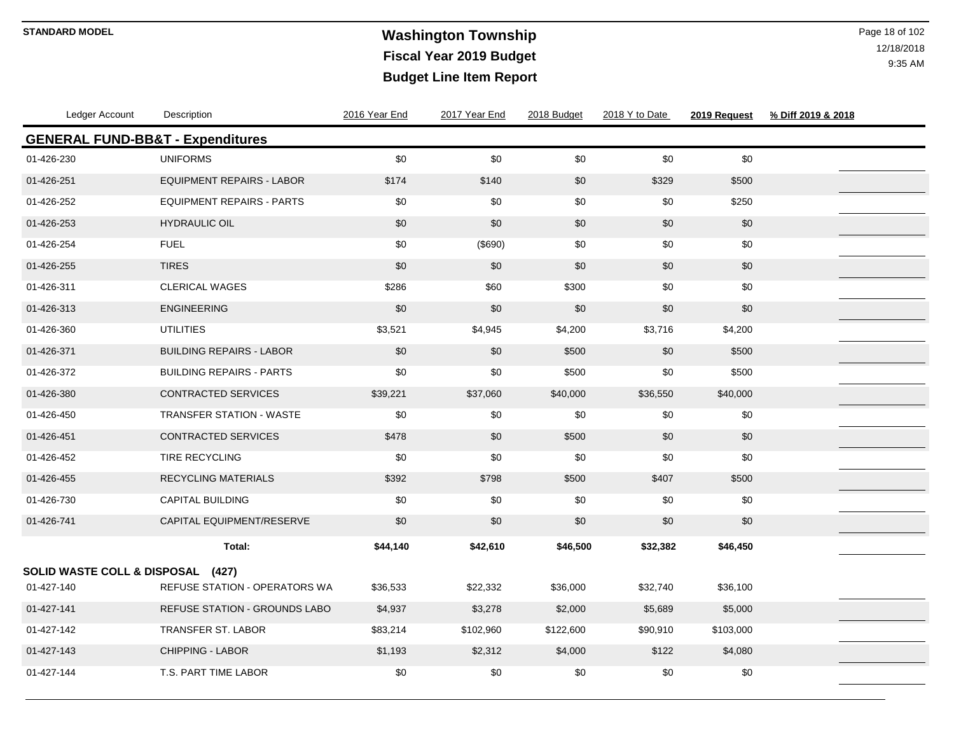# **Washington Township STANDARD MODEL** Page 18 of 102 **Fiscal Year 2019 Budget Budget Line Item Report**

| Ledger Account                              | Description                      | 2016 Year End | 2017 Year End | 2018 Budget | 2018 Y to Date | 2019 Request | % Diff 2019 & 2018 |  |
|---------------------------------------------|----------------------------------|---------------|---------------|-------------|----------------|--------------|--------------------|--|
| <b>GENERAL FUND-BB&amp;T - Expenditures</b> |                                  |               |               |             |                |              |                    |  |
| 01-426-230                                  | <b>UNIFORMS</b>                  | \$0           | \$0           | \$0         | \$0            | \$0          |                    |  |
| 01-426-251                                  | <b>EQUIPMENT REPAIRS - LABOR</b> | \$174         | \$140         | \$0         | \$329          | \$500        |                    |  |
| 01-426-252                                  | <b>EQUIPMENT REPAIRS - PARTS</b> | \$0           | \$0           | \$0         | \$0            | \$250        |                    |  |
| 01-426-253                                  | <b>HYDRAULIC OIL</b>             | \$0           | \$0           | \$0         | \$0            | \$0          |                    |  |
| 01-426-254                                  | <b>FUEL</b>                      | \$0           | (\$690)       | \$0         | \$0            | \$0          |                    |  |
| 01-426-255                                  | <b>TIRES</b>                     | \$0           | \$0           | \$0         | \$0            | \$0          |                    |  |
| 01-426-311                                  | <b>CLERICAL WAGES</b>            | \$286         | \$60          | \$300       | \$0            | \$0          |                    |  |
| 01-426-313                                  | <b>ENGINEERING</b>               | \$0           | \$0           | \$0         | \$0            | \$0          |                    |  |
| 01-426-360                                  | <b>UTILITIES</b>                 | \$3,521       | \$4,945       | \$4,200     | \$3,716        | \$4,200      |                    |  |
| 01-426-371                                  | <b>BUILDING REPAIRS - LABOR</b>  | \$0           | \$0           | \$500       | \$0            | \$500        |                    |  |
| 01-426-372                                  | <b>BUILDING REPAIRS - PARTS</b>  | \$0           | \$0           | \$500       | \$0            | \$500        |                    |  |
| 01-426-380                                  | <b>CONTRACTED SERVICES</b>       | \$39,221      | \$37,060      | \$40,000    | \$36,550       | \$40,000     |                    |  |
| 01-426-450                                  | <b>TRANSFER STATION - WASTE</b>  | \$0           | \$0           | \$0         | \$0            | \$0          |                    |  |
| 01-426-451                                  | <b>CONTRACTED SERVICES</b>       | \$478         | \$0           | \$500       | \$0            | \$0          |                    |  |
| 01-426-452                                  | <b>TIRE RECYCLING</b>            | \$0           | \$0           | \$0         | \$0            | \$0          |                    |  |
| 01-426-455                                  | <b>RECYCLING MATERIALS</b>       | \$392         | \$798         | \$500       | \$407          | \$500        |                    |  |
| 01-426-730                                  | <b>CAPITAL BUILDING</b>          | \$0           | \$0           | \$0         | \$0            | \$0          |                    |  |
| 01-426-741                                  | CAPITAL EQUIPMENT/RESERVE        | \$0           | \$0           | \$0         | \$0            | \$0          |                    |  |
|                                             | Total:                           | \$44,140      | \$42,610      | \$46,500    | \$32,382       | \$46,450     |                    |  |
| SOLID WASTE COLL & DISPOSAL (427)           |                                  |               |               |             |                |              |                    |  |
| 01-427-140                                  | REFUSE STATION - OPERATORS WA    | \$36,533      | \$22,332      | \$36,000    | \$32,740       | \$36,100     |                    |  |
| 01-427-141                                  | REFUSE STATION - GROUNDS LABO    | \$4,937       | \$3,278       | \$2,000     | \$5,689        | \$5,000      |                    |  |
| 01-427-142                                  | TRANSFER ST. LABOR               | \$83,214      | \$102,960     | \$122,600   | \$90,910       | \$103,000    |                    |  |
| 01-427-143                                  | <b>CHIPPING - LABOR</b>          | \$1,193       | \$2,312       | \$4,000     | \$122          | \$4,080      |                    |  |
| 01-427-144                                  | T.S. PART TIME LABOR             | \$0           | \$0           | \$0         | \$0            | \$0          |                    |  |
|                                             |                                  |               |               |             |                |              |                    |  |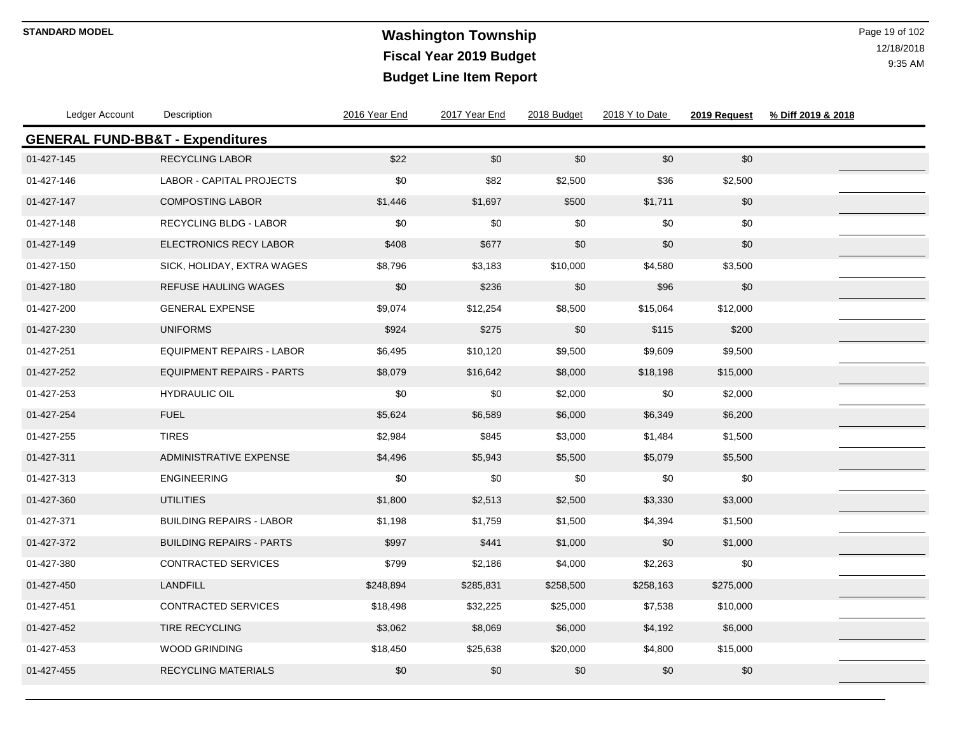# **Washington Township STANDARD MODEL** Page 19 of 102 **Fiscal Year 2019 Budget Budget Line Item Report**

| Ledger Account                              | Description                      | 2016 Year End | 2017 Year End | 2018 Budget | 2018 Y to Date | 2019 Request | % Diff 2019 & 2018 |  |
|---------------------------------------------|----------------------------------|---------------|---------------|-------------|----------------|--------------|--------------------|--|
| <b>GENERAL FUND-BB&amp;T - Expenditures</b> |                                  |               |               |             |                |              |                    |  |
| 01-427-145                                  | <b>RECYCLING LABOR</b>           | \$22          | \$0           | \$0         | \$0            | \$0          |                    |  |
| 01-427-146                                  | <b>LABOR - CAPITAL PROJECTS</b>  | \$0           | \$82          | \$2,500     | \$36           | \$2,500      |                    |  |
| 01-427-147                                  | <b>COMPOSTING LABOR</b>          | \$1,446       | \$1,697       | \$500       | \$1,711        | $\$0$        |                    |  |
| 01-427-148                                  | <b>RECYCLING BLDG - LABOR</b>    | \$0           | \$0           | \$0         | \$0            | \$0          |                    |  |
| 01-427-149                                  | <b>ELECTRONICS RECY LABOR</b>    | \$408         | \$677         | \$0         | \$0            | \$0          |                    |  |
| 01-427-150                                  | SICK, HOLIDAY, EXTRA WAGES       | \$8,796       | \$3,183       | \$10,000    | \$4,580        | \$3,500      |                    |  |
| 01-427-180                                  | <b>REFUSE HAULING WAGES</b>      | \$0           | \$236         | \$0         | \$96           | \$0          |                    |  |
| 01-427-200                                  | <b>GENERAL EXPENSE</b>           | \$9,074       | \$12,254      | \$8,500     | \$15,064       | \$12,000     |                    |  |
| 01-427-230                                  | <b>UNIFORMS</b>                  | \$924         | \$275         | \$0         | \$115          | \$200        |                    |  |
| 01-427-251                                  | <b>EQUIPMENT REPAIRS - LABOR</b> | \$6,495       | \$10,120      | \$9,500     | \$9,609        | \$9,500      |                    |  |
| 01-427-252                                  | <b>EQUIPMENT REPAIRS - PARTS</b> | \$8,079       | \$16,642      | \$8,000     | \$18,198       | \$15,000     |                    |  |
| 01-427-253                                  | <b>HYDRAULIC OIL</b>             | \$0           | \$0           | \$2,000     | \$0            | \$2,000      |                    |  |
| 01-427-254                                  | <b>FUEL</b>                      | \$5,624       | \$6,589       | \$6,000     | \$6,349        | \$6,200      |                    |  |
| 01-427-255                                  | <b>TIRES</b>                     | \$2,984       | \$845         | \$3,000     | \$1,484        | \$1,500      |                    |  |
| 01-427-311                                  | <b>ADMINISTRATIVE EXPENSE</b>    | \$4,496       | \$5,943       | \$5,500     | \$5,079        | \$5,500      |                    |  |
| 01-427-313                                  | <b>ENGINEERING</b>               | \$0           | \$0           | \$0         | \$0            | \$0          |                    |  |
| 01-427-360                                  | <b>UTILITIES</b>                 | \$1,800       | \$2,513       | \$2,500     | \$3,330        | \$3,000      |                    |  |
| 01-427-371                                  | <b>BUILDING REPAIRS - LABOR</b>  | \$1,198       | \$1,759       | \$1,500     | \$4,394        | \$1,500      |                    |  |
| 01-427-372                                  | <b>BUILDING REPAIRS - PARTS</b>  | \$997         | \$441         | \$1,000     | \$0            | \$1,000      |                    |  |
| 01-427-380                                  | CONTRACTED SERVICES              | \$799         | \$2,186       | \$4,000     | \$2,263        | \$0          |                    |  |
| 01-427-450                                  | <b>LANDFILL</b>                  | \$248,894     | \$285,831     | \$258,500   | \$258,163      | \$275,000    |                    |  |
| 01-427-451                                  | CONTRACTED SERVICES              | \$18,498      | \$32,225      | \$25,000    | \$7,538        | \$10,000     |                    |  |
| 01-427-452                                  | <b>TIRE RECYCLING</b>            | \$3,062       | \$8,069       | \$6,000     | \$4,192        | \$6,000      |                    |  |
| 01-427-453                                  | <b>WOOD GRINDING</b>             | \$18,450      | \$25,638      | \$20,000    | \$4,800        | \$15,000     |                    |  |
| 01-427-455                                  | <b>RECYCLING MATERIALS</b>       | \$0           | \$0           | \$0         | $$0$$          | \$0          |                    |  |
|                                             |                                  |               |               |             |                |              |                    |  |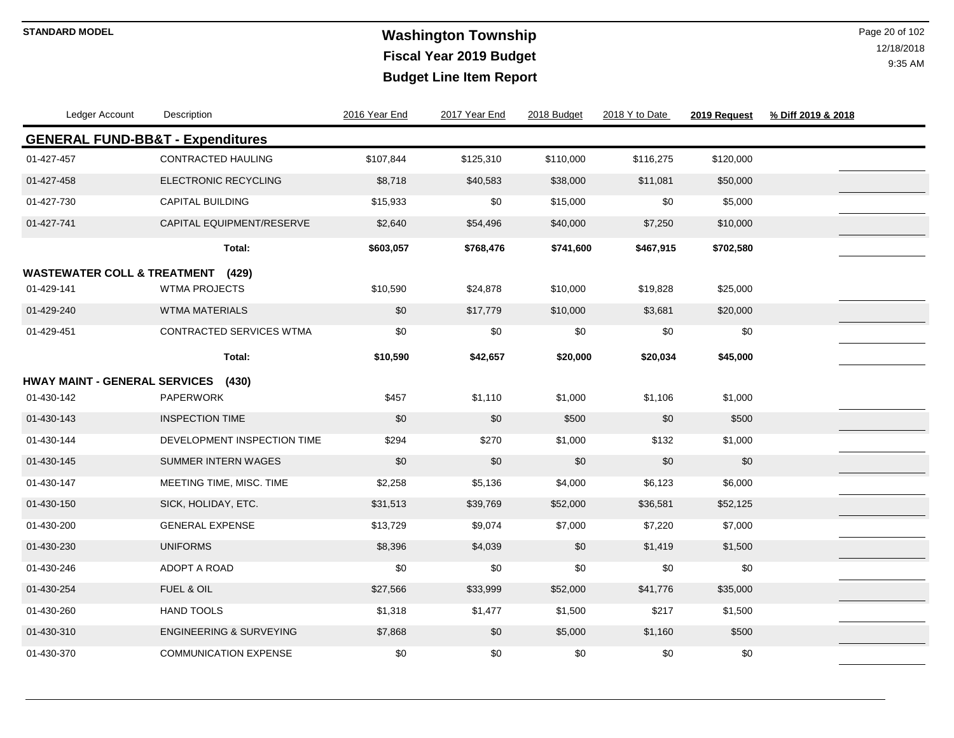# **Washington Township STANDARD MODEL** Page 20 of 102 **Fiscal Year 2019 Budget Budget Line Item Report**

| Ledger Account                              | Description                        | 2016 Year End | 2017 Year End | 2018 Budget | 2018 Y to Date | 2019 Request | % Diff 2019 & 2018 |
|---------------------------------------------|------------------------------------|---------------|---------------|-------------|----------------|--------------|--------------------|
| <b>GENERAL FUND-BB&amp;T - Expenditures</b> |                                    |               |               |             |                |              |                    |
| 01-427-457                                  | CONTRACTED HAULING                 | \$107,844     | \$125,310     | \$110,000   | \$116,275      | \$120,000    |                    |
| 01-427-458                                  | <b>ELECTRONIC RECYCLING</b>        | \$8,718       | \$40,583      | \$38,000    | \$11,081       | \$50,000     |                    |
| 01-427-730                                  | <b>CAPITAL BUILDING</b>            | \$15,933      | \$0           | \$15,000    | \$0            | \$5,000      |                    |
| 01-427-741                                  | CAPITAL EQUIPMENT/RESERVE          | \$2,640       | \$54,496      | \$40,000    | \$7,250        | \$10,000     |                    |
|                                             | Total:                             | \$603,057     | \$768,476     | \$741,600   | \$467,915      | \$702,580    |                    |
| <b>WASTEWATER COLL &amp; TREATMENT</b>      | (429)                              |               |               |             |                |              |                    |
| 01-429-141                                  | <b>WTMA PROJECTS</b>               | \$10,590      | \$24,878      | \$10,000    | \$19,828       | \$25,000     |                    |
| 01-429-240                                  | <b>WTMA MATERIALS</b>              | \$0           | \$17,779      | \$10,000    | \$3,681        | \$20,000     |                    |
| 01-429-451                                  | <b>CONTRACTED SERVICES WTMA</b>    | \$0           | \$0           | \$0         | \$0            | \$0          |                    |
|                                             | Total:                             | \$10,590      | \$42,657      | \$20,000    | \$20,034       | \$45,000     |                    |
| <b>HWAY MAINT - GENERAL SERVICES</b>        | (430)                              |               |               |             |                |              |                    |
| 01-430-142                                  | <b>PAPERWORK</b>                   | \$457         | \$1,110       | \$1,000     | \$1,106        | \$1,000      |                    |
| 01-430-143                                  | <b>INSPECTION TIME</b>             | \$0           | \$0           | \$500       | \$0            | \$500        |                    |
| 01-430-144                                  | DEVELOPMENT INSPECTION TIME        | \$294         | \$270         | \$1,000     | \$132          | \$1,000      |                    |
| 01-430-145                                  | <b>SUMMER INTERN WAGES</b>         | \$0           | \$0           | \$0         | \$0            | \$0          |                    |
| 01-430-147                                  | MEETING TIME, MISC. TIME           | \$2,258       | \$5,136       | \$4,000     | \$6,123        | \$6,000      |                    |
| 01-430-150                                  | SICK, HOLIDAY, ETC.                | \$31,513      | \$39,769      | \$52,000    | \$36,581       | \$52,125     |                    |
| 01-430-200                                  | <b>GENERAL EXPENSE</b>             | \$13,729      | \$9,074       | \$7,000     | \$7,220        | \$7,000      |                    |
| 01-430-230                                  | <b>UNIFORMS</b>                    | \$8,396       | \$4,039       | \$0         | \$1,419        | \$1,500      |                    |
| 01-430-246                                  | ADOPT A ROAD                       | \$0           | \$0           | \$0         | \$0            | \$0          |                    |
| 01-430-254                                  | FUEL & OIL                         | \$27,566      | \$33,999      | \$52,000    | \$41,776       | \$35,000     |                    |
| 01-430-260                                  | <b>HAND TOOLS</b>                  | \$1,318       | \$1,477       | \$1,500     | \$217          | \$1,500      |                    |
| 01-430-310                                  | <b>ENGINEERING &amp; SURVEYING</b> | \$7,868       | \$0           | \$5,000     | \$1,160        | \$500        |                    |
| 01-430-370                                  | <b>COMMUNICATION EXPENSE</b>       | \$0           | \$0           | \$0         | \$0            | \$0          |                    |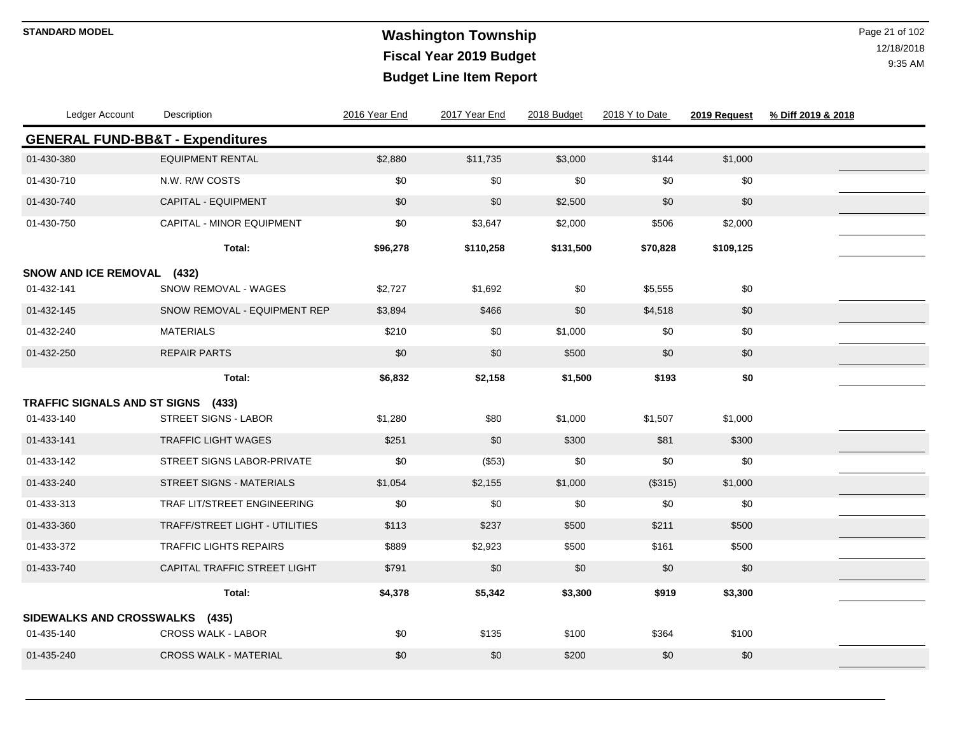# **Washington Township STANDARD MODEL** Page 21 of 102 **Fiscal Year 2019 Budget Budget Line Item Report**

| Ledger Account                              | Description                           | 2016 Year End | 2017 Year End | 2018 Budget | 2018 Y to Date | 2019 Request | % Diff 2019 & 2018 |
|---------------------------------------------|---------------------------------------|---------------|---------------|-------------|----------------|--------------|--------------------|
| <b>GENERAL FUND-BB&amp;T - Expenditures</b> |                                       |               |               |             |                |              |                    |
| 01-430-380                                  | <b>EQUIPMENT RENTAL</b>               | \$2,880       | \$11,735      | \$3,000     | \$144          | \$1,000      |                    |
| 01-430-710                                  | N.W. R/W COSTS                        | \$0           | \$0           | \$0         | \$0            | \$0          |                    |
| 01-430-740                                  | CAPITAL - EQUIPMENT                   | \$0           | \$0           | \$2,500     | \$0            | \$0          |                    |
| 01-430-750                                  | CAPITAL - MINOR EQUIPMENT             | \$0           | \$3,647       | \$2,000     | \$506          | \$2,000      |                    |
|                                             | Total:                                | \$96,278      | \$110,258     | \$131,500   | \$70,828       | \$109,125    |                    |
| SNOW AND ICE REMOVAL (432)                  |                                       |               |               |             |                |              |                    |
| 01-432-141                                  | SNOW REMOVAL - WAGES                  | \$2,727       | \$1,692       | \$0         | \$5,555        | \$0          |                    |
| 01-432-145                                  | SNOW REMOVAL - EQUIPMENT REP          | \$3,894       | \$466         | \$0         | \$4,518        | $\$0$        |                    |
| 01-432-240                                  | <b>MATERIALS</b>                      | \$210         | \$0           | \$1,000     | \$0            | \$0          |                    |
| 01-432-250                                  | <b>REPAIR PARTS</b>                   | \$0           | \$0           | \$500       | \$0            | \$0          |                    |
|                                             | Total:                                | \$6,832       | \$2,158       | \$1,500     | \$193          | \$0          |                    |
| TRAFFIC SIGNALS AND ST SIGNS (433)          |                                       |               |               |             |                |              |                    |
| 01-433-140                                  | <b>STREET SIGNS - LABOR</b>           | \$1,280       | \$80          | \$1,000     | \$1,507        | \$1,000      |                    |
| 01-433-141                                  | <b>TRAFFIC LIGHT WAGES</b>            | \$251         | \$0           | \$300       | \$81           | \$300        |                    |
| 01-433-142                                  | STREET SIGNS LABOR-PRIVATE            | \$0           | (\$53)        | \$0         | \$0            | \$0          |                    |
| 01-433-240                                  | <b>STREET SIGNS - MATERIALS</b>       | \$1,054       | \$2,155       | \$1,000     | (\$315)        | \$1,000      |                    |
| 01-433-313                                  | <b>TRAF LIT/STREET ENGINEERING</b>    | \$0           | \$0           | \$0         | \$0            | \$0          |                    |
| 01-433-360                                  | <b>TRAFF/STREET LIGHT - UTILITIES</b> | \$113         | \$237         | \$500       | \$211          | \$500        |                    |
| 01-433-372                                  | <b>TRAFFIC LIGHTS REPAIRS</b>         | \$889         | \$2,923       | \$500       | \$161          | \$500        |                    |
| 01-433-740                                  | CAPITAL TRAFFIC STREET LIGHT          | \$791         | \$0           | \$0         | \$0            | \$0          |                    |
|                                             | Total:                                | \$4,378       | \$5,342       | \$3,300     | \$919          | \$3,300      |                    |
| SIDEWALKS AND CROSSWALKS (435)              |                                       |               |               |             |                |              |                    |
| 01-435-140                                  | <b>CROSS WALK - LABOR</b>             | \$0           | \$135         | \$100       | \$364          | \$100        |                    |
| 01-435-240                                  | <b>CROSS WALK - MATERIAL</b>          | \$0           | \$0           | \$200       | \$0            | \$0          |                    |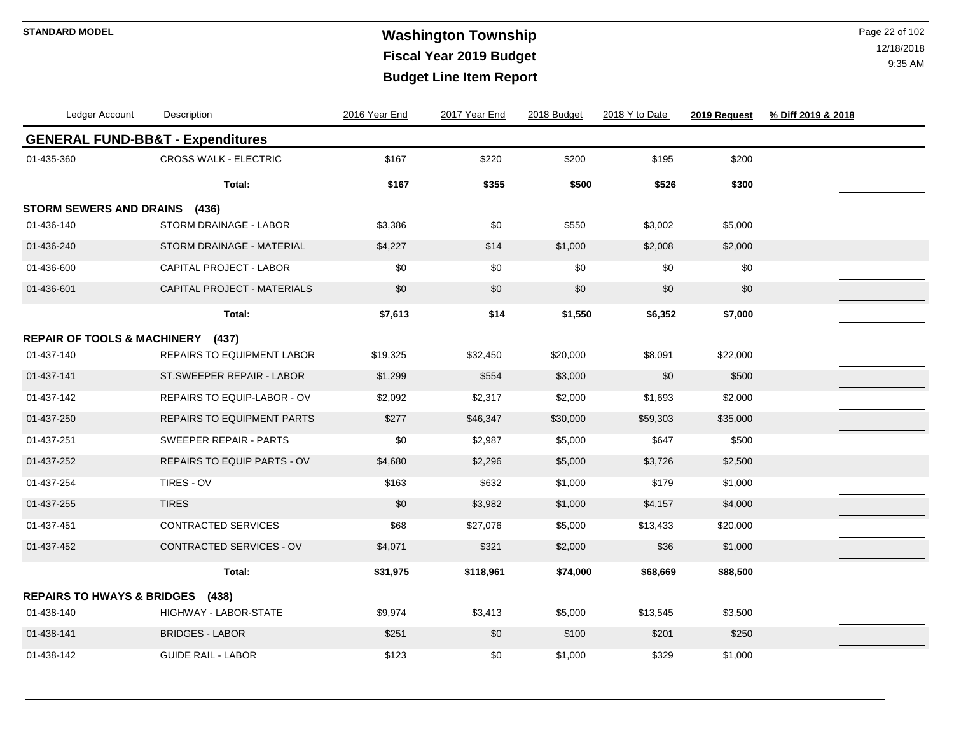# **Washington Township STANDARD MODEL** Page 22 of 102 **Fiscal Year 2019 Budget Budget Line Item Report**

| Ledger Account                              | Description                        | 2016 Year End | 2017 Year End | 2018 Budget | 2018 Y to Date | 2019 Request | % Diff 2019 & 2018 |  |
|---------------------------------------------|------------------------------------|---------------|---------------|-------------|----------------|--------------|--------------------|--|
| <b>GENERAL FUND-BB&amp;T - Expenditures</b> |                                    |               |               |             |                |              |                    |  |
| 01-435-360                                  | <b>CROSS WALK - ELECTRIC</b>       | \$167         | \$220         | \$200       | \$195          | \$200        |                    |  |
|                                             | Total:                             | \$167         | \$355         | \$500       | \$526          | \$300        |                    |  |
| STORM SEWERS AND DRAINS (436)               |                                    |               |               |             |                |              |                    |  |
| 01-436-140                                  | STORM DRAINAGE - LABOR             | \$3,386       | \$0           | \$550       | \$3,002        | \$5,000      |                    |  |
| 01-436-240                                  | STORM DRAINAGE - MATERIAL          | \$4,227       | \$14          | \$1,000     | \$2,008        | \$2,000      |                    |  |
| 01-436-600                                  | <b>CAPITAL PROJECT - LABOR</b>     | \$0           | \$0           | \$0         | \$0            | \$0          |                    |  |
| 01-436-601                                  | CAPITAL PROJECT - MATERIALS        | \$0           | \$0           | \$0         | \$0            | \$0          |                    |  |
|                                             | Total:                             | \$7,613       | \$14          | \$1,550     | \$6,352        | \$7,000      |                    |  |
| REPAIR OF TOOLS & MACHINERY (437)           |                                    |               |               |             |                |              |                    |  |
| 01-437-140                                  | <b>REPAIRS TO EQUIPMENT LABOR</b>  | \$19,325      | \$32,450      | \$20,000    | \$8,091        | \$22,000     |                    |  |
| 01-437-141                                  | ST.SWEEPER REPAIR - LABOR          | \$1,299       | \$554         | \$3,000     | \$0            | \$500        |                    |  |
| 01-437-142                                  | <b>REPAIRS TO EQUIP-LABOR - OV</b> | \$2,092       | \$2,317       | \$2,000     | \$1,693        | \$2,000      |                    |  |
| 01-437-250                                  | <b>REPAIRS TO EQUIPMENT PARTS</b>  | \$277         | \$46,347      | \$30,000    | \$59,303       | \$35,000     |                    |  |
| 01-437-251                                  | <b>SWEEPER REPAIR - PARTS</b>      | \$0           | \$2,987       | \$5,000     | \$647          | \$500        |                    |  |
| 01-437-252                                  | <b>REPAIRS TO EQUIP PARTS - OV</b> | \$4,680       | \$2,296       | \$5,000     | \$3,726        | \$2,500      |                    |  |
| 01-437-254                                  | TIRES - OV                         | \$163         | \$632         | \$1,000     | \$179          | \$1,000      |                    |  |
| 01-437-255                                  | <b>TIRES</b>                       | \$0           | \$3,982       | \$1,000     | \$4,157        | \$4,000      |                    |  |
| 01-437-451                                  | CONTRACTED SERVICES                | \$68          | \$27,076      | \$5,000     | \$13,433       | \$20,000     |                    |  |
| 01-437-452                                  | CONTRACTED SERVICES - OV           | \$4,071       | \$321         | \$2,000     | \$36           | \$1,000      |                    |  |
|                                             | Total:                             | \$31,975      | \$118,961     | \$74,000    | \$68,669       | \$88,500     |                    |  |
| <b>REPAIRS TO HWAYS &amp; BRIDGES (438)</b> |                                    |               |               |             |                |              |                    |  |
| 01-438-140                                  | <b>HIGHWAY - LABOR-STATE</b>       | \$9,974       | \$3,413       | \$5,000     | \$13,545       | \$3,500      |                    |  |
| 01-438-141                                  | <b>BRIDGES - LABOR</b>             | \$251         | \$0           | \$100       | \$201          | \$250        |                    |  |
| 01-438-142                                  | <b>GUIDE RAIL - LABOR</b>          | \$123         | \$0           | \$1,000     | \$329          | \$1,000      |                    |  |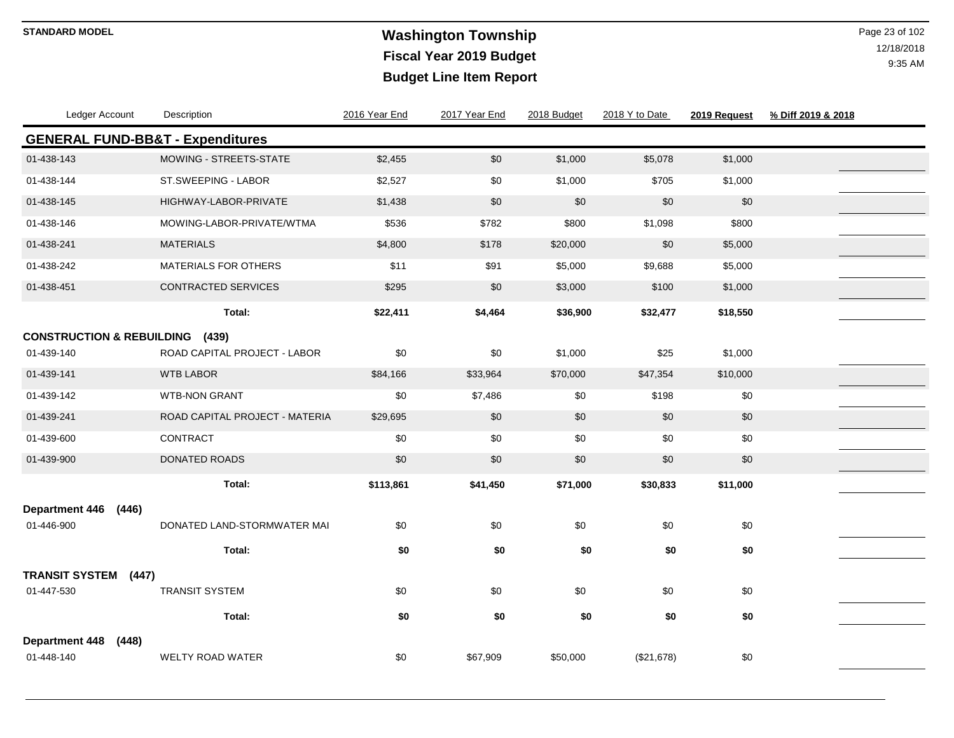# **Washington Township STANDARD MODEL** Page 23 of 102 **Fiscal Year 2019 Budget Budget Line Item Report**

| Ledger Account                              | Description                    | 2016 Year End | 2017 Year End | 2018 Budget | 2018 Y to Date | 2019 Request | % Diff 2019 & 2018 |
|---------------------------------------------|--------------------------------|---------------|---------------|-------------|----------------|--------------|--------------------|
| <b>GENERAL FUND-BB&amp;T - Expenditures</b> |                                |               |               |             |                |              |                    |
| 01-438-143                                  | <b>MOWING - STREETS-STATE</b>  | \$2,455       | \$0           | \$1,000     | \$5,078        | \$1,000      |                    |
| 01-438-144                                  | ST.SWEEPING - LABOR            | \$2,527       | \$0           | \$1,000     | \$705          | \$1,000      |                    |
| 01-438-145                                  | HIGHWAY-LABOR-PRIVATE          | \$1,438       | \$0           | \$0         | \$0            | \$0          |                    |
| 01-438-146                                  | MOWING-LABOR-PRIVATE/WTMA      | \$536         | \$782         | \$800       | \$1,098        | \$800        |                    |
| 01-438-241                                  | <b>MATERIALS</b>               | \$4,800       | \$178         | \$20,000    | \$0            | \$5,000      |                    |
| 01-438-242                                  | MATERIALS FOR OTHERS           | \$11          | \$91          | \$5,000     | \$9,688        | \$5,000      |                    |
| 01-438-451                                  | CONTRACTED SERVICES            | \$295         | \$0           | \$3,000     | \$100          | \$1,000      |                    |
|                                             | Total:                         | \$22,411      | \$4,464       | \$36,900    | \$32,477       | \$18,550     |                    |
| <b>CONSTRUCTION &amp; REBUILDING</b>        | (439)                          |               |               |             |                |              |                    |
| 01-439-140                                  | ROAD CAPITAL PROJECT - LABOR   | \$0           | \$0           | \$1,000     | \$25           | \$1,000      |                    |
| 01-439-141                                  | <b>WTB LABOR</b>               | \$84,166      | \$33,964      | \$70,000    | \$47,354       | \$10,000     |                    |
| 01-439-142                                  | <b>WTB-NON GRANT</b>           | \$0           | \$7,486       | \$0         | \$198          | \$0          |                    |
| 01-439-241                                  | ROAD CAPITAL PROJECT - MATERIA | \$29,695      | \$0           | \$0         | \$0            | \$0          |                    |
| 01-439-600                                  | CONTRACT                       | \$0           | \$0           | \$0         | \$0            | \$0          |                    |
| 01-439-900                                  | DONATED ROADS                  | \$0           | $$0$$         | \$0         | \$0            | \$0          |                    |
|                                             | Total:                         | \$113,861     | \$41,450      | \$71,000    | \$30,833       | \$11,000     |                    |
| <b>Department 446</b><br>(446)              |                                |               |               |             |                |              |                    |
| 01-446-900                                  | DONATED LAND-STORMWATER MAI    | \$0           | \$0           | \$0         | \$0            | \$0          |                    |
|                                             | Total:                         | \$0           | \$0           | \$0         | \$0            | \$0          |                    |
| <b>TRANSIT SYSTEM</b><br>(447)              |                                |               |               |             |                |              |                    |
| 01-447-530                                  | <b>TRANSIT SYSTEM</b>          | \$0           | \$0           | \$0         | \$0            | \$0          |                    |
|                                             | Total:                         | \$0           | \$0           | \$0         | \$0            | \$0          |                    |
| <b>Department 448</b><br>(448)              |                                |               |               |             |                |              |                    |
| 01-448-140                                  | <b>WELTY ROAD WATER</b>        | \$0           | \$67,909      | \$50,000    | (\$21,678)     | $\$0$        |                    |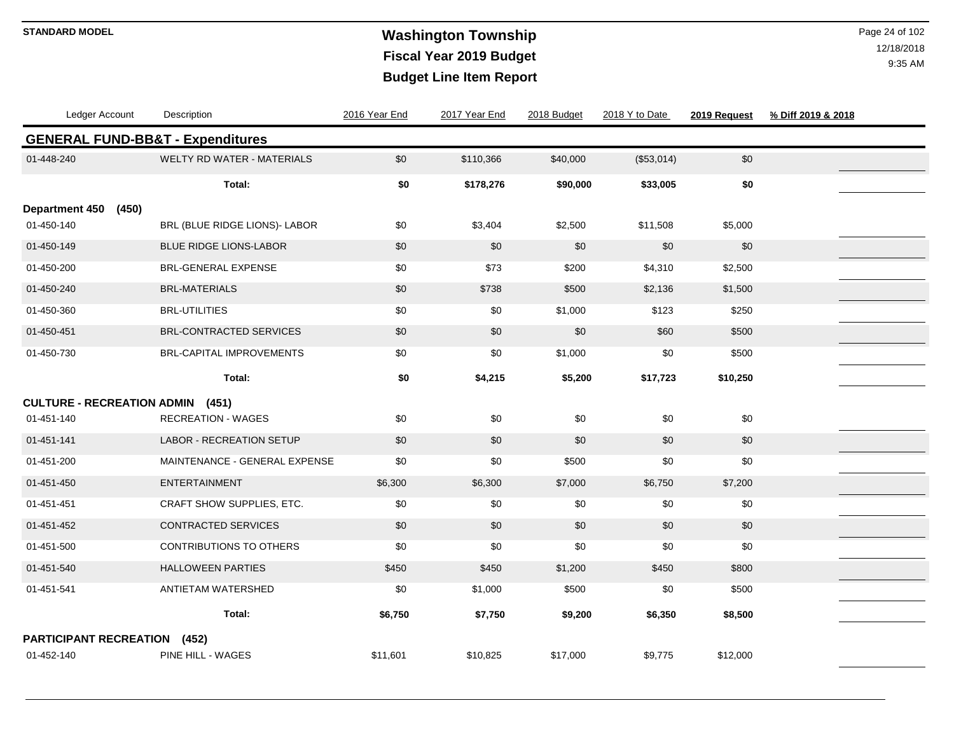# **Washington Township STANDARD MODEL** Page 24 of 102 **Fiscal Year 2019 Budget Budget Line Item Report**

| Ledger Account                              | Description                       | 2016 Year End | 2017 Year End | 2018 Budget | 2018 Y to Date | 2019 Request | % Diff 2019 & 2018 |  |
|---------------------------------------------|-----------------------------------|---------------|---------------|-------------|----------------|--------------|--------------------|--|
| <b>GENERAL FUND-BB&amp;T - Expenditures</b> |                                   |               |               |             |                |              |                    |  |
| 01-448-240                                  | <b>WELTY RD WATER - MATERIALS</b> | \$0           | \$110,366     | \$40,000    | (\$53,014)     | $\$0$        |                    |  |
|                                             | Total:                            | \$0           | \$178,276     | \$90,000    | \$33,005       | \$0          |                    |  |
| <b>Department 450</b><br>(450)              |                                   |               |               |             |                |              |                    |  |
| 01-450-140                                  | BRL (BLUE RIDGE LIONS)- LABOR     | \$0           | \$3,404       | \$2,500     | \$11,508       | \$5,000      |                    |  |
| 01-450-149                                  | <b>BLUE RIDGE LIONS-LABOR</b>     | \$0           | \$0           | \$0         | \$0            | \$0          |                    |  |
| 01-450-200                                  | <b>BRL-GENERAL EXPENSE</b>        | \$0           | \$73          | \$200       | \$4,310        | \$2,500      |                    |  |
| 01-450-240                                  | <b>BRL-MATERIALS</b>              | \$0           | \$738         | \$500       | \$2,136        | \$1,500      |                    |  |
| 01-450-360                                  | <b>BRL-UTILITIES</b>              | \$0           | \$0           | \$1,000     | \$123          | \$250        |                    |  |
| 01-450-451                                  | BRL-CONTRACTED SERVICES           | \$0           | \$0           | \$0         | \$60           | \$500        |                    |  |
| 01-450-730                                  | <b>BRL-CAPITAL IMPROVEMENTS</b>   | \$0           | \$0           | \$1,000     | \$0            | \$500        |                    |  |
|                                             | Total:                            | \$0           | \$4,215       | \$5,200     | \$17,723       | \$10,250     |                    |  |
| <b>CULTURE - RECREATION ADMIN (451)</b>     |                                   |               |               |             |                |              |                    |  |
| 01-451-140                                  | <b>RECREATION - WAGES</b>         | \$0           | \$0           | \$0         | \$0            | \$0          |                    |  |
| 01-451-141                                  | <b>LABOR - RECREATION SETUP</b>   | \$0           | \$0           | \$0         | \$0            | \$0          |                    |  |
| 01-451-200                                  | MAINTENANCE - GENERAL EXPENSE     | \$0           | \$0           | \$500       | \$0            | \$0          |                    |  |
| 01-451-450                                  | ENTERTAINMENT                     | \$6,300       | \$6,300       | \$7,000     | \$6,750        | \$7,200      |                    |  |
| 01-451-451                                  | CRAFT SHOW SUPPLIES, ETC.         | \$0           | \$0           | \$0         | \$0            | \$0          |                    |  |
| 01-451-452                                  | CONTRACTED SERVICES               | \$0           | \$0           | \$0         | \$0            | $\$0$        |                    |  |
| 01-451-500                                  | <b>CONTRIBUTIONS TO OTHERS</b>    | \$0           | \$0           | \$0         | \$0            | \$0          |                    |  |
| 01-451-540                                  | <b>HALLOWEEN PARTIES</b>          | \$450         | \$450         | \$1,200     | \$450          | \$800        |                    |  |
| 01-451-541                                  | ANTIETAM WATERSHED                | \$0           | \$1,000       | \$500       | \$0            | \$500        |                    |  |
|                                             | Total:                            | \$6,750       | \$7,750       | \$9,200     | \$6,350        | \$8,500      |                    |  |
| <b>PARTICIPANT RECREATION</b>               | (452)                             |               |               |             |                |              |                    |  |
| 01-452-140                                  | PINE HILL - WAGES                 | \$11,601      | \$10,825      | \$17,000    | \$9,775        | \$12,000     |                    |  |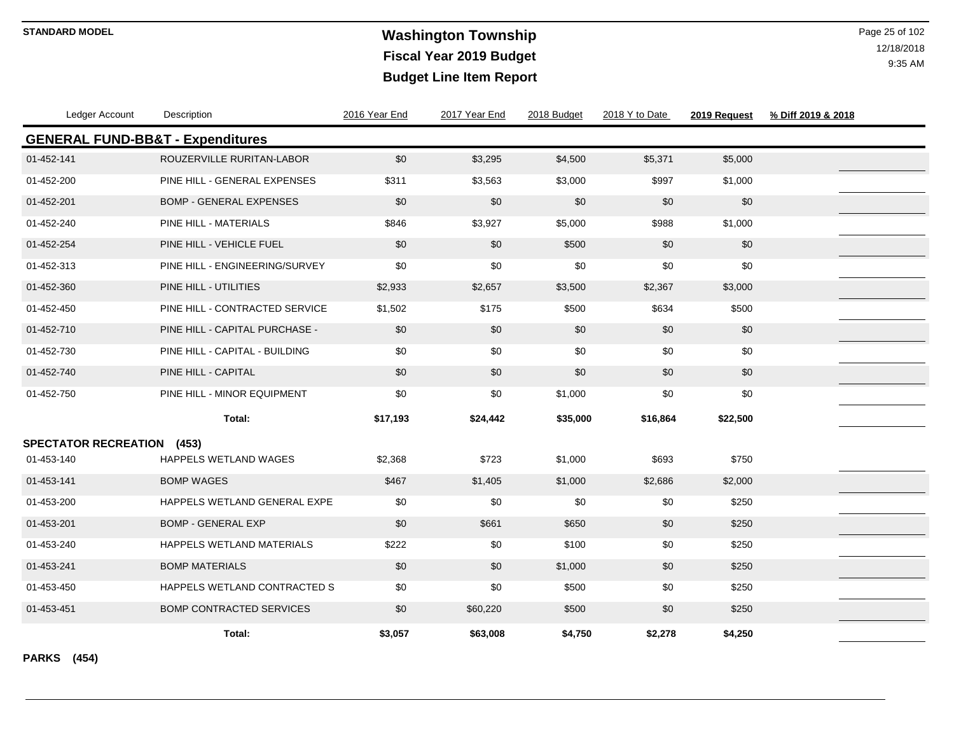# **Washington Township STANDARD MODEL** Page 25 of 102 **Fiscal Year 2019 Budget Budget Line Item Report**

12/18/2018 9:35 AM

| Ledger Account                              | Description                      | 2016 Year End | 2017 Year End | 2018 Budget | 2018 Y to Date | 2019 Request | % Diff 2019 & 2018 |
|---------------------------------------------|----------------------------------|---------------|---------------|-------------|----------------|--------------|--------------------|
| <b>GENERAL FUND-BB&amp;T - Expenditures</b> |                                  |               |               |             |                |              |                    |
| 01-452-141                                  | ROUZERVILLE RURITAN-LABOR        | \$0           | \$3,295       | \$4,500     | \$5,371        | \$5,000      |                    |
| 01-452-200                                  | PINE HILL - GENERAL EXPENSES     | \$311         | \$3,563       | \$3,000     | \$997          | \$1,000      |                    |
| 01-452-201                                  | <b>BOMP - GENERAL EXPENSES</b>   | \$0           | \$0           | \$0         | \$0            | \$0          |                    |
| 01-452-240                                  | PINE HILL - MATERIALS            | \$846         | \$3,927       | \$5,000     | \$988          | \$1,000      |                    |
| 01-452-254                                  | PINE HILL - VEHICLE FUEL         | \$0           | \$0           | \$500       | \$0            | \$0          |                    |
| 01-452-313                                  | PINE HILL - ENGINEERING/SURVEY   | \$0           | \$0           | \$0         | \$0            | \$0          |                    |
| 01-452-360                                  | PINE HILL - UTILITIES            | \$2,933       | \$2,657       | \$3,500     | \$2,367        | \$3,000      |                    |
| 01-452-450                                  | PINE HILL - CONTRACTED SERVICE   | \$1,502       | \$175         | \$500       | \$634          | \$500        |                    |
| 01-452-710                                  | PINE HILL - CAPITAL PURCHASE -   | \$0           | \$0           | \$0         | \$0            | \$0          |                    |
| 01-452-730                                  | PINE HILL - CAPITAL - BUILDING   | \$0           | \$0           | \$0         | \$0            | \$0          |                    |
| 01-452-740                                  | PINE HILL - CAPITAL              | \$0           | \$0           | \$0         | \$0            | \$0          |                    |
| 01-452-750                                  | PINE HILL - MINOR EQUIPMENT      | \$0           | \$0           | \$1,000     | \$0            | \$0          |                    |
|                                             | Total:                           | \$17,193      | \$24,442      | \$35,000    | \$16,864       | \$22,500     |                    |
| <b>SPECTATOR RECREATION</b>                 | (453)                            |               |               |             |                |              |                    |
| 01-453-140                                  | HAPPELS WETLAND WAGES            | \$2,368       | \$723         | \$1,000     | \$693          | \$750        |                    |
| 01-453-141                                  | <b>BOMP WAGES</b>                | \$467         | \$1,405       | \$1,000     | \$2,686        | \$2,000      |                    |
| 01-453-200                                  | HAPPELS WETLAND GENERAL EXPE     | \$0           | \$0           | \$0         | \$0            | \$250        |                    |
| 01-453-201                                  | <b>BOMP - GENERAL EXP</b>        | \$0           | \$661         | \$650       | \$0            | \$250        |                    |
| 01-453-240                                  | <b>HAPPELS WETLAND MATERIALS</b> | \$222         | \$0           | \$100       | \$0            | \$250        |                    |
| 01-453-241                                  | <b>BOMP MATERIALS</b>            | \$0           | \$0           | \$1,000     | \$0            | \$250        |                    |
| 01-453-450                                  | HAPPELS WETLAND CONTRACTED S     | \$0           | \$0           | \$500       | \$0            | \$250        |                    |
| 01-453-451                                  | <b>BOMP CONTRACTED SERVICES</b>  | \$0           | \$60,220      | \$500       | \$0            | \$250        |                    |
|                                             | Total:                           | \$3,057       | \$63,008      | \$4,750     | \$2,278        | \$4,250      |                    |

**PARKS (454)**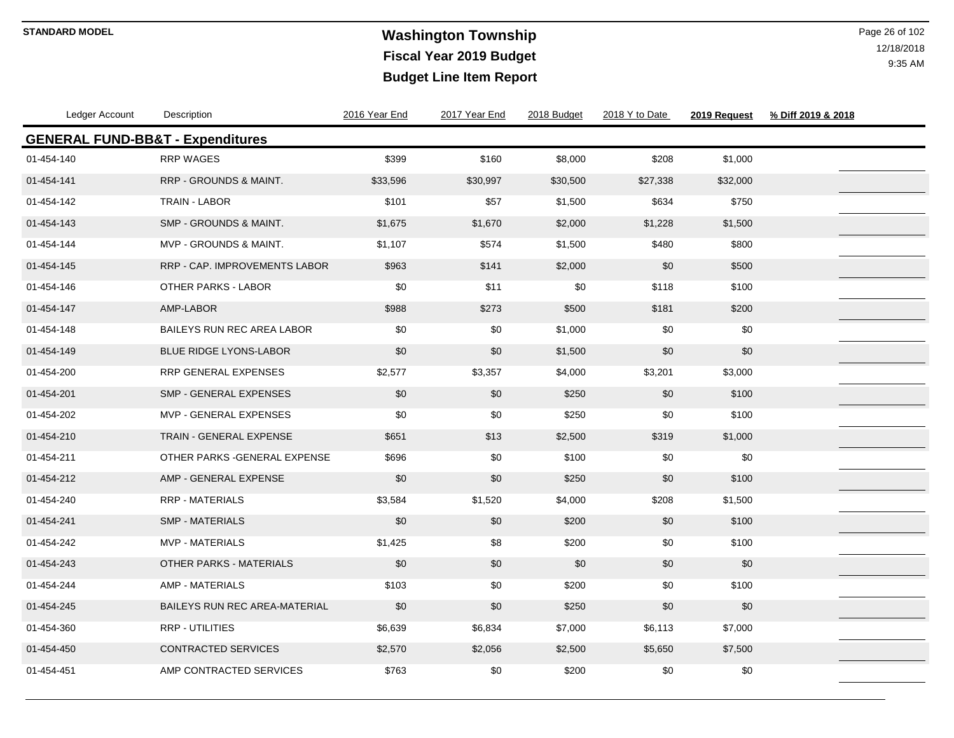# **Washington Township STANDARD MODEL** Page 26 of 102 **Fiscal Year 2019 Budget Budget Line Item Report**

| Ledger Account                              | Description                       | 2016 Year End | 2017 Year End | 2018 Budget | 2018 Y to Date | 2019 Request | % Diff 2019 & 2018 |  |
|---------------------------------------------|-----------------------------------|---------------|---------------|-------------|----------------|--------------|--------------------|--|
| <b>GENERAL FUND-BB&amp;T - Expenditures</b> |                                   |               |               |             |                |              |                    |  |
| 01-454-140                                  | <b>RRP WAGES</b>                  | \$399         | \$160         | \$8,000     | \$208          | \$1,000      |                    |  |
| 01-454-141                                  | <b>RRP - GROUNDS &amp; MAINT.</b> | \$33,596      | \$30,997      | \$30,500    | \$27,338       | \$32,000     |                    |  |
| 01-454-142                                  | TRAIN - LABOR                     | \$101         | \$57          | \$1,500     | \$634          | \$750        |                    |  |
| 01-454-143                                  | <b>SMP - GROUNDS &amp; MAINT.</b> | \$1,675       | \$1,670       | \$2,000     | \$1,228        | \$1,500      |                    |  |
| 01-454-144                                  | MVP - GROUNDS & MAINT.            | \$1,107       | \$574         | \$1,500     | \$480          | \$800        |                    |  |
| 01-454-145                                  | RRP - CAP. IMPROVEMENTS LABOR     | \$963         | \$141         | \$2,000     | \$0            | \$500        |                    |  |
| 01-454-146                                  | <b>OTHER PARKS - LABOR</b>        | \$0           | \$11          | \$0         | \$118          | \$100        |                    |  |
| 01-454-147                                  | AMP-LABOR                         | \$988         | \$273         | \$500       | \$181          | \$200        |                    |  |
| 01-454-148                                  | BAILEYS RUN REC AREA LABOR        | \$0           | \$0           | \$1,000     | \$0            | \$0          |                    |  |
| 01-454-149                                  | <b>BLUE RIDGE LYONS-LABOR</b>     | \$0           | \$0           | \$1,500     | \$0            | \$0          |                    |  |
| 01-454-200                                  | RRP GENERAL EXPENSES              | \$2,577       | \$3,357       | \$4,000     | \$3,201        | \$3,000      |                    |  |
| 01-454-201                                  | <b>SMP - GENERAL EXPENSES</b>     | \$0           | \$0           | \$250       | \$0            | \$100        |                    |  |
| 01-454-202                                  | MVP - GENERAL EXPENSES            | \$0           | \$0           | \$250       | \$0            | \$100        |                    |  |
| 01-454-210                                  | TRAIN - GENERAL EXPENSE           | \$651         | \$13          | \$2,500     | \$319          | \$1,000      |                    |  |
| 01-454-211                                  | OTHER PARKS - GENERAL EXPENSE     | \$696         | \$0           | \$100       | \$0            | \$0          |                    |  |
| 01-454-212                                  | AMP - GENERAL EXPENSE             | \$0           | \$0           | \$250       | \$0            | \$100        |                    |  |
| 01-454-240                                  | <b>RRP - MATERIALS</b>            | \$3,584       | \$1,520       | \$4,000     | \$208          | \$1,500      |                    |  |
| 01-454-241                                  | <b>SMP - MATERIALS</b>            | \$0           | \$0           | \$200       | \$0            | \$100        |                    |  |
| 01-454-242                                  | <b>MVP - MATERIALS</b>            | \$1,425       | \$8           | \$200       | \$0            | \$100        |                    |  |
| 01-454-243                                  | OTHER PARKS - MATERIALS           | \$0           | \$0           | \$0         | \$0            | \$0          |                    |  |
| 01-454-244                                  | <b>AMP - MATERIALS</b>            | \$103         | \$0           | \$200       | \$0            | \$100        |                    |  |
| 01-454-245                                  | BAILEYS RUN REC AREA-MATERIAL     | \$0           | \$0           | \$250       | \$0            | \$0          |                    |  |
| 01-454-360                                  | RRP - UTILITIES                   | \$6,639       | \$6,834       | \$7,000     | \$6,113        | \$7,000      |                    |  |
| 01-454-450                                  | <b>CONTRACTED SERVICES</b>        | \$2,570       | \$2,056       | \$2,500     | \$5,650        | \$7,500      |                    |  |
| 01-454-451                                  | AMP CONTRACTED SERVICES           | \$763         | \$0           | \$200       | \$0            | \$0          |                    |  |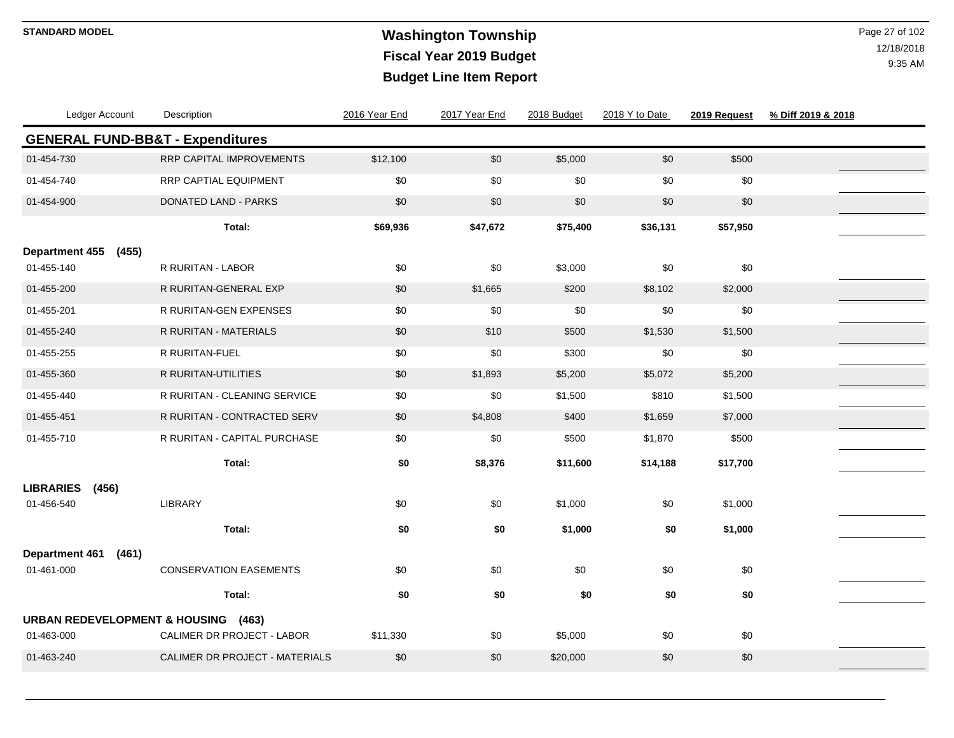# **Washington Township STANDARD MODEL** Page 27 of 102 **Fiscal Year 2019 Budget Budget Line Item Report**

| Ledger Account                                 | Description                                 | 2016 Year End | 2017 Year End | 2018 Budget | 2018 Y to Date | 2019 Request | % Diff 2019 & 2018 |  |
|------------------------------------------------|---------------------------------------------|---------------|---------------|-------------|----------------|--------------|--------------------|--|
|                                                | <b>GENERAL FUND-BB&amp;T - Expenditures</b> |               |               |             |                |              |                    |  |
| 01-454-730                                     | RRP CAPITAL IMPROVEMENTS                    | \$12,100      | $$0$$         | \$5,000     | $$0$$          | \$500        |                    |  |
| 01-454-740                                     | RRP CAPTIAL EQUIPMENT                       | \$0           | \$0           | \$0         | \$0            | \$0          |                    |  |
| 01-454-900                                     | DONATED LAND - PARKS                        | \$0           | \$0           | \$0         | $$0$$          | \$0          |                    |  |
|                                                | Total:                                      | \$69,936      | \$47,672      | \$75,400    | \$36,131       | \$57,950     |                    |  |
| <b>Department 455</b><br>(455)                 |                                             |               |               |             |                |              |                    |  |
| 01-455-140                                     | R RURITAN - LABOR                           | \$0           | \$0           | \$3,000     | \$0            | \$0          |                    |  |
| 01-455-200                                     | R RURITAN-GENERAL EXP                       | \$0           | \$1,665       | \$200       | \$8,102        | \$2,000      |                    |  |
| 01-455-201                                     | R RURITAN-GEN EXPENSES                      | \$0           | \$0           | \$0         | \$0            | \$0          |                    |  |
| 01-455-240                                     | R RURITAN - MATERIALS                       | \$0           | \$10          | \$500       | \$1,530        | \$1,500      |                    |  |
| 01-455-255                                     | R RURITAN-FUEL                              | \$0           | \$0           | \$300       | \$0            | \$0          |                    |  |
| 01-455-360                                     | <b>R RURITAN-UTILITIES</b>                  | \$0           | \$1,893       | \$5,200     | \$5,072        | \$5,200      |                    |  |
| 01-455-440                                     | R RURITAN - CLEANING SERVICE                | \$0           | \$0           | \$1,500     | \$810          | \$1,500      |                    |  |
| 01-455-451                                     | R RURITAN - CONTRACTED SERV                 | \$0           | \$4,808       | \$400       | \$1,659        | \$7,000      |                    |  |
| 01-455-710                                     | R RURITAN - CAPITAL PURCHASE                | \$0           | \$0           | \$500       | \$1,870        | \$500        |                    |  |
|                                                | Total:                                      | \$0           | \$8,376       | \$11,600    | \$14,188       | \$17,700     |                    |  |
| <b>LIBRARIES</b><br>(456)                      |                                             |               |               |             |                |              |                    |  |
| 01-456-540                                     | LIBRARY                                     | \$0           | \$0           | \$1,000     | $$0$$          | \$1,000      |                    |  |
|                                                | Total:                                      | \$0           | \$0           | \$1,000     | \$0            | \$1,000      |                    |  |
| <b>Department 461</b><br>(461)                 |                                             |               |               |             |                |              |                    |  |
| 01-461-000                                     | <b>CONSERVATION EASEMENTS</b>               | \$0           | \$0           | \$0         | \$0            | \$0          |                    |  |
|                                                | Total:                                      | \$0           | \$0           | \$0         | \$0            | \$0          |                    |  |
| <b>URBAN REDEVELOPMENT &amp; HOUSING (463)</b> |                                             |               |               |             |                |              |                    |  |
| 01-463-000                                     | CALIMER DR PROJECT - LABOR                  | \$11,330      | \$0           | \$5,000     | \$0            | \$0          |                    |  |
| 01-463-240                                     | CALIMER DR PROJECT - MATERIALS              | \$0           | \$0           | \$20,000    | \$0            | \$0          |                    |  |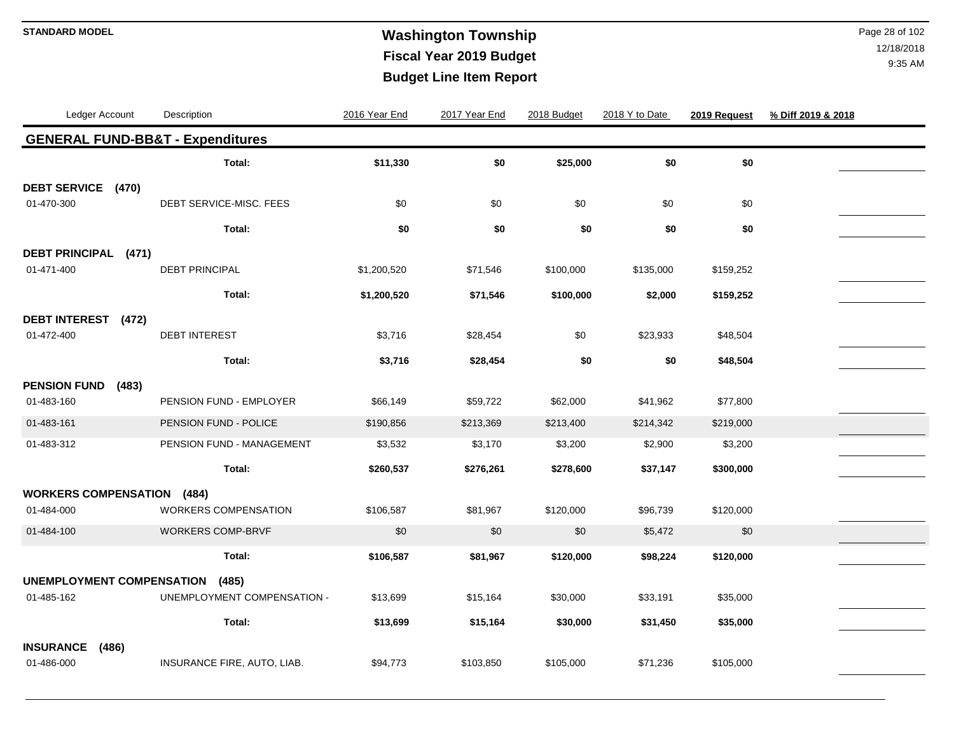# **Washington Township STANDARD MODEL** Page 28 of 102 **Fiscal Year 2019 Budget Budget Line Item Report**

| Ledger Account                    |       | Description                                 | 2016 Year End | 2017 Year End | 2018 Budget | 2018 Y to Date | 2019 Request | % Diff 2019 & 2018 |
|-----------------------------------|-------|---------------------------------------------|---------------|---------------|-------------|----------------|--------------|--------------------|
|                                   |       | <b>GENERAL FUND-BB&amp;T - Expenditures</b> |               |               |             |                |              |                    |
|                                   |       | Total:                                      | \$11,330      | \$0           | \$25,000    | \$0            | \$0          |                    |
| DEBT SERVICE (470)                |       |                                             |               |               |             |                |              |                    |
| 01-470-300                        |       | DEBT SERVICE-MISC. FEES                     | \$0           | \$0           | \$0         | \$0            | \$0          |                    |
|                                   |       | Total:                                      | \$0           | \$0           | \$0         | \$0            | \$0          |                    |
| <b>DEBT PRINCIPAL</b>             | (471) |                                             |               |               |             |                |              |                    |
| 01-471-400                        |       | <b>DEBT PRINCIPAL</b>                       | \$1,200,520   | \$71,546      | \$100,000   | \$135,000      | \$159,252    |                    |
|                                   |       | Total:                                      | \$1,200,520   | \$71,546      | \$100,000   | \$2,000        | \$159,252    |                    |
| <b>DEBT INTEREST</b>              | (472) |                                             |               |               |             |                |              |                    |
| 01-472-400                        |       | <b>DEBT INTEREST</b>                        | \$3,716       | \$28,454      | \$0         | \$23,933       | \$48,504     |                    |
|                                   |       | Total:                                      | \$3,716       | \$28,454      | \$0         | \$0            | \$48,504     |                    |
| <b>PENSION FUND</b>               | (483) |                                             |               |               |             |                |              |                    |
| 01-483-160                        |       | PENSION FUND - EMPLOYER                     | \$66,149      | \$59,722      | \$62,000    | \$41,962       | \$77,800     |                    |
| 01-483-161                        |       | PENSION FUND - POLICE                       | \$190,856     | \$213,369     | \$213,400   | \$214,342      | \$219,000    |                    |
| 01-483-312                        |       | PENSION FUND - MANAGEMENT                   | \$3,532       | \$3,170       | \$3,200     | \$2,900        | \$3,200      |                    |
|                                   |       | Total:                                      | \$260,537     | \$276,261     | \$278,600   | \$37,147       | \$300,000    |                    |
| <b>WORKERS COMPENSATION (484)</b> |       |                                             |               |               |             |                |              |                    |
| 01-484-000                        |       | <b>WORKERS COMPENSATION</b>                 | \$106,587     | \$81,967      | \$120,000   | \$96,739       | \$120,000    |                    |
| 01-484-100                        |       | WORKERS COMP-BRVF                           | \$0           | \$0           | \$0         | \$5,472        | \$0          |                    |
|                                   |       | Total:                                      | \$106,587     | \$81,967      | \$120,000   | \$98,224       | \$120,000    |                    |
| UNEMPLOYMENT COMPENSATION         |       | (485)                                       |               |               |             |                |              |                    |
| 01-485-162                        |       | UNEMPLOYMENT COMPENSATION -                 | \$13,699      | \$15,164      | \$30,000    | \$33,191       | \$35,000     |                    |
|                                   |       | Total:                                      | \$13,699      | \$15,164      | \$30,000    | \$31,450       | \$35,000     |                    |
| <b>INSURANCE</b><br>(486)         |       |                                             |               |               |             |                |              |                    |
| 01-486-000                        |       | INSURANCE FIRE, AUTO, LIAB.                 | \$94,773      | \$103,850     | \$105,000   | \$71,236       | \$105,000    |                    |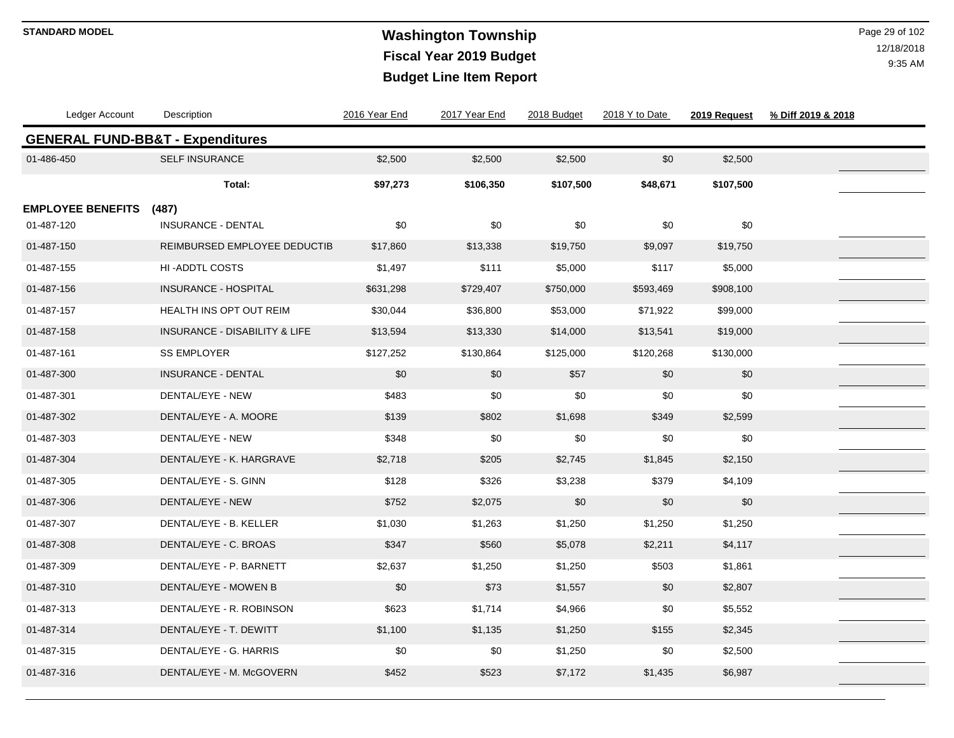# **Washington Township STANDARD MODEL** Page 29 of 102 **Fiscal Year 2019 Budget Budget Line Item Report**

| Ledger Account           | Description                                 | 2016 Year End | 2017 Year End | 2018 Budget | 2018 Y to Date | 2019 Request | % Diff 2019 & 2018 |  |
|--------------------------|---------------------------------------------|---------------|---------------|-------------|----------------|--------------|--------------------|--|
|                          | <b>GENERAL FUND-BB&amp;T - Expenditures</b> |               |               |             |                |              |                    |  |
| 01-486-450               | SELF INSURANCE                              | \$2,500       | \$2,500       | \$2,500     | \$0            | \$2,500      |                    |  |
|                          | Total:                                      | \$97,273      | \$106,350     | \$107,500   | \$48,671       | \$107,500    |                    |  |
| <b>EMPLOYEE BENEFITS</b> | (487)                                       |               |               |             |                |              |                    |  |
| 01-487-120               | <b>INSURANCE - DENTAL</b>                   | \$0           | \$0           | \$0         | \$0            | \$0          |                    |  |
| 01-487-150               | REIMBURSED EMPLOYEE DEDUCTIB                | \$17,860      | \$13,338      | \$19,750    | \$9,097        | \$19,750     |                    |  |
| 01-487-155               | <b>HI-ADDTL COSTS</b>                       | \$1,497       | \$111         | \$5,000     | \$117          | \$5,000      |                    |  |
| 01-487-156               | <b>INSURANCE - HOSPITAL</b>                 | \$631,298     | \$729,407     | \$750,000   | \$593,469      | \$908,100    |                    |  |
| 01-487-157               | HEALTH INS OPT OUT REIM                     | \$30,044      | \$36,800      | \$53,000    | \$71,922       | \$99,000     |                    |  |
| 01-487-158               | INSURANCE - DISABILITY & LIFE               | \$13,594      | \$13,330      | \$14,000    | \$13,541       | \$19,000     |                    |  |
| 01-487-161               | <b>SS EMPLOYER</b>                          | \$127,252     | \$130,864     | \$125,000   | \$120,268      | \$130,000    |                    |  |
| 01-487-300               | <b>INSURANCE - DENTAL</b>                   | \$0           | \$0           | \$57        | \$0            | \$0          |                    |  |
| 01-487-301               | DENTAL/EYE - NEW                            | \$483         | \$0           | \$0         | \$0            | \$0          |                    |  |
| 01-487-302               | DENTAL/EYE - A. MOORE                       | \$139         | \$802         | \$1,698     | \$349          | \$2,599      |                    |  |
| 01-487-303               | DENTAL/EYE - NEW                            | \$348         | \$0           | \$0         | \$0            | \$0          |                    |  |
| 01-487-304               | DENTAL/EYE - K. HARGRAVE                    | \$2,718       | \$205         | \$2,745     | \$1,845        | \$2,150      |                    |  |
| 01-487-305               | DENTAL/EYE - S. GINN                        | \$128         | \$326         | \$3,238     | \$379          | \$4,109      |                    |  |
| 01-487-306               | DENTAL/EYE - NEW                            | \$752         | \$2,075       | \$0         | \$0            | \$0          |                    |  |
| 01-487-307               | DENTAL/EYE - B. KELLER                      | \$1,030       | \$1,263       | \$1,250     | \$1,250        | \$1,250      |                    |  |
| 01-487-308               | DENTAL/EYE - C. BROAS                       | \$347         | \$560         | \$5,078     | \$2,211        | \$4,117      |                    |  |
| 01-487-309               | DENTAL/EYE - P. BARNETT                     | \$2,637       | \$1,250       | \$1,250     | \$503          | \$1,861      |                    |  |
| 01-487-310               | DENTAL/EYE - MOWEN B                        | \$0           | \$73          | \$1,557     | \$0            | \$2,807      |                    |  |
| 01-487-313               | DENTAL/EYE - R. ROBINSON                    | \$623         | \$1,714       | \$4,966     | \$0            | \$5,552      |                    |  |
| 01-487-314               | DENTAL/EYE - T. DEWITT                      | \$1,100       | \$1,135       | \$1,250     | \$155          | \$2,345      |                    |  |
| 01-487-315               | DENTAL/EYE - G. HARRIS                      | \$0           | \$0           | \$1,250     | \$0            | \$2,500      |                    |  |
| 01-487-316               | DENTAL/EYE - M. McGOVERN                    | \$452         | \$523         | \$7,172     | \$1,435        | \$6,987      |                    |  |
|                          |                                             |               |               |             |                |              |                    |  |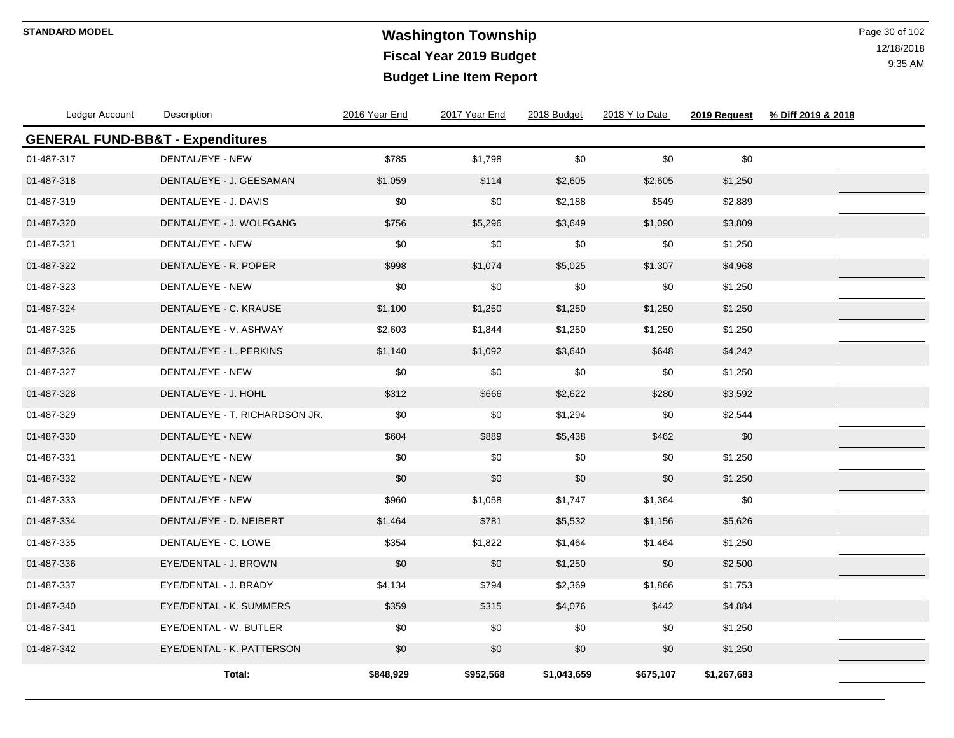# **Washington Township STANDARD MODEL** Page 30 of 102 **Fiscal Year 2019 Budget Budget Line Item Report**

| Ledger Account                              | Description                    | 2016 Year End | 2017 Year End | 2018 Budget | 2018 Y to Date | 2019 Request | % Diff 2019 & 2018 |
|---------------------------------------------|--------------------------------|---------------|---------------|-------------|----------------|--------------|--------------------|
| <b>GENERAL FUND-BB&amp;T - Expenditures</b> |                                |               |               |             |                |              |                    |
| 01-487-317                                  | DENTAL/EYE - NEW               | \$785         | \$1,798       | \$0         | \$0            | \$0          |                    |
| 01-487-318                                  | DENTAL/EYE - J. GEESAMAN       | \$1,059       | \$114         | \$2,605     | \$2,605        | \$1,250      |                    |
| 01-487-319                                  | DENTAL/EYE - J. DAVIS          | \$0           | \$0           | \$2,188     | \$549          | \$2,889      |                    |
| 01-487-320                                  | DENTAL/EYE - J. WOLFGANG       | \$756         | \$5,296       | \$3,649     | \$1,090        | \$3,809      |                    |
| 01-487-321                                  | DENTAL/EYE - NEW               | \$0           | \$0           | \$0         | \$0            | \$1,250      |                    |
| 01-487-322                                  | DENTAL/EYE - R. POPER          | \$998         | \$1,074       | \$5,025     | \$1,307        | \$4,968      |                    |
| 01-487-323                                  | DENTAL/EYE - NEW               | \$0           | \$0           | \$0         | \$0            | \$1,250      |                    |
| 01-487-324                                  | DENTAL/EYE - C. KRAUSE         | \$1,100       | \$1,250       | \$1,250     | \$1,250        | \$1,250      |                    |
| 01-487-325                                  | DENTAL/EYE - V. ASHWAY         | \$2,603       | \$1,844       | \$1,250     | \$1,250        | \$1,250      |                    |
| 01-487-326                                  | DENTAL/EYE - L. PERKINS        | \$1,140       | \$1,092       | \$3,640     | \$648          | \$4,242      |                    |
| 01-487-327                                  | DENTAL/EYE - NEW               | \$0           | \$0           | \$0         | \$0            | \$1,250      |                    |
| 01-487-328                                  | DENTAL/EYE - J. HOHL           | \$312         | \$666         | \$2,622     | \$280          | \$3,592      |                    |
| 01-487-329                                  | DENTAL/EYE - T. RICHARDSON JR. | \$0           | \$0           | \$1,294     | \$0            | \$2,544      |                    |
| 01-487-330                                  | DENTAL/EYE - NEW               | \$604         | \$889         | \$5,438     | \$462          | \$0          |                    |
| 01-487-331                                  | DENTAL/EYE - NEW               | \$0           | \$0           | \$0         | \$0            | \$1,250      |                    |
| 01-487-332                                  | DENTAL/EYE - NEW               | \$0           | \$0           | \$0         | \$0            | \$1,250      |                    |
| 01-487-333                                  | DENTAL/EYE - NEW               | \$960         | \$1,058       | \$1,747     | \$1,364        | \$0          |                    |
| 01-487-334                                  | DENTAL/EYE - D. NEIBERT        | \$1,464       | \$781         | \$5,532     | \$1,156        | \$5,626      |                    |
| 01-487-335                                  | DENTAL/EYE - C. LOWE           | \$354         | \$1,822       | \$1,464     | \$1,464        | \$1,250      |                    |
| 01-487-336                                  | EYE/DENTAL - J. BROWN          | \$0           | \$0           | \$1,250     | \$0            | \$2,500      |                    |
| 01-487-337                                  | EYE/DENTAL - J. BRADY          | \$4,134       | \$794         | \$2,369     | \$1,866        | \$1,753      |                    |
| 01-487-340                                  | EYE/DENTAL - K. SUMMERS        | \$359         | \$315         | \$4,076     | \$442          | \$4,884      |                    |
| 01-487-341                                  | EYE/DENTAL - W. BUTLER         | \$0           | \$0           | \$0         | \$0            | \$1,250      |                    |
| 01-487-342                                  | EYE/DENTAL - K. PATTERSON      | \$0           | \$0           | \$0         | \$0            | \$1,250      |                    |
|                                             | Total:                         | \$848,929     | \$952,568     | \$1,043,659 | \$675,107      | \$1,267,683  |                    |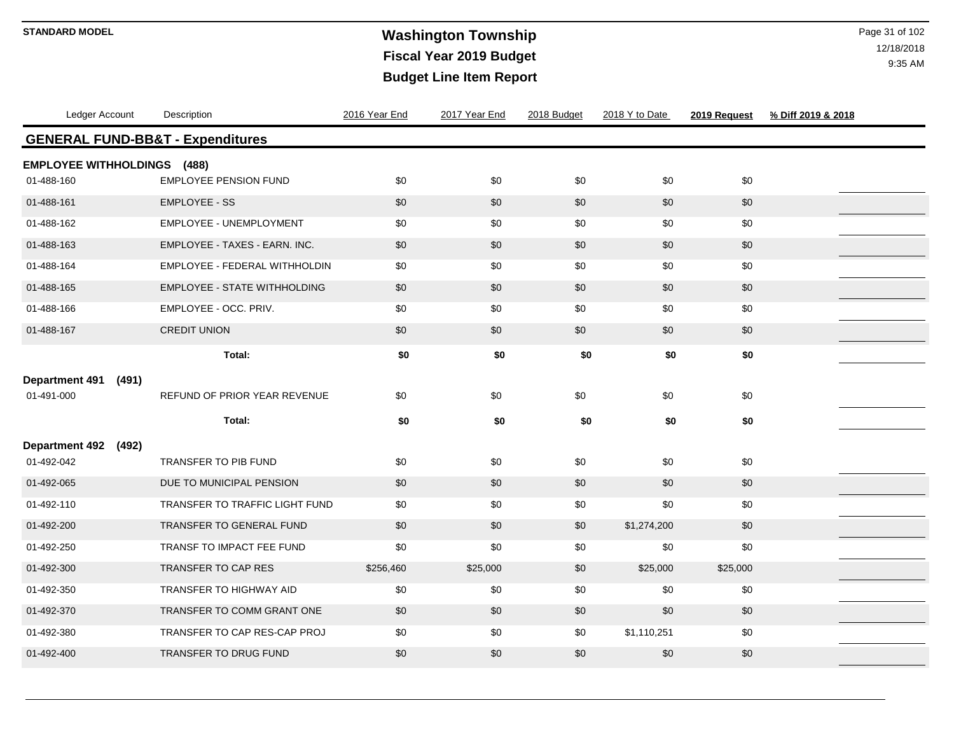# **Washington Township STANDARD MODEL** Page 31 of 102 **Fiscal Year 2019 Budget Budget Line Item Report**

| Ledger Account                                   | Description                           | 2016 Year End | 2017 Year End | 2018 Budget | 2018 Y to Date | 2019 Request | % Diff 2019 & 2018 |
|--------------------------------------------------|---------------------------------------|---------------|---------------|-------------|----------------|--------------|--------------------|
| <b>GENERAL FUND-BB&amp;T - Expenditures</b>      |                                       |               |               |             |                |              |                    |
| <b>EMPLOYEE WITHHOLDINGS (488)</b><br>01-488-160 | <b>EMPLOYEE PENSION FUND</b>          | \$0           | \$0           | \$0         | \$0            | \$0          |                    |
| 01-488-161                                       | <b>EMPLOYEE - SS</b>                  | \$0           | \$0           | \$0         | \$0            | \$0          |                    |
| 01-488-162                                       | EMPLOYEE - UNEMPLOYMENT               | \$0           | \$0           | \$0         | \$0            | \$0          |                    |
| 01-488-163                                       | EMPLOYEE - TAXES - EARN. INC.         | \$0           | \$0           | \$0         | \$0            | \$0          |                    |
| 01-488-164                                       | EMPLOYEE - FEDERAL WITHHOLDIN         | \$0           | \$0           | \$0         | \$0            | \$0          |                    |
| 01-488-165                                       | <b>EMPLOYEE - STATE WITHHOLDING</b>   | \$0           | \$0           | \$0         | \$0            | \$0          |                    |
| 01-488-166                                       | EMPLOYEE - OCC. PRIV.                 | \$0           | \$0           | \$0         | \$0            | \$0          |                    |
| 01-488-167                                       | <b>CREDIT UNION</b>                   | \$0           | \$0           | \$0         | \$0            | \$0          |                    |
|                                                  | Total:                                | \$0           | \$0           | \$0         | \$0            | \$0          |                    |
| <b>Department 491</b><br>(491)                   |                                       |               |               |             |                |              |                    |
| 01-491-000                                       | REFUND OF PRIOR YEAR REVENUE          | \$0           | \$0           | \$0         | \$0            | \$0          |                    |
|                                                  | Total:                                | \$0           | \$0           | \$0         | \$0            | \$0          |                    |
| <b>Department 492</b><br>(492)                   |                                       |               |               |             |                |              |                    |
| 01-492-042                                       | TRANSFER TO PIB FUND                  | \$0           | \$0           | \$0         | \$0            | \$0          |                    |
| 01-492-065                                       | DUE TO MUNICIPAL PENSION              | \$0           | \$0           | \$0         | \$0            | \$0          |                    |
| 01-492-110                                       | <b>TRANSFER TO TRAFFIC LIGHT FUND</b> | \$0           | \$0           | \$0         | \$0            | \$0          |                    |
| 01-492-200                                       | TRANSFER TO GENERAL FUND              | \$0           | \$0           | \$0         | \$1,274,200    | \$0          |                    |
| 01-492-250                                       | TRANSF TO IMPACT FEE FUND             | \$0           | \$0           | \$0         | \$0            | \$0          |                    |
| 01-492-300                                       | TRANSFER TO CAP RES                   | \$256,460     | \$25,000      | \$0         | \$25,000       | \$25,000     |                    |
| 01-492-350                                       | TRANSFER TO HIGHWAY AID               | \$0           | \$0           | \$0         | \$0            | \$0          |                    |
| 01-492-370                                       | TRANSFER TO COMM GRANT ONE            | \$0           | \$0           | \$0         | \$0            | \$0          |                    |
| 01-492-380                                       | TRANSFER TO CAP RES-CAP PROJ          | \$0           | \$0           | \$0         | \$1,110,251    | \$0          |                    |
| 01-492-400                                       | TRANSFER TO DRUG FUND                 | \$0           | \$0           | \$0         | \$0            | \$0          |                    |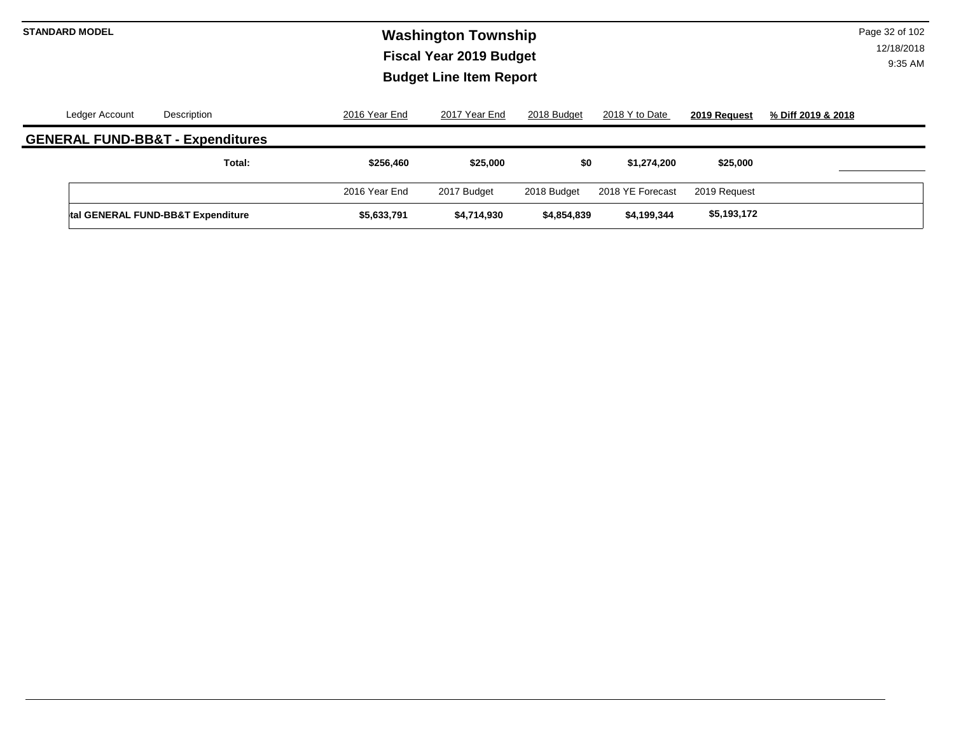# **Washington Township STANDARD MODEL** Page 32 of 102 **Fiscal Year 2019 Budget Budget Line Item Report**

| Ledger Account | Description                                 | 2016 Year End | 2017 Year End | 2018 Budget | 2018 Y to Date   | 2019 Request | % Diff 2019 & 2018 |
|----------------|---------------------------------------------|---------------|---------------|-------------|------------------|--------------|--------------------|
|                | <b>GENERAL FUND-BB&amp;T - Expenditures</b> |               |               |             |                  |              |                    |
|                | Total:                                      | \$256,460     | \$25,000      | \$0         | \$1.274.200      | \$25,000     |                    |
|                |                                             | 2016 Year End | 2017 Budget   | 2018 Budget | 2018 YE Forecast | 2019 Request |                    |
|                | tal GENERAL FUND-BB&T Expenditure           | \$5,633,791   | \$4,714,930   | \$4,854,839 | \$4,199,344      | \$5,193,172  |                    |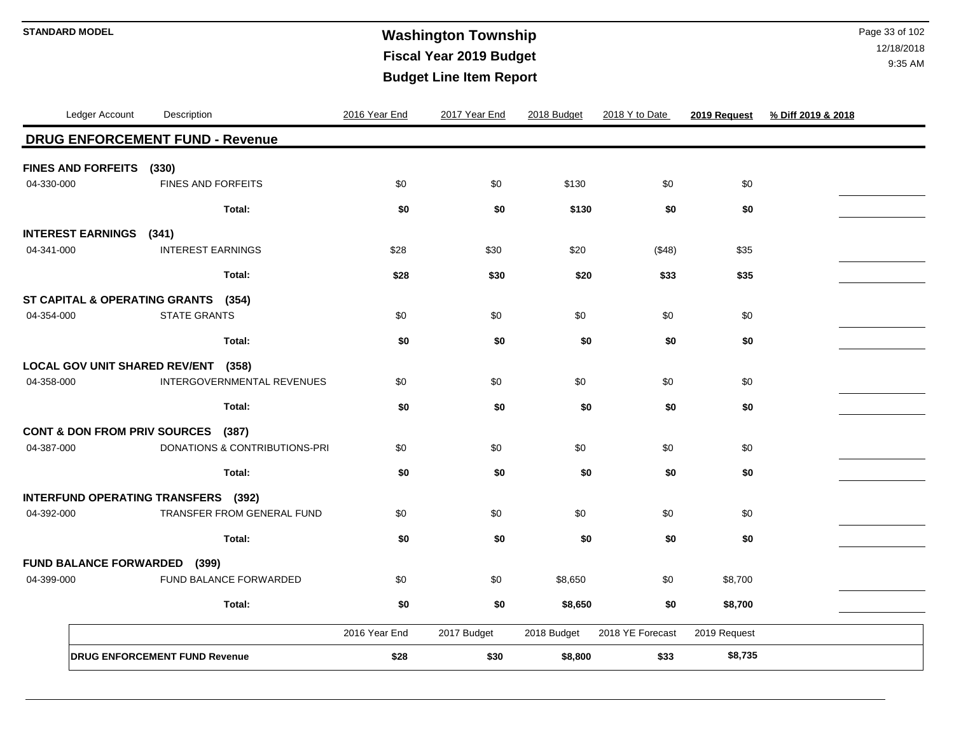# **Washington Township STANDARD MODEL** Page 33 of 102 **Fiscal Year 2019 Budget Budget Line Item Report**

|            | Ledger Account            | Description                                      | 2016 Year End | 2017 Year End | 2018 Budget | 2018 Y to Date   | 2019 Request | % Diff 2019 & 2018 |
|------------|---------------------------|--------------------------------------------------|---------------|---------------|-------------|------------------|--------------|--------------------|
|            |                           | <b>DRUG ENFORCEMENT FUND - Revenue</b>           |               |               |             |                  |              |                    |
|            | <b>FINES AND FORFEITS</b> | (330)                                            |               |               |             |                  |              |                    |
| 04-330-000 |                           | <b>FINES AND FORFEITS</b>                        | \$0           | \$0           | \$130       | \$0              | \$0          |                    |
|            |                           | Total:                                           | \$0           | \$0           | \$130       | \$0              | \$0          |                    |
|            | <b>INTEREST EARNINGS</b>  | (341)                                            |               |               |             |                  |              |                    |
| 04-341-000 |                           | <b>INTEREST EARNINGS</b>                         | \$28          | \$30          | \$20        | (\$48)           | \$35         |                    |
|            |                           | Total:                                           | \$28          | \$30          | \$20        | \$33             | \$35         |                    |
|            |                           | ST CAPITAL & OPERATING GRANTS<br>(354)           |               |               |             |                  |              |                    |
| 04-354-000 |                           | <b>STATE GRANTS</b>                              | \$0           | \$0           | \$0         | \$0              | \$0          |                    |
|            |                           | Total:                                           | \$0           | \$0           | \$0         | \$0              | \$0          |                    |
|            |                           | <b>LOCAL GOV UNIT SHARED REV/ENT</b><br>(358)    |               |               |             |                  |              |                    |
| 04-358-000 |                           | INTERGOVERNMENTAL REVENUES                       | \$0           | \$0           | \$0         | \$0              | \$0          |                    |
|            |                           | Total:                                           | \$0           | \$0           | \$0         | \$0              | \$0          |                    |
|            |                           | <b>CONT &amp; DON FROM PRIV SOURCES</b><br>(387) |               |               |             |                  |              |                    |
| 04-387-000 |                           | DONATIONS & CONTRIBUTIONS-PRI                    | \$0           | \$0           | \$0         | \$0              | \$0          |                    |
|            |                           | Total:                                           | \$0           | \$0           | \$0         | \$0              | \$0          |                    |
|            |                           | INTERFUND OPERATING TRANSFERS (392)              |               |               |             |                  |              |                    |
| 04-392-000 |                           | TRANSFER FROM GENERAL FUND                       | \$0           | \$0           | \$0         | \$0              | \$0          |                    |
|            |                           | Total:                                           | \$0           | \$0           | \$0         | \$0              | \$0          |                    |
|            |                           | <b>FUND BALANCE FORWARDED (399)</b>              |               |               |             |                  |              |                    |
| 04-399-000 |                           | FUND BALANCE FORWARDED                           | \$0           | \$0           | \$8,650     | \$0              | \$8,700      |                    |
|            |                           | Total:                                           | \$0           | \$0           | \$8,650     | \$0              | \$8,700      |                    |
|            |                           |                                                  | 2016 Year End | 2017 Budget   | 2018 Budget | 2018 YE Forecast | 2019 Request |                    |
|            |                           | <b>DRUG ENFORCEMENT FUND Revenue</b>             | \$28          | \$30          | \$8,800     | \$33             | \$8,735      |                    |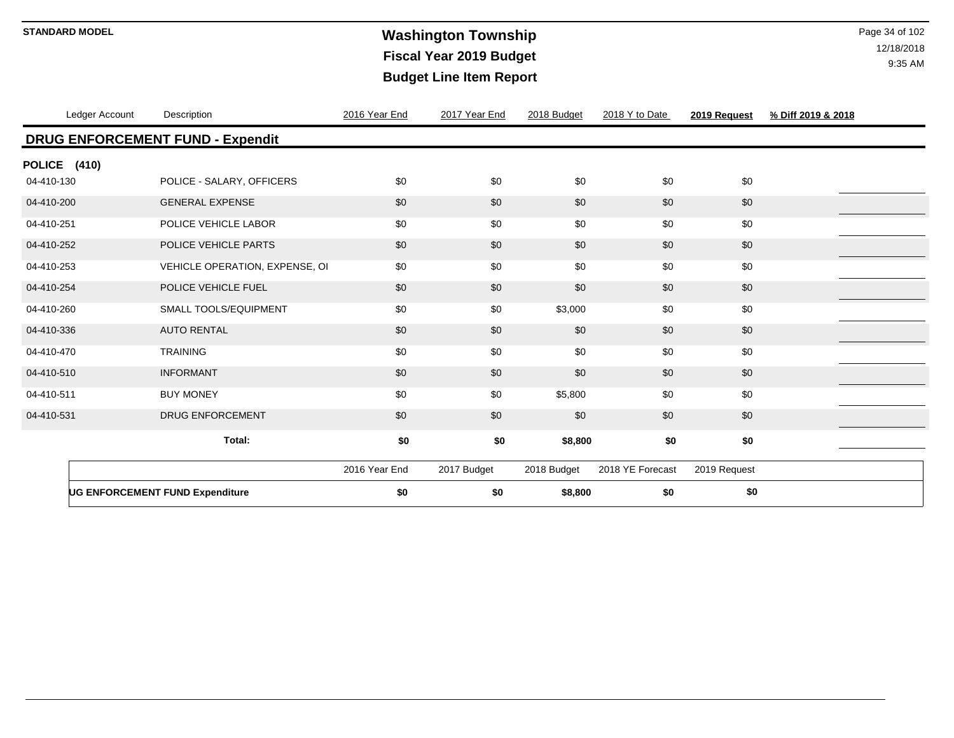# **Washington Township STANDARD MODEL** Page 34 of 102 **Fiscal Year 2019 Budget Budget Line Item Report**

|              | Ledger Account | Description                            | 2016 Year End | 2017 Year End | 2018 Budget | 2018 Y to Date   | 2019 Request | % Diff 2019 & 2018 |
|--------------|----------------|----------------------------------------|---------------|---------------|-------------|------------------|--------------|--------------------|
|              |                | DRUG ENFORCEMENT FUND - Expendit       |               |               |             |                  |              |                    |
| POLICE (410) |                |                                        |               |               |             |                  |              |                    |
| 04-410-130   |                | POLICE - SALARY, OFFICERS              | \$0           | \$0           | \$0         | \$0              | \$0          |                    |
| 04-410-200   |                | <b>GENERAL EXPENSE</b>                 | \$0           | \$0           | \$0         | \$0              | \$0          |                    |
| 04-410-251   |                | POLICE VEHICLE LABOR                   | \$0           | \$0           | \$0         | \$0              | \$0          |                    |
| 04-410-252   |                | POLICE VEHICLE PARTS                   | \$0           | \$0           | \$0         | \$0              | \$0          |                    |
| 04-410-253   |                | VEHICLE OPERATION, EXPENSE, OI         | \$0           | \$0           | \$0         | \$0              | \$0          |                    |
| 04-410-254   |                | POLICE VEHICLE FUEL                    | \$0           | \$0           | \$0         | \$0              | \$0          |                    |
| 04-410-260   |                | <b>SMALL TOOLS/EQUIPMENT</b>           | \$0           | \$0           | \$3,000     | \$0              | \$0          |                    |
| 04-410-336   |                | <b>AUTO RENTAL</b>                     | \$0           | \$0           | \$0         | \$0              | \$0          |                    |
| 04-410-470   |                | <b>TRAINING</b>                        | \$0           | \$0           | \$0         | \$0              | \$0          |                    |
| 04-410-510   |                | <b>INFORMANT</b>                       | \$0           | \$0           | \$0         | \$0              | \$0          |                    |
| 04-410-511   |                | <b>BUY MONEY</b>                       | \$0           | \$0           | \$5,800     | \$0              | \$0          |                    |
| 04-410-531   |                | <b>DRUG ENFORCEMENT</b>                | \$0           | \$0           | \$0         | \$0              | \$0          |                    |
|              |                | Total:                                 | \$0           | \$0           | \$8,800     | \$0              | \$0          |                    |
|              |                |                                        | 2016 Year End | 2017 Budget   | 2018 Budget | 2018 YE Forecast | 2019 Request |                    |
|              |                | <b>UG ENFORCEMENT FUND Expenditure</b> | \$0           | \$0           | \$8,800     | \$0              | \$0          |                    |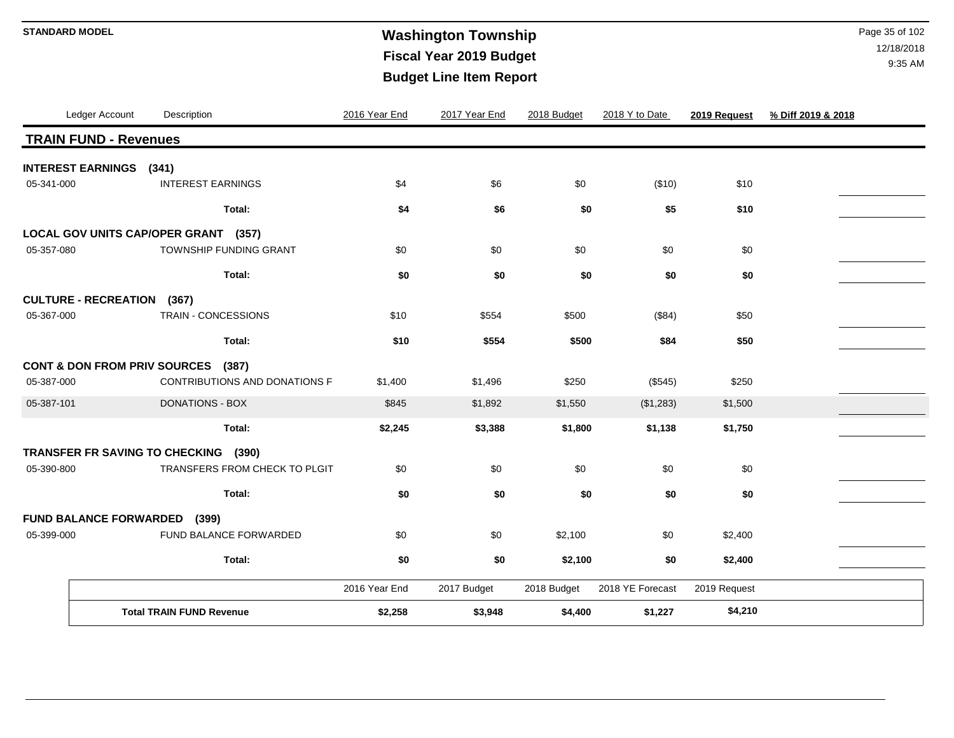# **Washington Township STANDARD MODEL** Page 35 of 102 **Fiscal Year 2019 Budget Budget Line Item Report**

|            | Ledger Account                    | Description                          | 2016 Year End | 2017 Year End | 2018 Budget | 2018 Y to Date   | 2019 Request | % Diff 2019 & 2018 |
|------------|-----------------------------------|--------------------------------------|---------------|---------------|-------------|------------------|--------------|--------------------|
|            | <b>TRAIN FUND - Revenues</b>      |                                      |               |               |             |                  |              |                    |
|            | <b>INTEREST EARNINGS</b> (341)    |                                      |               |               |             |                  |              |                    |
| 05-341-000 |                                   | <b>INTEREST EARNINGS</b>             | \$4           | \$6           | \$0         | (\$10)           | \$10         |                    |
|            |                                   | Total:                               | \$4           | \$6           | \$0         | \$5              | \$10         |                    |
|            |                                   | LOCAL GOV UNITS CAP/OPER GRANT (357) |               |               |             |                  |              |                    |
| 05-357-080 |                                   | TOWNSHIP FUNDING GRANT               | \$0           | \$0           | \$0         | \$0              | \$0          |                    |
|            |                                   | Total:                               | \$0           | \$0           | \$0         | \$0              | \$0          |                    |
|            | <b>CULTURE - RECREATION (367)</b> |                                      |               |               |             |                  |              |                    |
| 05-367-000 |                                   | <b>TRAIN - CONCESSIONS</b>           | \$10          | \$554         | \$500       | (\$84)           | \$50         |                    |
|            |                                   | Total:                               | \$10          | \$554         | \$500       | \$84             | \$50         |                    |
|            |                                   | CONT & DON FROM PRIV SOURCES (387)   |               |               |             |                  |              |                    |
| 05-387-000 |                                   | CONTRIBUTIONS AND DONATIONS F        | \$1,400       | \$1,496       | \$250       | (\$545)          | \$250        |                    |
| 05-387-101 |                                   | <b>DONATIONS - BOX</b>               | \$845         | \$1,892       | \$1,550     | (\$1,283)        | \$1,500      |                    |
|            |                                   | Total:                               | \$2,245       | \$3,388       | \$1,800     | \$1,138          | \$1,750      |                    |
|            |                                   | TRANSFER FR SAVING TO CHECKING (390) |               |               |             |                  |              |                    |
| 05-390-800 |                                   | TRANSFERS FROM CHECK TO PLGIT        | \$0           | \$0           | \$0         | \$0              | \$0          |                    |
|            |                                   | Total:                               | \$0           | \$0           | \$0         | \$0              | \$0          |                    |
|            |                                   | FUND BALANCE FORWARDED (399)         |               |               |             |                  |              |                    |
| 05-399-000 |                                   | FUND BALANCE FORWARDED               | \$0           | \$0           | \$2,100     | \$0              | \$2,400      |                    |
|            |                                   | Total:                               | \$0           | \$0           | \$2,100     | \$0              | \$2,400      |                    |
|            |                                   |                                      | 2016 Year End | 2017 Budget   | 2018 Budget | 2018 YE Forecast | 2019 Request |                    |
|            |                                   | <b>Total TRAIN FUND Revenue</b>      | \$2,258       | \$3,948       | \$4,400     | \$1,227          | \$4,210      |                    |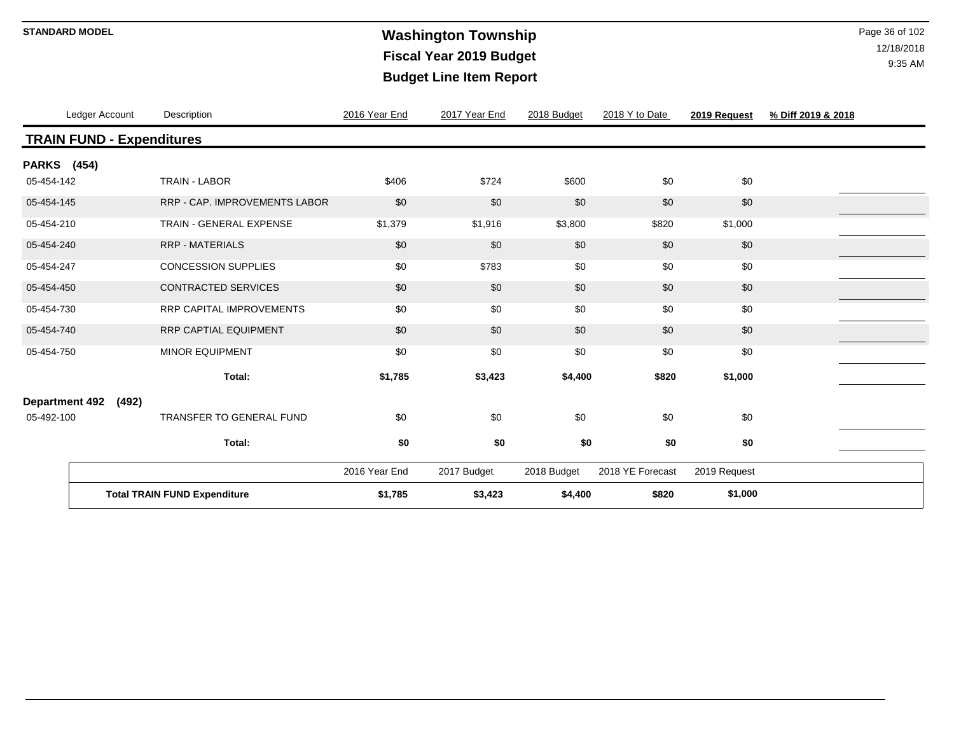# **Washington Township STANDARD MODEL** Page 36 of 102 **Fiscal Year 2019 Budget Budget Line Item Report**

| Ledger Account                      |       | Description                     | 2016 Year End | 2017 Year End | 2018 Budget | 2018 Y to Date   | 2019 Request | % Diff 2019 & 2018 |
|-------------------------------------|-------|---------------------------------|---------------|---------------|-------------|------------------|--------------|--------------------|
| <b>TRAIN FUND - Expenditures</b>    |       |                                 |               |               |             |                  |              |                    |
| <b>PARKS</b> (454)                  |       |                                 |               |               |             |                  |              |                    |
| 05-454-142                          |       | <b>TRAIN - LABOR</b>            | \$406         | \$724         | \$600       | \$0              | \$0          |                    |
| 05-454-145                          |       | RRP - CAP. IMPROVEMENTS LABOR   | \$0           | \$0           | \$0         | \$0              | \$0          |                    |
| 05-454-210                          |       | TRAIN - GENERAL EXPENSE         | \$1,379       | \$1,916       | \$3,800     | \$820            | \$1,000      |                    |
| 05-454-240                          |       | <b>RRP - MATERIALS</b>          | \$0           | \$0           | \$0         | \$0              | \$0          |                    |
| 05-454-247                          |       | <b>CONCESSION SUPPLIES</b>      | \$0           | \$783         | \$0         | \$0              | \$0          |                    |
| 05-454-450                          |       | <b>CONTRACTED SERVICES</b>      | \$0           | \$0           | \$0         | \$0              | \$0          |                    |
| 05-454-730                          |       | <b>RRP CAPITAL IMPROVEMENTS</b> | \$0           | \$0           | \$0         | \$0              | \$0          |                    |
| 05-454-740                          |       | RRP CAPTIAL EQUIPMENT           | \$0           | \$0           | \$0         | \$0              | \$0          |                    |
| 05-454-750                          |       | MINOR EQUIPMENT                 | \$0           | \$0           | \$0         | \$0              | \$0          |                    |
|                                     |       | Total:                          | \$1,785       | \$3,423       | \$4,400     | \$820            | \$1,000      |                    |
| <b>Department 492</b>               | (492) |                                 |               |               |             |                  |              |                    |
| 05-492-100                          |       | <b>TRANSFER TO GENERAL FUND</b> | \$0           | \$0           | \$0         | \$0              | \$0          |                    |
|                                     |       | Total:                          | \$0           | \$0           | \$0         | \$0              | \$0          |                    |
|                                     |       |                                 | 2016 Year End | 2017 Budget   | 2018 Budget | 2018 YE Forecast | 2019 Request |                    |
| <b>Total TRAIN FUND Expenditure</b> |       |                                 | \$1,785       | \$3,423       | \$4,400     | \$820            | \$1,000      |                    |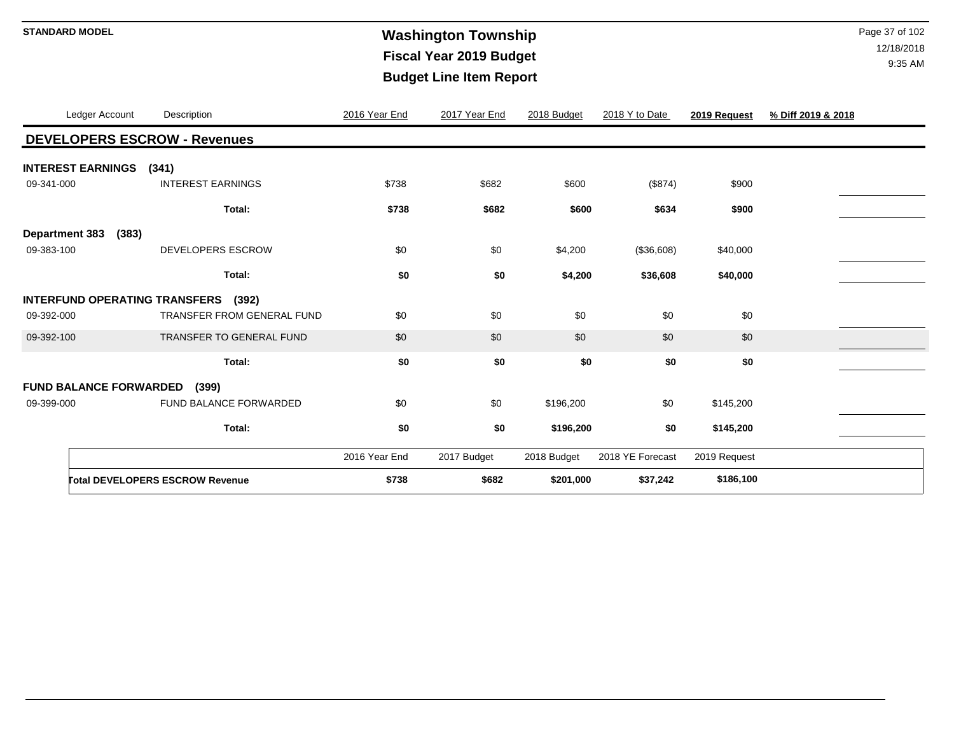# **Washington Township STANDARD MODEL** Page 37 of 102 **Fiscal Year 2019 Budget Budget Line Item Report**

|                       | Ledger Account                | Description                                   | 2016 Year End | 2017 Year End | 2018 Budget | 2018 Y to Date   | 2019 Request | % Diff 2019 & 2018 |
|-----------------------|-------------------------------|-----------------------------------------------|---------------|---------------|-------------|------------------|--------------|--------------------|
|                       |                               | <b>DEVELOPERS ESCROW - Revenues</b>           |               |               |             |                  |              |                    |
|                       | <b>INTEREST EARNINGS</b>      | (341)                                         |               |               |             |                  |              |                    |
| 09-341-000            |                               | <b>INTEREST EARNINGS</b>                      | \$738         | \$682         | \$600       | (\$874)          | \$900        |                    |
|                       |                               | Total:                                        | \$738         | \$682         | \$600       | \$634            | \$900        |                    |
| <b>Department 383</b> | (383)                         |                                               |               |               |             |                  |              |                    |
| 09-383-100            |                               | <b>DEVELOPERS ESCROW</b>                      | \$0           | \$0           | \$4,200     | (\$36,608)       | \$40,000     |                    |
|                       |                               | Total:                                        | \$0           | \$0           | \$4,200     | \$36,608         | \$40,000     |                    |
|                       |                               | <b>INTERFUND OPERATING TRANSFERS</b><br>(392) |               |               |             |                  |              |                    |
| 09-392-000            |                               | TRANSFER FROM GENERAL FUND                    | \$0           | \$0           | \$0         | \$0              | \$0          |                    |
| 09-392-100            |                               | <b>TRANSFER TO GENERAL FUND</b>               | \$0           | \$0           | \$0         | \$0              | \$0          |                    |
|                       |                               | Total:                                        | \$0           | \$0           | \$0         | \$0              | \$0          |                    |
|                       | <b>FUND BALANCE FORWARDED</b> | (399)                                         |               |               |             |                  |              |                    |
| 09-399-000            |                               | FUND BALANCE FORWARDED                        | \$0           | \$0           | \$196,200   | \$0              | \$145,200    |                    |
|                       |                               | Total:                                        | \$0           | \$0           | \$196,200   | \$0              | \$145,200    |                    |
|                       |                               |                                               | 2016 Year End | 2017 Budget   | 2018 Budget | 2018 YE Forecast | 2019 Request |                    |
|                       |                               | <b>Total DEVELOPERS ESCROW Revenue</b>        | \$738         | \$682         | \$201,000   | \$37,242         | \$186,100    |                    |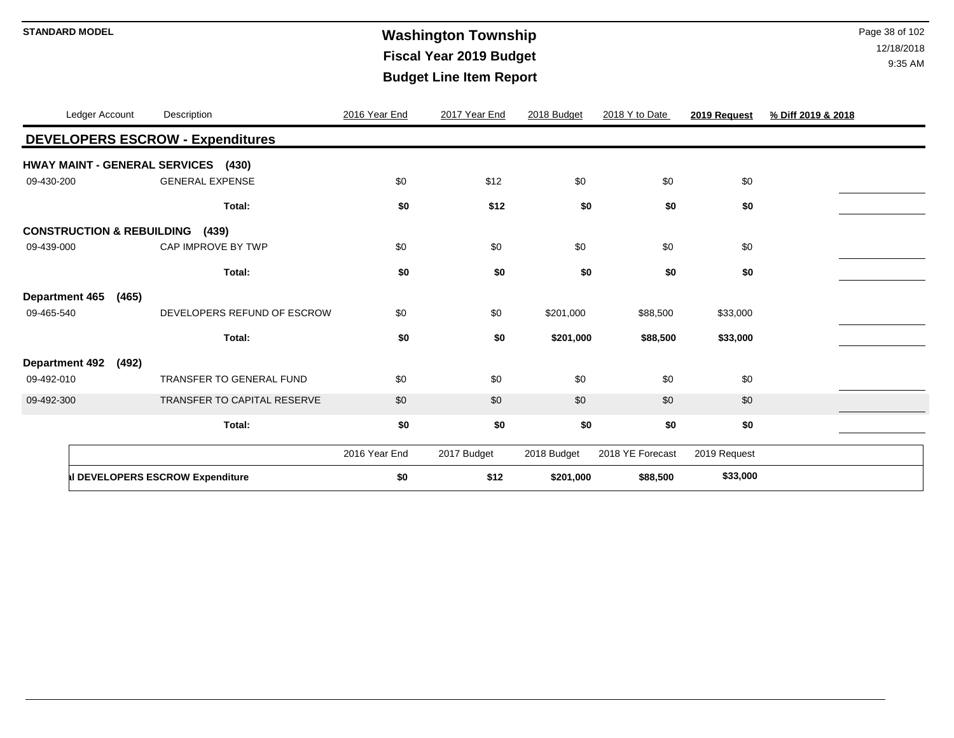# **Washington Township STANDARD MODEL** Page 38 of 102 **Fiscal Year 2019 Budget Budget Line Item Report**

|                       | Ledger Account                       | Description                             | 2016 Year End | 2017 Year End | 2018 Budget | 2018 Y to Date   | 2019 Request | % Diff 2019 & 2018 |
|-----------------------|--------------------------------------|-----------------------------------------|---------------|---------------|-------------|------------------|--------------|--------------------|
|                       |                                      | <b>DEVELOPERS ESCROW - Expenditures</b> |               |               |             |                  |              |                    |
|                       |                                      | HWAY MAINT - GENERAL SERVICES (430)     |               |               |             |                  |              |                    |
| 09-430-200            |                                      | <b>GENERAL EXPENSE</b>                  | \$0           | \$12          | \$0         | \$0              | \$0          |                    |
|                       |                                      | Total:                                  | \$0           | \$12          | \$0         | \$0              | \$0          |                    |
|                       | <b>CONSTRUCTION &amp; REBUILDING</b> | (439)                                   |               |               |             |                  |              |                    |
| 09-439-000            |                                      | CAP IMPROVE BY TWP                      | \$0           | \$0           | \$0         | \$0              | \$0          |                    |
|                       |                                      | Total:                                  | \$0           | \$0           | \$0         | \$0              | \$0          |                    |
| Department 465        | (465)                                |                                         |               |               |             |                  |              |                    |
| 09-465-540            |                                      | DEVELOPERS REFUND OF ESCROW             | \$0           | \$0           | \$201,000   | \$88,500         | \$33,000     |                    |
|                       |                                      | Total:                                  | \$0           | \$0           | \$201,000   | \$88,500         | \$33,000     |                    |
| <b>Department 492</b> | (492)                                |                                         |               |               |             |                  |              |                    |
| 09-492-010            |                                      | <b>TRANSFER TO GENERAL FUND</b>         | \$0           | \$0           | \$0         | \$0              | \$0          |                    |
| 09-492-300            |                                      | TRANSFER TO CAPITAL RESERVE             | \$0           | \$0           | \$0         | \$0              | \$0          |                    |
|                       |                                      | Total:                                  | \$0           | \$0           | \$0         | \$0              | \$0          |                    |
|                       |                                      |                                         | 2016 Year End | 2017 Budget   | 2018 Budget | 2018 YE Forecast | 2019 Request |                    |
|                       |                                      | Il DEVELOPERS ESCROW Expenditure        | \$0           | \$12          | \$201,000   | \$88,500         | \$33,000     |                    |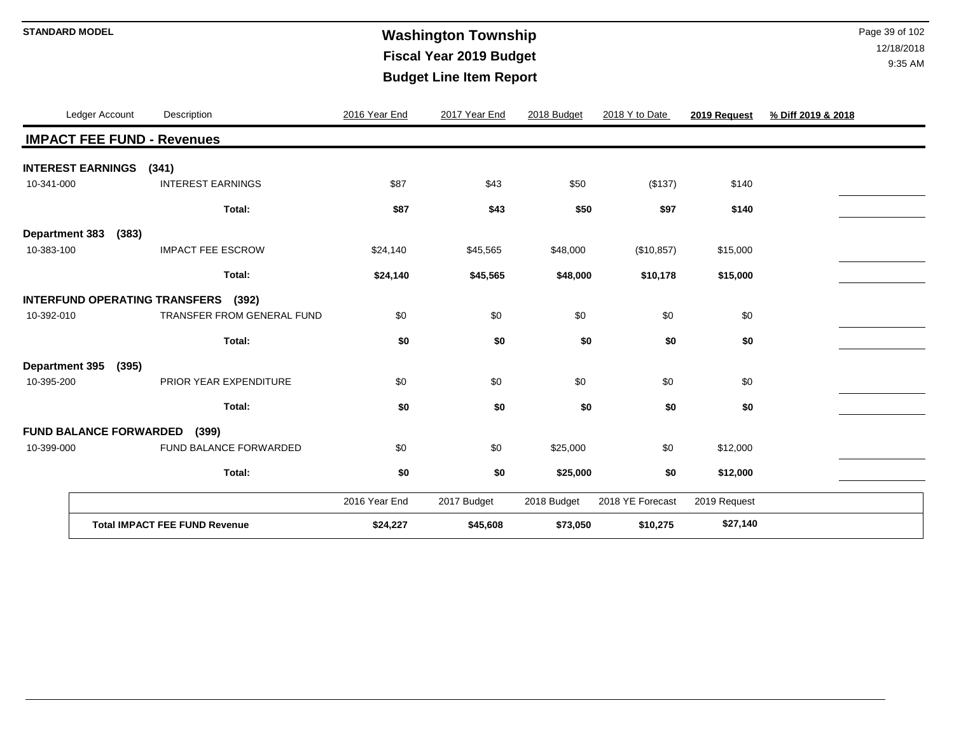# **Washington Township STANDARD MODEL** Page 39 of 102 **Fiscal Year 2019 Budget Budget Line Item Report**

|                       | Ledger Account                | Description                                   | 2016 Year End | 2017 Year End | 2018 Budget | 2018 Y to Date   | 2019 Request | % Diff 2019 & 2018 |
|-----------------------|-------------------------------|-----------------------------------------------|---------------|---------------|-------------|------------------|--------------|--------------------|
|                       |                               | <b>IMPACT FEE FUND - Revenues</b>             |               |               |             |                  |              |                    |
|                       | <b>INTEREST EARNINGS</b>      | (341)                                         |               |               |             |                  |              |                    |
| 10-341-000            |                               | <b>INTEREST EARNINGS</b>                      | \$87          | \$43          | \$50        | (\$137)          | \$140        |                    |
|                       |                               | Total:                                        | \$87          | \$43          | \$50        | \$97             | \$140        |                    |
| <b>Department 383</b> | (383)                         |                                               |               |               |             |                  |              |                    |
| 10-383-100            |                               | <b>IMPACT FEE ESCROW</b>                      | \$24,140      | \$45,565      | \$48,000    | (\$10,857)       | \$15,000     |                    |
|                       |                               | Total:                                        | \$24,140      | \$45,565      | \$48,000    | \$10,178         | \$15,000     |                    |
|                       |                               | <b>INTERFUND OPERATING TRANSFERS</b><br>(392) |               |               |             |                  |              |                    |
| 10-392-010            |                               | TRANSFER FROM GENERAL FUND                    | \$0           | \$0           | \$0         | \$0              | \$0          |                    |
|                       |                               | Total:                                        | \$0           | \$0           | \$0         | \$0              | \$0          |                    |
| <b>Department 395</b> | (395)                         |                                               |               |               |             |                  |              |                    |
| 10-395-200            |                               | PRIOR YEAR EXPENDITURE                        | \$0           | \$0           | \$0         | \$0              | \$0          |                    |
|                       |                               | Total:                                        | \$0           | \$0           | \$0         | \$0              | \$0          |                    |
|                       | <b>FUND BALANCE FORWARDED</b> | (399)                                         |               |               |             |                  |              |                    |
| 10-399-000            |                               | FUND BALANCE FORWARDED                        | \$0           | \$0           | \$25,000    | \$0              | \$12,000     |                    |
|                       |                               | Total:                                        | \$0           | \$0           | \$25,000    | \$0              | \$12,000     |                    |
|                       |                               |                                               | 2016 Year End | 2017 Budget   | 2018 Budget | 2018 YE Forecast | 2019 Request |                    |
|                       |                               | <b>Total IMPACT FEE FUND Revenue</b>          | \$24,227      | \$45,608      | \$73,050    | \$10,275         | \$27,140     |                    |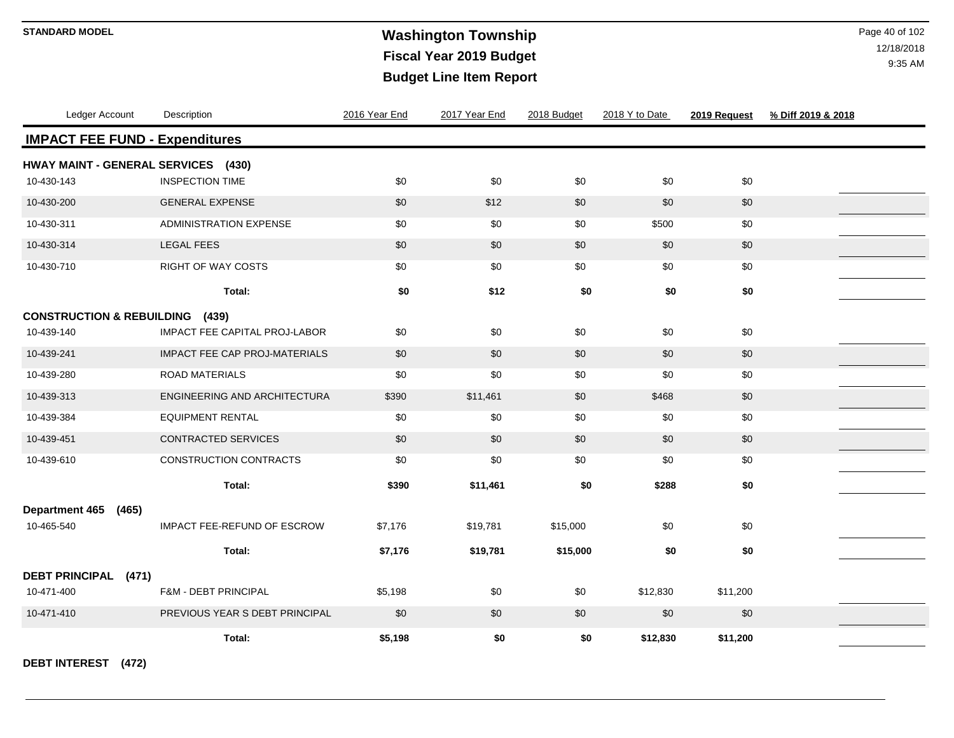# **Washington Township STANDARD MODEL** Page 40 of 102 **Fiscal Year 2019 Budget Budget Line Item Report**

12/18/2018 9:35 AM

| Ledger Account                        | Description                    | 2016 Year End | 2017 Year End | 2018 Budget | 2018 Y to Date | 2019 Request | % Diff 2019 & 2018 |
|---------------------------------------|--------------------------------|---------------|---------------|-------------|----------------|--------------|--------------------|
| <b>IMPACT FEE FUND - Expenditures</b> |                                |               |               |             |                |              |                    |
| HWAY MAINT - GENERAL SERVICES (430)   |                                |               |               |             |                |              |                    |
| 10-430-143                            | <b>INSPECTION TIME</b>         | \$0           | \$0           | \$0         | \$0            | \$0          |                    |
| 10-430-200                            | <b>GENERAL EXPENSE</b>         | \$0           | \$12          | \$0         | \$0            | \$0          |                    |
| 10-430-311                            | <b>ADMINISTRATION EXPENSE</b>  | \$0           | \$0           | \$0         | \$500          | \$0          |                    |
| 10-430-314                            | <b>LEGAL FEES</b>              | \$0           | \$0           | \$0         | \$0            | \$0          |                    |
| 10-430-710                            | <b>RIGHT OF WAY COSTS</b>      | \$0           | \$0           | $\$0$       | \$0            | $\$0$        |                    |
|                                       | Total:                         | \$0           | \$12          | \$0         | \$0            | \$0          |                    |
| <b>CONSTRUCTION &amp; REBUILDING</b>  | (439)                          |               |               |             |                |              |                    |
| 10-439-140                            | IMPACT FEE CAPITAL PROJ-LABOR  | \$0           | \$0           | \$0         | \$0            | \$0          |                    |
| 10-439-241                            | IMPACT FEE CAP PROJ-MATERIALS  | \$0           | \$0           | \$0         | \$0            | \$0          |                    |
| 10-439-280                            | <b>ROAD MATERIALS</b>          | \$0           | \$0           | \$0         | \$0            | $\$0$        |                    |
| 10-439-313                            | ENGINEERING AND ARCHITECTURA   | \$390         | \$11,461      | \$0         | \$468          | \$0          |                    |
| 10-439-384                            | <b>EQUIPMENT RENTAL</b>        | \$0           | \$0           | \$0         | \$0            | \$0          |                    |
| 10-439-451                            | <b>CONTRACTED SERVICES</b>     | \$0           | \$0           | \$0         | \$0            | \$0          |                    |
| 10-439-610                            | CONSTRUCTION CONTRACTS         | \$0           | \$0           | \$0         | \$0            | \$0          |                    |
|                                       | Total:                         | \$390         | \$11,461      | \$0         | \$288          | \$0          |                    |
| <b>Department 465</b><br>(465)        |                                |               |               |             |                |              |                    |
| 10-465-540                            | IMPACT FEE-REFUND OF ESCROW    | \$7,176       | \$19,781      | \$15,000    | \$0            | \$0          |                    |
|                                       | Total:                         | \$7,176       | \$19,781      | \$15,000    | \$0            | \$0          |                    |
| DEBT PRINCIPAL (471)                  |                                |               |               |             |                |              |                    |
| 10-471-400                            | F&M - DEBT PRINCIPAL           | \$5,198       | \$0           | \$0         | \$12,830       | \$11,200     |                    |
| 10-471-410                            | PREVIOUS YEAR S DEBT PRINCIPAL | \$0           | \$0           | \$0         | \$0            | \$0          |                    |
|                                       | Total:                         | \$5,198       | \$0           | \$0         | \$12,830       | \$11,200     |                    |

**DEBT INTEREST (472)**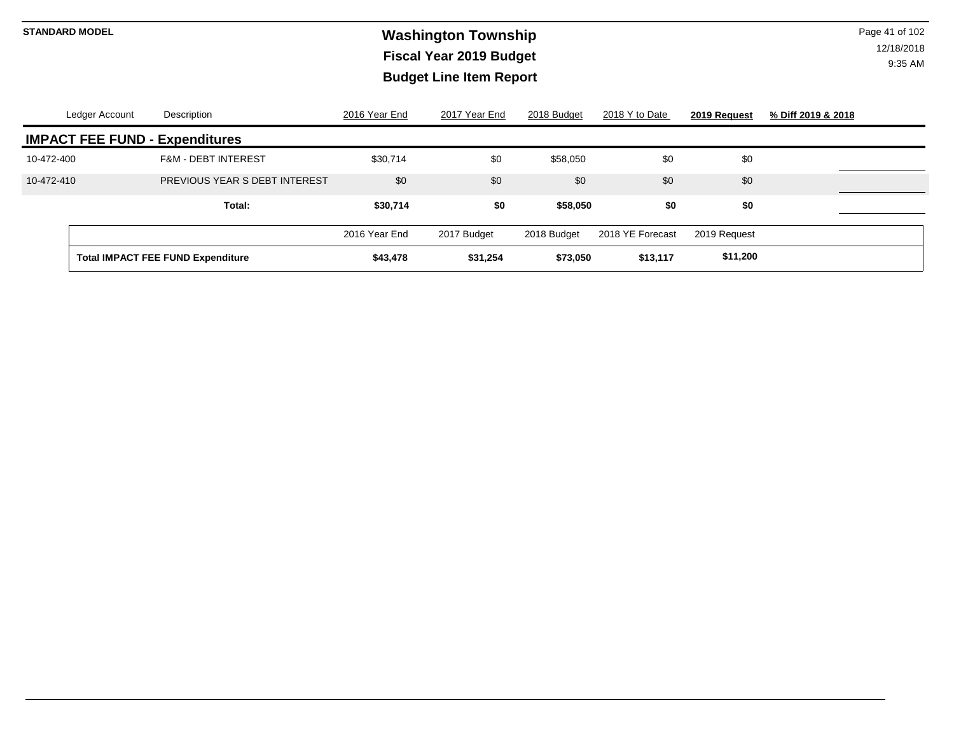# **Washington Township STANDARD MODEL** Page 41 of 102 **Fiscal Year 2019 Budget Budget Line Item Report**

|                                       | Ledger Account | Description                              | 2016 Year End | 2017 Year End | 2018 Budget | 2018 Y to Date   | 2019 Request | % Diff 2019 & 2018 |  |  |  |
|---------------------------------------|----------------|------------------------------------------|---------------|---------------|-------------|------------------|--------------|--------------------|--|--|--|
| <b>IMPACT FEE FUND - Expenditures</b> |                |                                          |               |               |             |                  |              |                    |  |  |  |
| 10-472-400                            |                | <b>F&amp;M - DEBT INTEREST</b>           | \$30,714      | \$0           | \$58,050    | \$0              | \$0          |                    |  |  |  |
| 10-472-410                            |                | PREVIOUS YEAR S DEBT INTEREST            | \$0           | \$0           | \$0         | \$0              | \$0          |                    |  |  |  |
|                                       |                | Total:                                   | \$30,714      | \$0           | \$58,050    | \$0              | \$0          |                    |  |  |  |
|                                       |                |                                          | 2016 Year End | 2017 Budget   | 2018 Budget | 2018 YE Forecast | 2019 Request |                    |  |  |  |
|                                       |                | <b>Total IMPACT FEE FUND Expenditure</b> | \$43,478      | \$31,254      | \$73,050    | \$13,117         | \$11,200     |                    |  |  |  |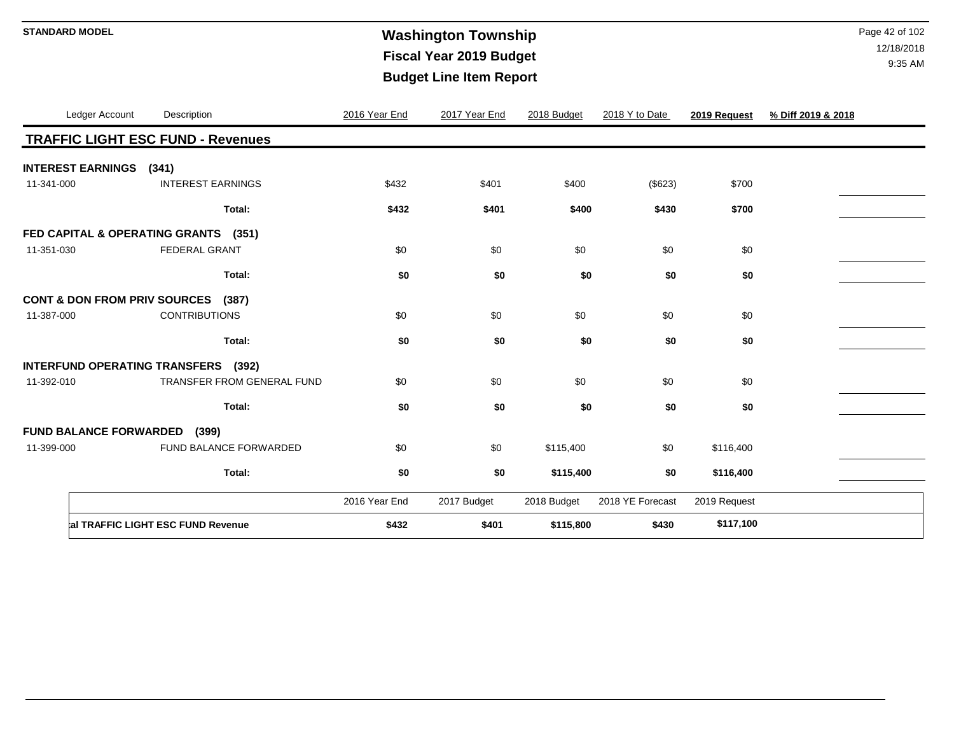# **Washington Township STANDARD MODEL** Page 42 of 102 **Fiscal Year 2019 Budget Budget Line Item Report**

|            | Ledger Account                | Description                                      | 2016 Year End | 2017 Year End | 2018 Budget | 2018 Y to Date   | 2019 Request | % Diff 2019 & 2018 |
|------------|-------------------------------|--------------------------------------------------|---------------|---------------|-------------|------------------|--------------|--------------------|
|            |                               | <b>TRAFFIC LIGHT ESC FUND - Revenues</b>         |               |               |             |                  |              |                    |
|            | <b>INTEREST EARNINGS</b>      | (341)                                            |               |               |             |                  |              |                    |
| 11-341-000 |                               | <b>INTEREST EARNINGS</b>                         | \$432         | \$401         | \$400       | (\$623)          | \$700        |                    |
|            |                               | Total:                                           | \$432         | \$401         | \$400       | \$430            | \$700        |                    |
|            |                               | FED CAPITAL & OPERATING GRANTS (351)             |               |               |             |                  |              |                    |
| 11-351-030 |                               | <b>FEDERAL GRANT</b>                             | \$0           | \$0           | \$0         | \$0              | \$0          |                    |
|            |                               | Total:                                           | \$0           | \$0           | \$0         | \$0              | \$0          |                    |
|            |                               | <b>CONT &amp; DON FROM PRIV SOURCES</b><br>(387) |               |               |             |                  |              |                    |
| 11-387-000 |                               | <b>CONTRIBUTIONS</b>                             | \$0           | \$0           | \$0         | \$0              | \$0          |                    |
|            |                               | Total:                                           | \$0           | \$0           | \$0         | \$0              | \$0          |                    |
|            |                               | <b>INTERFUND OPERATING TRANSFERS</b> (392)       |               |               |             |                  |              |                    |
| 11-392-010 |                               | TRANSFER FROM GENERAL FUND                       | \$0           | \$0           | \$0         | \$0              | \$0          |                    |
|            |                               | Total:                                           | \$0           | \$0           | \$0         | \$0              | \$0          |                    |
|            | <b>FUND BALANCE FORWARDED</b> | (399)                                            |               |               |             |                  |              |                    |
| 11-399-000 |                               | FUND BALANCE FORWARDED                           | \$0           | \$0           | \$115,400   | \$0              | \$116,400    |                    |
|            |                               | Total:                                           | \$0           | \$0           | \$115,400   | \$0              | \$116,400    |                    |
|            |                               |                                                  | 2016 Year End | 2017 Budget   | 2018 Budget | 2018 YE Forecast | 2019 Request |                    |
|            |                               | al TRAFFIC LIGHT ESC FUND Revenue                | \$432         | \$401         | \$115,800   | \$430            | \$117,100    |                    |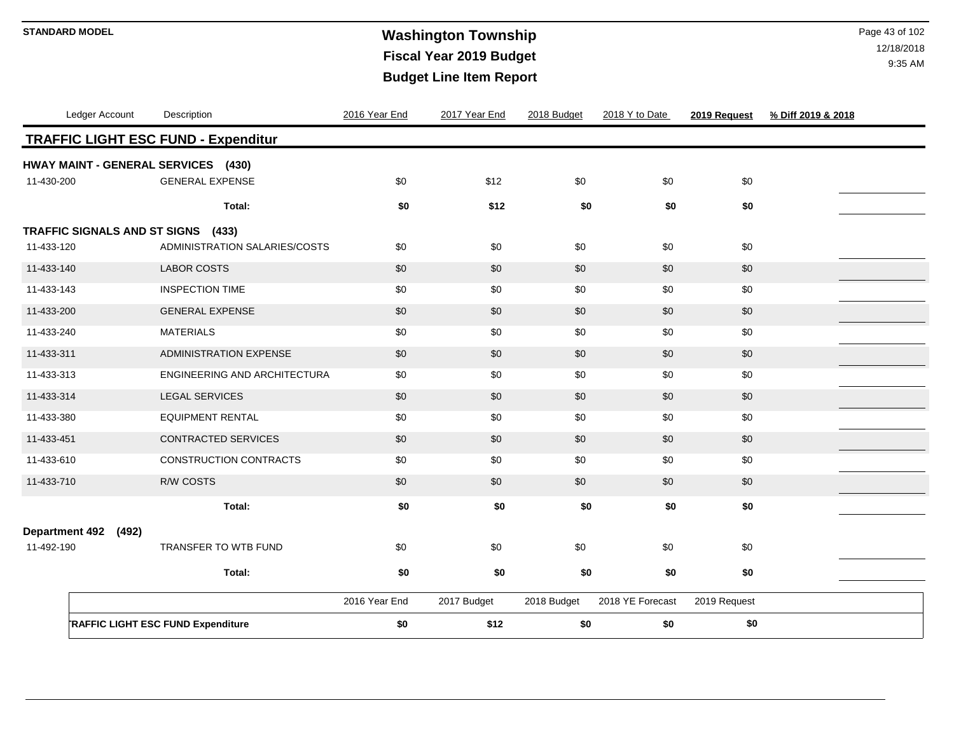# **Washington Township STANDARD MODEL** Page 43 of 102 **Fiscal Year 2019 Budget Budget Line Item Report**

| Ledger Account                      | Description                                | 2016 Year End | 2017 Year End | 2018 Budget | 2018 Y to Date   | 2019 Request | % Diff 2019 & 2018 |
|-------------------------------------|--------------------------------------------|---------------|---------------|-------------|------------------|--------------|--------------------|
|                                     | <b>TRAFFIC LIGHT ESC FUND - Expenditur</b> |               |               |             |                  |              |                    |
| HWAY MAINT - GENERAL SERVICES (430) |                                            |               |               |             |                  |              |                    |
| 11-430-200                          | <b>GENERAL EXPENSE</b>                     | \$0           | \$12          | \$0         | \$0              | \$0          |                    |
|                                     | Total:                                     | \$0           | \$12          | \$0         | \$0              | \$0          |                    |
| TRAFFIC SIGNALS AND ST SIGNS (433)  |                                            |               |               |             |                  |              |                    |
| 11-433-120                          | ADMINISTRATION SALARIES/COSTS              | \$0           | \$0           | \$0         | \$0              | \$0          |                    |
| 11-433-140                          | <b>LABOR COSTS</b>                         | \$0           | \$0           | \$0         | \$0              | \$0          |                    |
| 11-433-143                          | <b>INSPECTION TIME</b>                     | \$0           | \$0           | \$0         | \$0              | \$0          |                    |
| 11-433-200                          | <b>GENERAL EXPENSE</b>                     | \$0           | \$0           | \$0         | \$0              | \$0          |                    |
| 11-433-240                          | <b>MATERIALS</b>                           | \$0           | \$0           | \$0         | \$0              | \$0          |                    |
| 11-433-311                          | <b>ADMINISTRATION EXPENSE</b>              | \$0           | \$0           | \$0         | \$0              | \$0          |                    |
| 11-433-313                          | <b>ENGINEERING AND ARCHITECTURA</b>        | \$0           | \$0           | \$0         | \$0              | \$0          |                    |
| 11-433-314                          | <b>LEGAL SERVICES</b>                      | \$0           | \$0           | \$0         | \$0              | \$0          |                    |
| 11-433-380                          | <b>EQUIPMENT RENTAL</b>                    | \$0           | \$0           | \$0         | \$0              | \$0          |                    |
| 11-433-451                          | <b>CONTRACTED SERVICES</b>                 | \$0           | \$0           | \$0         | \$0              | \$0          |                    |
| 11-433-610                          | CONSTRUCTION CONTRACTS                     | \$0           | \$0           | \$0         | \$0              | \$0          |                    |
| 11-433-710                          | <b>R/W COSTS</b>                           | \$0           | \$0           | \$0         | \$0              | \$0          |                    |
|                                     | Total:                                     | \$0           | \$0           | \$0         | \$0              | \$0          |                    |
| <b>Department 492</b><br>(492)      |                                            |               |               |             |                  |              |                    |
| 11-492-190                          | TRANSFER TO WTB FUND                       | \$0           | \$0           | \$0         | \$0              | \$0          |                    |
|                                     | Total:                                     | \$0           | \$0           | \$0         | \$0              | \$0          |                    |
|                                     |                                            |               |               |             |                  |              |                    |
|                                     |                                            | 2016 Year End | 2017 Budget   | 2018 Budget | 2018 YE Forecast | 2019 Request |                    |
|                                     | <b>RAFFIC LIGHT ESC FUND Expenditure</b>   | \$0           | \$12          | \$0         | \$0              | \$0          |                    |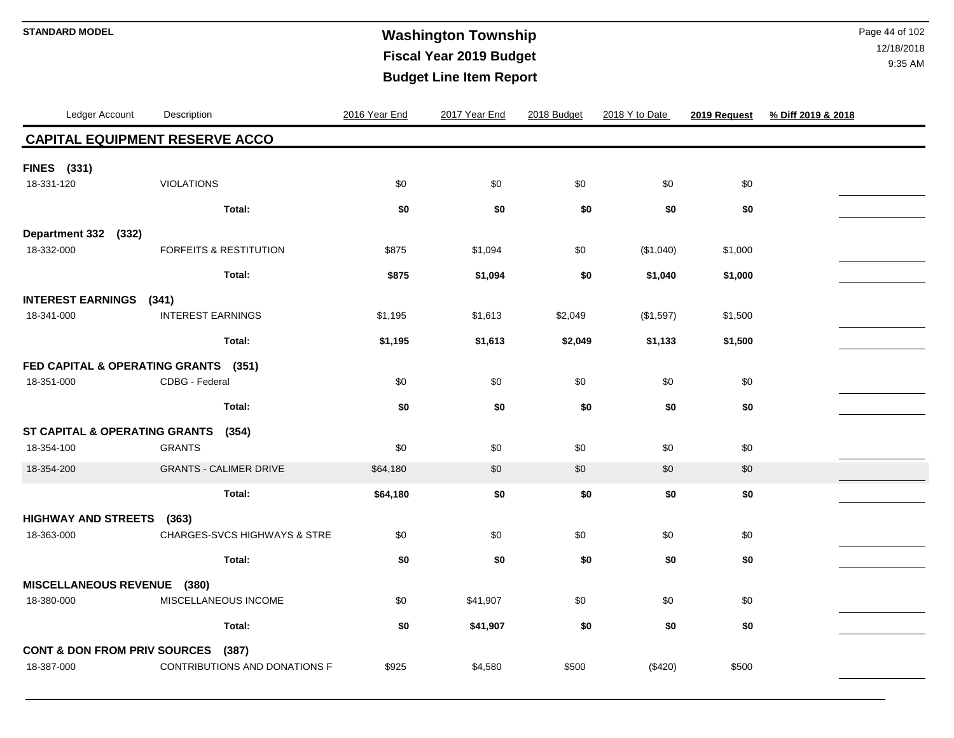### **Washington Township STANDARD MODEL** Page 44 of 102 **Fiscal Year 2019 Budget Budget Line Item Report**

| <b>CAPITAL EQUIPMENT RESERVE ACCO</b><br><b>FINES</b> (331)<br><b>VIOLATIONS</b><br>\$0<br>\$0<br>\$0<br>\$0<br>\$0<br>18-331-120<br>\$0<br>\$0<br>\$0<br>\$0<br>\$0<br>Total:<br>Department 332 (332)<br><b>FORFEITS &amp; RESTITUTION</b><br>\$0<br>18-332-000<br>\$875<br>\$1,000<br>\$1,094<br>(\$1,040) |  |
|--------------------------------------------------------------------------------------------------------------------------------------------------------------------------------------------------------------------------------------------------------------------------------------------------------------|--|
|                                                                                                                                                                                                                                                                                                              |  |
|                                                                                                                                                                                                                                                                                                              |  |
|                                                                                                                                                                                                                                                                                                              |  |
|                                                                                                                                                                                                                                                                                                              |  |
| Total:<br>\$0<br>\$875<br>\$1,094<br>\$1,000<br>\$1,040                                                                                                                                                                                                                                                      |  |
| <b>INTEREST EARNINGS</b><br>(341)                                                                                                                                                                                                                                                                            |  |
| <b>INTEREST EARNINGS</b><br>18-341-000<br>\$2,049<br>\$1,195<br>\$1,613<br>(\$1,597)<br>\$1,500                                                                                                                                                                                                              |  |
| Total:<br>\$1,195<br>\$1,613<br>\$2,049<br>\$1,133<br>\$1,500                                                                                                                                                                                                                                                |  |
| FED CAPITAL & OPERATING GRANTS<br>(351)                                                                                                                                                                                                                                                                      |  |
| \$0<br>\$0<br>\$0<br>\$0<br>18-351-000<br>CDBG - Federal<br>\$0                                                                                                                                                                                                                                              |  |
| Total:<br>\$0<br>\$0<br>\$0<br>\$0<br>\$0                                                                                                                                                                                                                                                                    |  |
| ST CAPITAL & OPERATING GRANTS<br>(354)                                                                                                                                                                                                                                                                       |  |
| \$0<br>\$0<br>18-354-100<br><b>GRANTS</b><br>\$0<br>\$0<br>\$0                                                                                                                                                                                                                                               |  |
| 18-354-200<br><b>GRANTS - CALIMER DRIVE</b><br>\$64,180<br>\$0<br>\$0<br>\$0<br>\$0                                                                                                                                                                                                                          |  |
| Total:<br>\$0<br>\$0<br>\$0<br>\$0<br>\$64,180                                                                                                                                                                                                                                                               |  |
| <b>HIGHWAY AND STREETS</b><br>(363)                                                                                                                                                                                                                                                                          |  |
| <b>CHARGES-SVCS HIGHWAYS &amp; STRE</b><br>\$0<br>\$0<br>\$0<br>\$0<br>\$0<br>18-363-000                                                                                                                                                                                                                     |  |
| \$0<br>\$0<br>\$0<br>\$0<br>\$0<br>Total:                                                                                                                                                                                                                                                                    |  |
| MISCELLANEOUS REVENUE (380)                                                                                                                                                                                                                                                                                  |  |
| 18-380-000<br>MISCELLANEOUS INCOME<br>\$0<br>\$41,907<br>\$0<br>\$0<br>\$0                                                                                                                                                                                                                                   |  |
| \$0<br>\$0<br>\$0<br>Total:<br>\$41,907<br>\$0                                                                                                                                                                                                                                                               |  |
| <b>CONT &amp; DON FROM PRIV SOURCES</b><br>(387)<br>18-387-000<br>CONTRIBUTIONS AND DONATIONS F<br>\$925<br>\$500<br>(\$420)<br>\$500<br>\$4,580                                                                                                                                                             |  |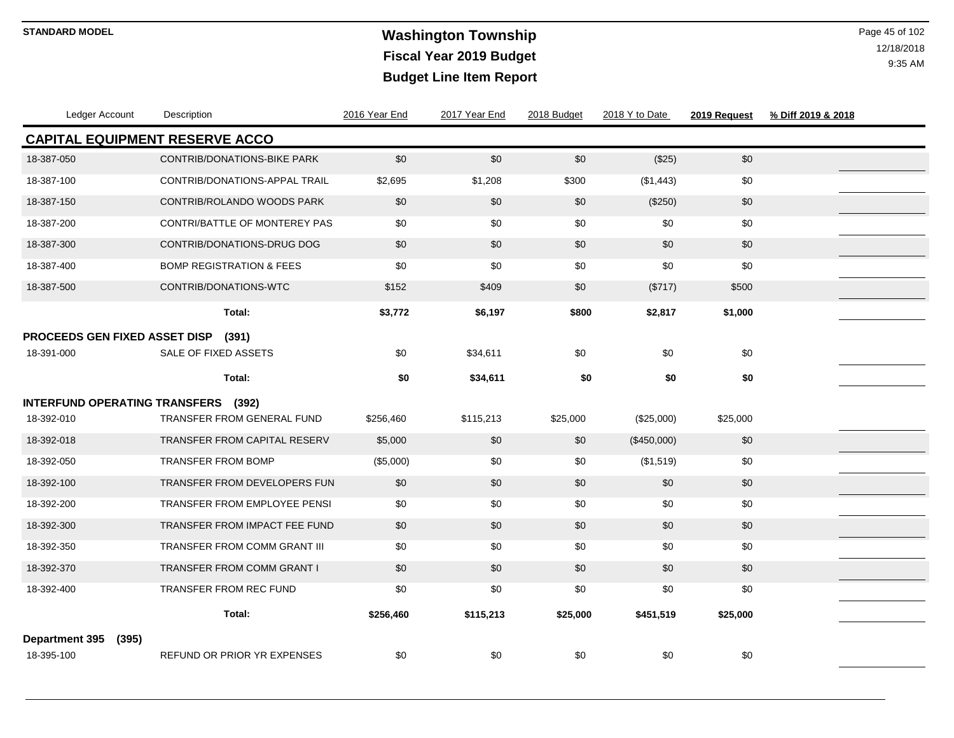### **Washington Township STANDARD MODEL** Page 45 of 102 **Fiscal Year 2019 Budget Budget Line Item Report**

| Ledger Account                       |       | Description                           | 2016 Year End | 2017 Year End | 2018 Budget | 2018 Y to Date | 2019 Request | % Diff 2019 & 2018 |
|--------------------------------------|-------|---------------------------------------|---------------|---------------|-------------|----------------|--------------|--------------------|
|                                      |       | <b>CAPITAL EQUIPMENT RESERVE ACCO</b> |               |               |             |                |              |                    |
| 18-387-050                           |       | <b>CONTRIB/DONATIONS-BIKE PARK</b>    | \$0           | \$0           | \$0         | (\$25)         | \$0          |                    |
| 18-387-100                           |       | CONTRIB/DONATIONS-APPAL TRAIL         | \$2,695       | \$1,208       | \$300       | (\$1,443)      | \$0          |                    |
| 18-387-150                           |       | CONTRIB/ROLANDO WOODS PARK            | \$0           | \$0           | \$0         | (\$250)        | \$0          |                    |
| 18-387-200                           |       | CONTRI/BATTLE OF MONTEREY PAS         | \$0           | \$0           | \$0         | \$0            | \$0          |                    |
| 18-387-300                           |       | <b>CONTRIB/DONATIONS-DRUG DOG</b>     | \$0           | \$0           | \$0         | \$0            | \$0          |                    |
| 18-387-400                           |       | <b>BOMP REGISTRATION &amp; FEES</b>   | \$0           | \$0           | \$0         | \$0            | \$0          |                    |
| 18-387-500                           |       | CONTRIB/DONATIONS-WTC                 | \$152         | \$409         | \$0         | (\$717)        | \$500        |                    |
|                                      |       | Total:                                | \$3,772       | \$6,197       | \$800       | \$2,817        | \$1,000      |                    |
| PROCEEDS GEN FIXED ASSET DISP        |       | (391)                                 |               |               |             |                |              |                    |
| 18-391-000                           |       | SALE OF FIXED ASSETS                  | \$0           | \$34,611      | \$0         | \$0            | \$0          |                    |
|                                      |       | Total:                                | \$0           | \$34,611      | \$0         | \$0            | \$0          |                    |
| <b>INTERFUND OPERATING TRANSFERS</b> |       | (392)                                 |               |               |             |                |              |                    |
| 18-392-010                           |       | TRANSFER FROM GENERAL FUND            | \$256,460     | \$115,213     | \$25,000    | (\$25,000)     | \$25,000     |                    |
| 18-392-018                           |       | <b>TRANSFER FROM CAPITAL RESERV</b>   | \$5,000       | \$0           | \$0         | (\$450,000)    | \$0          |                    |
| 18-392-050                           |       | <b>TRANSFER FROM BOMP</b>             | (\$5,000)     | \$0           | \$0         | (\$1,519)      | \$0          |                    |
| 18-392-100                           |       | TRANSFER FROM DEVELOPERS FUN          | \$0           | \$0           | \$0         | \$0            | \$0          |                    |
| 18-392-200                           |       | <b>TRANSFER FROM EMPLOYEE PENSI</b>   | \$0           | \$0           | \$0         | \$0            | \$0          |                    |
| 18-392-300                           |       | TRANSFER FROM IMPACT FEE FUND         | \$0           | \$0           | \$0         | \$0            | \$0          |                    |
| 18-392-350                           |       | TRANSFER FROM COMM GRANT III          | \$0           | \$0           | \$0         | \$0            | \$0          |                    |
| 18-392-370                           |       | TRANSFER FROM COMM GRANT I            | \$0           | \$0           | \$0         | \$0            | \$0          |                    |
| 18-392-400                           |       | TRANSFER FROM REC FUND                | \$0           | \$0           | \$0         | \$0            | \$0          |                    |
|                                      |       | Total:                                | \$256,460     | \$115,213     | \$25,000    | \$451,519      | \$25,000     |                    |
| Department 395<br>18-395-100         | (395) | <b>REFUND OR PRIOR YR EXPENSES</b>    | \$0           | \$0           | \$0         | \$0            | \$0          |                    |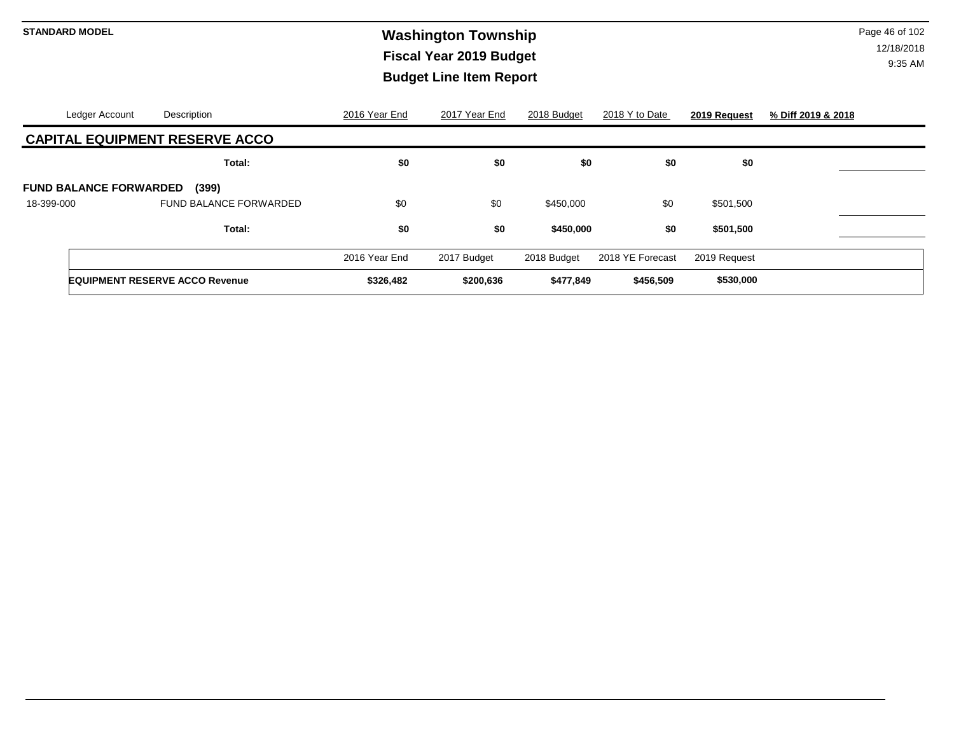# **Washington Township STANDARD MODEL** Page 46 of 102 **Fiscal Year 2019 Budget Budget Line Item Report**

| Ledger Account                | Description                           | 2016 Year End | 2017 Year End | 2018 Budget | 2018 Y to Date   | 2019 Request | % Diff 2019 & 2018 |
|-------------------------------|---------------------------------------|---------------|---------------|-------------|------------------|--------------|--------------------|
|                               | <b>CAPITAL EQUIPMENT RESERVE ACCO</b> |               |               |             |                  |              |                    |
|                               | Total:                                | \$0           | \$0           | \$0         | \$0              | \$0          |                    |
| <b>FUND BALANCE FORWARDED</b> | (399)                                 |               |               |             |                  |              |                    |
| 18-399-000                    | FUND BALANCE FORWARDED                | \$0           | \$0           | \$450,000   | \$0              | \$501,500    |                    |
|                               | Total:                                | \$0           | \$0           | \$450,000   | \$0              | \$501,500    |                    |
|                               |                                       | 2016 Year End | 2017 Budget   | 2018 Budget | 2018 YE Forecast | 2019 Request |                    |
|                               | <b>EQUIPMENT RESERVE ACCO Revenue</b> | \$326,482     | \$200,636     | \$477,849   | \$456,509        | \$530,000    |                    |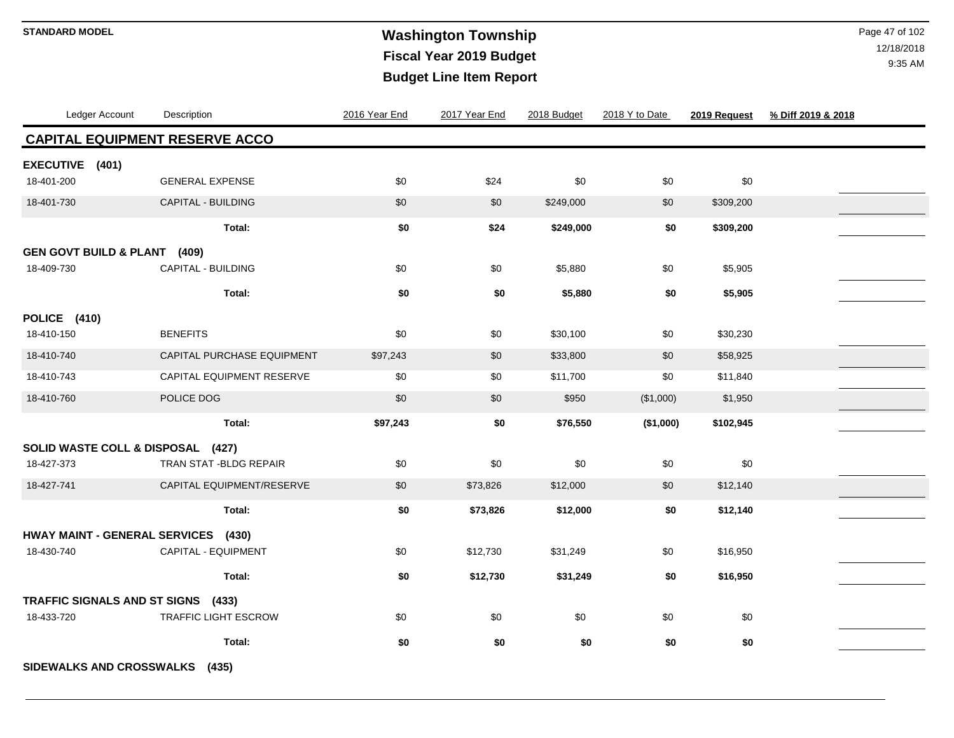### **Washington Township STANDARD MODEL** Page 47 of 102 **Fiscal Year 2019 Budget Budget Line Item Report**

| Ledger Account                          | Description                           | 2016 Year End | 2017 Year End | 2018 Budget | 2018 Y to Date | 2019 Request | % Diff 2019 & 2018 |
|-----------------------------------------|---------------------------------------|---------------|---------------|-------------|----------------|--------------|--------------------|
|                                         | <b>CAPITAL EQUIPMENT RESERVE ACCO</b> |               |               |             |                |              |                    |
| EXECUTIVE (401)                         |                                       |               |               |             |                |              |                    |
| 18-401-200                              | <b>GENERAL EXPENSE</b>                | \$0           | \$24          | \$0         | \$0            | \$0          |                    |
| 18-401-730                              | CAPITAL - BUILDING                    | \$0           | \$0           | \$249,000   | \$0            | \$309,200    |                    |
|                                         | Total:                                | \$0           | \$24          | \$249,000   | \$0            | \$309,200    |                    |
| <b>GEN GOVT BUILD &amp; PLANT (409)</b> |                                       |               |               |             |                |              |                    |
| 18-409-730                              | CAPITAL - BUILDING                    | \$0           | \$0           | \$5,880     | \$0            | \$5,905      |                    |
|                                         | Total:                                | \$0           | \$0           | \$5,880     | \$0            | \$5,905      |                    |
| POLICE (410)                            |                                       |               |               |             |                |              |                    |
| 18-410-150                              | <b>BENEFITS</b>                       | \$0           | \$0           | \$30,100    | \$0            | \$30,230     |                    |
| 18-410-740                              | CAPITAL PURCHASE EQUIPMENT            | \$97,243      | \$0           | \$33,800    | \$0            | \$58,925     |                    |
| 18-410-743                              | CAPITAL EQUIPMENT RESERVE             | \$0           | \$0           | \$11,700    | \$0            | \$11,840     |                    |
| 18-410-760                              | POLICE DOG                            | \$0           | \$0           | \$950       | (\$1,000)      | \$1,950      |                    |
|                                         | Total:                                | \$97,243      | \$0           | \$76,550    | (\$1,000)      | \$102,945    |                    |
| SOLID WASTE COLL & DISPOSAL (427)       |                                       |               |               |             |                |              |                    |
| 18-427-373                              | <b>TRAN STAT-BLDG REPAIR</b>          | \$0           | \$0           | \$0         | \$0            | \$0          |                    |
| 18-427-741                              | CAPITAL EQUIPMENT/RESERVE             | \$0           | \$73,826      | \$12,000    | \$0            | \$12,140     |                    |
|                                         | Total:                                | \$0           | \$73,826      | \$12,000    | \$0            | \$12,140     |                    |
| <b>HWAY MAINT - GENERAL SERVICES</b>    | (430)                                 |               |               |             |                |              |                    |
| 18-430-740                              | CAPITAL - EQUIPMENT                   | \$0           | \$12,730      | \$31,249    | \$0            | \$16,950     |                    |
|                                         | Total:                                | \$0           | \$12,730      | \$31,249    | \$0            | \$16,950     |                    |
| TRAFFIC SIGNALS AND ST SIGNS            | (433)                                 |               |               |             |                |              |                    |
| 18-433-720                              | TRAFFIC LIGHT ESCROW                  | \$0           | \$0           | \$0         | \$0            | \$0          |                    |
|                                         | Total:                                | \$0           | \$0           | \$0         | \$0            | \$0          |                    |
| SIDEWALKS AND CROSSWALKS                | (435)                                 |               |               |             |                |              |                    |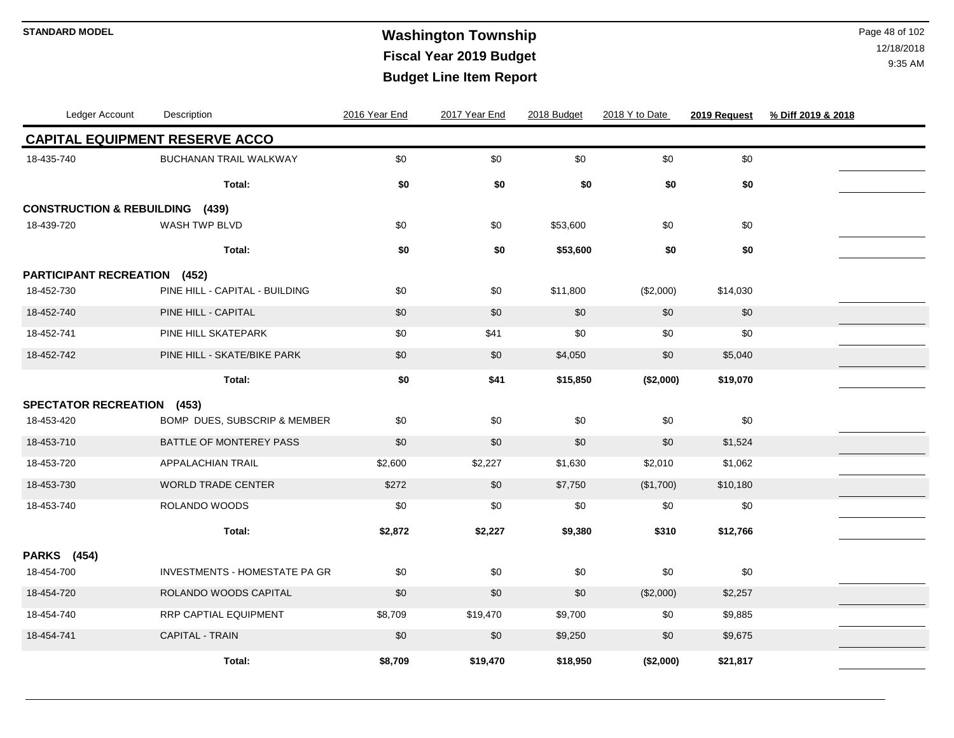# **Washington Township STANDARD MODEL** Page 48 of 102 **Fiscal Year 2019 Budget Budget Line Item Report**

| Ledger Account                       | Description                           | 2016 Year End | 2017 Year End | 2018 Budget | 2018 Y to Date | 2019 Request | % Diff 2019 & 2018 |  |
|--------------------------------------|---------------------------------------|---------------|---------------|-------------|----------------|--------------|--------------------|--|
|                                      | <b>CAPITAL EQUIPMENT RESERVE ACCO</b> |               |               |             |                |              |                    |  |
| 18-435-740                           | <b>BUCHANAN TRAIL WALKWAY</b>         | \$0           | $$0$$         | \$0         | \$0            | \$0          |                    |  |
|                                      | Total:                                | \$0           | \$0           | \$0         | \$0            | \$0          |                    |  |
| <b>CONSTRUCTION &amp; REBUILDING</b> | (439)                                 |               |               |             |                |              |                    |  |
| 18-439-720                           | WASH TWP BLVD                         | \$0           | \$0           | \$53,600    | \$0            | \$0          |                    |  |
|                                      | Total:                                | \$0           | \$0           | \$53,600    | \$0            | \$0          |                    |  |
| <b>PARTICIPANT RECREATION (452)</b>  |                                       |               |               |             |                |              |                    |  |
| 18-452-730                           | PINE HILL - CAPITAL - BUILDING        | \$0           | \$0           | \$11,800    | (\$2,000)      | \$14,030     |                    |  |
| 18-452-740                           | PINE HILL - CAPITAL                   | \$0           | \$0           | \$0         | \$0            | \$0          |                    |  |
| 18-452-741                           | PINE HILL SKATEPARK                   | \$0           | \$41          | \$0         | \$0            | \$0          |                    |  |
| 18-452-742                           | PINE HILL - SKATE/BIKE PARK           | \$0           | \$0           | \$4,050     | \$0            | \$5,040      |                    |  |
|                                      | Total:                                | \$0           | \$41          | \$15,850    | (\$2,000)      | \$19,070     |                    |  |
| <b>SPECTATOR RECREATION (453)</b>    |                                       |               |               |             |                |              |                    |  |
| 18-453-420                           | BOMP DUES, SUBSCRIP & MEMBER          | \$0           | \$0           | \$0         | \$0            | \$0          |                    |  |
| 18-453-710                           | BATTLE OF MONTEREY PASS               | \$0           | \$0           | \$0         | \$0            | \$1,524      |                    |  |
| 18-453-720                           | APPALACHIAN TRAIL                     | \$2,600       | \$2,227       | \$1,630     | \$2,010        | \$1,062      |                    |  |
| 18-453-730                           | <b>WORLD TRADE CENTER</b>             | \$272         | \$0           | \$7,750     | (\$1,700)      | \$10,180     |                    |  |
| 18-453-740                           | ROLANDO WOODS                         | \$0           | \$0           | \$0         | \$0            | \$0          |                    |  |
|                                      | Total:                                | \$2,872       | \$2,227       | \$9,380     | \$310          | \$12,766     |                    |  |
| <b>PARKS</b> (454)                   |                                       |               |               |             |                |              |                    |  |
| 18-454-700                           | INVESTMENTS - HOMESTATE PA GR         | \$0           | \$0           | \$0         | \$0            | \$0          |                    |  |
| 18-454-720                           | ROLANDO WOODS CAPITAL                 | \$0           | \$0           | \$0         | (\$2,000)      | \$2,257      |                    |  |
| 18-454-740                           | RRP CAPTIAL EQUIPMENT                 | \$8,709       | \$19,470      | \$9,700     | \$0            | \$9,885      |                    |  |
| 18-454-741                           | <b>CAPITAL - TRAIN</b>                | \$0           | \$0           | \$9,250     | \$0            | \$9,675      |                    |  |
|                                      | Total:                                | \$8,709       | \$19,470      | \$18,950    | (\$2,000)      | \$21,817     |                    |  |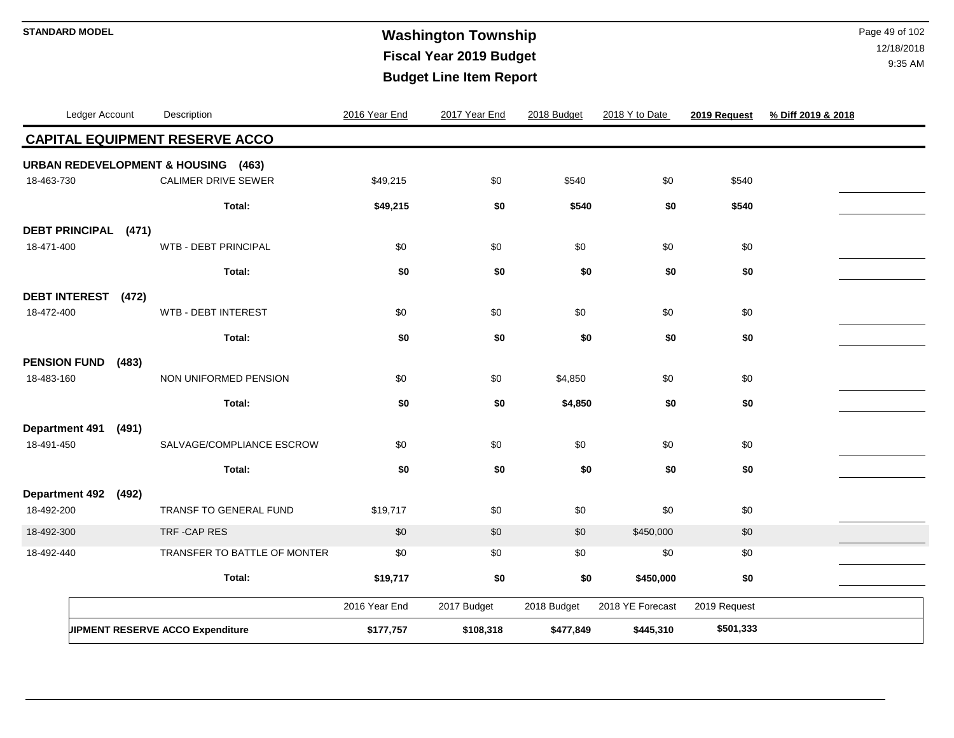## **Washington Township STANDARD MODEL** Page 49 of 102 **Fiscal Year 2019 Budget Budget Line Item Report**

| Ledger Account        |       | Description                                    | 2016 Year End | 2017 Year End | 2018 Budget | 2018 Y to Date   | 2019 Request | % Diff 2019 & 2018 |  |
|-----------------------|-------|------------------------------------------------|---------------|---------------|-------------|------------------|--------------|--------------------|--|
|                       |       | <b>CAPITAL EQUIPMENT RESERVE ACCO</b>          |               |               |             |                  |              |                    |  |
|                       |       | <b>URBAN REDEVELOPMENT &amp; HOUSING (463)</b> |               |               |             |                  |              |                    |  |
| 18-463-730            |       | <b>CALIMER DRIVE SEWER</b>                     | \$49,215      | \$0           | \$540       | \$0              | \$540        |                    |  |
|                       |       | Total:                                         | \$49,215      | \$0           | \$540       | \$0              | \$540        |                    |  |
| DEBT PRINCIPAL (471)  |       |                                                |               |               |             |                  |              |                    |  |
| 18-471-400            |       | <b>WTB - DEBT PRINCIPAL</b>                    | \$0           | \$0           | \$0         | \$0              | \$0          |                    |  |
|                       |       | Total:                                         | \$0           | \$0           | \$0         | \$0              | \$0          |                    |  |
| <b>DEBT INTEREST</b>  | (472) |                                                |               |               |             |                  |              |                    |  |
| 18-472-400            |       | WTB - DEBT INTEREST                            | \$0           | \$0           | \$0         | \$0              | \$0          |                    |  |
|                       |       | Total:                                         | \$0           | \$0           | \$0         | \$0              | \$0          |                    |  |
| <b>PENSION FUND</b>   | (483) |                                                |               |               |             |                  |              |                    |  |
| 18-483-160            |       | NON UNIFORMED PENSION                          | \$0           | \$0           | \$4,850     | \$0              | \$0          |                    |  |
|                       |       | Total:                                         | \$0           | \$0           | \$4,850     | \$0              | \$0          |                    |  |
| <b>Department 491</b> | (491) |                                                |               |               |             |                  |              |                    |  |
| 18-491-450            |       | SALVAGE/COMPLIANCE ESCROW                      | \$0           | \$0           | \$0         | \$0              | \$0          |                    |  |
|                       |       | Total:                                         | \$0           | \$0           | \$0         | \$0              | \$0          |                    |  |
| <b>Department 492</b> | (492) |                                                |               |               |             |                  |              |                    |  |
| 18-492-200            |       | TRANSF TO GENERAL FUND                         | \$19,717      | \$0           | \$0         | \$0              | \$0          |                    |  |
| 18-492-300            |       | TRF-CAP RES                                    | \$0           | \$0           | \$0         | \$450,000        | \$0          |                    |  |
| 18-492-440            |       | TRANSFER TO BATTLE OF MONTER                   | \$0           | \$0           | \$0         | \$0              | \$0          |                    |  |
|                       |       | Total:                                         | \$19,717      | \$0           | \$0         | \$450,000        | \$0          |                    |  |
|                       |       |                                                | 2016 Year End | 2017 Budget   | 2018 Budget | 2018 YE Forecast | 2019 Request |                    |  |
|                       |       | JIPMENT RESERVE ACCO Expenditure               | \$177,757     | \$108,318     | \$477,849   | \$445,310        | \$501,333    |                    |  |
|                       |       |                                                |               |               |             |                  |              |                    |  |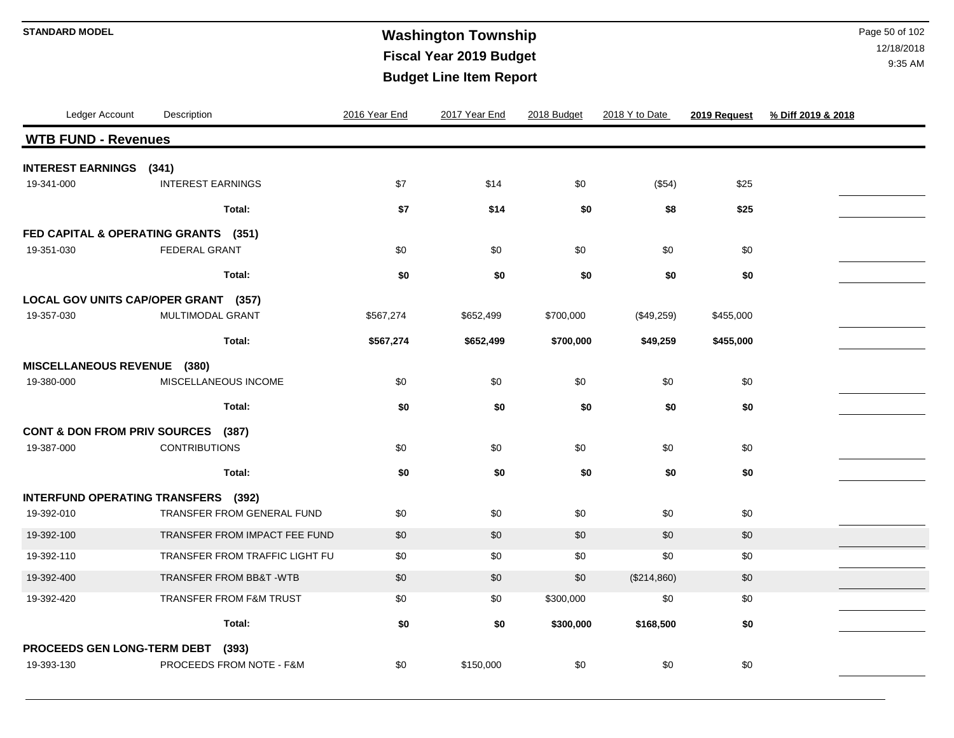### **Washington Township STANDARD MODEL** Page 50 of 102 **Fiscal Year 2019 Budget Budget Line Item Report**

| Ledger Account                          | Description                          | 2016 Year End | 2017 Year End | 2018 Budget | 2018 Y to Date | 2019 Request | % Diff 2019 & 2018 |
|-----------------------------------------|--------------------------------------|---------------|---------------|-------------|----------------|--------------|--------------------|
| <b>WTB FUND - Revenues</b>              |                                      |               |               |             |                |              |                    |
| <b>INTEREST EARNINGS</b>                | (341)                                |               |               |             |                |              |                    |
| 19-341-000                              | <b>INTEREST EARNINGS</b>             | \$7           | \$14          | \$0         | (\$54)         | \$25         |                    |
|                                         | Total:                               | \$7           | \$14          | \$0         | \$8            | \$25         |                    |
| FED CAPITAL & OPERATING GRANTS (351)    |                                      |               |               |             |                |              |                    |
| 19-351-030                              | <b>FEDERAL GRANT</b>                 | \$0           | \$0           | \$0         | \$0            | \$0          |                    |
|                                         | Total:                               | \$0           | \$0           | \$0         | \$0            | \$0          |                    |
|                                         | LOCAL GOV UNITS CAP/OPER GRANT (357) |               |               |             |                |              |                    |
| 19-357-030                              | MULTIMODAL GRANT                     | \$567,274     | \$652,499     | \$700,000   | (\$49,259)     | \$455,000    |                    |
|                                         | Total:                               | \$567,274     | \$652,499     | \$700,000   | \$49,259       | \$455,000    |                    |
| MISCELLANEOUS REVENUE (380)             |                                      |               |               |             |                |              |                    |
| 19-380-000                              | MISCELLANEOUS INCOME                 | \$0           | \$0           | \$0         | \$0            | \$0          |                    |
|                                         | Total:                               | \$0           | \$0           | \$0         | \$0            | \$0          |                    |
| <b>CONT &amp; DON FROM PRIV SOURCES</b> | (387)                                |               |               |             |                |              |                    |
| 19-387-000                              | <b>CONTRIBUTIONS</b>                 | \$0           | \$0           | \$0         | \$0            | \$0          |                    |
|                                         | Total:                               | \$0           | \$0           | \$0         | \$0            | \$0          |                    |
| INTERFUND OPERATING TRANSFERS (392)     |                                      |               |               |             |                |              |                    |
| 19-392-010                              | TRANSFER FROM GENERAL FUND           | \$0           | \$0           | \$0         | \$0            | $\$0$        |                    |
| 19-392-100                              | TRANSFER FROM IMPACT FEE FUND        | \$0           | \$0           | \$0         | \$0            | \$0          |                    |
| 19-392-110                              | TRANSFER FROM TRAFFIC LIGHT FU       | \$0           | \$0           | \$0         | \$0            | \$0          |                    |
| 19-392-400                              | TRANSFER FROM BB&T - WTB             | \$0           | \$0           | \$0         | (\$214,860)    | \$0          |                    |
| 19-392-420                              | <b>TRANSFER FROM F&amp;M TRUST</b>   | \$0           | \$0           | \$300,000   | \$0            | \$0          |                    |
|                                         | Total:                               | \$0           | \$0           | \$300,000   | \$168,500      | \$0          |                    |
| PROCEEDS GEN LONG-TERM DEBT             | (393)                                |               |               |             |                |              |                    |
| 19-393-130                              | PROCEEDS FROM NOTE - F&M             | \$0           | \$150,000     | \$0         | \$0            | \$0          |                    |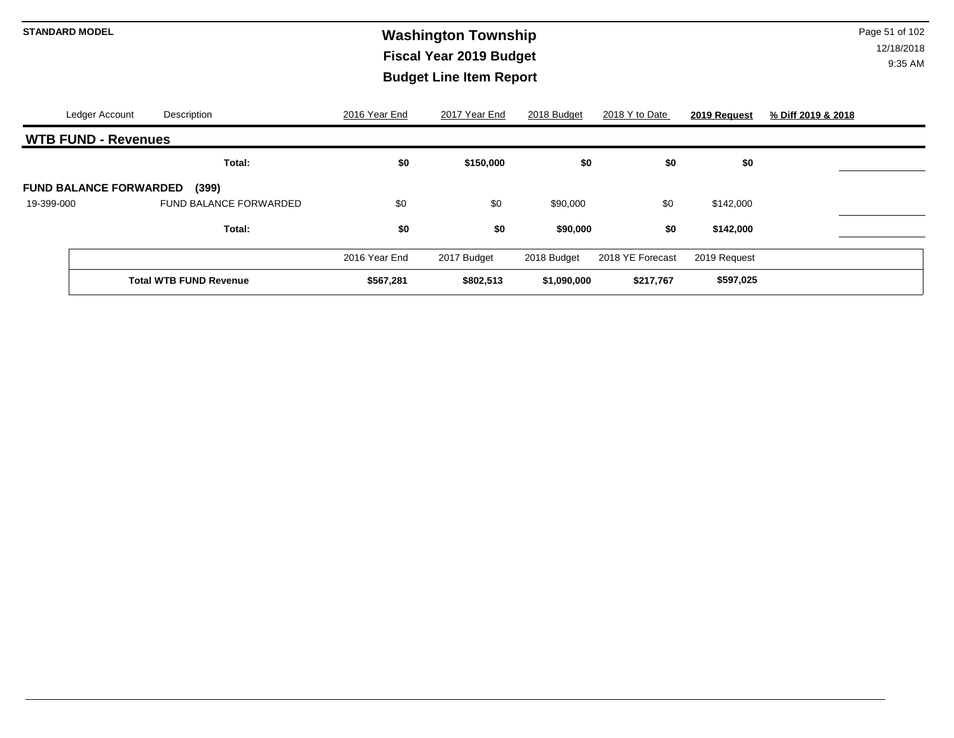# **Washington Township STANDARD MODEL** Page 51 of 102 **Fiscal Year 2019 Budget Budget Line Item Report**

|            | Ledger Account                | Description                   | 2016 Year End | 2017 Year End | 2018 Budget | 2018 Y to Date   | 2019 Request | % Diff 2019 & 2018 |
|------------|-------------------------------|-------------------------------|---------------|---------------|-------------|------------------|--------------|--------------------|
|            | <b>WTB FUND - Revenues</b>    |                               |               |               |             |                  |              |                    |
|            |                               | Total:                        | \$0           | \$150,000     | \$0         | \$0              | \$0          |                    |
|            | <b>FUND BALANCE FORWARDED</b> | (399)                         |               |               |             |                  |              |                    |
| 19-399-000 |                               | <b>FUND BALANCE FORWARDED</b> | \$0           | \$0           | \$90,000    | \$0              | \$142,000    |                    |
|            |                               | Total:                        | \$0           | \$0           | \$90,000    | \$0              | \$142,000    |                    |
|            |                               |                               | 2016 Year End | 2017 Budget   | 2018 Budget | 2018 YE Forecast | 2019 Request |                    |
|            |                               | <b>Total WTB FUND Revenue</b> | \$567,281     | \$802,513     | \$1,090,000 | \$217,767        | \$597,025    |                    |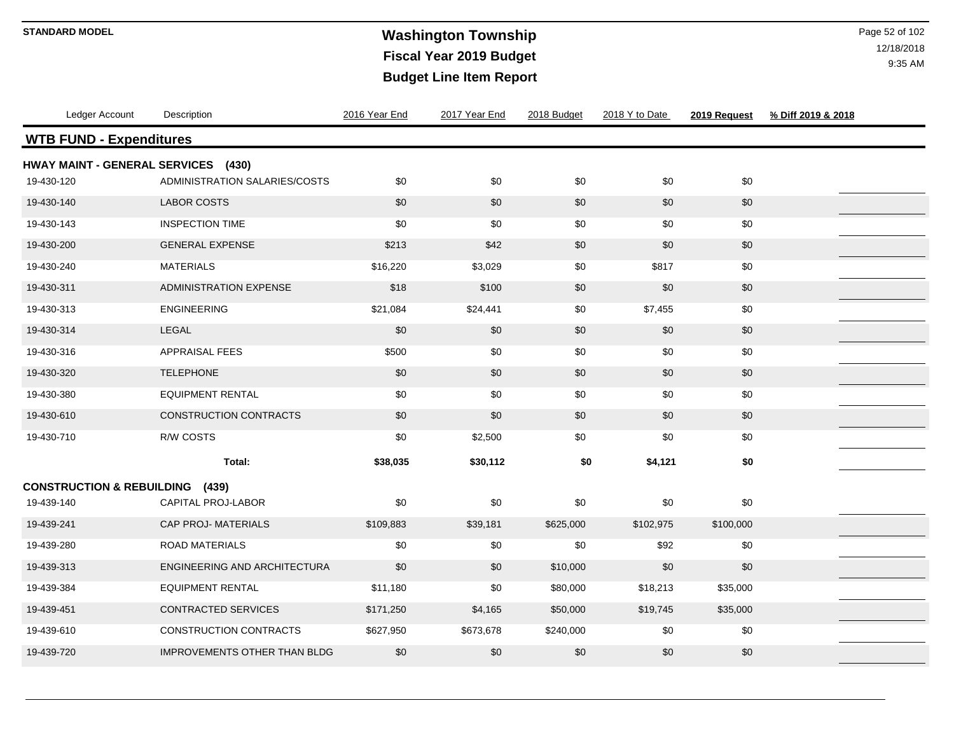### **Washington Township STANDARD MODEL** Page 52 of 102 **Fiscal Year 2019 Budget Budget Line Item Report**

| Ledger Account                       | Description                         | 2016 Year End | 2017 Year End | 2018 Budget | 2018 Y to Date | 2019 Request | % Diff 2019 & 2018 |
|--------------------------------------|-------------------------------------|---------------|---------------|-------------|----------------|--------------|--------------------|
| <b>WTB FUND - Expenditures</b>       |                                     |               |               |             |                |              |                    |
| <b>HWAY MAINT - GENERAL SERVICES</b> | (430)                               |               |               |             |                |              |                    |
| 19-430-120                           | ADMINISTRATION SALARIES/COSTS       | \$0           | \$0           | \$0         | \$0            | \$0          |                    |
| 19-430-140                           | <b>LABOR COSTS</b>                  | \$0           | \$0           | \$0         | \$0            | \$0          |                    |
| 19-430-143                           | <b>INSPECTION TIME</b>              | \$0           | \$0           | \$0         | \$0            | \$0          |                    |
| 19-430-200                           | <b>GENERAL EXPENSE</b>              | \$213         | \$42          | \$0         | \$0            | \$0          |                    |
| 19-430-240                           | <b>MATERIALS</b>                    | \$16,220      | \$3,029       | \$0         | \$817          | \$0          |                    |
| 19-430-311                           | <b>ADMINISTRATION EXPENSE</b>       | \$18          | \$100         | \$0         | \$0            | \$0          |                    |
| 19-430-313                           | <b>ENGINEERING</b>                  | \$21,084      | \$24,441      | \$0         | \$7,455        | \$0          |                    |
| 19-430-314                           | <b>LEGAL</b>                        | \$0           | \$0           | \$0         | \$0            | \$0          |                    |
| 19-430-316                           | <b>APPRAISAL FEES</b>               | \$500         | \$0           | \$0         | \$0            | \$0          |                    |
| 19-430-320                           | <b>TELEPHONE</b>                    | \$0           | \$0           | \$0         | \$0            | $\$0$        |                    |
| 19-430-380                           | <b>EQUIPMENT RENTAL</b>             | \$0           | \$0           | \$0         | \$0            | \$0          |                    |
| 19-430-610                           | <b>CONSTRUCTION CONTRACTS</b>       | \$0           | \$0           | \$0         | \$0            | \$0          |                    |
| 19-430-710                           | R/W COSTS                           | \$0           | \$2,500       | \$0         | \$0            | \$0          |                    |
|                                      | Total:                              | \$38,035      | \$30,112      | \$0         | \$4,121        | \$0          |                    |
| <b>CONSTRUCTION &amp; REBUILDING</b> | (439)                               |               |               |             |                |              |                    |
| 19-439-140                           | CAPITAL PROJ-LABOR                  | \$0           | \$0           | \$0         | \$0            | \$0          |                    |
| 19-439-241                           | <b>CAP PROJ-MATERIALS</b>           | \$109,883     | \$39,181      | \$625,000   | \$102,975      | \$100,000    |                    |
| 19-439-280                           | <b>ROAD MATERIALS</b>               | \$0           | \$0           | \$0         | \$92           | \$0          |                    |
| 19-439-313                           | ENGINEERING AND ARCHITECTURA        | \$0           | \$0           | \$10,000    | \$0            | \$0          |                    |
| 19-439-384                           | <b>EQUIPMENT RENTAL</b>             | \$11,180      | \$0           | \$80,000    | \$18,213       | \$35,000     |                    |
| 19-439-451                           | CONTRACTED SERVICES                 | \$171,250     | \$4,165       | \$50,000    | \$19,745       | \$35,000     |                    |
| 19-439-610                           | <b>CONSTRUCTION CONTRACTS</b>       | \$627,950     | \$673,678     | \$240,000   | \$0            | \$0          |                    |
| 19-439-720                           | <b>IMPROVEMENTS OTHER THAN BLDG</b> | \$0           | \$0           | \$0         | \$0            | \$0          |                    |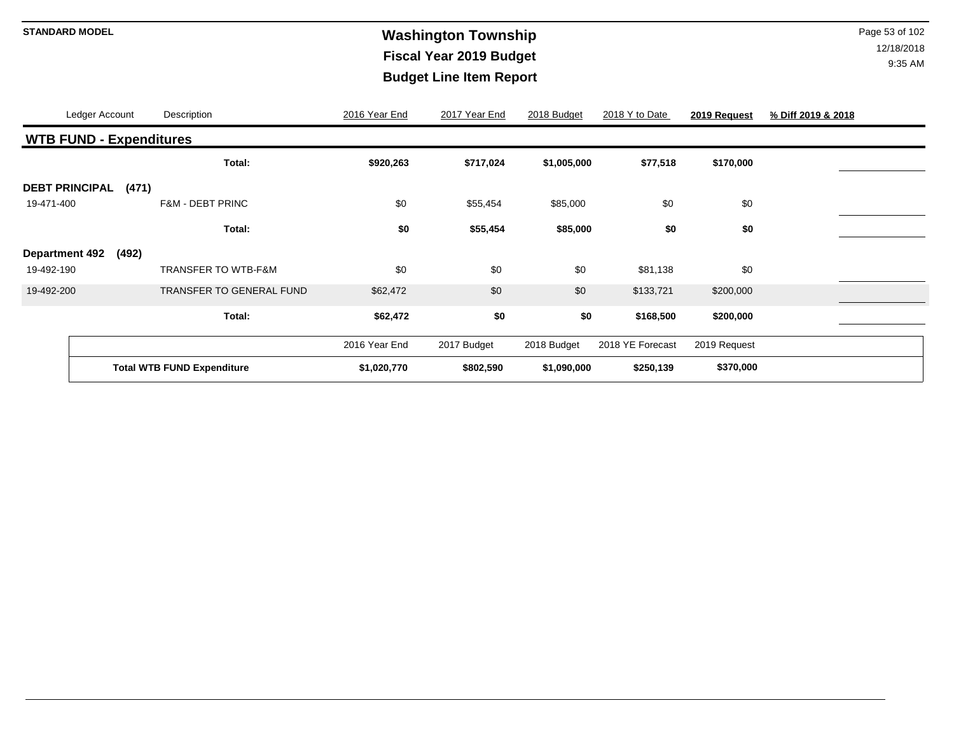### **Washington Township STANDARD MODEL** Page 53 of 102 **Fiscal Year 2019 Budget Budget Line Item Report**

|                                | Ledger Account |       | Description                       | 2016 Year End | 2017 Year End | 2018 Budget | 2018 Y to Date   | 2019 Request | % Diff 2019 & 2018 |
|--------------------------------|----------------|-------|-----------------------------------|---------------|---------------|-------------|------------------|--------------|--------------------|
| <b>WTB FUND - Expenditures</b> |                |       |                                   |               |               |             |                  |              |                    |
|                                |                |       | Total:                            | \$920,263     | \$717,024     | \$1,005,000 | \$77,518         | \$170,000    |                    |
| <b>DEBT PRINCIPAL</b>          |                | (471) |                                   |               |               |             |                  |              |                    |
| 19-471-400                     |                |       | <b>F&amp;M - DEBT PRINC</b>       | \$0           | \$55,454      | \$85,000    | \$0              | \$0          |                    |
|                                |                |       | Total:                            | \$0           | \$55,454      | \$85,000    | \$0              | \$0          |                    |
| <b>Department 492</b>          |                | (492) |                                   |               |               |             |                  |              |                    |
| 19-492-190                     |                |       | <b>TRANSFER TO WTB-F&amp;M</b>    | \$0           | \$0           | \$0         | \$81,138         | \$0          |                    |
| 19-492-200                     |                |       | <b>TRANSFER TO GENERAL FUND</b>   | \$62,472      | \$0           | \$0         | \$133,721        | \$200,000    |                    |
|                                |                |       | Total:                            | \$62,472      | \$0           | \$0         | \$168,500        | \$200,000    |                    |
|                                |                |       |                                   | 2016 Year End | 2017 Budget   | 2018 Budget | 2018 YE Forecast | 2019 Request |                    |
|                                |                |       | <b>Total WTB FUND Expenditure</b> | \$1,020,770   | \$802,590     | \$1,090,000 | \$250,139        | \$370,000    |                    |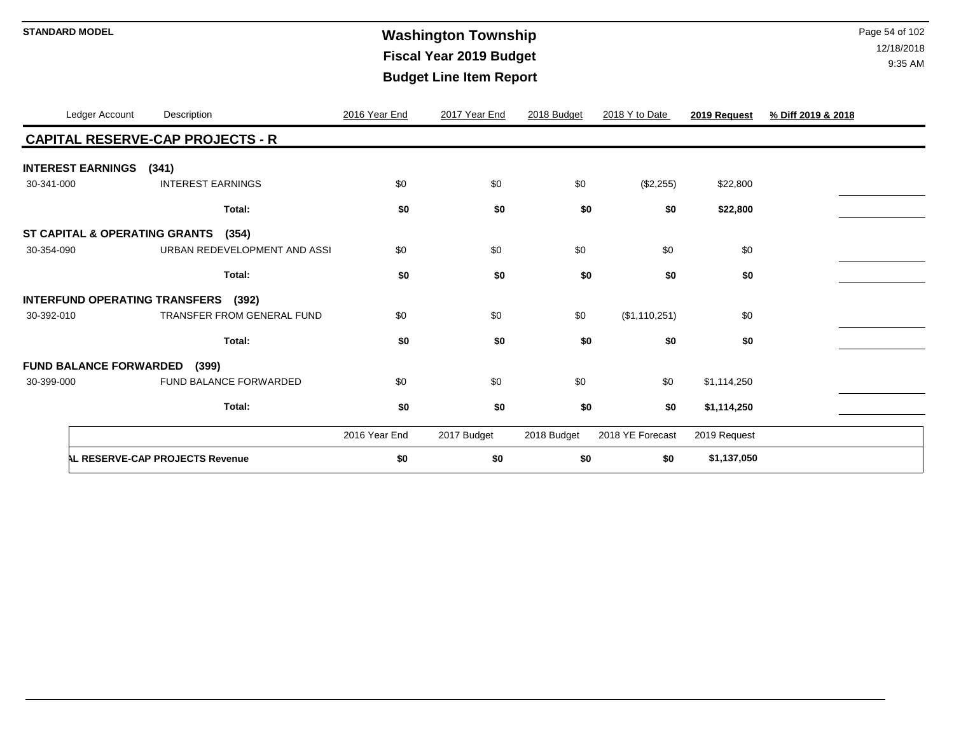# **Washington Township STANDARD MODEL** Page 54 of 102 **Fiscal Year 2019 Budget Budget Line Item Report**

|            | Ledger Account                | Description                                   | 2016 Year End | 2017 Year End | 2018 Budget | 2018 Y to Date   | 2019 Request | % Diff 2019 & 2018 |
|------------|-------------------------------|-----------------------------------------------|---------------|---------------|-------------|------------------|--------------|--------------------|
|            |                               | <b>CAPITAL RESERVE-CAP PROJECTS - R</b>       |               |               |             |                  |              |                    |
|            | <b>INTEREST EARNINGS</b>      | (341)                                         |               |               |             |                  |              |                    |
| 30-341-000 |                               | <b>INTEREST EARNINGS</b>                      | \$0           | \$0           | \$0         | (\$2,255)        | \$22,800     |                    |
|            |                               | Total:                                        | \$0           | \$0           | \$0         | \$0              | \$22,800     |                    |
|            | ST CAPITAL & OPERATING GRANTS | (354)                                         |               |               |             |                  |              |                    |
| 30-354-090 |                               | URBAN REDEVELOPMENT AND ASSI                  | \$0           | \$0           | \$0         | \$0              | \$0          |                    |
|            |                               | Total:                                        | \$0           | \$0           | \$0         | \$0              | \$0          |                    |
|            |                               | <b>INTERFUND OPERATING TRANSFERS</b><br>(392) |               |               |             |                  |              |                    |
| 30-392-010 |                               | <b>TRANSFER FROM GENERAL FUND</b>             | \$0           | \$0           | \$0         | (\$1,110,251)    | \$0          |                    |
|            |                               | Total:                                        | \$0           | \$0           | \$0         | \$0              | \$0          |                    |
|            | <b>FUND BALANCE FORWARDED</b> | (399)                                         |               |               |             |                  |              |                    |
| 30-399-000 |                               | FUND BALANCE FORWARDED                        | \$0           | \$0           | \$0         | \$0              | \$1,114,250  |                    |
|            |                               | Total:                                        | \$0           | \$0           | \$0         | \$0              | \$1,114,250  |                    |
|            |                               |                                               | 2016 Year End | 2017 Budget   | 2018 Budget | 2018 YE Forecast | 2019 Request |                    |
|            |                               | AL RESERVE-CAP PROJECTS Revenue               | \$0           | \$0           | \$0         | \$0              | \$1,137,050  |                    |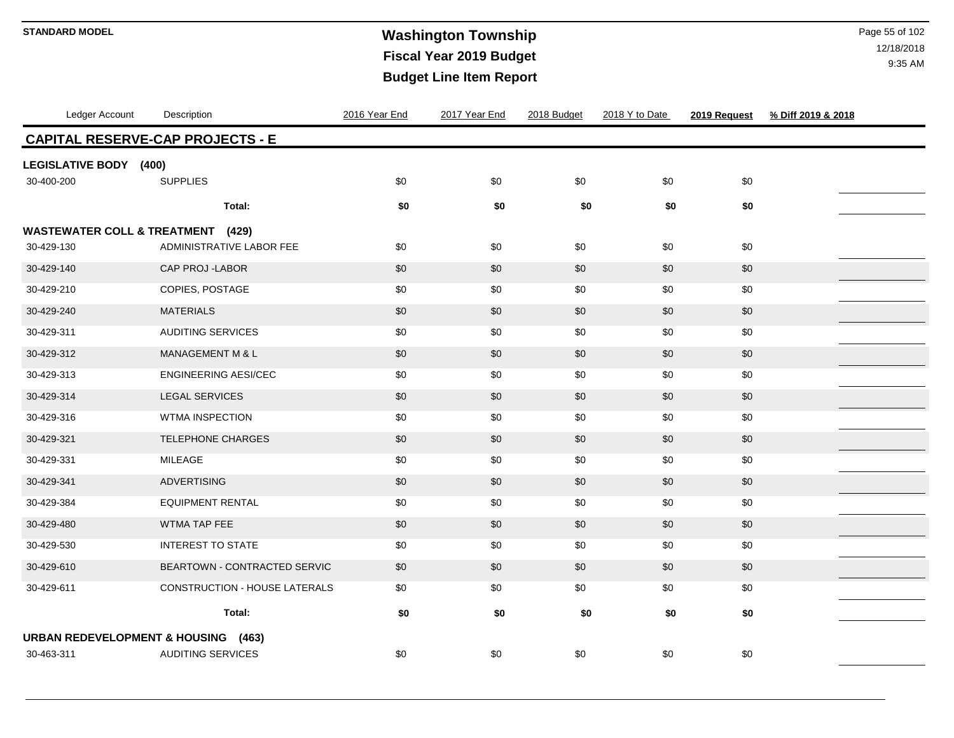### **Washington Township STANDARD MODEL** Page 55 of 102 **Fiscal Year 2019 Budget Budget Line Item Report**

| Ledger Account                                 | Description                             | 2016 Year End | 2017 Year End | 2018 Budget | 2018 Y to Date | 2019 Request | % Diff 2019 & 2018 |
|------------------------------------------------|-----------------------------------------|---------------|---------------|-------------|----------------|--------------|--------------------|
|                                                | <b>CAPITAL RESERVE-CAP PROJECTS - E</b> |               |               |             |                |              |                    |
| <b>LEGISLATIVE BODY (400)</b>                  |                                         |               |               |             |                |              |                    |
| 30-400-200                                     | <b>SUPPLIES</b>                         | \$0           | \$0           | \$0         | \$0            | \$0          |                    |
|                                                | Total:                                  | \$0           | \$0           | \$0         | \$0            | \$0          |                    |
| <b>WASTEWATER COLL &amp; TREATMENT</b>         | (429)                                   |               |               |             |                |              |                    |
| 30-429-130                                     | ADMINISTRATIVE LABOR FEE                | \$0           | \$0           | \$0         | \$0            | \$0          |                    |
| 30-429-140                                     | CAP PROJ -LABOR                         | \$0           | \$0           | \$0         | \$0            | \$0          |                    |
| 30-429-210                                     | COPIES, POSTAGE                         | \$0           | \$0           | \$0         | \$0            | \$0          |                    |
| 30-429-240                                     | <b>MATERIALS</b>                        | \$0           | \$0           | \$0         | \$0            | \$0          |                    |
| 30-429-311                                     | <b>AUDITING SERVICES</b>                | \$0           | \$0           | \$0         | \$0            | \$0          |                    |
| 30-429-312                                     | <b>MANAGEMENT M &amp; L</b>             | \$0           | \$0           | \$0         | \$0            | \$0          |                    |
| 30-429-313                                     | <b>ENGINEERING AESI/CEC</b>             | \$0           | \$0           | \$0         | \$0            | \$0          |                    |
| 30-429-314                                     | <b>LEGAL SERVICES</b>                   | \$0           | \$0           | \$0         | \$0            | \$0          |                    |
| 30-429-316                                     | <b>WTMA INSPECTION</b>                  | \$0           | \$0           | \$0         | \$0            | \$0          |                    |
| 30-429-321                                     | TELEPHONE CHARGES                       | $$0$$         | \$0           | \$0         | \$0            | \$0          |                    |
| 30-429-331                                     | MILEAGE                                 | \$0           | \$0           | \$0         | \$0            | \$0          |                    |
| 30-429-341                                     | <b>ADVERTISING</b>                      | \$0           | \$0           | \$0         | \$0            | \$0          |                    |
| 30-429-384                                     | <b>EQUIPMENT RENTAL</b>                 | \$0           | \$0           | \$0         | \$0            | \$0          |                    |
| 30-429-480                                     | WTMA TAP FEE                            | \$0           | \$0           | \$0         | \$0            | \$0          |                    |
| 30-429-530                                     | <b>INTEREST TO STATE</b>                | \$0           | \$0           | \$0         | \$0            | \$0          |                    |
| 30-429-610                                     | BEARTOWN - CONTRACTED SERVIC            | \$0           | \$0           | \$0         | \$0            | \$0          |                    |
| 30-429-611                                     | CONSTRUCTION - HOUSE LATERALS           | \$0           | \$0           | \$0         | \$0            | \$0          |                    |
|                                                | Total:                                  | \$0           | \$0           | \$0         | \$0            | \$0          |                    |
| <b>URBAN REDEVELOPMENT &amp; HOUSING (463)</b> |                                         |               |               |             |                |              |                    |
| 30-463-311                                     | <b>AUDITING SERVICES</b>                | \$0           | \$0           | \$0         | \$0            | \$0          |                    |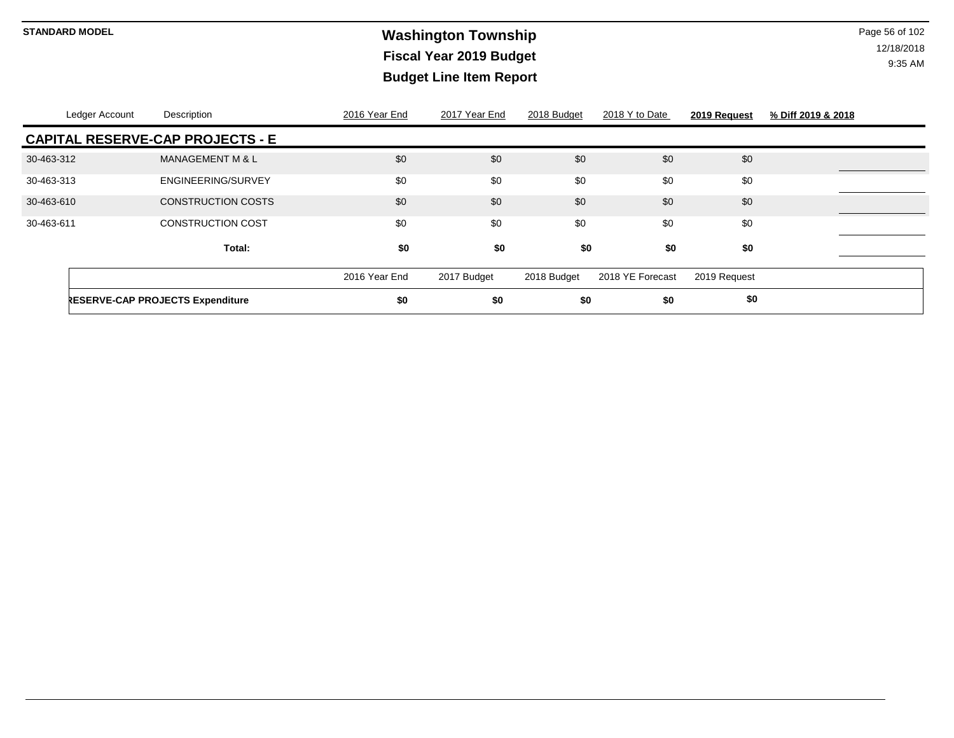### **Washington Township STANDARD MODEL** Page 56 of 102 **Fiscal Year 2019 Budget Budget Line Item Report**

| Ledger Account | Description                             | 2016 Year End | 2017 Year End | 2018 Budget | 2018 Y to Date   | 2019 Request | % Diff 2019 & 2018 |  |
|----------------|-----------------------------------------|---------------|---------------|-------------|------------------|--------------|--------------------|--|
|                | <b>CAPITAL RESERVE-CAP PROJECTS - E</b> |               |               |             |                  |              |                    |  |
| 30-463-312     | <b>MANAGEMENT M &amp; L</b>             | \$0           | \$0           | \$0         | \$0              | \$0          |                    |  |
| 30-463-313     | ENGINEERING/SURVEY                      | \$0           | \$0           | \$0         | \$0              | \$0          |                    |  |
| 30-463-610     | <b>CONSTRUCTION COSTS</b>               | \$0           | \$0           | \$0         | \$0              | \$0          |                    |  |
| 30-463-611     | <b>CONSTRUCTION COST</b>                | \$0           | \$0           | \$0         | \$0              | \$0          |                    |  |
|                | Total:                                  | \$0           | \$0           | \$0         | \$0              | \$0          |                    |  |
|                |                                         | 2016 Year End | 2017 Budget   | 2018 Budget | 2018 YE Forecast | 2019 Request |                    |  |
|                | <b>RESERVE-CAP PROJECTS Expenditure</b> | \$0           | \$0           | \$0         | \$0              | \$0          |                    |  |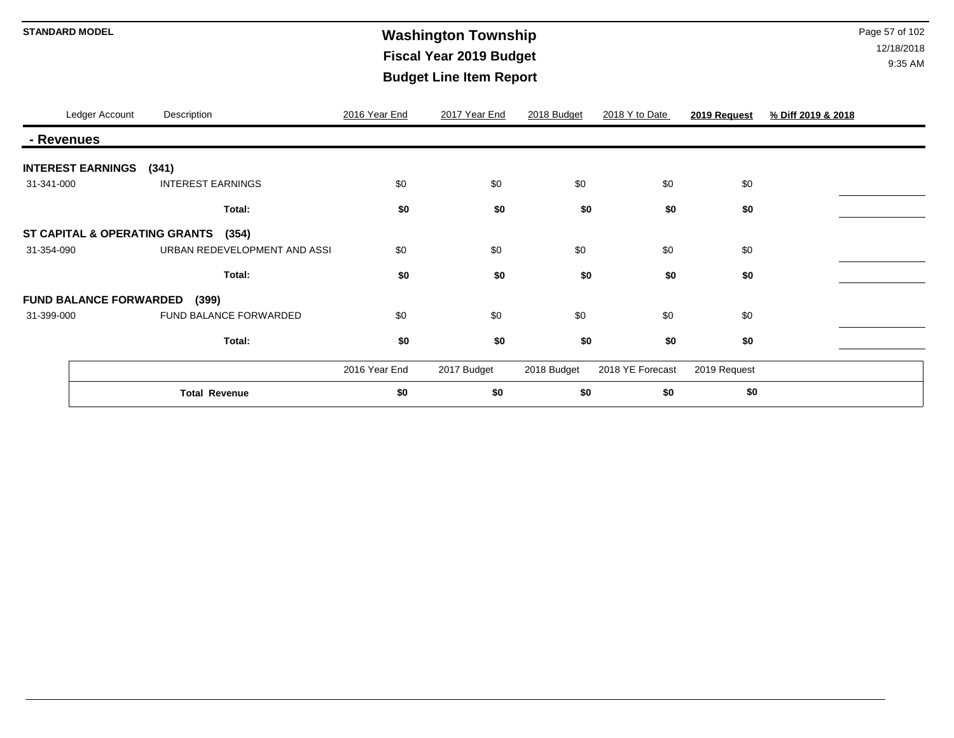# **Washington Township STANDARD MODEL** Page 57 of 102 **Fiscal Year 2019 Budget Budget Line Item Report**

|            | Ledger Account                | Description                            | 2016 Year End | 2017 Year End | 2018 Budget | 2018 Y to Date   | 2019 Request | % Diff 2019 & 2018 |
|------------|-------------------------------|----------------------------------------|---------------|---------------|-------------|------------------|--------------|--------------------|
| - Revenues |                               |                                        |               |               |             |                  |              |                    |
|            | <b>INTEREST EARNINGS</b>      | (341)                                  |               |               |             |                  |              |                    |
| 31-341-000 |                               | <b>INTEREST EARNINGS</b>               | \$0           | \$0           | \$0         | \$0              | \$0          |                    |
|            |                               | Total:                                 | \$0           | \$0           | \$0         | \$0              | \$0          |                    |
|            |                               | ST CAPITAL & OPERATING GRANTS<br>(354) |               |               |             |                  |              |                    |
| 31-354-090 |                               | URBAN REDEVELOPMENT AND ASSI           | \$0           | \$0           | \$0         | \$0              | \$0          |                    |
|            |                               | Total:                                 | \$0           | \$0           | \$0         | \$0              | \$0          |                    |
|            | <b>FUND BALANCE FORWARDED</b> | (399)                                  |               |               |             |                  |              |                    |
| 31-399-000 |                               | FUND BALANCE FORWARDED                 | \$0           | \$0           | \$0         | \$0              | \$0          |                    |
|            |                               | Total:                                 | \$0           | \$0           | \$0         | \$0              | \$0          |                    |
|            |                               |                                        | 2016 Year End | 2017 Budget   | 2018 Budget | 2018 YE Forecast | 2019 Request |                    |
|            |                               | <b>Total Revenue</b>                   | \$0           | \$0           | \$0         | \$0              | \$0          |                    |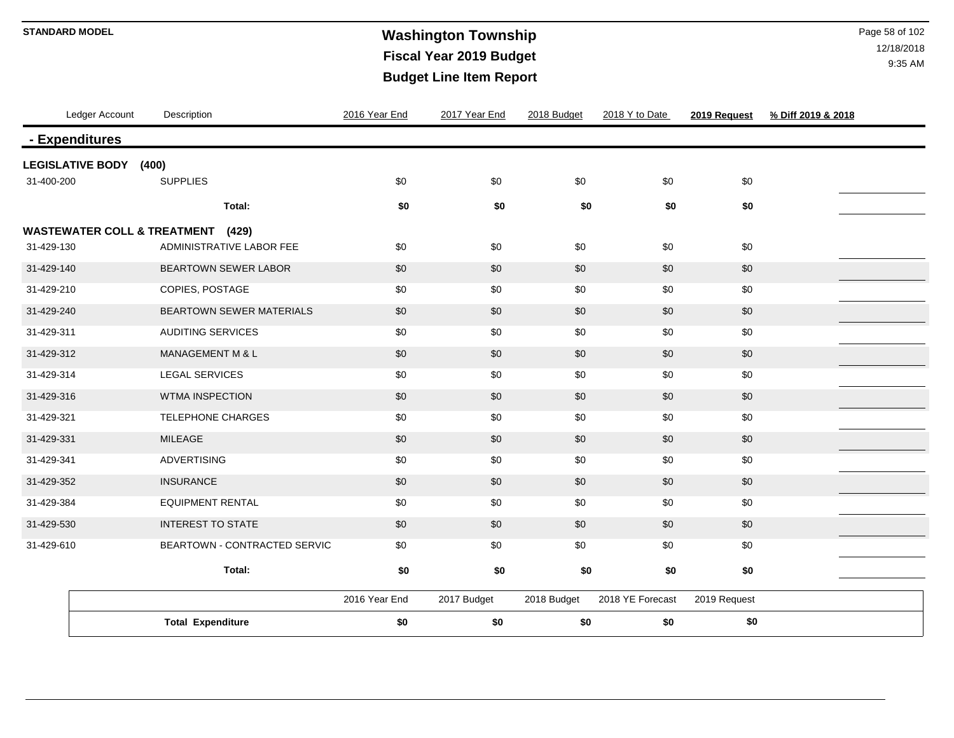### **Washington Township STANDARD MODEL** Page 58 of 102 **Fiscal Year 2019 Budget Budget Line Item Report**

| Ledger Account                               | Description                  | 2016 Year End | 2017 Year End | 2018 Budget | 2018 Y to Date   | 2019 Request | % Diff 2019 & 2018 |
|----------------------------------------------|------------------------------|---------------|---------------|-------------|------------------|--------------|--------------------|
| - Expenditures                               |                              |               |               |             |                  |              |                    |
| <b>LEGISLATIVE BODY (400)</b>                |                              |               |               |             |                  |              |                    |
| 31-400-200                                   | <b>SUPPLIES</b>              | \$0           | \$0           | \$0         | \$0              | \$0          |                    |
|                                              | Total:                       | \$0           | \$0           | \$0         | \$0              | \$0          |                    |
| <b>WASTEWATER COLL &amp; TREATMENT (429)</b> |                              |               |               |             |                  |              |                    |
| 31-429-130                                   | ADMINISTRATIVE LABOR FEE     | \$0           | \$0           | \$0         | \$0              | \$0          |                    |
| 31-429-140                                   | <b>BEARTOWN SEWER LABOR</b>  | \$0           | \$0           | \$0         | \$0              | \$0          |                    |
| 31-429-210                                   | COPIES, POSTAGE              | \$0           | \$0           | \$0         | \$0              | \$0          |                    |
| 31-429-240                                   | BEARTOWN SEWER MATERIALS     | \$0           | \$0           | \$0         | \$0              | $$0$$        |                    |
| 31-429-311                                   | AUDITING SERVICES            | \$0           | \$0           | \$0         | \$0              | \$0          |                    |
| 31-429-312                                   | <b>MANAGEMENT M &amp; L</b>  | \$0           | \$0           | \$0         | \$0              | \$0          |                    |
| 31-429-314                                   | LEGAL SERVICES               | \$0           | \$0           | \$0         | \$0              | \$0          |                    |
| 31-429-316                                   | WTMA INSPECTION              | \$0           | \$0           | \$0         | \$0              | \$0          |                    |
| 31-429-321                                   | TELEPHONE CHARGES            | \$0           | \$0           | \$0         | \$0              | \$0          |                    |
| 31-429-331                                   | <b>MILEAGE</b>               | \$0           | \$0           | \$0         | \$0              | \$0          |                    |
| 31-429-341                                   | <b>ADVERTISING</b>           | \$0           | \$0           | \$0         | \$0              | \$0          |                    |
| 31-429-352                                   | <b>INSURANCE</b>             | \$0           | \$0           | \$0         | \$0              | \$0          |                    |
| 31-429-384                                   | <b>EQUIPMENT RENTAL</b>      | \$0           | \$0           | \$0         | \$0              | \$0          |                    |
| 31-429-530                                   | <b>INTEREST TO STATE</b>     | \$0           | \$0           | \$0         | \$0              | \$0          |                    |
| 31-429-610                                   | BEARTOWN - CONTRACTED SERVIC | \$0           | \$0           | \$0         | \$0              | \$0          |                    |
|                                              | Total:                       | \$0           | \$0           | \$0         | \$0              | \$0          |                    |
|                                              |                              | 2016 Year End | 2017 Budget   | 2018 Budget | 2018 YE Forecast | 2019 Request |                    |
|                                              | <b>Total Expenditure</b>     | \$0           | \$0           | \$0         | \$0              | \$0          |                    |
|                                              |                              |               |               |             |                  |              |                    |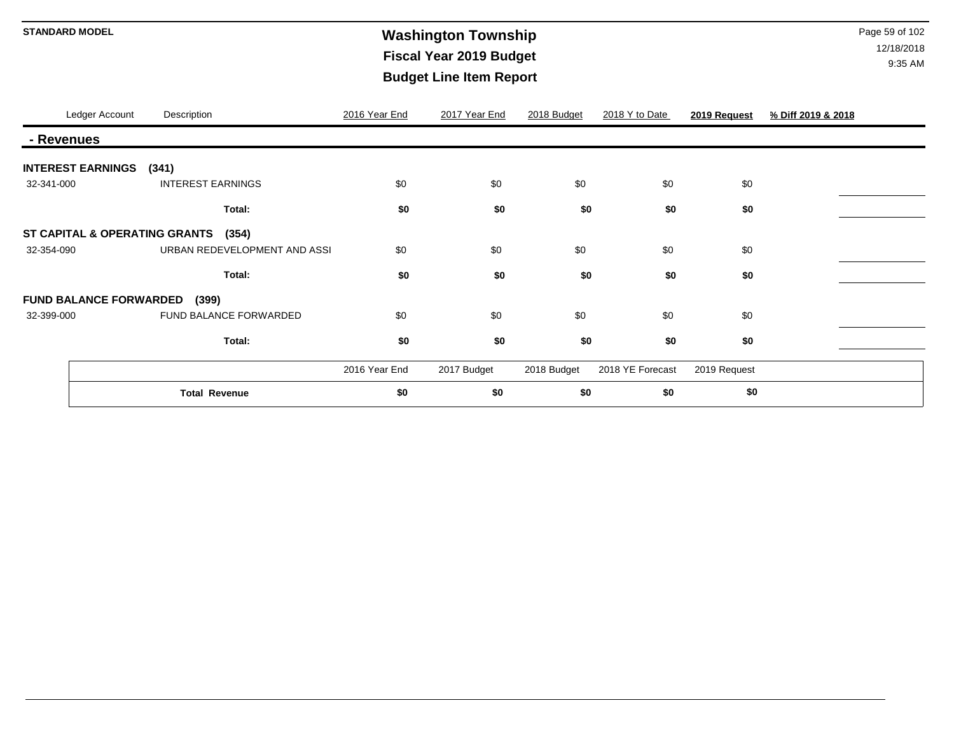# **Washington Township STANDARD MODEL** Page 59 of 102 **Fiscal Year 2019 Budget Budget Line Item Report**

|            | Ledger Account                | Description                            | 2016 Year End | 2017 Year End | 2018 Budget | 2018 Y to Date   | 2019 Request | % Diff 2019 & 2018 |
|------------|-------------------------------|----------------------------------------|---------------|---------------|-------------|------------------|--------------|--------------------|
| - Revenues |                               |                                        |               |               |             |                  |              |                    |
|            | <b>INTEREST EARNINGS</b>      | (341)                                  |               |               |             |                  |              |                    |
| 32-341-000 |                               | <b>INTEREST EARNINGS</b>               | \$0           | \$0           | \$0         | \$0              | \$0          |                    |
|            |                               | Total:                                 | \$0           | \$0           | \$0         | \$0              | \$0          |                    |
|            |                               | ST CAPITAL & OPERATING GRANTS<br>(354) |               |               |             |                  |              |                    |
| 32-354-090 |                               | URBAN REDEVELOPMENT AND ASSI           | \$0           | \$0           | \$0         | \$0              | \$0          |                    |
|            |                               | Total:                                 | \$0           | \$0           | \$0         | \$0              | \$0          |                    |
|            | <b>FUND BALANCE FORWARDED</b> | (399)                                  |               |               |             |                  |              |                    |
| 32-399-000 |                               | FUND BALANCE FORWARDED                 | \$0           | \$0           | \$0         | \$0              | \$0          |                    |
|            |                               | Total:                                 | \$0           | \$0           | \$0         | \$0              | \$0          |                    |
|            |                               |                                        | 2016 Year End | 2017 Budget   | 2018 Budget | 2018 YE Forecast | 2019 Request |                    |
|            |                               | <b>Total Revenue</b>                   | \$0           | \$0           | \$0         | \$0              | \$0          |                    |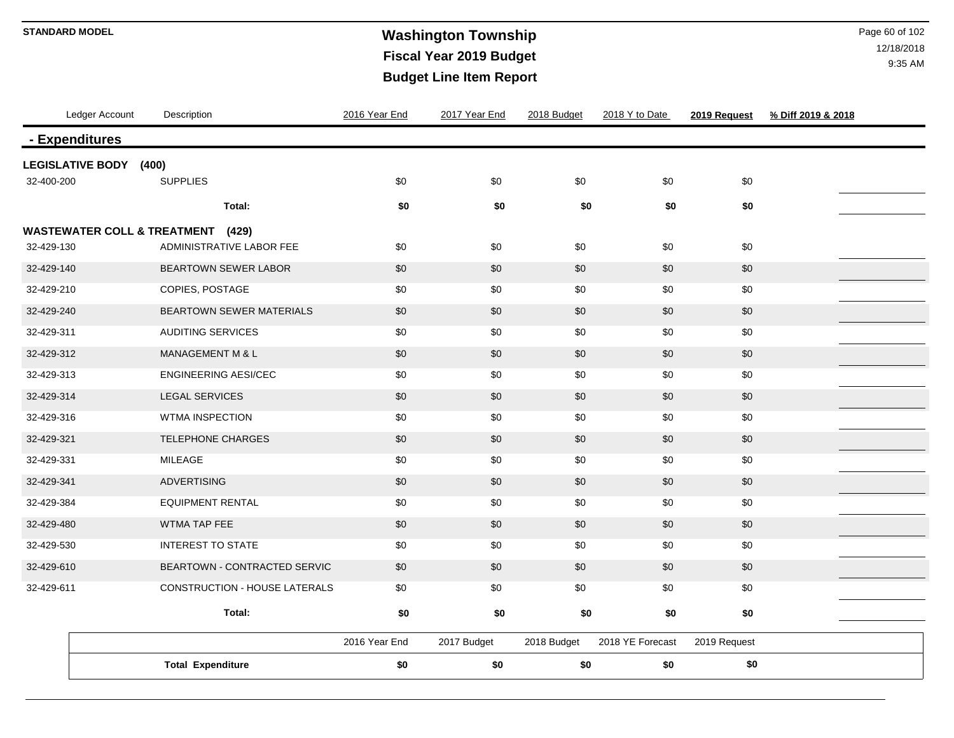### **STANDARD MODEL** Page 60 of 102 **Fiscal Year 2019 Budget Budget Line Item Report**

| Ledger Account                         | Description                     | 2016 Year End | 2017 Year End | 2018 Budget | 2018 Y to Date   | 2019 Request | % Diff 2019 & 2018 |
|----------------------------------------|---------------------------------|---------------|---------------|-------------|------------------|--------------|--------------------|
| - Expenditures                         |                                 |               |               |             |                  |              |                    |
| <b>LEGISLATIVE BODY</b>                | (400)                           |               |               |             |                  |              |                    |
| 32-400-200                             | <b>SUPPLIES</b>                 | \$0           | \$0           | \$0         | \$0              | \$0          |                    |
|                                        | Total:                          | \$0           | \$0           | \$0         | \$0              | \$0          |                    |
| <b>WASTEWATER COLL &amp; TREATMENT</b> | (429)                           |               |               |             |                  |              |                    |
| 32-429-130                             | ADMINISTRATIVE LABOR FEE        | \$0           | \$0           | \$0         | \$0              | \$0          |                    |
| 32-429-140                             | <b>BEARTOWN SEWER LABOR</b>     | \$0           | \$0           | \$0         | \$0              | \$0          |                    |
| 32-429-210                             | COPIES, POSTAGE                 | \$0           | \$0           | \$0         | \$0              | \$0          |                    |
| 32-429-240                             | <b>BEARTOWN SEWER MATERIALS</b> | \$0           | \$0           | \$0         | \$0              | \$0          |                    |
| 32-429-311                             | <b>AUDITING SERVICES</b>        | \$0           | \$0           | \$0         | \$0              | \$0          |                    |
| 32-429-312                             | MANAGEMENT M & L                | \$0           | \$0           | \$0         | \$0              | \$0          |                    |
| 32-429-313                             | <b>ENGINEERING AESI/CEC</b>     | \$0           | \$0           | \$0         | \$0              | \$0          |                    |
| 32-429-314                             | <b>LEGAL SERVICES</b>           | \$0           | \$0           | \$0         | \$0              | \$0          |                    |
| 32-429-316                             | <b>WTMA INSPECTION</b>          | \$0           | \$0           | \$0         | \$0              | \$0          |                    |
| 32-429-321                             | TELEPHONE CHARGES               | \$0           | \$0           | \$0         | \$0              | \$0          |                    |
| 32-429-331                             | MILEAGE                         | \$0           | \$0           | \$0         | \$0              | \$0          |                    |
| 32-429-341                             | <b>ADVERTISING</b>              | \$0           | \$0           | \$0         | \$0              | \$0          |                    |
| 32-429-384                             | <b>EQUIPMENT RENTAL</b>         | \$0           | \$0           | \$0         | \$0              | \$0          |                    |
| 32-429-480                             | WTMA TAP FEE                    | \$0           | \$0           | \$0         | \$0              | \$0          |                    |
| 32-429-530                             | <b>INTEREST TO STATE</b>        | \$0           | \$0           | \$0         | \$0              | \$0          |                    |
| 32-429-610                             | BEARTOWN - CONTRACTED SERVIC    | \$0           | \$0           | \$0         | \$0              | \$0          |                    |
| 32-429-611                             | CONSTRUCTION - HOUSE LATERALS   | \$0           | \$0           | \$0         | \$0              | \$0          |                    |
|                                        | Total:                          | \$0           | \$0           | \$0         | \$0              | \$0          |                    |
|                                        |                                 | 2016 Year End | 2017 Budget   | 2018 Budget | 2018 YE Forecast | 2019 Request |                    |
|                                        |                                 |               |               |             |                  |              |                    |
|                                        | <b>Total Expenditure</b>        | \$0           | \$0           | \$0         | \$0              | \$0          |                    |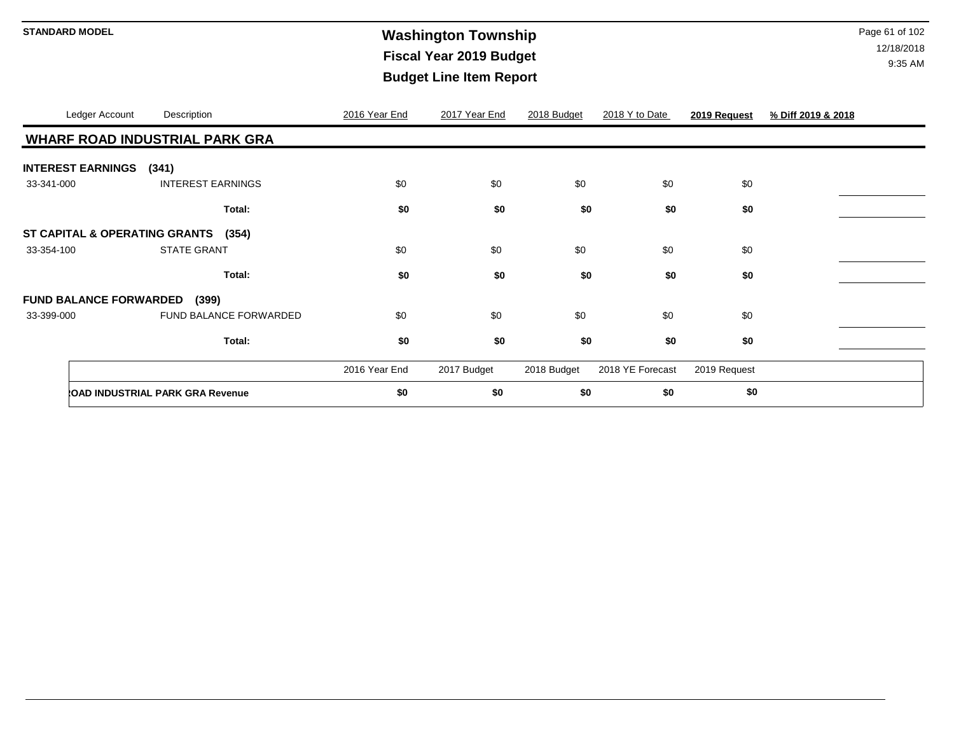# **STANDARD MODEL** Page 61 of 102 **Fiscal Year 2019 Budget Budget Line Item Report**

| Ledger Account                | Description                             |                        | 2016 Year End | 2017 Year End | 2018 Budget | 2018 Y to Date   | 2019 Request | % Diff 2019 & 2018 |
|-------------------------------|-----------------------------------------|------------------------|---------------|---------------|-------------|------------------|--------------|--------------------|
|                               | <b>WHARF ROAD INDUSTRIAL PARK GRA</b>   |                        |               |               |             |                  |              |                    |
| <b>INTEREST EARNINGS</b>      | (341)                                   |                        |               |               |             |                  |              |                    |
| 33-341-000                    | <b>INTEREST EARNINGS</b>                |                        | \$0           | \$0           | \$0         | \$0              | \$0          |                    |
|                               |                                         | Total:                 | \$0           | \$0           | \$0         | \$0              | \$0          |                    |
|                               | ST CAPITAL & OPERATING GRANTS (354)     |                        |               |               |             |                  |              |                    |
| 33-354-100                    | <b>STATE GRANT</b>                      |                        | \$0           | \$0           | \$0         | \$0              | \$0          |                    |
|                               |                                         | Total:                 | \$0           | \$0           | \$0         | \$0              | \$0          |                    |
| <b>FUND BALANCE FORWARDED</b> | (399)                                   |                        |               |               |             |                  |              |                    |
| 33-399-000                    |                                         | FUND BALANCE FORWARDED | \$0           | \$0           | \$0         | \$0              | \$0          |                    |
|                               |                                         | Total:                 | \$0           | \$0           | \$0         | \$0              | \$0          |                    |
|                               |                                         |                        | 2016 Year End | 2017 Budget   | 2018 Budget | 2018 YE Forecast | 2019 Request |                    |
|                               | <b>COAD INDUSTRIAL PARK GRA Revenue</b> |                        | \$0           | \$0           | \$0         | \$0              | \$0          |                    |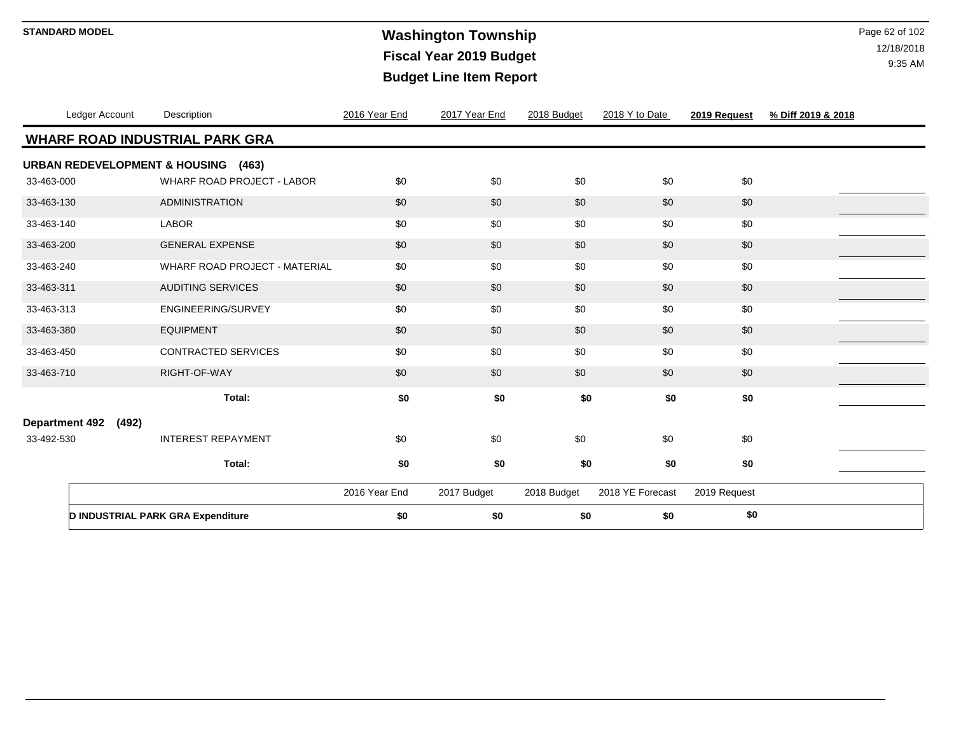# **Washington Township STANDARD MODEL** Page 62 of 102 **Fiscal Year 2019 Budget Budget Line Item Report**

|            | Ledger Account       | Description                           | 2016 Year End | 2017 Year End | 2018 Budget | 2018 Y to Date   | 2019 Request | % Diff 2019 & 2018 |
|------------|----------------------|---------------------------------------|---------------|---------------|-------------|------------------|--------------|--------------------|
|            |                      | <b>WHARF ROAD INDUSTRIAL PARK GRA</b> |               |               |             |                  |              |                    |
|            |                      | URBAN REDEVELOPMENT & HOUSING (463)   |               |               |             |                  |              |                    |
| 33-463-000 |                      | WHARF ROAD PROJECT - LABOR            | \$0           | \$0           | \$0         | \$0              | \$0          |                    |
| 33-463-130 |                      | <b>ADMINISTRATION</b>                 | \$0           | \$0           | \$0         | \$0              | \$0          |                    |
| 33-463-140 |                      | <b>LABOR</b>                          | \$0           | \$0           | \$0         | \$0              | \$0          |                    |
| 33-463-200 |                      | <b>GENERAL EXPENSE</b>                | \$0           | \$0           | \$0         | \$0              | \$0          |                    |
| 33-463-240 |                      | WHARF ROAD PROJECT - MATERIAL         | \$0           | \$0           | \$0         | \$0              | \$0          |                    |
| 33-463-311 |                      | <b>AUDITING SERVICES</b>              | \$0           | \$0           | \$0         | \$0              | \$0          |                    |
| 33-463-313 |                      | ENGINEERING/SURVEY                    | \$0           | \$0           | \$0         | \$0              | \$0          |                    |
| 33-463-380 |                      | <b>EQUIPMENT</b>                      | \$0           | \$0           | \$0         | \$0              | \$0          |                    |
| 33-463-450 |                      | <b>CONTRACTED SERVICES</b>            | \$0           | \$0           | \$0         | \$0              | \$0          |                    |
| 33-463-710 |                      | RIGHT-OF-WAY                          | \$0           | \$0           | \$0         | \$0              | \$0          |                    |
|            |                      | Total:                                | \$0           | \$0           | \$0         | \$0              | \$0          |                    |
|            | Department 492 (492) |                                       |               |               |             |                  |              |                    |
| 33-492-530 |                      | <b>INTEREST REPAYMENT</b>             | \$0           | \$0           | \$0         | \$0              | \$0          |                    |
|            |                      | Total:                                | \$0           | \$0           | \$0         | \$0              | \$0          |                    |
|            |                      |                                       |               |               |             |                  |              |                    |
|            |                      |                                       | 2016 Year End | 2017 Budget   | 2018 Budget | 2018 YE Forecast | 2019 Request |                    |
|            |                      | D INDUSTRIAL PARK GRA Expenditure     | \$0           | \$0           | \$0         | \$0              | \$0          |                    |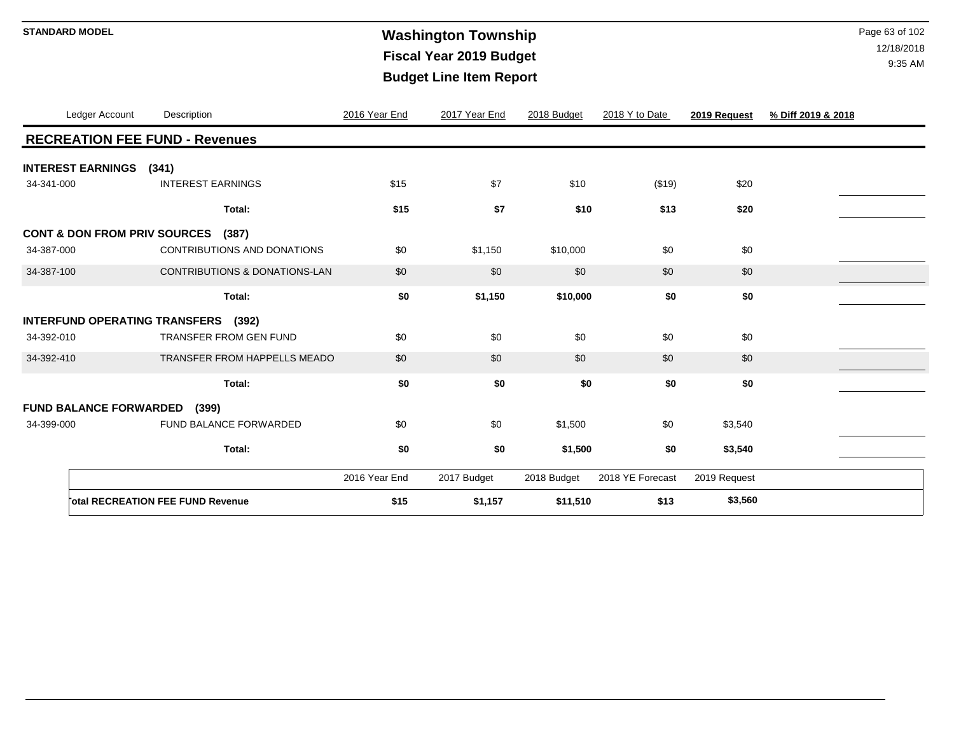# **STANDARD MODEL** Page 63 of 102 **Fiscal Year 2019 Budget Budget Line Item Report**

| Ledger Account                          | Description                              | 2016 Year End | 2017 Year End | 2018 Budget | 2018 Y to Date   | 2019 Request | % Diff 2019 & 2018 |  |
|-----------------------------------------|------------------------------------------|---------------|---------------|-------------|------------------|--------------|--------------------|--|
|                                         | <b>RECREATION FEE FUND - Revenues</b>    |               |               |             |                  |              |                    |  |
| <b>INTEREST EARNINGS</b>                | (341)                                    |               |               |             |                  |              |                    |  |
| 34-341-000                              | <b>INTEREST EARNINGS</b>                 | \$15          | \$7           | \$10        | (\$19)           | \$20         |                    |  |
|                                         | Total:                                   | \$15          | \$7           | \$10        | \$13             | \$20         |                    |  |
| <b>CONT &amp; DON FROM PRIV SOURCES</b> | (387)                                    |               |               |             |                  |              |                    |  |
| 34-387-000                              | CONTRIBUTIONS AND DONATIONS              | \$0           | \$1,150       | \$10,000    | \$0              | \$0          |                    |  |
| 34-387-100                              | <b>CONTRIBUTIONS &amp; DONATIONS-LAN</b> | \$0           | \$0           | \$0         | \$0              | \$0          |                    |  |
|                                         | Total:                                   | \$0           | \$1,150       | \$10,000    | \$0              | \$0          |                    |  |
| <b>INTERFUND OPERATING TRANSFERS</b>    | (392)                                    |               |               |             |                  |              |                    |  |
| 34-392-010                              | TRANSFER FROM GEN FUND                   | \$0           | \$0           | \$0         | \$0              | \$0          |                    |  |
| 34-392-410                              | TRANSFER FROM HAPPELLS MEADO             | \$0           | \$0           | \$0         | \$0              | \$0          |                    |  |
|                                         | Total:                                   | \$0           | \$0           | \$0         | \$0              | \$0          |                    |  |
| <b>FUND BALANCE FORWARDED</b>           | (399)                                    |               |               |             |                  |              |                    |  |
| 34-399-000                              | FUND BALANCE FORWARDED                   | \$0           | \$0           | \$1,500     | \$0              | \$3,540      |                    |  |
|                                         | Total:                                   | \$0           | \$0           | \$1,500     | \$0              | \$3,540      |                    |  |
|                                         |                                          |               |               |             |                  |              |                    |  |
|                                         |                                          | 2016 Year End | 2017 Budget   | 2018 Budget | 2018 YE Forecast | 2019 Request |                    |  |
|                                         | <b>Total RECREATION FEE FUND Revenue</b> | \$15          | \$1,157       | \$11,510    | \$13             | \$3,560      |                    |  |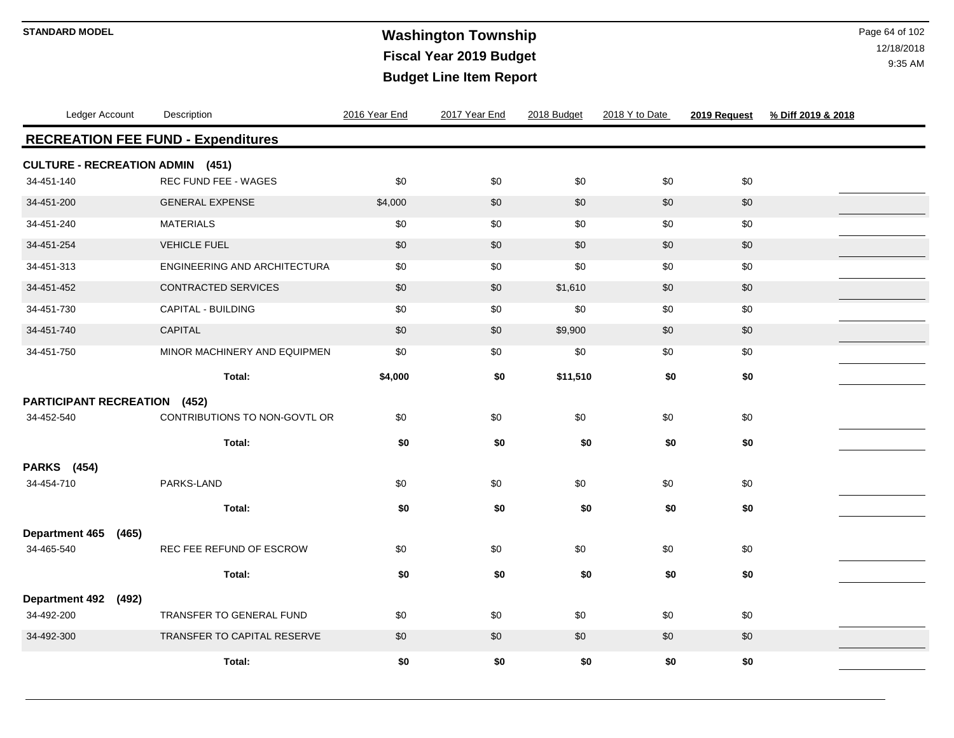# **Washington Township STANDARD MODEL** Page 64 of 102 **Fiscal Year 2019 Budget Budget Line Item Report**

| Ledger Account                            | Description                     | 2016 Year End | 2017 Year End | 2018 Budget | 2018 Y to Date | 2019 Request | % Diff 2019 & 2018 |
|-------------------------------------------|---------------------------------|---------------|---------------|-------------|----------------|--------------|--------------------|
| <b>RECREATION FEE FUND - Expenditures</b> |                                 |               |               |             |                |              |                    |
| <b>CULTURE - RECREATION ADMIN (451)</b>   |                                 |               |               |             |                |              |                    |
| 34-451-140                                | REC FUND FEE - WAGES            | \$0           | \$0           | \$0         | \$0            | \$0          |                    |
| 34-451-200                                | <b>GENERAL EXPENSE</b>          | \$4,000       | \$0           | \$0         | \$0            | \$0          |                    |
| 34-451-240                                | <b>MATERIALS</b>                | \$0           | \$0           | \$0         | \$0            | \$0          |                    |
| 34-451-254                                | <b>VEHICLE FUEL</b>             | \$0           | \$0           | \$0         | \$0            | $$0$$        |                    |
| 34-451-313                                | ENGINEERING AND ARCHITECTURA    | \$0           | \$0           | \$0         | \$0            | \$0          |                    |
| 34-451-452                                | CONTRACTED SERVICES             | \$0           | \$0           | \$1,610     | \$0            | \$0          |                    |
| 34-451-730                                | CAPITAL - BUILDING              | \$0           | \$0           | \$0         | \$0            | \$0          |                    |
| 34-451-740                                | CAPITAL                         | \$0           | \$0           | \$9,900     | \$0            | \$0          |                    |
| 34-451-750                                | MINOR MACHINERY AND EQUIPMEN    | \$0           | \$0           | \$0         | \$0            | \$0          |                    |
|                                           | Total:                          | \$4,000       | \$0           | \$11,510    | \$0            | \$0          |                    |
| <b>PARTICIPANT RECREATION</b>             | (452)                           |               |               |             |                |              |                    |
| 34-452-540                                | CONTRIBUTIONS TO NON-GOVTL OR   | \$0           | \$0           | \$0         | \$0            | \$0          |                    |
|                                           | Total:                          | \$0           | \$0           | \$0         | \$0            | \$0          |                    |
| <b>PARKS</b> (454)                        |                                 |               |               |             |                |              |                    |
| 34-454-710                                | PARKS-LAND                      | \$0           | \$0           | \$0         | \$0            | \$0          |                    |
|                                           | Total:                          | \$0           | \$0           | \$0         | \$0            | \$0          |                    |
| <b>Department 465</b><br>(465)            |                                 |               |               |             |                |              |                    |
| 34-465-540                                | REC FEE REFUND OF ESCROW        | \$0           | \$0           | \$0         | \$0            | \$0          |                    |
|                                           | Total:                          | \$0           | \$0           | \$0         | \$0            | \$0          |                    |
| <b>Department 492</b><br>(492)            |                                 |               |               |             |                |              |                    |
| 34-492-200                                | <b>TRANSFER TO GENERAL FUND</b> | \$0           | \$0           | \$0         | \$0            | \$0          |                    |
| 34-492-300                                | TRANSFER TO CAPITAL RESERVE     | \$0           | \$0           | \$0         | \$0            | \$0          |                    |
|                                           | Total:                          | \$0           | \$0           | \$0         | \$0            | \$0          |                    |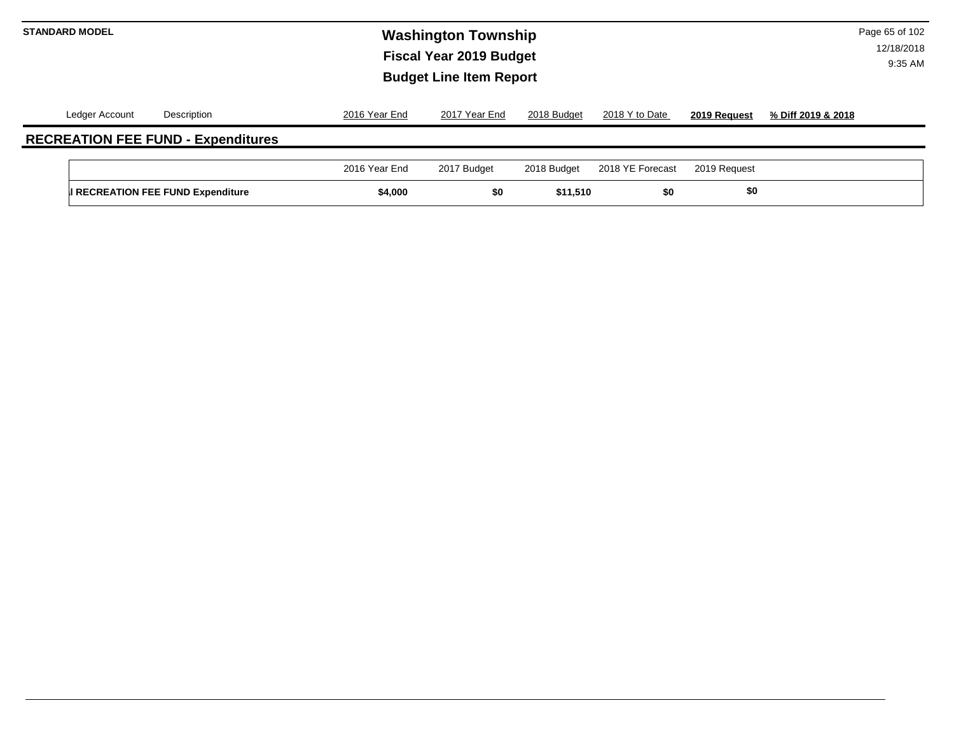# **STANDARD MODEL** Page 65 of 102 **Fiscal Year 2019 Budget Budget Line Item Report**

|                | <b>II RECREATION FEE FUND Expenditure</b> | \$4,000       | \$0           | \$11,510    | \$0              | \$0          |                    |
|----------------|-------------------------------------------|---------------|---------------|-------------|------------------|--------------|--------------------|
|                |                                           | 2016 Year End | 2017 Budget   | 2018 Budget | 2018 YE Forecast | 2019 Request |                    |
|                | <b>RECREATION FEE FUND - Expenditures</b> |               |               |             |                  |              |                    |
| Ledger Account | Description                               | 2016 Year End | 2017 Year End | 2018 Budget | 2018 Y to Date   | 2019 Request | % Diff 2019 & 2018 |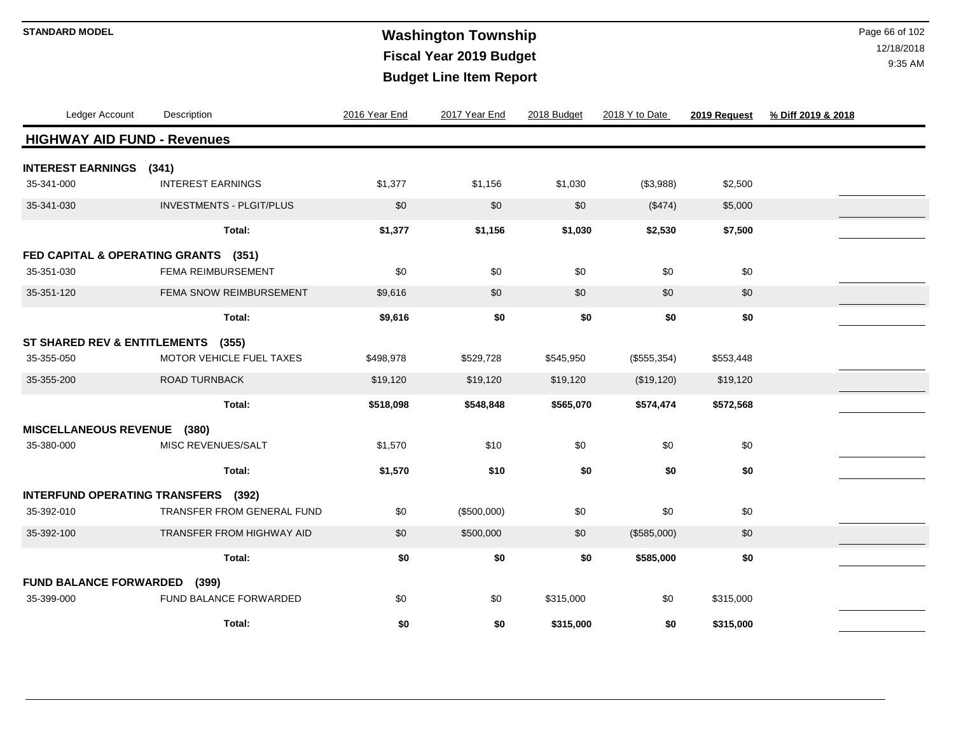# **STANDARD MODEL** Page 66 of 102 **Fiscal Year 2019 Budget Budget Line Item Report**

| Ledger Account                          | Description                       | 2016 Year End | 2017 Year End | 2018 Budget | 2018 Y to Date | 2019 Request | % Diff 2019 & 2018 |
|-----------------------------------------|-----------------------------------|---------------|---------------|-------------|----------------|--------------|--------------------|
| <b>HIGHWAY AID FUND - Revenues</b>      |                                   |               |               |             |                |              |                    |
| <b>INTEREST EARNINGS</b>                | (341)                             |               |               |             |                |              |                    |
| 35-341-000                              | <b>INTEREST EARNINGS</b>          | \$1,377       | \$1,156       | \$1,030     | (\$3,988)      | \$2,500      |                    |
| 35-341-030                              | <b>INVESTMENTS - PLGIT/PLUS</b>   | \$0           | \$0           | \$0         | (\$474)        | \$5,000      |                    |
|                                         | Total:                            | \$1,377       | \$1,156       | \$1,030     | \$2,530        | \$7,500      |                    |
| FED CAPITAL & OPERATING GRANTS (351)    |                                   |               |               |             |                |              |                    |
| 35-351-030                              | FEMA REIMBURSEMENT                | \$0           | \$0           | \$0         | \$0            | \$0          |                    |
| 35-351-120                              | FEMA SNOW REIMBURSEMENT           | \$9,616       | \$0           | \$0         | \$0            | \$0          |                    |
|                                         | Total:                            | \$9,616       | \$0           | \$0         | \$0            | \$0          |                    |
| <b>ST SHARED REV &amp; ENTITLEMENTS</b> | (355)                             |               |               |             |                |              |                    |
| 35-355-050                              | <b>MOTOR VEHICLE FUEL TAXES</b>   | \$498,978     | \$529,728     | \$545,950   | (\$555, 354)   | \$553,448    |                    |
| 35-355-200                              | <b>ROAD TURNBACK</b>              | \$19,120      | \$19,120      | \$19,120    | (\$19,120)     | \$19,120     |                    |
|                                         | Total:                            | \$518,098     | \$548,848     | \$565,070   | \$574,474      | \$572,568    |                    |
| MISCELLANEOUS REVENUE (380)             |                                   |               |               |             |                |              |                    |
| 35-380-000                              | MISC REVENUES/SALT                | \$1,570       | \$10          | \$0         | \$0            | \$0          |                    |
|                                         | Total:                            | \$1,570       | \$10          | \$0         | \$0            | \$0          |                    |
| INTERFUND OPERATING TRANSFERS (392)     |                                   |               |               |             |                |              |                    |
| 35-392-010                              | <b>TRANSFER FROM GENERAL FUND</b> | \$0           | (\$500,000)   | \$0         | \$0            | \$0          |                    |
| 35-392-100                              | <b>TRANSFER FROM HIGHWAY AID</b>  | \$0           | \$500,000     | \$0         | (\$585,000)    | \$0          |                    |
|                                         | Total:                            | \$0           | \$0           | \$0         | \$585,000      | \$0          |                    |
| <b>FUND BALANCE FORWARDED</b>           | (399)                             |               |               |             |                |              |                    |
| 35-399-000                              | FUND BALANCE FORWARDED            | \$0           | \$0           | \$315,000   | \$0            | \$315,000    |                    |
|                                         | Total:                            | \$0           | \$0           | \$315,000   | \$0            | \$315,000    |                    |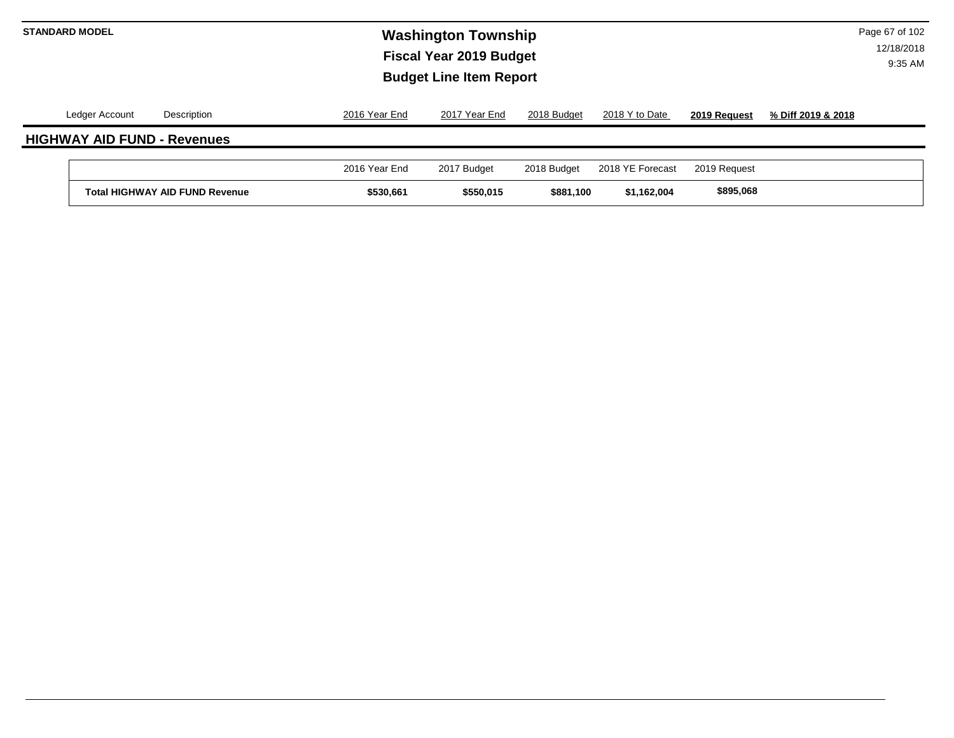| <b>STANDARD MODEL</b> |                |                                       |               | <b>Washington Township</b><br><b>Fiscal Year 2019 Budget</b><br><b>Budget Line Item Report</b> |             |                  |              | Page 67 of 102<br>12/18/2018 |  |  |
|-----------------------|----------------|---------------------------------------|---------------|------------------------------------------------------------------------------------------------|-------------|------------------|--------------|------------------------------|--|--|
|                       | Ledger Account | Description                           | 2016 Year End | 2017 Year End                                                                                  | 2018 Budget | 2018 Y to Date   | 2019 Request | % Diff 2019 & 2018           |  |  |
|                       |                | <b>HIGHWAY AID FUND - Revenues</b>    |               |                                                                                                |             |                  |              |                              |  |  |
|                       |                |                                       | 2016 Year End | 2017 Budget                                                                                    | 2018 Budget | 2018 YE Forecast | 2019 Request |                              |  |  |
|                       |                | <b>Total HIGHWAY AID FUND Revenue</b> | \$530,661     | \$550,015                                                                                      | \$881,100   | \$1,162,004      | \$895,068    |                              |  |  |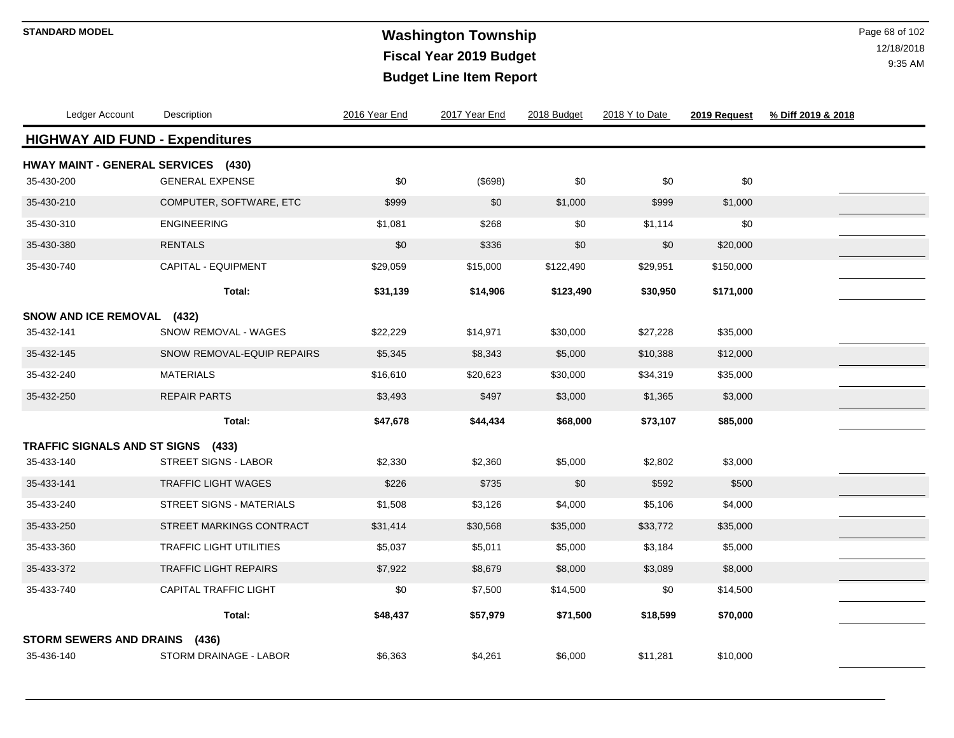# **Washington Township STANDARD MODEL** Page 68 of 102 **Fiscal Year 2019 Budget Budget Line Item Report**

| Ledger Account                                    | Description                  | 2016 Year End | 2017 Year End | 2018 Budget | 2018 Y to Date | 2019 Request | % Diff 2019 & 2018 |
|---------------------------------------------------|------------------------------|---------------|---------------|-------------|----------------|--------------|--------------------|
| <b>HIGHWAY AID FUND - Expenditures</b>            |                              |               |               |             |                |              |                    |
| HWAY MAINT - GENERAL SERVICES (430)<br>35-430-200 | <b>GENERAL EXPENSE</b>       | \$0           | (\$698)       | \$0         | \$0            | \$0          |                    |
| 35-430-210                                        | COMPUTER, SOFTWARE, ETC      | \$999         | $$0$$         | \$1,000     | \$999          | \$1,000      |                    |
| 35-430-310                                        | <b>ENGINEERING</b>           | \$1,081       | \$268         | \$0         | \$1,114        | \$0          |                    |
| 35-430-380                                        | <b>RENTALS</b>               | \$0           | \$336         | \$0         | \$0            | \$20,000     |                    |
| 35-430-740                                        | CAPITAL - EQUIPMENT          | \$29,059      | \$15,000      | \$122,490   | \$29,951       | \$150,000    |                    |
|                                                   | Total:                       | \$31,139      | \$14,906      | \$123,490   | \$30,950       | \$171,000    |                    |
| SNOW AND ICE REMOVAL (432)                        |                              |               |               |             |                |              |                    |
| 35-432-141                                        | SNOW REMOVAL - WAGES         | \$22,229      | \$14,971      | \$30,000    | \$27,228       | \$35,000     |                    |
| 35-432-145                                        | SNOW REMOVAL-EQUIP REPAIRS   | \$5,345       | \$8,343       | \$5,000     | \$10,388       | \$12,000     |                    |
| 35-432-240                                        | <b>MATERIALS</b>             | \$16,610      | \$20,623      | \$30,000    | \$34,319       | \$35,000     |                    |
| 35-432-250                                        | <b>REPAIR PARTS</b>          | \$3,493       | \$497         | \$3,000     | \$1,365        | \$3,000      |                    |
|                                                   | Total:                       | \$47,678      | \$44,434      | \$68,000    | \$73,107       | \$85,000     |                    |
| TRAFFIC SIGNALS AND ST SIGNS (433)                |                              |               |               |             |                |              |                    |
| 35-433-140                                        | <b>STREET SIGNS - LABOR</b>  | \$2,330       | \$2,360       | \$5,000     | \$2,802        | \$3,000      |                    |
| 35-433-141                                        | <b>TRAFFIC LIGHT WAGES</b>   | \$226         | \$735         | \$0         | \$592          | \$500        |                    |
| 35-433-240                                        | STREET SIGNS - MATERIALS     | \$1,508       | \$3,126       | \$4,000     | \$5,106        | \$4,000      |                    |
| 35-433-250                                        | STREET MARKINGS CONTRACT     | \$31,414      | \$30,568      | \$35,000    | \$33,772       | \$35,000     |                    |
| 35-433-360                                        | TRAFFIC LIGHT UTILITIES      | \$5,037       | \$5,011       | \$5,000     | \$3,184        | \$5,000      |                    |
| 35-433-372                                        | <b>TRAFFIC LIGHT REPAIRS</b> | \$7,922       | \$8,679       | \$8,000     | \$3,089        | \$8,000      |                    |
| 35-433-740                                        | <b>CAPITAL TRAFFIC LIGHT</b> | \$0           | \$7,500       | \$14,500    | \$0            | \$14,500     |                    |
|                                                   | Total:                       | \$48,437      | \$57,979      | \$71,500    | \$18,599       | \$70,000     |                    |
| <b>STORM SEWERS AND DRAINS</b>                    | (436)                        |               |               |             |                |              |                    |
| 35-436-140                                        | STORM DRAINAGE - LABOR       | \$6,363       | \$4,261       | \$6,000     | \$11,281       | \$10,000     |                    |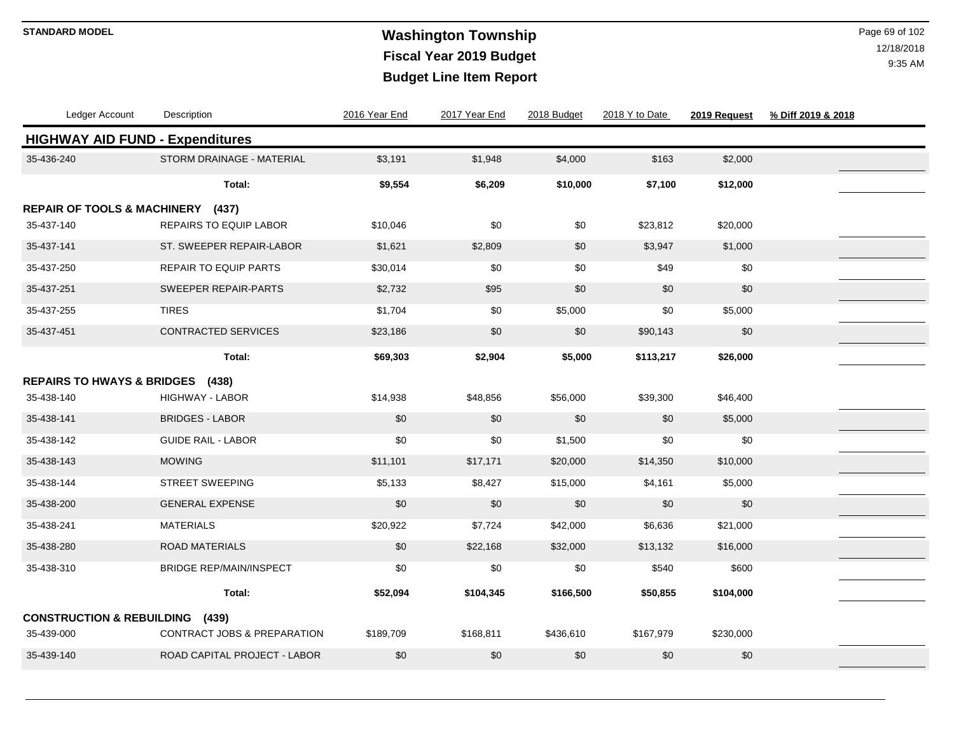### **STANDARD MODEL** Page 69 of 102 **Fiscal Year 2019 Budget Budget Line Item Report**

| Ledger Account                              | Description                            | 2016 Year End | 2017 Year End | 2018 Budget | 2018 Y to Date | 2019 Request | % Diff 2019 & 2018 |  |
|---------------------------------------------|----------------------------------------|---------------|---------------|-------------|----------------|--------------|--------------------|--|
|                                             | <b>HIGHWAY AID FUND - Expenditures</b> |               |               |             |                |              |                    |  |
| 35-436-240                                  | STORM DRAINAGE - MATERIAL              | \$3,191       | \$1,948       | \$4,000     | \$163          | \$2,000      |                    |  |
|                                             | Total:                                 | \$9,554       | \$6,209       | \$10,000    | \$7,100        | \$12,000     |                    |  |
|                                             | REPAIR OF TOOLS & MACHINERY (437)      |               |               |             |                |              |                    |  |
| 35-437-140                                  | REPAIRS TO EQUIP LABOR                 | \$10,046      | \$0           | \$0         | \$23,812       | \$20,000     |                    |  |
| 35-437-141                                  | ST. SWEEPER REPAIR-LABOR               | \$1,621       | \$2,809       | \$0         | \$3,947        | \$1,000      |                    |  |
| 35-437-250                                  | <b>REPAIR TO EQUIP PARTS</b>           | \$30,014      | \$0           | \$0         | \$49           | \$0          |                    |  |
| 35-437-251                                  | SWEEPER REPAIR-PARTS                   | \$2,732       | \$95          | \$0         | \$0            | \$0          |                    |  |
| 35-437-255                                  | <b>TIRES</b>                           | \$1,704       | \$0           | \$5,000     | \$0            | \$5,000      |                    |  |
| 35-437-451                                  | <b>CONTRACTED SERVICES</b>             | \$23,186      | \$0           | \$0         | \$90,143       | \$0          |                    |  |
|                                             | Total:                                 | \$69,303      | \$2,904       | \$5,000     | \$113,217      | \$26,000     |                    |  |
| <b>REPAIRS TO HWAYS &amp; BRIDGES (438)</b> |                                        |               |               |             |                |              |                    |  |
| 35-438-140                                  | HIGHWAY - LABOR                        | \$14,938      | \$48,856      | \$56,000    | \$39,300       | \$46,400     |                    |  |
| 35-438-141                                  | <b>BRIDGES - LABOR</b>                 | \$0           | \$0           | \$0         | \$0            | \$5,000      |                    |  |
| 35-438-142                                  | <b>GUIDE RAIL - LABOR</b>              | \$0           | \$0           | \$1,500     | \$0            | \$0          |                    |  |
| 35-438-143                                  | <b>MOWING</b>                          | \$11,101      | \$17,171      | \$20,000    | \$14,350       | \$10,000     |                    |  |
| 35-438-144                                  | <b>STREET SWEEPING</b>                 | \$5,133       | \$8,427       | \$15,000    | \$4,161        | \$5,000      |                    |  |
| 35-438-200                                  | <b>GENERAL EXPENSE</b>                 | \$0           | \$0           | \$0         | \$0            | \$0          |                    |  |
| 35-438-241                                  | <b>MATERIALS</b>                       | \$20,922      | \$7,724       | \$42,000    | \$6,636        | \$21,000     |                    |  |
| 35-438-280                                  | <b>ROAD MATERIALS</b>                  | \$0           | \$22,168      | \$32,000    | \$13,132       | \$16,000     |                    |  |
| 35-438-310                                  | <b>BRIDGE REP/MAIN/INSPECT</b>         | \$0           | \$0           | \$0         | \$540          | \$600        |                    |  |
|                                             | Total:                                 | \$52,094      | \$104,345     | \$166,500   | \$50,855       | \$104,000    |                    |  |
| <b>CONSTRUCTION &amp; REBUILDING</b>        | (439)                                  |               |               |             |                |              |                    |  |
| 35-439-000                                  | CONTRACT JOBS & PREPARATION            | \$189,709     | \$168,811     | \$436,610   | \$167,979      | \$230,000    |                    |  |
| 35-439-140                                  | ROAD CAPITAL PROJECT - LABOR           | \$0           | \$0           | \$0         | \$0            | \$0          |                    |  |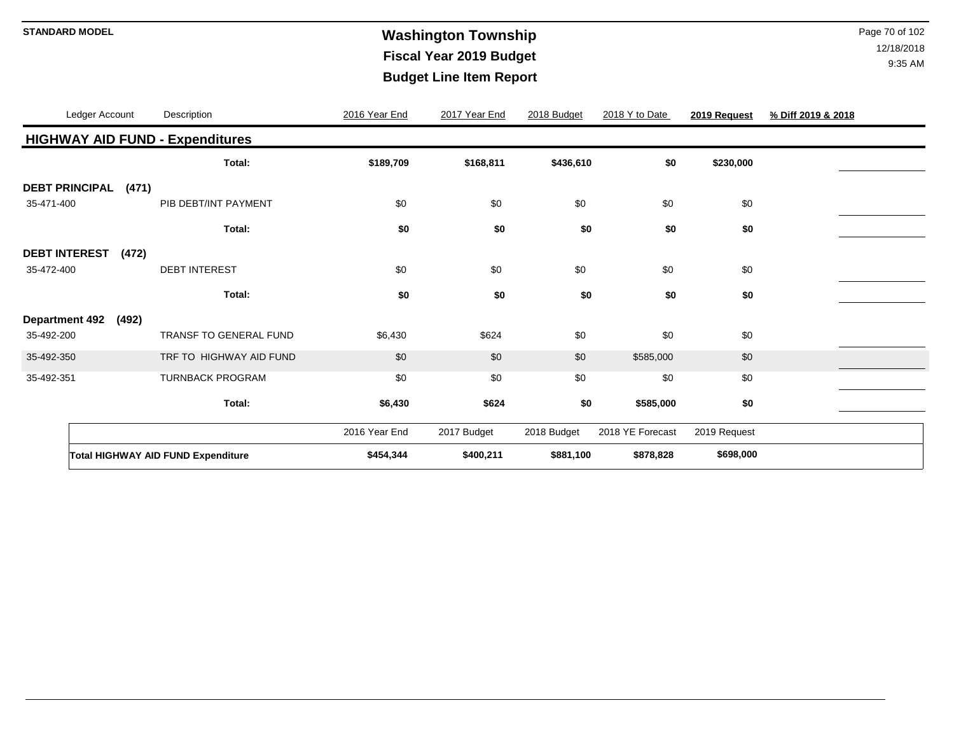### **STANDARD MODEL** Page 70 of 102 **Fiscal Year 2019 Budget Budget Line Item Report**

|                       | Ledger Account |       | Description                               | 2016 Year End | 2017 Year End | 2018 Budget | 2018 Y to Date   | 2019 Request | % Diff 2019 & 2018 |
|-----------------------|----------------|-------|-------------------------------------------|---------------|---------------|-------------|------------------|--------------|--------------------|
|                       |                |       | <b>HIGHWAY AID FUND - Expenditures</b>    |               |               |             |                  |              |                    |
|                       |                |       | Total:                                    | \$189,709     | \$168,811     | \$436,610   | \$0              | \$230,000    |                    |
| <b>DEBT PRINCIPAL</b> |                | (471) |                                           |               |               |             |                  |              |                    |
| 35-471-400            |                |       | PIB DEBT/INT PAYMENT                      | \$0           | \$0           | \$0         | \$0              | \$0          |                    |
|                       |                |       | Total:                                    | \$0           | \$0           | \$0         | \$0              | \$0          |                    |
| <b>DEBT INTEREST</b>  |                | (472) |                                           |               |               |             |                  |              |                    |
| 35-472-400            |                |       | <b>DEBT INTEREST</b>                      | \$0           | \$0           | \$0         | \$0              | \$0          |                    |
|                       |                |       | Total:                                    | \$0           | \$0           | \$0         | \$0              | \$0          |                    |
| <b>Department 492</b> |                | (492) |                                           |               |               |             |                  |              |                    |
| 35-492-200            |                |       | <b>TRANSF TO GENERAL FUND</b>             | \$6,430       | \$624         | \$0         | \$0              | \$0          |                    |
| 35-492-350            |                |       | TRF TO HIGHWAY AID FUND                   | \$0           | \$0           | \$0         | \$585,000        | \$0          |                    |
| 35-492-351            |                |       | <b>TURNBACK PROGRAM</b>                   | \$0           | \$0           | \$0         | \$0              | \$0          |                    |
|                       |                |       | Total:                                    | \$6,430       | \$624         | \$0         | \$585,000        | \$0          |                    |
|                       |                |       |                                           | 2016 Year End | 2017 Budget   | 2018 Budget | 2018 YE Forecast | 2019 Request |                    |
|                       |                |       | <b>Total HIGHWAY AID FUND Expenditure</b> | \$454,344     | \$400,211     | \$881,100   | \$878,828        | \$698,000    |                    |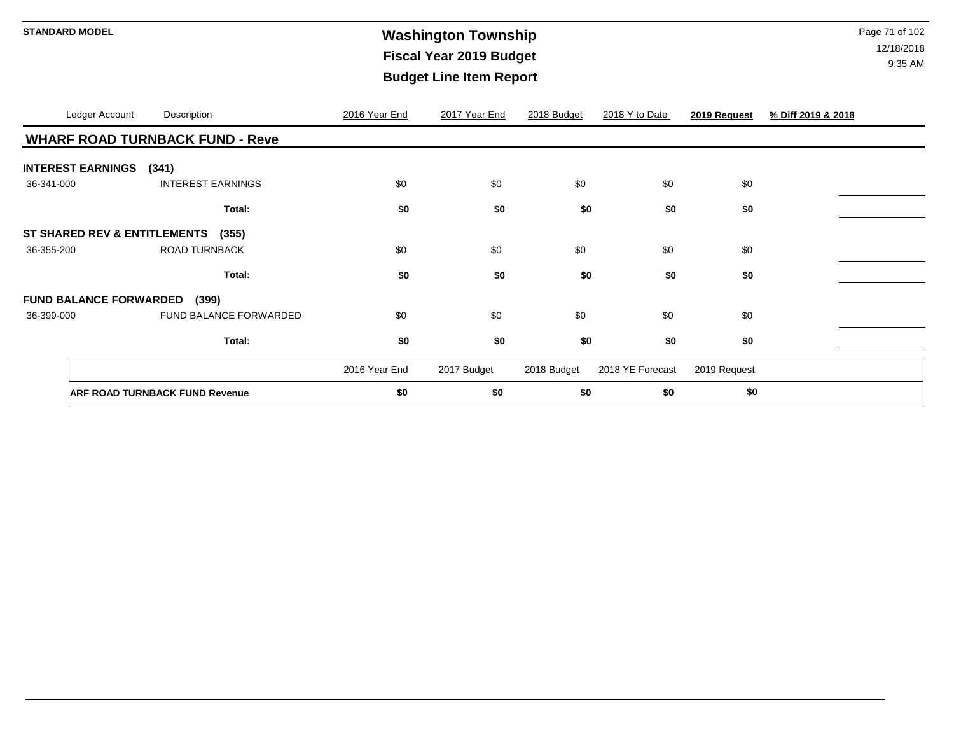# **Washington Township STANDARD MODEL** Page 71 of 102 **Fiscal Year 2019 Budget Budget Line Item Report**

|            | Ledger Account                          | Description                            | 2016 Year End | 2017 Year End | 2018 Budget | 2018 Y to Date   | 2019 Request | % Diff 2019 & 2018 |
|------------|-----------------------------------------|----------------------------------------|---------------|---------------|-------------|------------------|--------------|--------------------|
|            |                                         | <b>WHARF ROAD TURNBACK FUND - Reve</b> |               |               |             |                  |              |                    |
|            | <b>INTEREST EARNINGS</b> (341)          |                                        |               |               |             |                  |              |                    |
| 36-341-000 |                                         | <b>INTEREST EARNINGS</b>               | \$0           | \$0           | \$0         | \$0              | \$0          |                    |
|            |                                         | Total:                                 | \$0           | \$0           | \$0         | \$0              | \$0          |                    |
|            | <b>ST SHARED REV &amp; ENTITLEMENTS</b> | (355)                                  |               |               |             |                  |              |                    |
| 36-355-200 |                                         | <b>ROAD TURNBACK</b>                   | \$0           | \$0           | \$0         | \$0              | \$0          |                    |
|            |                                         | Total:                                 | \$0           | \$0           | \$0         | \$0              | \$0          |                    |
|            | <b>FUND BALANCE FORWARDED</b>           | (399)                                  |               |               |             |                  |              |                    |
| 36-399-000 |                                         | FUND BALANCE FORWARDED                 | \$0           | \$0           | \$0         | \$0              | \$0          |                    |
|            |                                         | Total:                                 | \$0           | \$0           | \$0         | \$0              | \$0          |                    |
|            |                                         |                                        | 2016 Year End | 2017 Budget   | 2018 Budget | 2018 YE Forecast | 2019 Request |                    |
|            |                                         | <b>ARF ROAD TURNBACK FUND Revenue</b>  | \$0           | \$0           | \$0         | \$0              | \$0          |                    |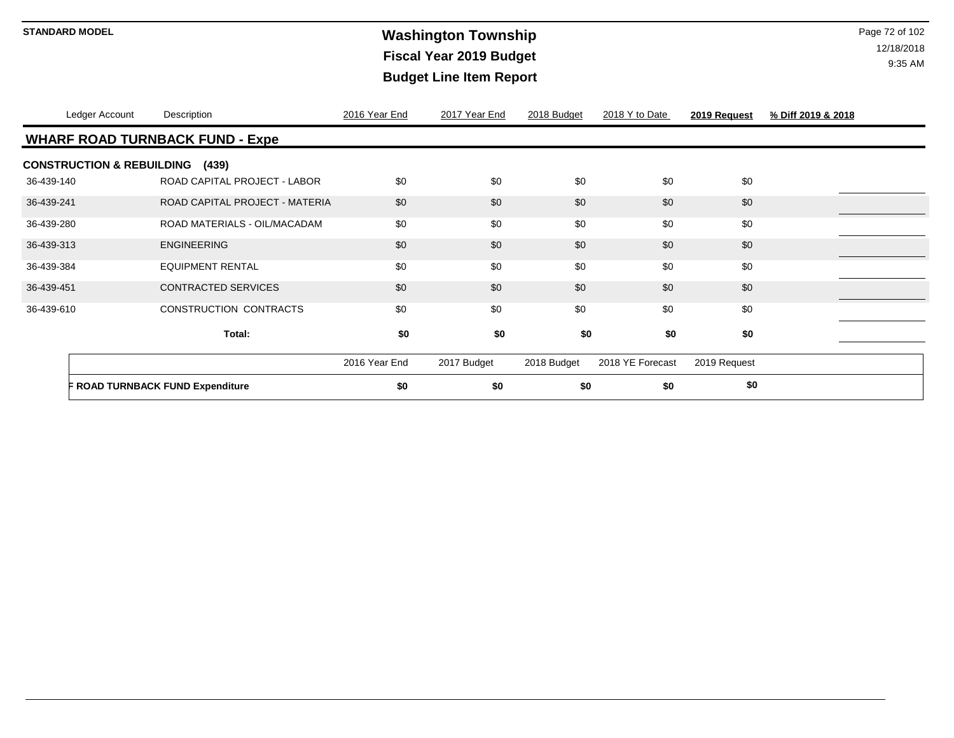### **Washington Township STANDARD MODEL** Page 72 of 102 **Fiscal Year 2019 Budget Budget Line Item Report**

|            | Ledger Account                             | Description                            | 2016 Year End | 2017 Year End | 2018 Budget | 2018 Y to Date   | 2019 Request | % Diff 2019 & 2018 |  |  |
|------------|--------------------------------------------|----------------------------------------|---------------|---------------|-------------|------------------|--------------|--------------------|--|--|
|            |                                            | <b>WHARF ROAD TURNBACK FUND - Expe</b> |               |               |             |                  |              |                    |  |  |
|            | <b>CONSTRUCTION &amp; REBUILDING (439)</b> |                                        |               |               |             |                  |              |                    |  |  |
| 36-439-140 |                                            | ROAD CAPITAL PROJECT - LABOR           | \$0           | \$0           | \$0         | \$0              | \$0          |                    |  |  |
| 36-439-241 |                                            | ROAD CAPITAL PROJECT - MATERIA         | \$0           | \$0           | \$0         | \$0              | \$0          |                    |  |  |
| 36-439-280 |                                            | ROAD MATERIALS - OIL/MACADAM           | \$0           | \$0           | \$0         | \$0              | \$0          |                    |  |  |
| 36-439-313 |                                            | <b>ENGINEERING</b>                     | \$0           | \$0           | \$0         | \$0              | \$0          |                    |  |  |
| 36-439-384 |                                            | <b>EQUIPMENT RENTAL</b>                | \$0           | \$0           | \$0         | \$0              | \$0          |                    |  |  |
| 36-439-451 |                                            | <b>CONTRACTED SERVICES</b>             | \$0           | \$0           | \$0         | \$0              | \$0          |                    |  |  |
| 36-439-610 |                                            | <b>CONSTRUCTION CONTRACTS</b>          | \$0           | \$0           | \$0         | \$0              | \$0          |                    |  |  |
|            |                                            | Total:                                 | \$0           | \$0           | \$0         | \$0              | \$0          |                    |  |  |
|            |                                            |                                        | 2016 Year End | 2017 Budget   | 2018 Budget | 2018 YE Forecast | 2019 Request |                    |  |  |
|            |                                            | F ROAD TURNBACK FUND Expenditure       | \$0           | \$0           | \$0         | \$0              | \$0          |                    |  |  |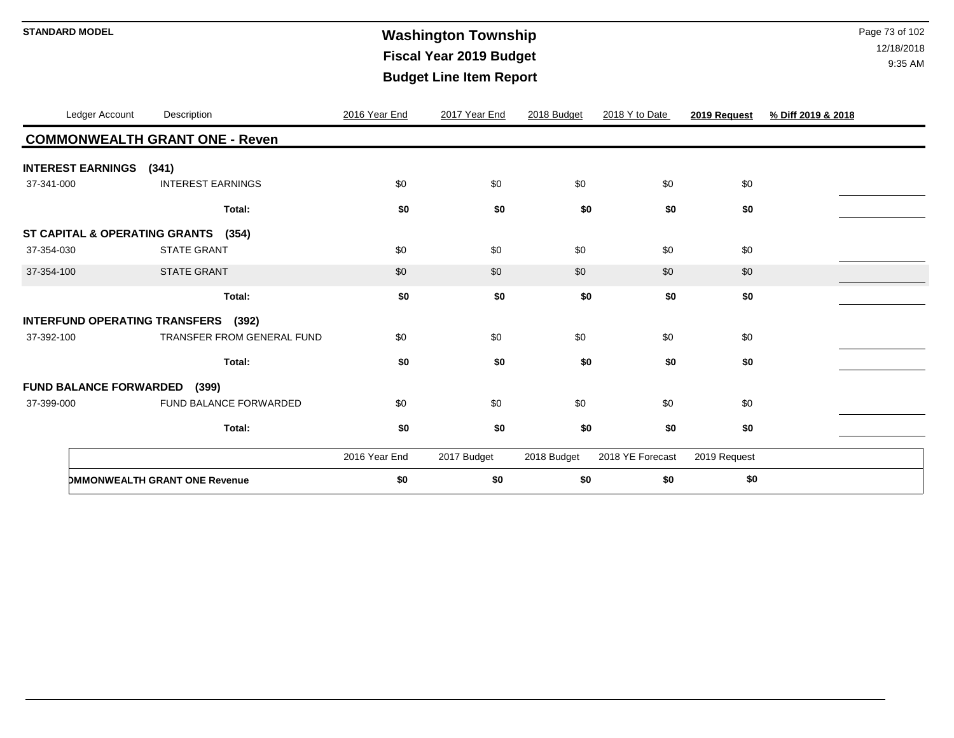# **Washington Township STANDARD MODEL** Page 73 of 102 **Fiscal Year 2019 Budget Budget Line Item Report**

| Ledger Account                       | Description                           | 2016 Year End | 2017 Year End | 2018 Budget | 2018 Y to Date   | 2019 Request | % Diff 2019 & 2018 |
|--------------------------------------|---------------------------------------|---------------|---------------|-------------|------------------|--------------|--------------------|
|                                      | <b>COMMONWEALTH GRANT ONE - Reven</b> |               |               |             |                  |              |                    |
| <b>INTEREST EARNINGS</b>             | (341)                                 |               |               |             |                  |              |                    |
| 37-341-000                           | <b>INTEREST EARNINGS</b>              | \$0           | \$0           | \$0         | \$0              | \$0          |                    |
|                                      | Total:                                | \$0           | \$0           | \$0         | \$0              | \$0          |                    |
|                                      | ST CAPITAL & OPERATING GRANTS (354)   |               |               |             |                  |              |                    |
| 37-354-030                           | <b>STATE GRANT</b>                    | \$0           | \$0           | \$0         | \$0              | \$0          |                    |
| 37-354-100                           | <b>STATE GRANT</b>                    | \$0           | \$0           | \$0         | \$0              | \$0          |                    |
|                                      | Total:                                | \$0           | \$0           | \$0         | \$0              | \$0          |                    |
| <b>INTERFUND OPERATING TRANSFERS</b> | (392)                                 |               |               |             |                  |              |                    |
| 37-392-100                           | <b>TRANSFER FROM GENERAL FUND</b>     | \$0           | \$0           | \$0         | \$0              | \$0          |                    |
|                                      | Total:                                | \$0           | \$0           | \$0         | \$0              | \$0          |                    |
| <b>FUND BALANCE FORWARDED (399)</b>  |                                       |               |               |             |                  |              |                    |
| 37-399-000                           | FUND BALANCE FORWARDED                | \$0           | \$0           | \$0         | \$0              | \$0          |                    |
|                                      | Total:                                | \$0           | \$0           | \$0         | \$0              | \$0          |                    |
|                                      |                                       | 2016 Year End | 2017 Budget   | 2018 Budget | 2018 YE Forecast | 2019 Request |                    |
|                                      | <b>DMMONWEALTH GRANT ONE Revenue</b>  | \$0           | \$0           | \$0         | \$0              | \$0          |                    |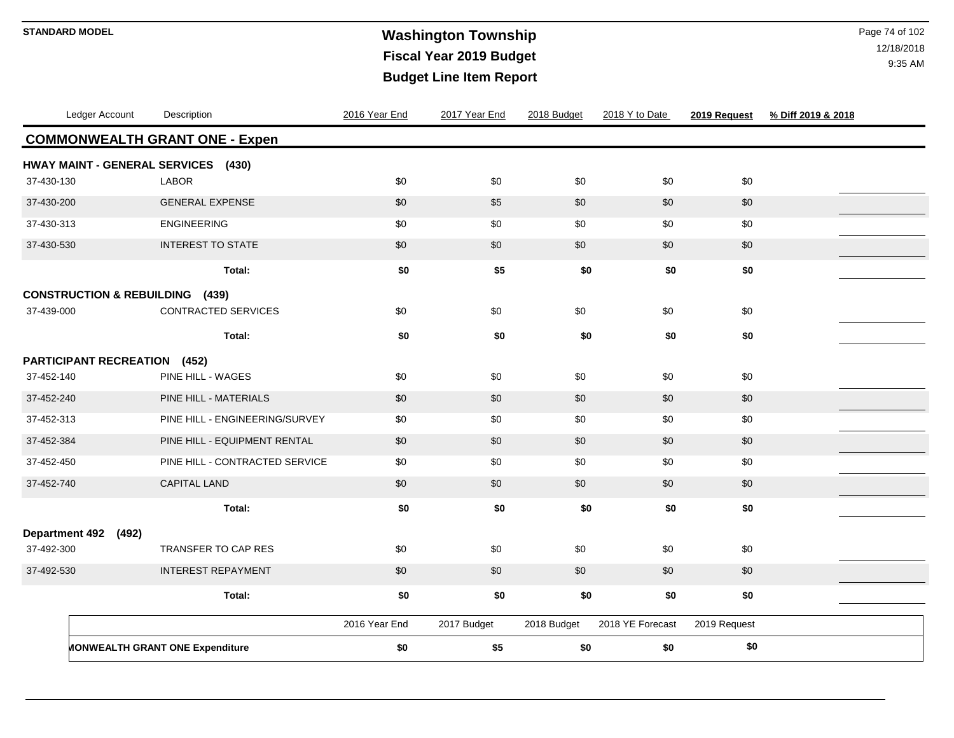# **Washington Township STANDARD MODEL** Page 74 of 102 **Fiscal Year 2019 Budget Budget Line Item Report**

| Ledger Account                             | Description                            | 2016 Year End | 2017 Year End | 2018 Budget | 2018 Y to Date   | 2019 Request | % Diff 2019 & 2018 |
|--------------------------------------------|----------------------------------------|---------------|---------------|-------------|------------------|--------------|--------------------|
|                                            | <b>COMMONWEALTH GRANT ONE - Expen</b>  |               |               |             |                  |              |                    |
| HWAY MAINT - GENERAL SERVICES (430)        |                                        |               |               |             |                  |              |                    |
| 37-430-130                                 | <b>LABOR</b>                           | \$0           | \$0           | \$0         | \$0              | \$0          |                    |
| 37-430-200                                 | <b>GENERAL EXPENSE</b>                 | \$0           | \$5           | \$0         | \$0              | \$0          |                    |
| 37-430-313                                 | <b>ENGINEERING</b>                     | \$0           | \$0           | \$0         | \$0              | \$0          |                    |
| 37-430-530                                 | <b>INTEREST TO STATE</b>               | \$0           | \$0           | \$0         | \$0              | \$0          |                    |
|                                            | Total:                                 | \$0           | \$5           | \$0         | \$0              | \$0          |                    |
| <b>CONSTRUCTION &amp; REBUILDING (439)</b> |                                        |               |               |             |                  |              |                    |
| 37-439-000                                 | CONTRACTED SERVICES                    | \$0           | \$0           | \$0         | \$0              | \$0          |                    |
|                                            | Total:                                 | \$0           | \$0           | \$0         | \$0              | \$0          |                    |
| <b>PARTICIPANT RECREATION (452)</b>        |                                        |               |               |             |                  |              |                    |
| 37-452-140                                 | PINE HILL - WAGES                      | \$0           | \$0           | \$0         | \$0              | \$0          |                    |
| 37-452-240                                 | PINE HILL - MATERIALS                  | \$0           | \$0           | \$0         | \$0              | \$0          |                    |
| 37-452-313                                 | PINE HILL - ENGINEERING/SURVEY         | \$0           | \$0           | \$0         | \$0              | \$0          |                    |
| 37-452-384                                 | PINE HILL - EQUIPMENT RENTAL           | \$0           | \$0           | \$0         | \$0              | \$0          |                    |
| 37-452-450                                 | PINE HILL - CONTRACTED SERVICE         | \$0           | \$0           | \$0         | \$0              | \$0          |                    |
| 37-452-740                                 | <b>CAPITAL LAND</b>                    | \$0           | \$0           | \$0         | \$0              | \$0          |                    |
|                                            | Total:                                 | \$0           | \$0           | \$0         | \$0              | \$0          |                    |
| <b>Department 492</b><br>(492)             |                                        |               |               |             |                  |              |                    |
| 37-492-300                                 | <b>TRANSFER TO CAP RES</b>             | \$0           | \$0           | \$0         | \$0              | \$0          |                    |
| 37-492-530                                 | <b>INTEREST REPAYMENT</b>              | \$0           | \$0           | \$0         | \$0              | \$0          |                    |
|                                            | Total:                                 | \$0           | \$0           | \$0         | \$0              | \$0          |                    |
|                                            |                                        | 2016 Year End | 2017 Budget   | 2018 Budget | 2018 YE Forecast | 2019 Request |                    |
|                                            | <b>MONWEALTH GRANT ONE Expenditure</b> | \$0           | \$5           | \$0         | \$0              | \$0          |                    |
|                                            |                                        |               |               |             |                  |              |                    |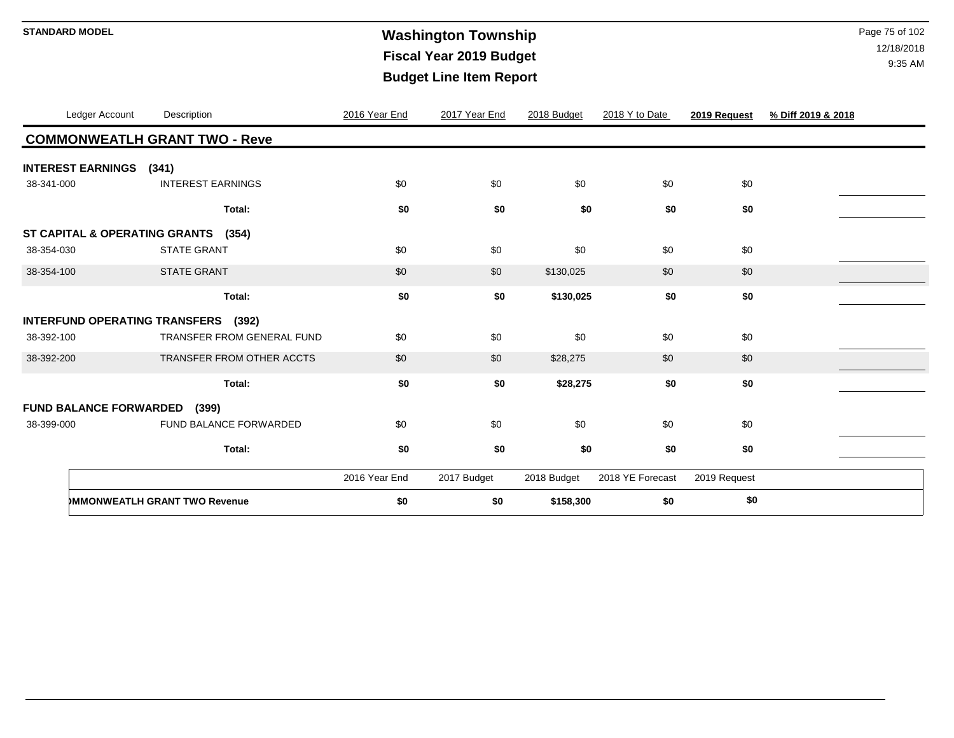# **Washington Township STANDARD MODEL** Page 75 of 102 **Fiscal Year 2019 Budget Budget Line Item Report**

|            | Ledger Account                       | Description                         |                                   | 2016 Year End | 2017 Year End | 2018 Budget | 2018 Y to Date   | 2019 Request | % Diff 2019 & 2018 |  |  |  |
|------------|--------------------------------------|-------------------------------------|-----------------------------------|---------------|---------------|-------------|------------------|--------------|--------------------|--|--|--|
|            | <b>COMMONWEATLH GRANT TWO - Reve</b> |                                     |                                   |               |               |             |                  |              |                    |  |  |  |
|            | <b>INTEREST EARNINGS</b>             | (341)                               |                                   |               |               |             |                  |              |                    |  |  |  |
| 38-341-000 |                                      | <b>INTEREST EARNINGS</b>            |                                   | \$0           | \$0           | \$0         | \$0              | \$0          |                    |  |  |  |
|            |                                      |                                     | Total:                            | \$0           | \$0           | \$0         | \$0              | \$0          |                    |  |  |  |
|            |                                      | ST CAPITAL & OPERATING GRANTS (354) |                                   |               |               |             |                  |              |                    |  |  |  |
| 38-354-030 |                                      | <b>STATE GRANT</b>                  |                                   | \$0           | \$0           | \$0         | \$0              | \$0          |                    |  |  |  |
| 38-354-100 |                                      | <b>STATE GRANT</b>                  |                                   | \$0           | \$0           | \$130,025   | \$0              | \$0          |                    |  |  |  |
|            |                                      |                                     | Total:                            | \$0           | \$0           | \$130,025   | \$0              | \$0          |                    |  |  |  |
|            |                                      | INTERFUND OPERATING TRANSFERS (392) |                                   |               |               |             |                  |              |                    |  |  |  |
| 38-392-100 |                                      |                                     | <b>TRANSFER FROM GENERAL FUND</b> | \$0           | \$0           | \$0         | \$0              | \$0          |                    |  |  |  |
| 38-392-200 |                                      |                                     | TRANSFER FROM OTHER ACCTS         | \$0           | \$0           | \$28,275    | \$0              | \$0          |                    |  |  |  |
|            |                                      |                                     | Total:                            | \$0           | \$0           | \$28,275    | \$0              | \$0          |                    |  |  |  |
|            | <b>FUND BALANCE FORWARDED</b>        | (399)                               |                                   |               |               |             |                  |              |                    |  |  |  |
| 38-399-000 |                                      |                                     | FUND BALANCE FORWARDED            | \$0           | \$0           | \$0         | \$0              | \$0          |                    |  |  |  |
|            |                                      |                                     | Total:                            | \$0           | \$0           | \$0         | \$0              | \$0          |                    |  |  |  |
|            |                                      |                                     |                                   | 2016 Year End | 2017 Budget   | 2018 Budget | 2018 YE Forecast | 2019 Request |                    |  |  |  |
|            |                                      | <b>MMONWEATLH GRANT TWO Revenue</b> |                                   | \$0           | \$0           | \$158,300   | \$0              | \$0          |                    |  |  |  |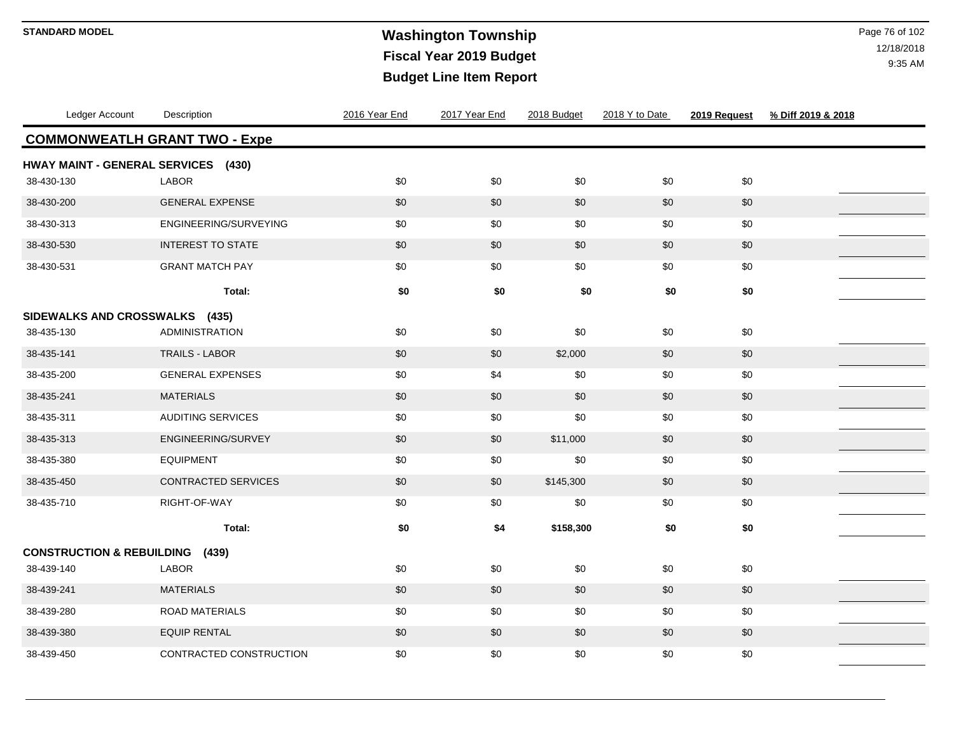# **Washington Township STANDARD MODEL** Page 76 of 102 **Fiscal Year 2019 Budget Budget Line Item Report**

| Ledger Account                       | Description                | 2016 Year End | 2017 Year End | 2018 Budget | 2018 Y to Date | 2019 Request | % Diff 2019 & 2018 |
|--------------------------------------|----------------------------|---------------|---------------|-------------|----------------|--------------|--------------------|
| <b>COMMONWEATLH GRANT TWO - Expe</b> |                            |               |               |             |                |              |                    |
| HWAY MAINT - GENERAL SERVICES (430)  |                            |               |               |             |                |              |                    |
| 38-430-130                           | <b>LABOR</b>               | \$0           | \$0           | \$0         | \$0            | \$0          |                    |
| 38-430-200                           | <b>GENERAL EXPENSE</b>     | \$0           | \$0           | \$0         | \$0            | $\$0$        |                    |
| 38-430-313                           | ENGINEERING/SURVEYING      | \$0           | \$0           | \$0         | \$0            | \$0          |                    |
| 38-430-530                           | <b>INTEREST TO STATE</b>   | \$0           | \$0           | \$0         | \$0            | \$0          |                    |
| 38-430-531                           | <b>GRANT MATCH PAY</b>     | \$0           | \$0           | \$0         | \$0            | \$0          |                    |
|                                      | Total:                     | \$0           | \$0           | \$0         | \$0            | \$0          |                    |
| SIDEWALKS AND CROSSWALKS (435)       |                            |               |               |             |                |              |                    |
| 38-435-130                           | <b>ADMINISTRATION</b>      | \$0           | \$0           | \$0         | \$0            | \$0          |                    |
| 38-435-141                           | <b>TRAILS - LABOR</b>      | \$0           | \$0           | \$2,000     | \$0            | \$0          |                    |
| 38-435-200                           | <b>GENERAL EXPENSES</b>    | \$0           | \$4           | \$0         | \$0            | \$0          |                    |
| 38-435-241                           | <b>MATERIALS</b>           | \$0           | \$0           | \$0         | \$0            | $\$0$        |                    |
| 38-435-311                           | <b>AUDITING SERVICES</b>   | \$0           | \$0           | \$0         | \$0            | \$0          |                    |
| 38-435-313                           | ENGINEERING/SURVEY         | \$0           | \$0           | \$11,000    | \$0            | $$0$$        |                    |
| 38-435-380                           | <b>EQUIPMENT</b>           | \$0           | \$0           | \$0         | \$0            | $$0$$        |                    |
| 38-435-450                           | <b>CONTRACTED SERVICES</b> | \$0           | \$0           | \$145,300   | \$0            | \$0          |                    |
| 38-435-710                           | RIGHT-OF-WAY               | \$0           | \$0           | \$0         | \$0            | $\$0$        |                    |
|                                      | Total:                     | \$0           | \$4           | \$158,300   | \$0            | \$0          |                    |
| <b>CONSTRUCTION &amp; REBUILDING</b> | (439)                      |               |               |             |                |              |                    |
| 38-439-140                           | <b>LABOR</b>               | \$0           | \$0           | \$0         | \$0            | \$0          |                    |
| 38-439-241                           | <b>MATERIALS</b>           | \$0           | \$0           | \$0         | \$0            | \$0          |                    |
| 38-439-280                           | <b>ROAD MATERIALS</b>      | \$0           | \$0           | \$0         | \$0            | $\$0$        |                    |
| 38-439-380                           | <b>EQUIP RENTAL</b>        | \$0           | \$0           | \$0         | \$0            | $\$0$        |                    |
| 38-439-450                           | CONTRACTED CONSTRUCTION    | \$0           | \$0           | \$0         | \$0            | \$0          |                    |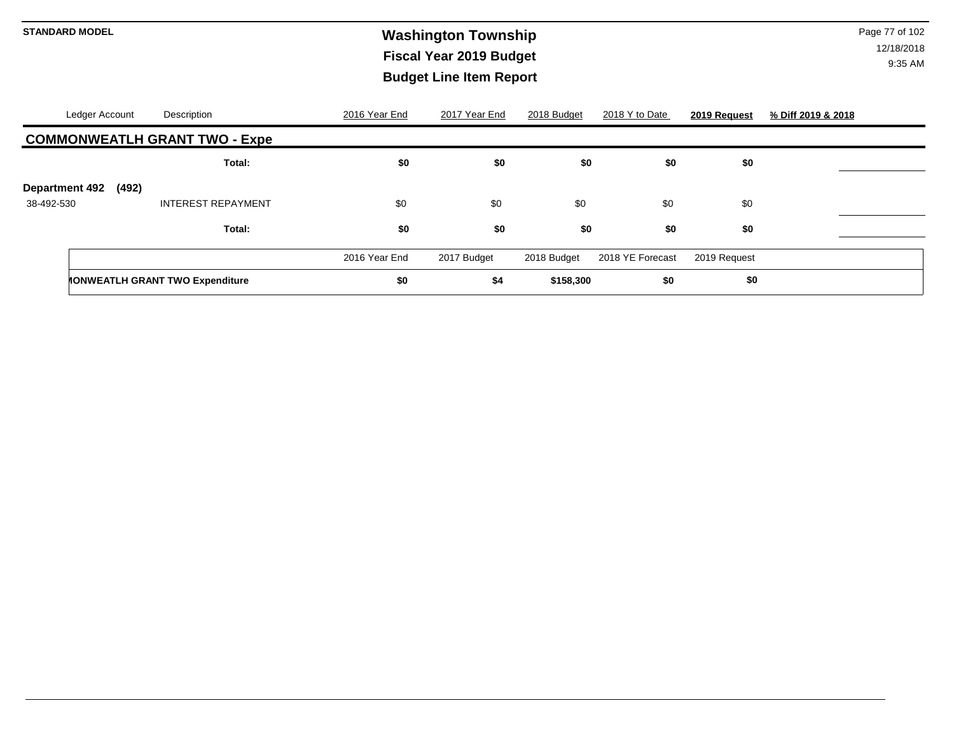# **Washington Township STANDARD MODEL** Page 77 of 102 **Fiscal Year 2019 Budget Budget Line Item Report**

| Ledger Account                 | Description                            | 2016 Year End | 2017 Year End | 2018 Budget | 2018 Y to Date   | 2019 Request | % Diff 2019 & 2018 |
|--------------------------------|----------------------------------------|---------------|---------------|-------------|------------------|--------------|--------------------|
|                                | <b>COMMONWEATLH GRANT TWO - Expe</b>   |               |               |             |                  |              |                    |
|                                | Total:                                 | \$0           | \$0           | \$0         | \$0              | \$0          |                    |
| <b>Department 492</b><br>(492) |                                        |               |               |             |                  |              |                    |
| 38-492-530                     | <b>INTEREST REPAYMENT</b>              | \$0           | \$0           | \$0         | \$0              | \$0          |                    |
|                                | Total:                                 | \$0           | \$0           | \$0         | \$0              | \$0          |                    |
|                                |                                        | 2016 Year End | 2017 Budget   | 2018 Budget | 2018 YE Forecast | 2019 Request |                    |
|                                | <b>MONWEATLH GRANT TWO Expenditure</b> | \$0           | \$4           | \$158,300   | \$0              | \$0          |                    |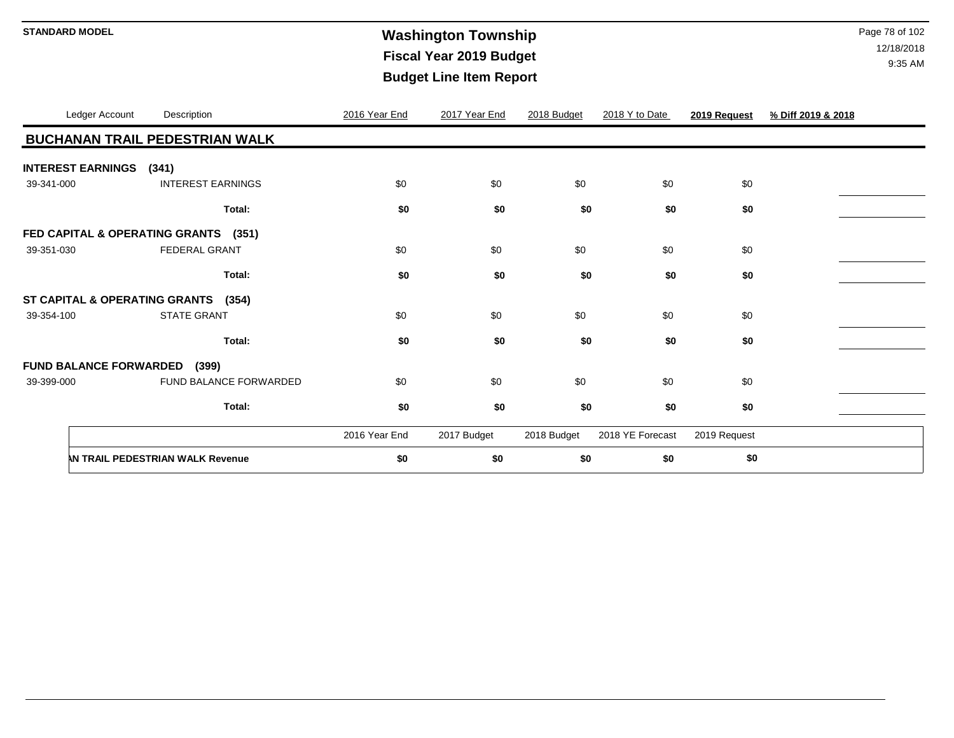# **Washington Township STANDARD MODEL** Page 78 of 102 **Fiscal Year 2019 Budget Budget Line Item Report**

| Ledger Account           | Description                            | 2016 Year End | 2017 Year End | 2018 Budget | 2018 Y to Date   | 2019 Request | % Diff 2019 & 2018 |
|--------------------------|----------------------------------------|---------------|---------------|-------------|------------------|--------------|--------------------|
|                          | <b>BUCHANAN TRAIL PEDESTRIAN WALK</b>  |               |               |             |                  |              |                    |
| <b>INTEREST EARNINGS</b> | (341)                                  |               |               |             |                  |              |                    |
| 39-341-000               | <b>INTEREST EARNINGS</b>               | \$0           | \$0           | \$0         | \$0              | \$0          |                    |
|                          | Total:                                 | \$0           | \$0           | \$0         | \$0              | \$0          |                    |
|                          | FED CAPITAL & OPERATING GRANTS (351)   |               |               |             |                  |              |                    |
| 39-351-030               | <b>FEDERAL GRANT</b>                   | \$0           | \$0           | \$0         | \$0              | \$0          |                    |
|                          | Total:                                 | \$0           | \$0           | \$0         | \$0              | \$0          |                    |
|                          | ST CAPITAL & OPERATING GRANTS (354)    |               |               |             |                  |              |                    |
| 39-354-100               | <b>STATE GRANT</b>                     | \$0           | \$0           | \$0         | \$0              | \$0          |                    |
|                          | Total:                                 | \$0           | \$0           | \$0         | \$0              | \$0          |                    |
|                          | <b>FUND BALANCE FORWARDED</b><br>(399) |               |               |             |                  |              |                    |
| 39-399-000               | FUND BALANCE FORWARDED                 | \$0           | \$0           | \$0         | \$0              | \$0          |                    |
|                          | Total:                                 | \$0           | \$0           | \$0         | \$0              | \$0          |                    |
|                          |                                        | 2016 Year End | 2017 Budget   | 2018 Budget | 2018 YE Forecast | 2019 Request |                    |
|                          | AN TRAIL PEDESTRIAN WALK Revenue       | \$0           | \$0           | \$0         | \$0              | \$0          |                    |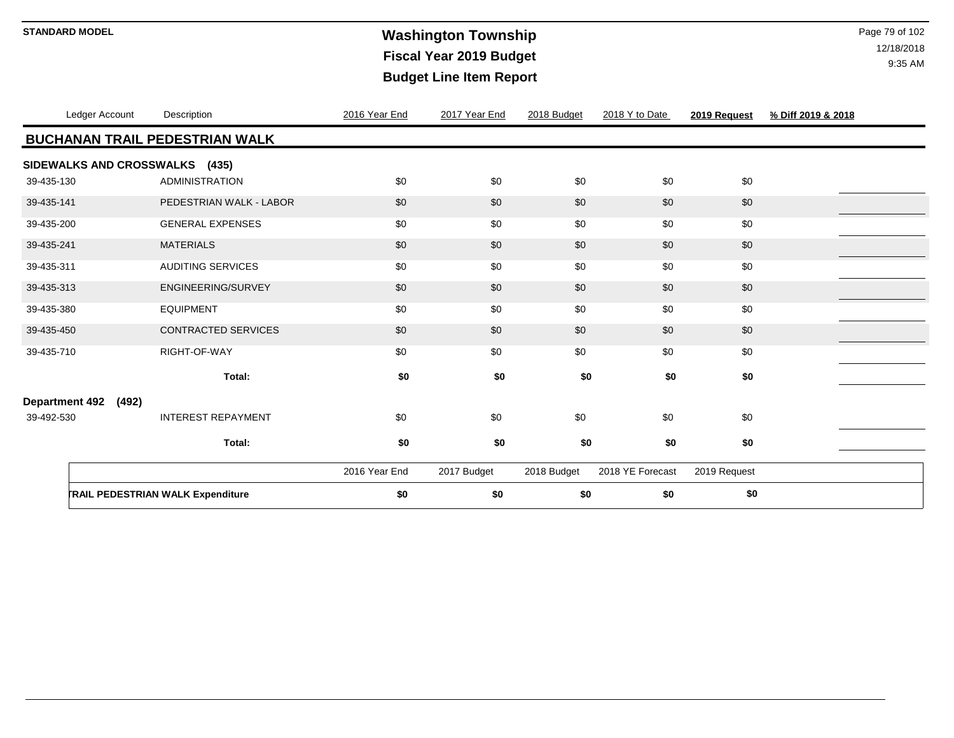# **Washington Township STANDARD MODEL** Page 79 of 102 **Fiscal Year 2019 Budget Budget Line Item Report**

| Ledger Account                 | Description                              | 2016 Year End | 2017 Year End | 2018 Budget | 2018 Y to Date   | 2019 Request | % Diff 2019 & 2018 |
|--------------------------------|------------------------------------------|---------------|---------------|-------------|------------------|--------------|--------------------|
|                                | <b>BUCHANAN TRAIL PEDESTRIAN WALK</b>    |               |               |             |                  |              |                    |
| SIDEWALKS AND CROSSWALKS (435) |                                          |               |               |             |                  |              |                    |
| 39-435-130                     | <b>ADMINISTRATION</b>                    | \$0           | \$0           | \$0         | \$0              | \$0          |                    |
| 39-435-141                     | PEDESTRIAN WALK - LABOR                  | \$0           | \$0           | \$0         | \$0              | \$0          |                    |
| 39-435-200                     | <b>GENERAL EXPENSES</b>                  | \$0           | \$0           | \$0         | \$0              | \$0          |                    |
| 39-435-241                     | <b>MATERIALS</b>                         | \$0           | \$0           | \$0         | \$0              | \$0          |                    |
| 39-435-311                     | <b>AUDITING SERVICES</b>                 | \$0           | \$0           | \$0         | \$0              | \$0          |                    |
| 39-435-313                     | ENGINEERING/SURVEY                       | \$0           | \$0           | \$0         | \$0              | \$0          |                    |
| 39-435-380                     | <b>EQUIPMENT</b>                         | \$0           | \$0           | \$0         | \$0              | \$0          |                    |
| 39-435-450                     | CONTRACTED SERVICES                      | \$0           | \$0           | \$0         | \$0              | \$0          |                    |
| 39-435-710                     | RIGHT-OF-WAY                             | \$0           | \$0           | \$0         | \$0              | \$0          |                    |
|                                | Total:                                   | \$0           | \$0           | \$0         | \$0              | \$0          |                    |
| <b>Department 492</b><br>(492) |                                          |               |               |             |                  |              |                    |
| 39-492-530                     | <b>INTEREST REPAYMENT</b>                | \$0           | \$0           | \$0         | \$0              | \$0          |                    |
|                                | Total:                                   | \$0           | \$0           | \$0         | \$0              | \$0          |                    |
|                                |                                          | 2016 Year End | 2017 Budget   | 2018 Budget | 2018 YE Forecast | 2019 Request |                    |
|                                | <b>TRAIL PEDESTRIAN WALK Expenditure</b> | \$0           | \$0           | \$0         | \$0              | \$0          |                    |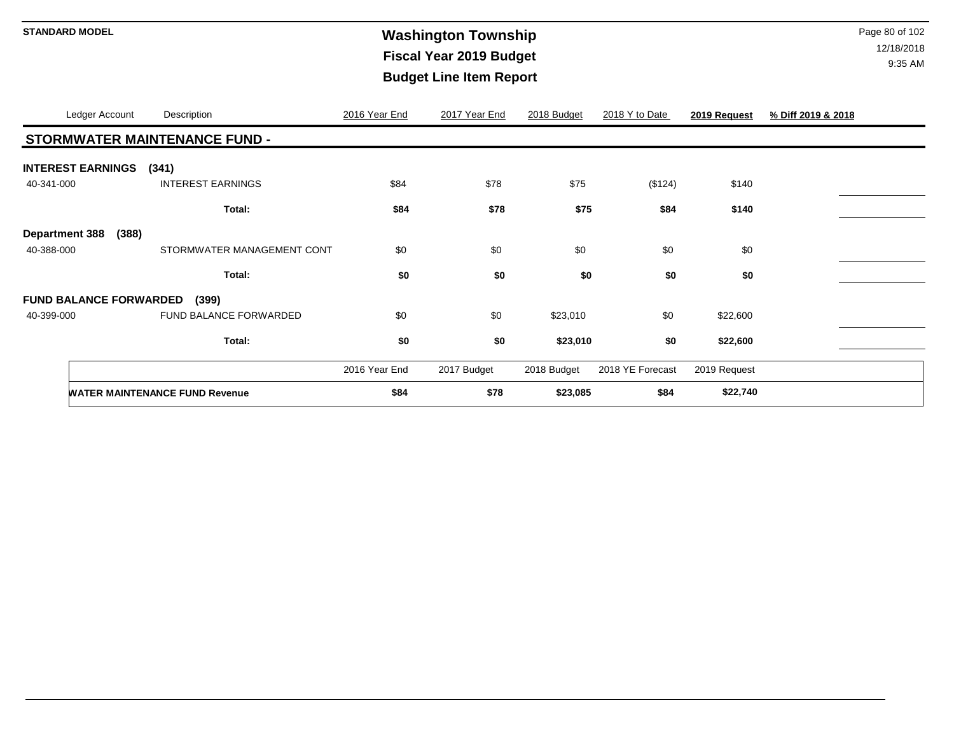# **Washington Township STANDARD MODEL** Page 80 of 102 **Fiscal Year 2019 Budget Budget Line Item Report**

|                          | Ledger Account                | Description                           | 2016 Year End | 2017 Year End | 2018 Budget | 2018 Y to Date   | 2019 Request | % Diff 2019 & 2018 |
|--------------------------|-------------------------------|---------------------------------------|---------------|---------------|-------------|------------------|--------------|--------------------|
|                          |                               | STORMWATER MAINTENANCE FUND -         |               |               |             |                  |              |                    |
| <b>INTEREST EARNINGS</b> |                               | (341)                                 |               |               |             |                  |              |                    |
| 40-341-000               |                               | <b>INTEREST EARNINGS</b>              | \$84          | \$78          | \$75        | (\$124)          | \$140        |                    |
|                          |                               | Total:                                | \$84          | \$78          | \$75        | \$84             | \$140        |                    |
| <b>Department 388</b>    | (388)                         |                                       |               |               |             |                  |              |                    |
| 40-388-000               |                               | STORMWATER MANAGEMENT CONT            | \$0           | \$0           | \$0         | \$0              | \$0          |                    |
|                          |                               | Total:                                | \$0           | \$0           | \$0         | \$0              | \$0          |                    |
|                          | <b>FUND BALANCE FORWARDED</b> | (399)                                 |               |               |             |                  |              |                    |
| 40-399-000               |                               | FUND BALANCE FORWARDED                | \$0           | \$0           | \$23,010    | \$0              | \$22,600     |                    |
|                          |                               | Total:                                | \$0           | \$0           | \$23,010    | \$0              | \$22,600     |                    |
|                          |                               |                                       | 2016 Year End | 2017 Budget   | 2018 Budget | 2018 YE Forecast | 2019 Request |                    |
|                          |                               | <b>WATER MAINTENANCE FUND Revenue</b> | \$84          | \$78          | \$23,085    | \$84             | \$22,740     |                    |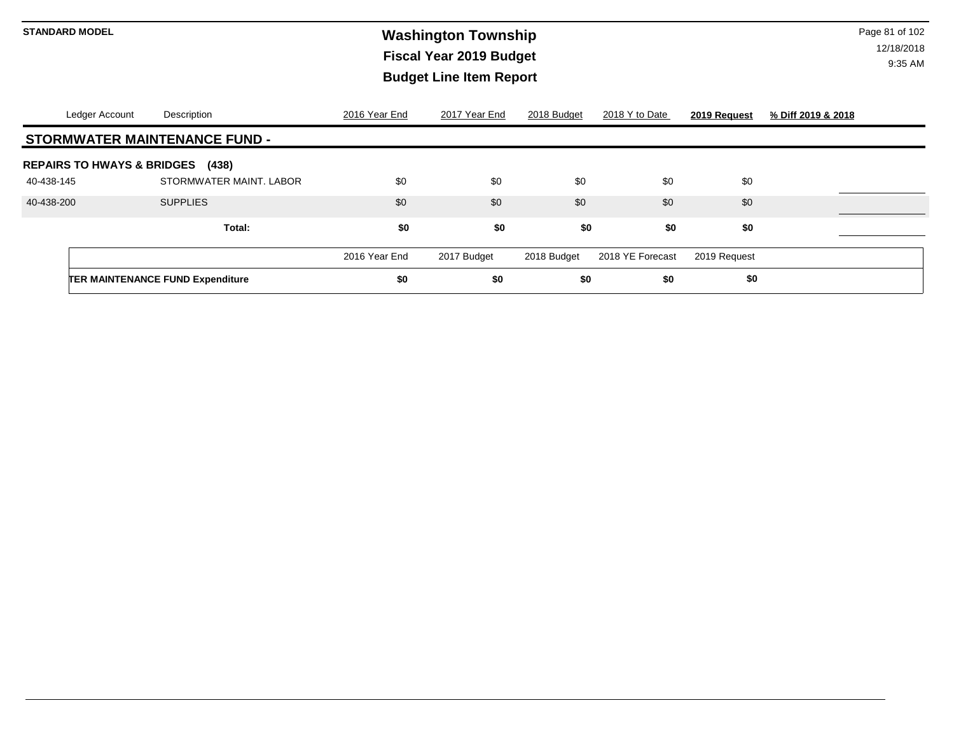# **Washington Township STANDARD MODEL** Page 81 of 102 **Fiscal Year 2019 Budget Budget Line Item Report**

| Ledger Account                        | Description                             | 2016 Year End | 2017 Year End | 2018 Budget | 2018 Y to Date   | 2019 Request | % Diff 2019 & 2018 |
|---------------------------------------|-----------------------------------------|---------------|---------------|-------------|------------------|--------------|--------------------|
|                                       | <b>STORMWATER MAINTENANCE FUND -</b>    |               |               |             |                  |              |                    |
| <b>REPAIRS TO HWAYS &amp; BRIDGES</b> | (438)                                   |               |               |             |                  |              |                    |
| 40-438-145                            | STORMWATER MAINT, LABOR                 | \$0           | \$0           | \$0         | \$0              | \$0          |                    |
| 40-438-200                            | <b>SUPPLIES</b>                         | \$0           | \$0           | \$0         | \$0              | \$0          |                    |
|                                       | Total:                                  | \$0           | \$0           | \$0         | \$0              | \$0          |                    |
|                                       |                                         | 2016 Year End | 2017 Budget   | 2018 Budget | 2018 YE Forecast | 2019 Request |                    |
|                                       | <b>TER MAINTENANCE FUND Expenditure</b> | \$0           | \$0           | \$0         | \$0              | \$0          |                    |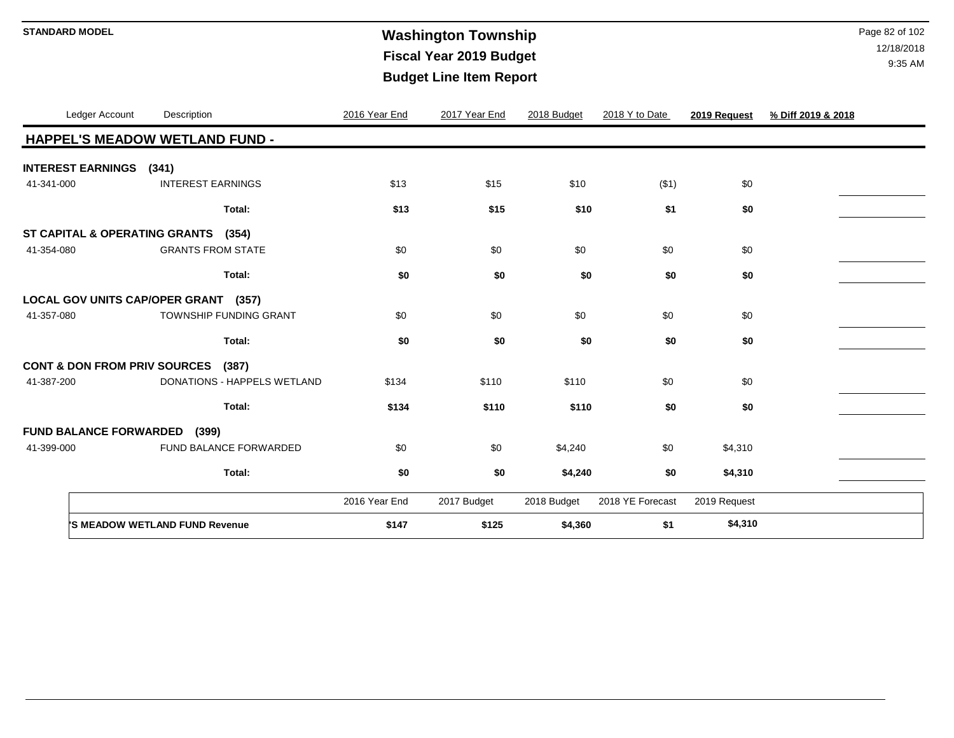# **Washington Township STANDARD MODEL** Page 82 of 102 **Fiscal Year 2019 Budget Budget Line Item Report**

| Ledger Account                          | Description                           | 2016 Year End | 2017 Year End | 2018 Budget | 2018 Y to Date   | 2019 Request | % Diff 2019 & 2018 |
|-----------------------------------------|---------------------------------------|---------------|---------------|-------------|------------------|--------------|--------------------|
|                                         | <b>HAPPEL'S MEADOW WETLAND FUND -</b> |               |               |             |                  |              |                    |
| <b>INTEREST EARNINGS</b>                | (341)                                 |               |               |             |                  |              |                    |
| 41-341-000                              | <b>INTEREST EARNINGS</b>              | \$13          | \$15          | \$10        | ( \$1)           | \$0          |                    |
|                                         | Total:                                | \$13          | \$15          | \$10        | \$1              | \$0          |                    |
| ST CAPITAL & OPERATING GRANTS           | (354)                                 |               |               |             |                  |              |                    |
| 41-354-080                              | <b>GRANTS FROM STATE</b>              | \$0           | \$0           | \$0         | \$0              | \$0          |                    |
|                                         | Total:                                | \$0           | \$0           | \$0         | \$0              | \$0          |                    |
|                                         | LOCAL GOV UNITS CAP/OPER GRANT (357)  |               |               |             |                  |              |                    |
| 41-357-080                              | TOWNSHIP FUNDING GRANT                | \$0           | \$0           | \$0         | \$0              | \$0          |                    |
|                                         | Total:                                | \$0           | \$0           | \$0         | \$0              | \$0          |                    |
| <b>CONT &amp; DON FROM PRIV SOURCES</b> | (387)                                 |               |               |             |                  |              |                    |
| 41-387-200                              | DONATIONS - HAPPELS WETLAND           | \$134         | \$110         | \$110       | \$0              | \$0          |                    |
|                                         | Total:                                | \$134         | \$110         | \$110       | \$0              | \$0          |                    |
| <b>FUND BALANCE FORWARDED</b>           | (399)                                 |               |               |             |                  |              |                    |
| 41-399-000                              | FUND BALANCE FORWARDED                | \$0           | \$0           | \$4,240     | \$0              | \$4,310      |                    |
|                                         | Total:                                | \$0           | \$0           | \$4,240     | \$0              | \$4,310      |                    |
|                                         |                                       | 2016 Year End | 2017 Budget   | 2018 Budget | 2018 YE Forecast | 2019 Request |                    |
|                                         | 'S MEADOW WETLAND FUND Revenue        | \$147         | \$125         | \$4,360     | \$1              | \$4,310      |                    |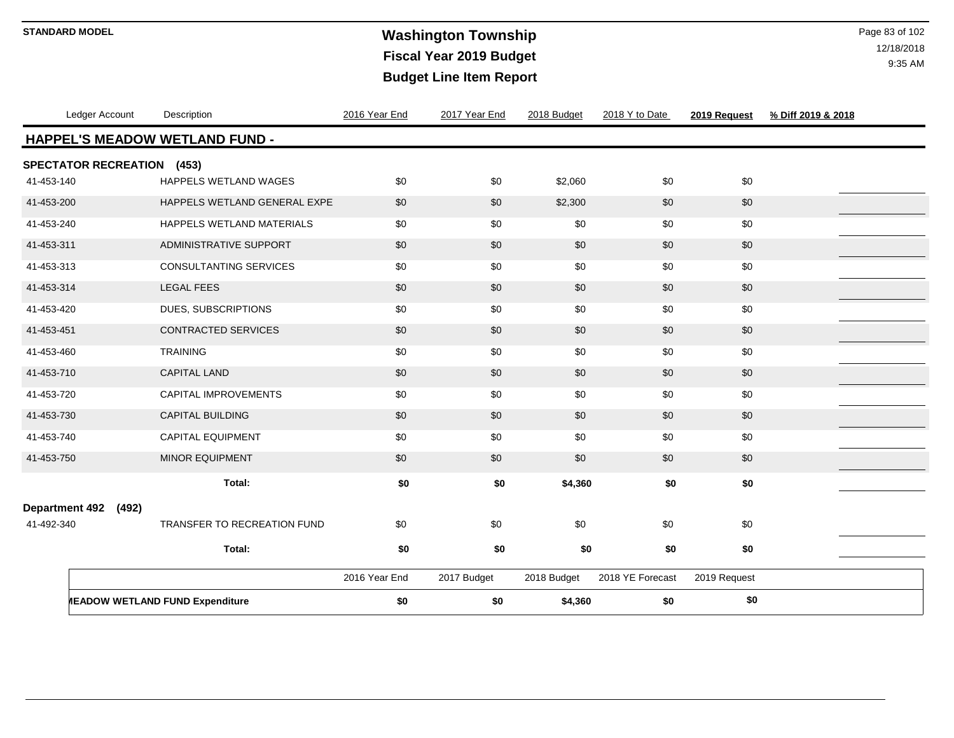# **Washington Township STANDARD MODEL** Page 83 of 102 **Fiscal Year 2019 Budget Budget Line Item Report**

| Ledger Account              | Description                                   | 2016 Year End | 2017 Year End | 2018 Budget | 2018 Y to Date   | 2019 Request | % Diff 2019 & 2018 |
|-----------------------------|-----------------------------------------------|---------------|---------------|-------------|------------------|--------------|--------------------|
|                             | <b>HAPPEL'S MEADOW WETLAND FUND -</b>         |               |               |             |                  |              |                    |
| <b>SPECTATOR RECREATION</b> | (453)                                         |               |               |             |                  |              |                    |
| 41-453-140                  | HAPPELS WETLAND WAGES                         | \$0           | \$0           | \$2,060     | \$0              | \$0          |                    |
| 41-453-200                  | HAPPELS WETLAND GENERAL EXPE                  | \$0           | \$0           | \$2,300     | \$0              | \$0          |                    |
| 41-453-240                  | HAPPELS WETLAND MATERIALS                     | \$0           | \$0           | \$0         | \$0              | \$0          |                    |
| 41-453-311                  | ADMINISTRATIVE SUPPORT                        | \$0           | \$0           | \$0         | \$0              | \$0          |                    |
| 41-453-313                  | <b>CONSULTANTING SERVICES</b>                 | \$0           | \$0           | \$0         | \$0              | \$0          |                    |
| 41-453-314                  | <b>LEGAL FEES</b>                             | \$0           | \$0           | \$0         | \$0              | \$0          |                    |
| 41-453-420                  | DUES, SUBSCRIPTIONS                           | \$0           | \$0           | \$0         | \$0              | \$0          |                    |
| 41-453-451                  | <b>CONTRACTED SERVICES</b>                    | \$0           | \$0           | \$0         | \$0              | \$0          |                    |
| 41-453-460                  | <b>TRAINING</b>                               | \$0           | \$0           | \$0         | \$0              | \$0          |                    |
| 41-453-710                  | <b>CAPITAL LAND</b>                           | \$0           | \$0           | \$0         | \$0              | \$0          |                    |
| 41-453-720                  | CAPITAL IMPROVEMENTS                          | \$0           | \$0           | \$0         | \$0              | \$0          |                    |
| 41-453-730                  | CAPITAL BUILDING                              | \$0           | \$0           | \$0         | \$0              | \$0          |                    |
| 41-453-740                  | <b>CAPITAL EQUIPMENT</b>                      | \$0           | \$0           | \$0         | \$0              | \$0          |                    |
| 41-453-750                  | MINOR EQUIPMENT                               | \$0           | \$0           | \$0         | \$0              | \$0          |                    |
|                             | Total:                                        | \$0           | \$0           | \$4,360     | \$0              | \$0          |                    |
| Department 492 (492)        |                                               |               |               |             |                  |              |                    |
| 41-492-340                  | TRANSFER TO RECREATION FUND                   | \$0           | \$0           | \$0         | \$0              | \$0          |                    |
|                             | Total:                                        | \$0           | \$0           | \$0         | \$0              | \$0          |                    |
|                             |                                               |               |               |             |                  |              |                    |
|                             |                                               | 2016 Year End | 2017 Budget   | 2018 Budget | 2018 YE Forecast | 2019 Request |                    |
|                             | <b><i>MEADOW WETLAND FUND Expenditure</i></b> | \$0           | \$0           | \$4,360     | \$0              | \$0          |                    |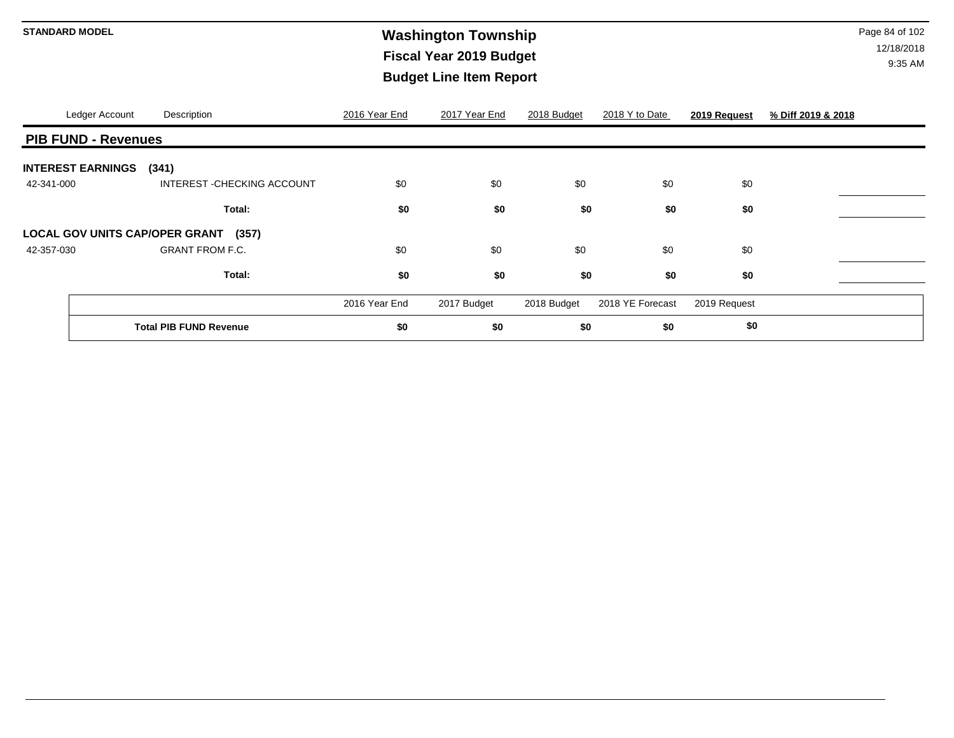# **Washington Township STANDARD MODEL** Page 84 of 102 **Fiscal Year 2019 Budget Budget Line Item Report**

|            | Ledger Account                 | Description                          | 2016 Year End | 2017 Year End | 2018 Budget | 2018 Y to Date   | 2019 Request | % Diff 2019 & 2018 |
|------------|--------------------------------|--------------------------------------|---------------|---------------|-------------|------------------|--------------|--------------------|
|            | <b>PIB FUND - Revenues</b>     |                                      |               |               |             |                  |              |                    |
|            | <b>INTEREST EARNINGS</b> (341) |                                      |               |               |             |                  |              |                    |
| 42-341-000 |                                | INTEREST - CHECKING ACCOUNT          | \$0           | \$0           | \$0         | \$0              | \$0          |                    |
|            |                                | Total:                               | \$0           | \$0           | \$0         | \$0              | \$0          |                    |
|            |                                | LOCAL GOV UNITS CAP/OPER GRANT (357) |               |               |             |                  |              |                    |
| 42-357-030 |                                | <b>GRANT FROM F.C.</b>               | \$0           | \$0           | \$0         | \$0              | \$0          |                    |
|            |                                | Total:                               | \$0           | \$0           | \$0         | \$0              | \$0          |                    |
|            |                                |                                      | 2016 Year End | 2017 Budget   | 2018 Budget | 2018 YE Forecast | 2019 Request |                    |
|            |                                | <b>Total PIB FUND Revenue</b>        | \$0           | \$0           | \$0         | \$0              | \$0          |                    |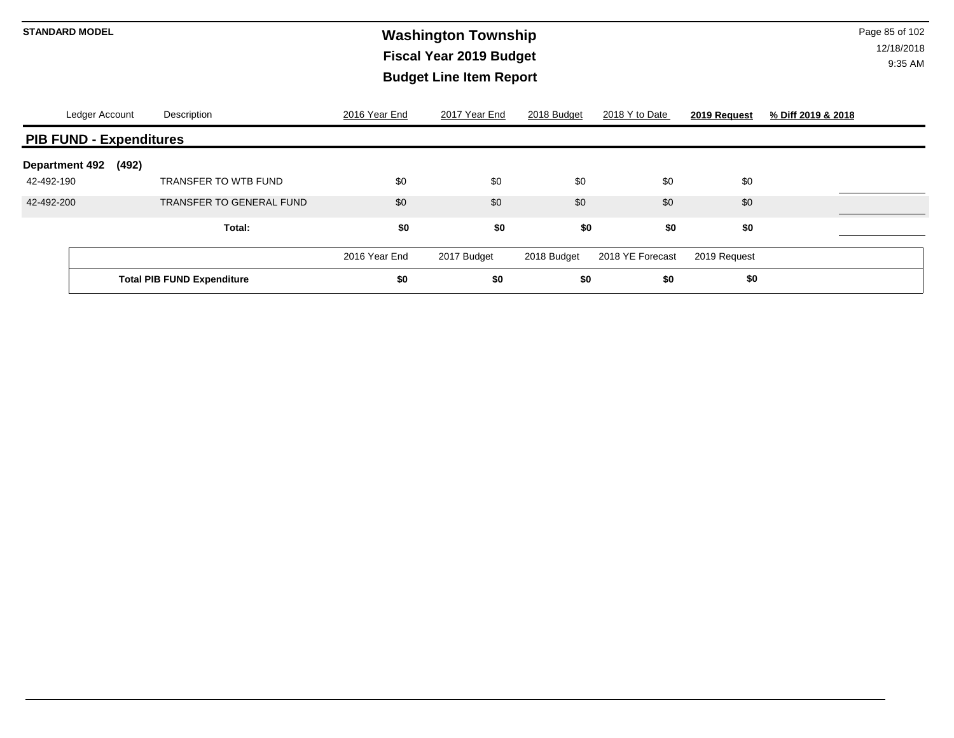# **Washington Township STANDARD MODEL** Page 85 of 102 **Fiscal Year 2019 Budget Budget Line Item Report**

|                                | Ledger Account | Description                       | 2016 Year End | 2017 Year End | 2018 Budget | 2018 Y to Date   | 2019 Request | % Diff 2019 & 2018 |  |  |  |
|--------------------------------|----------------|-----------------------------------|---------------|---------------|-------------|------------------|--------------|--------------------|--|--|--|
| <b>PIB FUND - Expenditures</b> |                |                                   |               |               |             |                  |              |                    |  |  |  |
| <b>Department 492</b>          | (492)          |                                   |               |               |             |                  |              |                    |  |  |  |
| 42-492-190                     |                | <b>TRANSFER TO WTB FUND</b>       | \$0           | \$0           | \$0         | \$0              | \$0          |                    |  |  |  |
| 42-492-200                     |                | TRANSFER TO GENERAL FUND          | \$0           | \$0           | \$0         | \$0              | \$0          |                    |  |  |  |
|                                |                | Total:                            | \$0           | \$0           | \$0         | \$0              | \$0          |                    |  |  |  |
|                                |                |                                   | 2016 Year End | 2017 Budget   | 2018 Budget | 2018 YE Forecast | 2019 Request |                    |  |  |  |
|                                |                | <b>Total PIB FUND Expenditure</b> | \$0           | \$0           | \$0         | \$0              | \$0          |                    |  |  |  |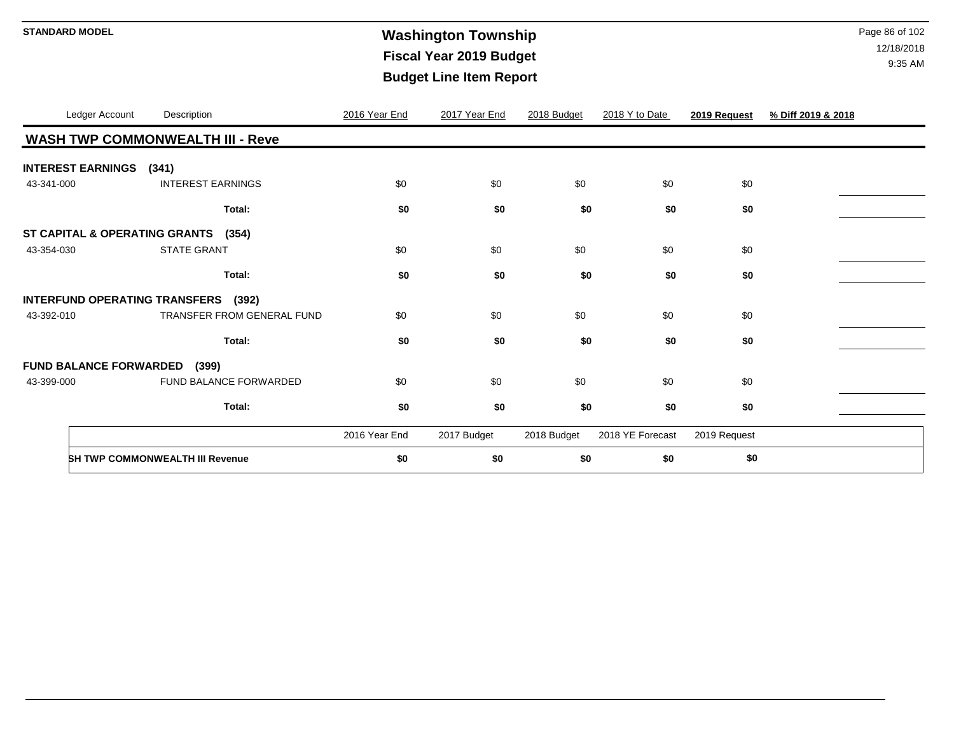# **STANDARD MODEL** Page 86 of 102 **Fiscal Year 2019 Budget Budget Line Item Report**

|            | Ledger Account           | Description                                   | 2016 Year End | 2017 Year End | 2018 Budget | 2018 Y to Date   | 2019 Request | % Diff 2019 & 2018 |
|------------|--------------------------|-----------------------------------------------|---------------|---------------|-------------|------------------|--------------|--------------------|
|            |                          | <b>WASH TWP COMMONWEALTH III - Reve</b>       |               |               |             |                  |              |                    |
|            | <b>INTEREST EARNINGS</b> | (341)                                         |               |               |             |                  |              |                    |
| 43-341-000 |                          | <b>INTEREST EARNINGS</b>                      | \$0           | \$0           | \$0         | \$0              | \$0          |                    |
|            |                          | Total:                                        | \$0           | \$0           | \$0         | \$0              | \$0          |                    |
|            |                          | ST CAPITAL & OPERATING GRANTS (354)           |               |               |             |                  |              |                    |
| 43-354-030 |                          | <b>STATE GRANT</b>                            | \$0           | \$0           | \$0         | \$0              | \$0          |                    |
|            |                          | Total:                                        | \$0           | \$0           | \$0         | \$0              | \$0          |                    |
|            |                          | <b>INTERFUND OPERATING TRANSFERS</b><br>(392) |               |               |             |                  |              |                    |
| 43-392-010 |                          | <b>TRANSFER FROM GENERAL FUND</b>             | \$0           | \$0           | \$0         | \$0              | \$0          |                    |
|            |                          | Total:                                        | \$0           | \$0           | \$0         | \$0              | \$0          |                    |
|            |                          | <b>FUND BALANCE FORWARDED (399)</b>           |               |               |             |                  |              |                    |
| 43-399-000 |                          | FUND BALANCE FORWARDED                        | \$0           | \$0           | \$0         | \$0              | \$0          |                    |
|            |                          | Total:                                        | \$0           | \$0           | \$0         | \$0              | \$0          |                    |
|            |                          |                                               | 2016 Year End | 2017 Budget   | 2018 Budget | 2018 YE Forecast | 2019 Request |                    |
|            |                          | <b>SH TWP COMMONWEALTH III Revenue</b>        | \$0           | \$0           | \$0         | \$0              | \$0          |                    |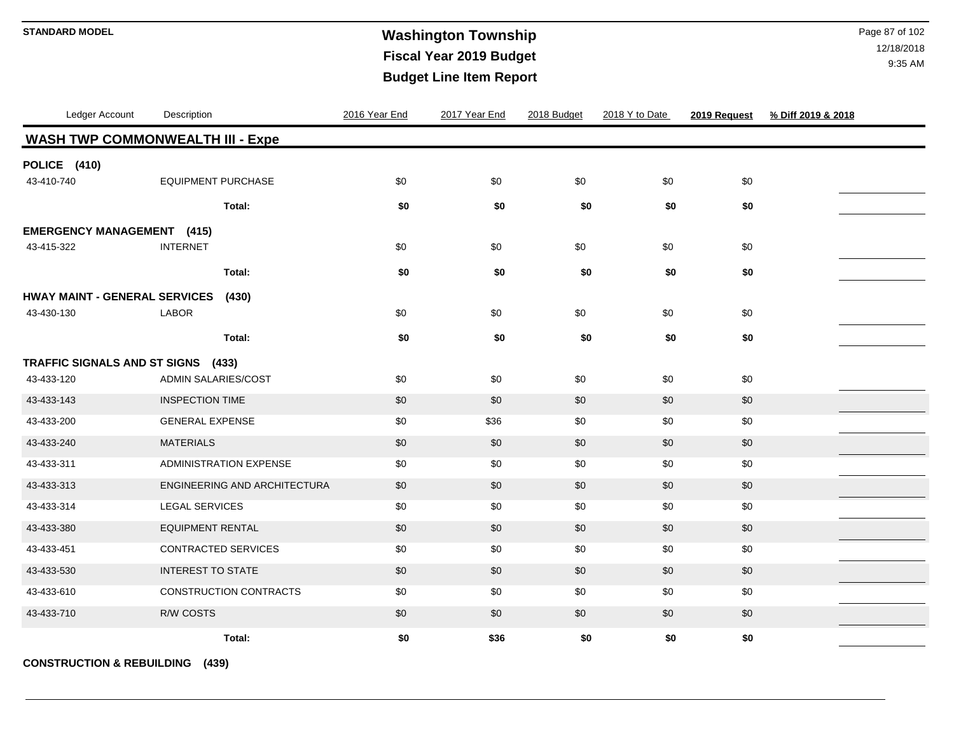# **Washington Township STANDARD MODEL** Page 87 of 102 **Fiscal Year 2019 Budget Budget Line Item Report**

12/18/2018 9:35 AM

| Ledger Account                       | Description                             | 2016 Year End | 2017 Year End | 2018 Budget | 2018 Y to Date | 2019 Request | % Diff 2019 & 2018 |
|--------------------------------------|-----------------------------------------|---------------|---------------|-------------|----------------|--------------|--------------------|
|                                      | <b>WASH TWP COMMONWEALTH III - Expe</b> |               |               |             |                |              |                    |
| POLICE (410)                         |                                         |               |               |             |                |              |                    |
| 43-410-740                           | <b>EQUIPMENT PURCHASE</b>               | \$0           | \$0           | \$0         | \$0            | \$0          |                    |
|                                      | Total:                                  | \$0           | \$0           | \$0         | \$0            | \$0          |                    |
| <b>EMERGENCY MANAGEMENT</b> (415)    |                                         |               |               |             |                |              |                    |
| 43-415-322                           | <b>INTERNET</b>                         | \$0           | \$0           | \$0         | \$0            | \$0          |                    |
|                                      | Total:                                  | \$0           | \$0           | \$0         | \$0            | \$0          |                    |
| <b>HWAY MAINT - GENERAL SERVICES</b> | (430)                                   |               |               |             |                |              |                    |
| 43-430-130                           | <b>LABOR</b>                            | \$0           | \$0           | \$0         | \$0            | \$0          |                    |
|                                      | Total:                                  | \$0           | \$0           | \$0         | \$0            | \$0          |                    |
| TRAFFIC SIGNALS AND ST SIGNS (433)   |                                         |               |               |             |                |              |                    |
| 43-433-120                           | ADMIN SALARIES/COST                     | \$0           | \$0           | \$0         | \$0            | \$0          |                    |
| 43-433-143                           | <b>INSPECTION TIME</b>                  | \$0           | \$0           | \$0         | \$0            | \$0          |                    |
| 43-433-200                           | <b>GENERAL EXPENSE</b>                  | \$0           | \$36          | \$0         | \$0            | \$0          |                    |
| 43-433-240                           | <b>MATERIALS</b>                        | \$0           | \$0           | \$0         | \$0            | \$0          |                    |
| 43-433-311                           | <b>ADMINISTRATION EXPENSE</b>           | \$0           | \$0           | \$0         | \$0            | \$0          |                    |
| 43-433-313                           | ENGINEERING AND ARCHITECTURA            | \$0           | \$0           | \$0         | \$0            | \$0          |                    |
| 43-433-314                           | <b>LEGAL SERVICES</b>                   | \$0           | \$0           | \$0         | \$0            | \$0          |                    |
| 43-433-380                           | <b>EQUIPMENT RENTAL</b>                 | \$0           | \$0           | \$0         | \$0            | \$0          |                    |
| 43-433-451                           | <b>CONTRACTED SERVICES</b>              | \$0           | \$0           | \$0         | \$0            | \$0          |                    |
| 43-433-530                           | <b>INTEREST TO STATE</b>                | \$0           | \$0           | \$0         | \$0            | \$0          |                    |
| 43-433-610                           | CONSTRUCTION CONTRACTS                  | \$0           | \$0           | \$0         | \$0            | \$0          |                    |
| 43-433-710                           | R/W COSTS                               | \$0           | \$0           | \$0         | \$0            | $\$0$        |                    |
|                                      | Total:                                  | \$0           | \$36          | \$0         | \$0            | \$0          |                    |

**CONSTRUCTION & REBUILDING (439)**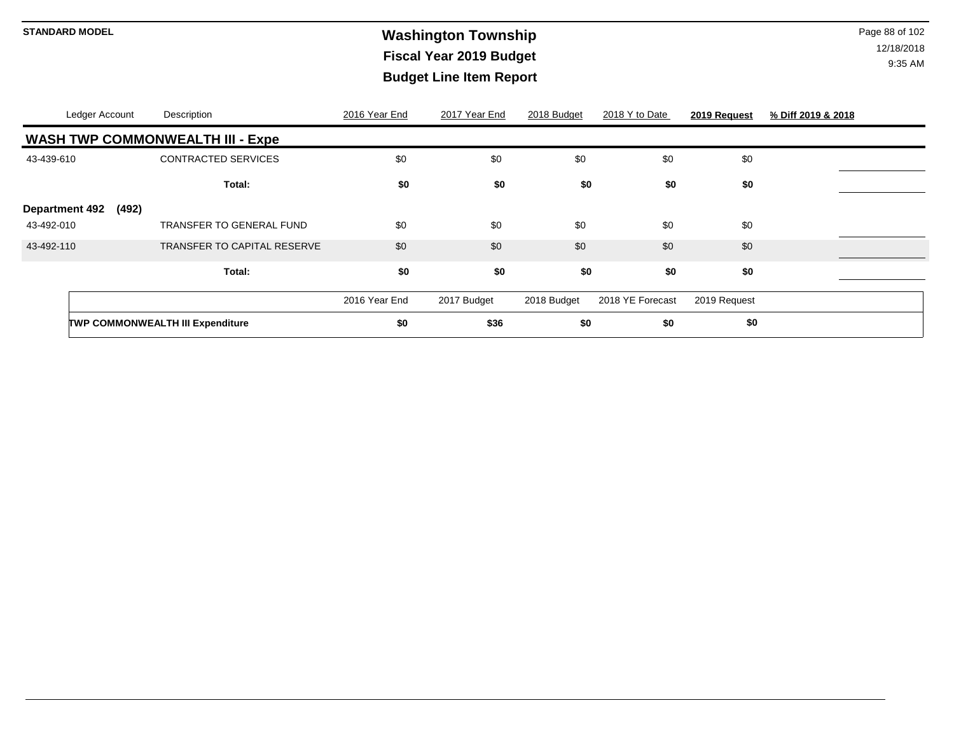# **Washington Township STANDARD MODEL** Page 88 of 102 **Fiscal Year 2019 Budget Budget Line Item Report**

|                                              | TWP COMMONWEALTH III Expenditure        | \$0           | \$36          | \$0         | \$0              | \$0          |                    |
|----------------------------------------------|-----------------------------------------|---------------|---------------|-------------|------------------|--------------|--------------------|
|                                              |                                         | 2016 Year End | 2017 Budget   | 2018 Budget | 2018 YE Forecast | 2019 Request |                    |
|                                              | Total:                                  | \$0           | \$0           | \$0         | \$0              | \$0          |                    |
| 43-492-110                                   | <b>TRANSFER TO CAPITAL RESERVE</b>      | \$0           | \$0           | \$0         | \$0              | \$0          |                    |
| <b>Department 492</b><br>(492)<br>43-492-010 | <b>TRANSFER TO GENERAL FUND</b>         | \$0           | \$0           | \$0         | \$0              | \$0          |                    |
|                                              | Total:                                  | \$0           | \$0           | \$0         | \$0              | \$0          |                    |
| 43-439-610                                   | <b>CONTRACTED SERVICES</b>              | \$0           | \$0           | \$0         | \$0              | \$0          |                    |
|                                              | <b>WASH TWP COMMONWEALTH III - Expe</b> |               |               |             |                  |              |                    |
| Ledger Account                               | Description                             | 2016 Year End | 2017 Year End | 2018 Budget | 2018 Y to Date   | 2019 Request | % Diff 2019 & 2018 |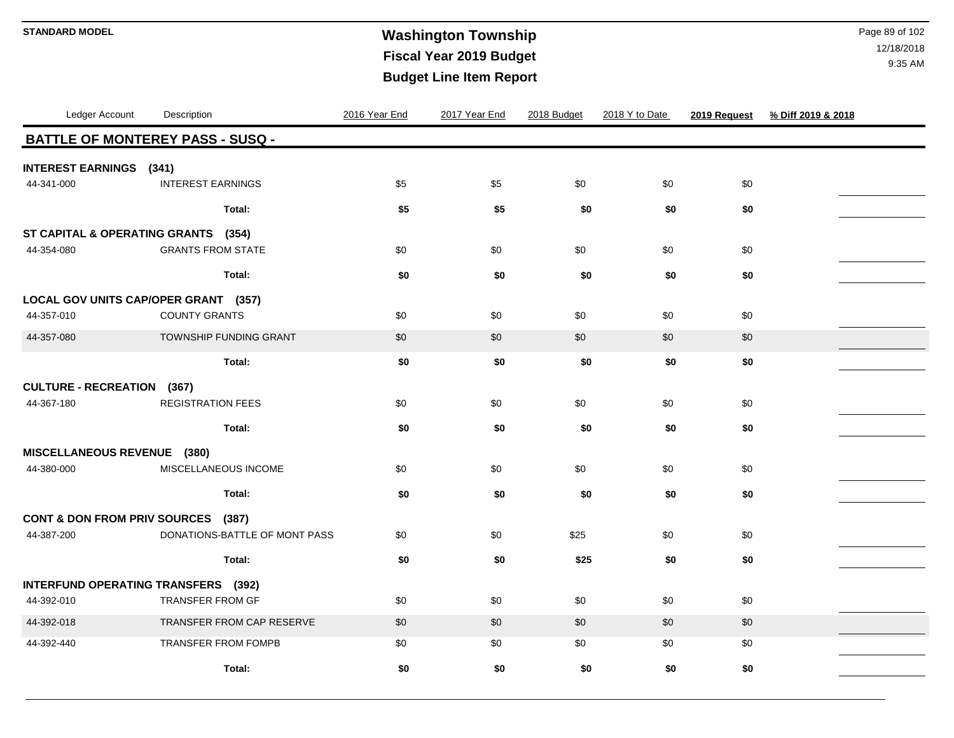## **Washington Township STANDARD MODEL** Page 89 of 102 **Fiscal Year 2019 Budget Budget Line Item Report**

| Ledger Account                                    | Description                             | 2016 Year End | 2017 Year End | 2018 Budget | 2018 Y to Date | 2019 Request | % Diff 2019 & 2018 |
|---------------------------------------------------|-----------------------------------------|---------------|---------------|-------------|----------------|--------------|--------------------|
|                                                   | <b>BATTLE OF MONTEREY PASS - SUSQ -</b> |               |               |             |                |              |                    |
| <b>INTEREST EARNINGS</b> (341)                    |                                         |               |               |             |                |              |                    |
| 44-341-000                                        | <b>INTEREST EARNINGS</b>                | \$5           | \$5           | \$0         | \$0            | \$0          |                    |
|                                                   | Total:                                  | \$5           | \$5           | \$0         | \$0            | \$0          |                    |
| ST CAPITAL & OPERATING GRANTS (354)<br>44-354-080 | <b>GRANTS FROM STATE</b>                | \$0           | \$0           | \$0         | \$0            | \$0          |                    |
|                                                   | Total:                                  | \$0           | \$0           | \$0         | \$0            | \$0          |                    |
| LOCAL GOV UNITS CAP/OPER GRANT (357)              |                                         |               |               |             |                |              |                    |
| 44-357-010                                        | <b>COUNTY GRANTS</b>                    | \$0           | \$0           | \$0         | \$0            | \$0          |                    |
| 44-357-080                                        | TOWNSHIP FUNDING GRANT                  | \$0           | \$0           | \$0         | \$0            | \$0          |                    |
|                                                   | Total:                                  | \$0           | \$0           | \$0         | \$0            | \$0          |                    |
| <b>CULTURE - RECREATION (367)</b>                 |                                         |               |               |             |                |              |                    |
| 44-367-180                                        | <b>REGISTRATION FEES</b>                | \$0           | \$0           | \$0         | \$0            | \$0          |                    |
|                                                   | Total:                                  | \$0           | \$0           | \$0         | \$0            | \$0          |                    |
| MISCELLANEOUS REVENUE (380)                       |                                         |               |               |             |                |              |                    |
| 44-380-000                                        | MISCELLANEOUS INCOME                    | \$0           | \$0           | \$0         | \$0            | \$0          |                    |
|                                                   | Total:                                  | \$0           | \$0           | \$0         | \$0            | \$0          |                    |
| CONT & DON FROM PRIV SOURCES (387)                |                                         |               |               |             |                |              |                    |
| 44-387-200                                        | DONATIONS-BATTLE OF MONT PASS           | \$0           | \$0           | \$25        | \$0            | \$0          |                    |
|                                                   | Total:                                  | \$0           | \$0           | \$25        | \$0            | \$0          |                    |
| INTERFUND OPERATING TRANSFERS (392)               |                                         |               |               |             |                |              |                    |
| 44-392-010                                        | TRANSFER FROM GF                        | \$0           | \$0           | \$0         | \$0            | \$0          |                    |
| 44-392-018                                        | TRANSFER FROM CAP RESERVE               | \$0           | \$0           | \$0         | \$0            | \$0          |                    |
| 44-392-440                                        | <b>TRANSFER FROM FOMPB</b>              | \$0           | \$0           | \$0         | \$0            | \$0          |                    |
|                                                   | Total:                                  | \$0           | \$0           | \$0         | \$0            | \$0          |                    |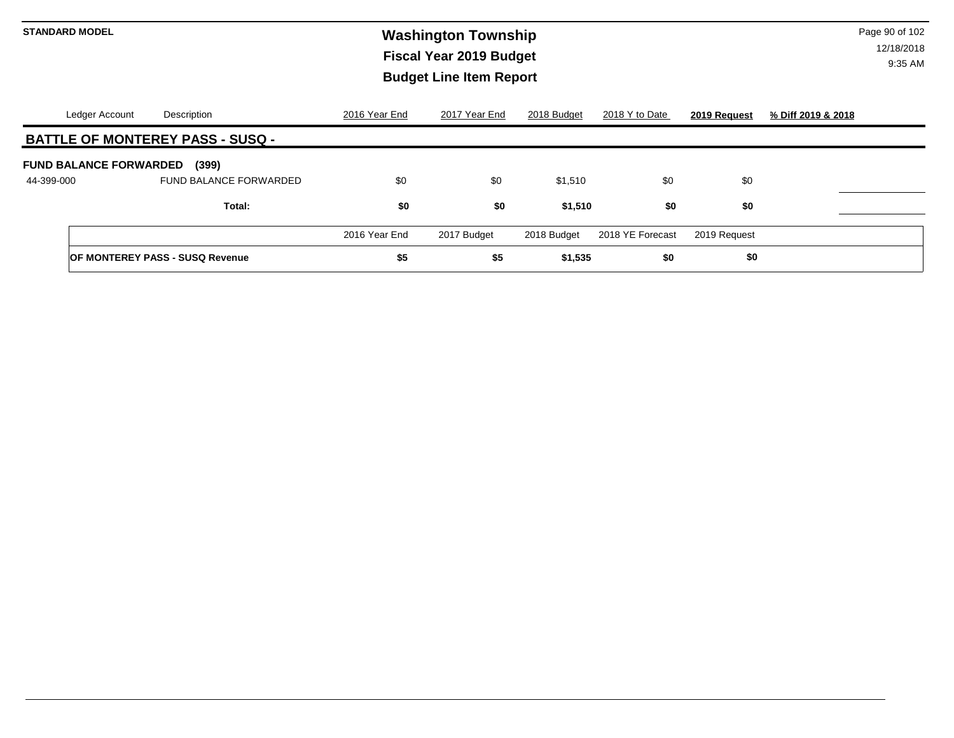# **Washington Township STANDARD MODEL** Page 90 of 102 **Fiscal Year 2019 Budget Budget Line Item Report**

| Ledger Account                | Description                             | 2016 Year End | 201 <u>7 Year End</u> | 2018 Budget | 2018 Y to Date   | 2019 Request | % Diff 2019 & 2018 |
|-------------------------------|-----------------------------------------|---------------|-----------------------|-------------|------------------|--------------|--------------------|
|                               | <b>BATTLE OF MONTEREY PASS - SUSQ -</b> |               |                       |             |                  |              |                    |
| <b>FUND BALANCE FORWARDED</b> | (399)                                   |               |                       |             |                  |              |                    |
| 44-399-000                    | <b>FUND BALANCE FORWARDED</b>           | \$0           | \$0                   | \$1,510     | \$0              | \$0          |                    |
|                               | Total:                                  | \$0           | \$0                   | \$1,510     | \$0              | \$0          |                    |
|                               |                                         | 2016 Year End | 2017 Budget           | 2018 Budget | 2018 YE Forecast | 2019 Request |                    |
|                               | <b>OF MONTEREY PASS - SUSQ Revenue</b>  | \$5           | \$5                   | \$1,535     | \$0              | \$0          |                    |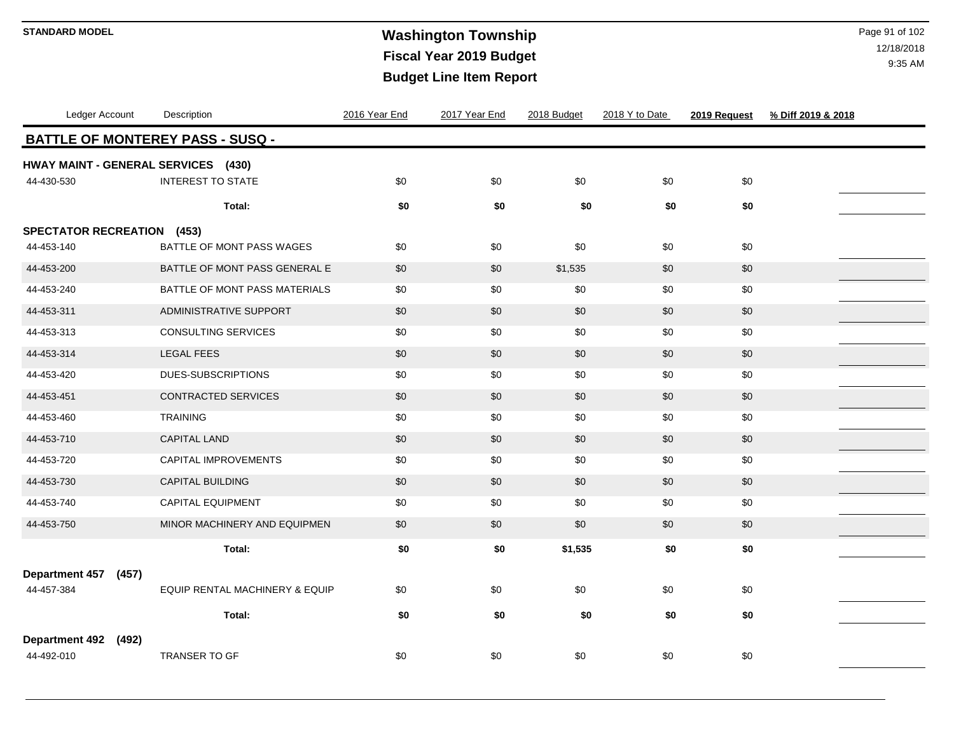# **Washington Township STANDARD MODEL** Page 91 of 102 **Fiscal Year 2019 Budget Budget Line Item Report**

| Ledger Account                                    | Description                    | 2016 Year End | 2017 Year End | 2018 Budget | 2018 Y to Date | 2019 Request | % Diff 2019 & 2018 |  |  |  |
|---------------------------------------------------|--------------------------------|---------------|---------------|-------------|----------------|--------------|--------------------|--|--|--|
| <b>BATTLE OF MONTEREY PASS - SUSQ -</b>           |                                |               |               |             |                |              |                    |  |  |  |
| HWAY MAINT - GENERAL SERVICES (430)<br>44-430-530 | <b>INTEREST TO STATE</b>       | \$0           | \$0           | \$0         | \$0            | \$0          |                    |  |  |  |
|                                                   | Total:                         | \$0           | \$0           | \$0         | \$0            | \$0          |                    |  |  |  |
| <b>SPECTATOR RECREATION</b><br>(453)              |                                |               |               |             |                |              |                    |  |  |  |
| 44-453-140                                        | BATTLE OF MONT PASS WAGES      | \$0           | \$0           | \$0         | \$0            | \$0          |                    |  |  |  |
| 44-453-200                                        | BATTLE OF MONT PASS GENERAL E  | \$0           | \$0           | \$1,535     | \$0            | \$0          |                    |  |  |  |
| 44-453-240                                        | BATTLE OF MONT PASS MATERIALS  | \$0           | \$0           | \$0         | \$0            | \$0          |                    |  |  |  |
| 44-453-311                                        | ADMINISTRATIVE SUPPORT         | \$0           | \$0           | \$0         | \$0            | $$0$$        |                    |  |  |  |
| 44-453-313                                        | <b>CONSULTING SERVICES</b>     | \$0           | \$0           | \$0         | \$0            | \$0          |                    |  |  |  |
| 44-453-314                                        | <b>LEGAL FEES</b>              | \$0           | \$0           | \$0         | \$0            | \$0          |                    |  |  |  |
| 44-453-420                                        | DUES-SUBSCRIPTIONS             | \$0           | \$0           | \$0         | \$0            | \$0          |                    |  |  |  |
| 44-453-451                                        | CONTRACTED SERVICES            | \$0           | \$0           | \$0         | \$0            | \$0          |                    |  |  |  |
| 44-453-460                                        | <b>TRAINING</b>                | \$0           | \$0           | \$0         | \$0            | \$0          |                    |  |  |  |
| 44-453-710                                        | <b>CAPITAL LAND</b>            | \$0           | \$0           | \$0         | \$0            | \$0          |                    |  |  |  |
| 44-453-720                                        | CAPITAL IMPROVEMENTS           | \$0           | \$0           | \$0         | \$0            | \$0          |                    |  |  |  |
| 44-453-730                                        | CAPITAL BUILDING               | \$0           | \$0           | \$0         | \$0            | \$0          |                    |  |  |  |
| 44-453-740                                        | <b>CAPITAL EQUIPMENT</b>       | \$0           | \$0           | \$0         | \$0            | \$0          |                    |  |  |  |
| 44-453-750                                        | MINOR MACHINERY AND EQUIPMEN   | \$0           | \$0           | \$0         | \$0            | $$0$$        |                    |  |  |  |
|                                                   | Total:                         | \$0           | \$0           | \$1,535     | \$0            | \$0          |                    |  |  |  |
| Department 457 (457)                              |                                |               |               |             |                |              |                    |  |  |  |
| 44-457-384                                        | EQUIP RENTAL MACHINERY & EQUIP | \$0           | \$0           | \$0         | \$0            | \$0          |                    |  |  |  |
|                                                   | Total:                         | \$0           | \$0           | \$0         | \$0            | \$0          |                    |  |  |  |
| <b>Department 492</b><br>(492)                    |                                |               |               |             |                |              |                    |  |  |  |
| 44-492-010                                        | TRANSER TO GF                  | \$0           | \$0           | \$0         | \$0            | \$0          |                    |  |  |  |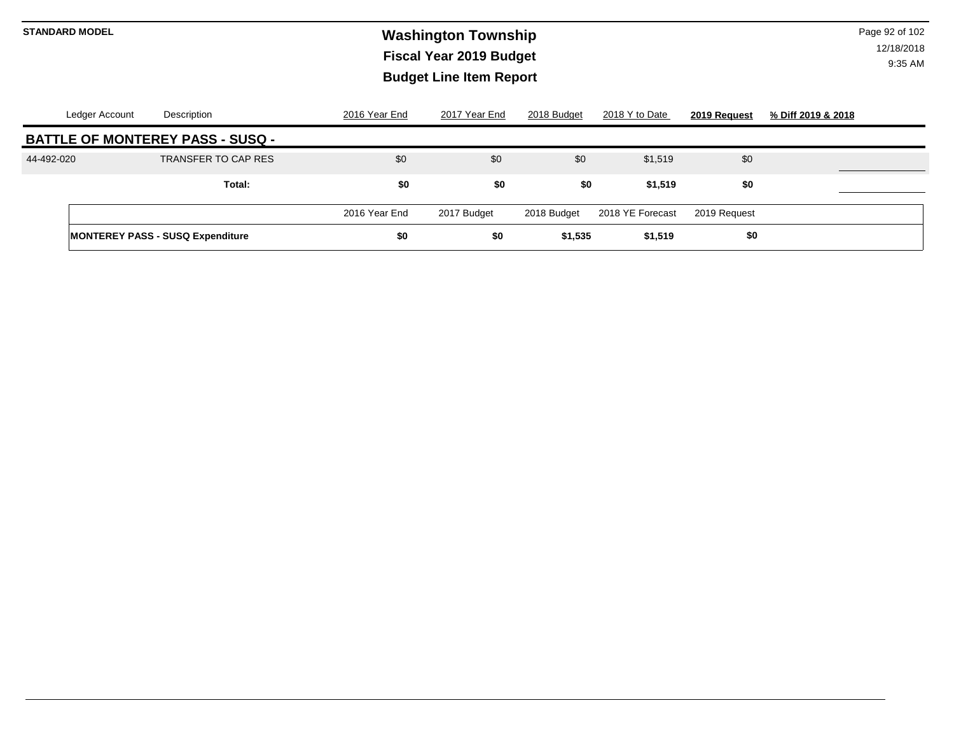# **Washington Township STANDARD MODEL** Page 92 of 102 **Fiscal Year 2019 Budget Budget Line Item Report**

| Ledger Account | Description                             | 2016 Year End | 2017 Year End | 2018 Budget | 2018 Y to Date   | 2019 Request | % Diff 2019 & 2018 |
|----------------|-----------------------------------------|---------------|---------------|-------------|------------------|--------------|--------------------|
|                | <b>BATTLE OF MONTEREY PASS - SUSQ -</b> |               |               |             |                  |              |                    |
| 44-492-020     | TRANSFER TO CAP RES                     | \$0           | \$0           | \$0         | \$1,519          | \$0          |                    |
|                | Total:                                  | \$0           | \$0           | \$0         | \$1,519          | \$0          |                    |
|                |                                         | 2016 Year End | 2017 Budget   | 2018 Budget | 2018 YE Forecast | 2019 Request |                    |
|                | <b>MONTEREY PASS - SUSQ Expenditure</b> | \$0           | \$0           | \$1,535     | \$1,519          | \$0          |                    |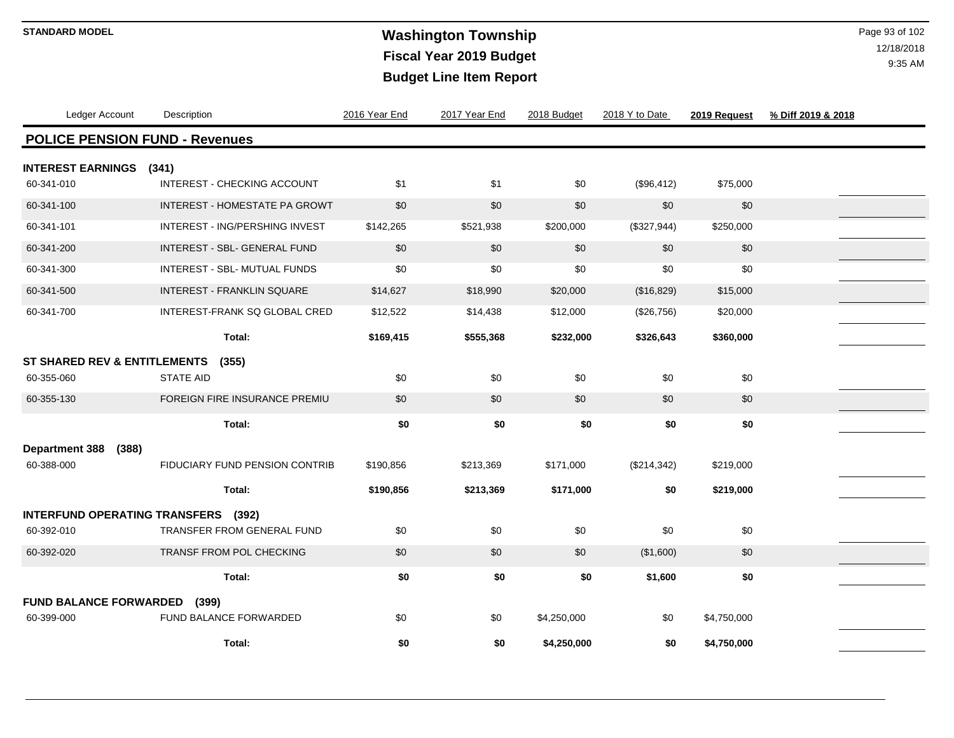# **Washington Township STANDARD MODEL** Page 93 of 102 **Fiscal Year 2019 Budget Budget Line Item Report**

| Ledger Account                          | Description                           | 2016 Year End | 2017 Year End | 2018 Budget | 2018 Y to Date | 2019 Request | % Diff 2019 & 2018 |
|-----------------------------------------|---------------------------------------|---------------|---------------|-------------|----------------|--------------|--------------------|
| <b>POLICE PENSION FUND - Revenues</b>   |                                       |               |               |             |                |              |                    |
| <b>INTEREST EARNINGS</b>                | (341)                                 |               |               |             |                |              |                    |
| 60-341-010                              | INTEREST - CHECKING ACCOUNT           | \$1           | \$1           | \$0         | (\$96,412)     | \$75,000     |                    |
| 60-341-100                              | <b>INTEREST - HOMESTATE PA GROWT</b>  | \$0           | \$0           | \$0         | \$0            | \$0          |                    |
| 60-341-101                              | INTEREST - ING/PERSHING INVEST        | \$142,265     | \$521,938     | \$200,000   | (\$327,944)    | \$250,000    |                    |
| 60-341-200                              | <b>INTEREST - SBL- GENERAL FUND</b>   | \$0           | \$0           | \$0         | \$0            | \$0          |                    |
| 60-341-300                              | INTEREST - SBL- MUTUAL FUNDS          | \$0           | \$0           | \$0         | \$0            | \$0          |                    |
| 60-341-500                              | <b>INTEREST - FRANKLIN SQUARE</b>     | \$14,627      | \$18,990      | \$20,000    | (\$16,829)     | \$15,000     |                    |
| 60-341-700                              | INTEREST-FRANK SQ GLOBAL CRED         | \$12,522      | \$14,438      | \$12,000    | (\$26,756)     | \$20,000     |                    |
|                                         | Total:                                | \$169,415     | \$555,368     | \$232,000   | \$326,643      | \$360,000    |                    |
| <b>ST SHARED REV &amp; ENTITLEMENTS</b> | (355)                                 |               |               |             |                |              |                    |
| 60-355-060                              | <b>STATE AID</b>                      | \$0           | \$0           | \$0         | \$0            | \$0          |                    |
| 60-355-130                              | <b>FOREIGN FIRE INSURANCE PREMIU</b>  | \$0           | \$0           | \$0         | \$0            | \$0          |                    |
|                                         | Total:                                | \$0           | \$0           | \$0         | \$0            | \$0          |                    |
| <b>Department 388</b><br>(388)          |                                       |               |               |             |                |              |                    |
| 60-388-000                              | <b>FIDUCIARY FUND PENSION CONTRIB</b> | \$190,856     | \$213,369     | \$171,000   | (\$214,342)    | \$219,000    |                    |
|                                         | Total:                                | \$190,856     | \$213,369     | \$171,000   | \$0            | \$219,000    |                    |
| <b>INTERFUND OPERATING TRANSFERS</b>    | (392)                                 |               |               |             |                |              |                    |
| 60-392-010                              | TRANSFER FROM GENERAL FUND            | \$0           | \$0           | \$0         | \$0            | \$0          |                    |
| 60-392-020                              | TRANSF FROM POL CHECKING              | \$0           | \$0           | \$0         | (\$1,600)      | \$0          |                    |
|                                         | Total:                                | \$0           | \$0           | \$0         | \$1,600        | \$0          |                    |
| <b>FUND BALANCE FORWARDED</b>           | (399)                                 |               |               |             |                |              |                    |
| 60-399-000                              | FUND BALANCE FORWARDED                | \$0           | \$0           | \$4,250,000 | \$0            | \$4,750,000  |                    |
|                                         | Total:                                | \$0           | \$0           | \$4,250,000 | \$0            | \$4,750,000  |                    |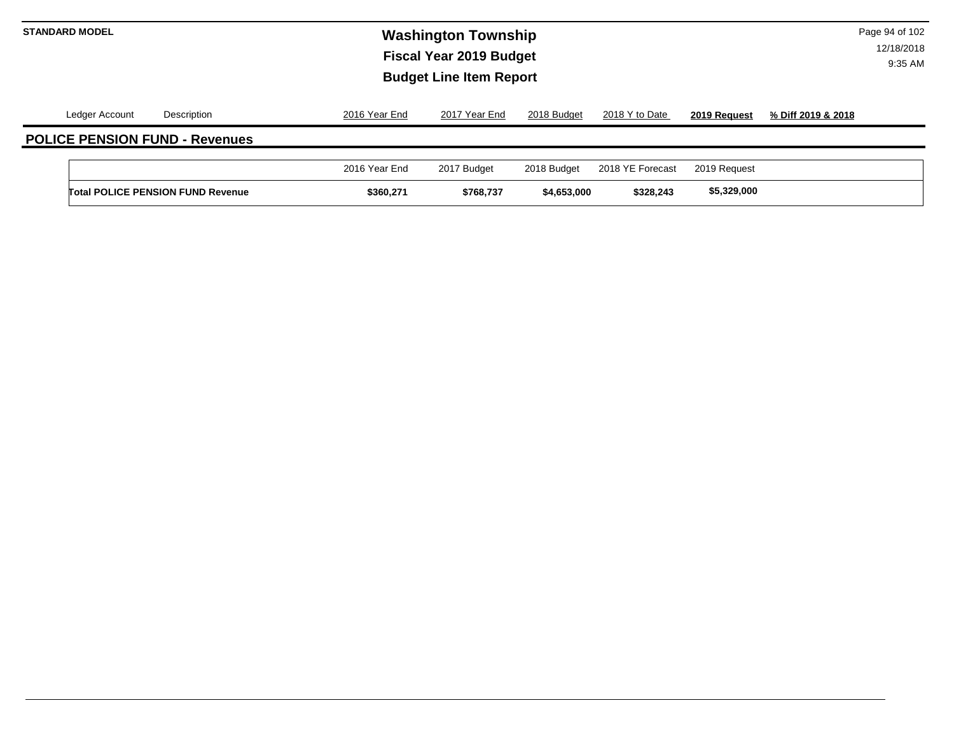# **Washington Township STANDARD MODEL** Page 94 of 102 **Fiscal Year 2019 Budget Budget Line Item Report**

|                | <b>Total POLICE PENSION FUND Revenue</b> | \$360.271     | \$768,737     | \$4,653,000 | \$328,243        | \$5,329,000  |                    |
|----------------|------------------------------------------|---------------|---------------|-------------|------------------|--------------|--------------------|
|                |                                          | 2016 Year End | 2017 Budget   | 2018 Budget | 2018 YE Forecast | 2019 Request |                    |
|                | <b>POLICE PENSION FUND - Revenues</b>    |               |               |             |                  |              |                    |
| Ledger Account | Description                              | 2016 Year End | 2017 Year End | 2018 Budget | 2018 Y to Date   | 2019 Request | % Diff 2019 & 2018 |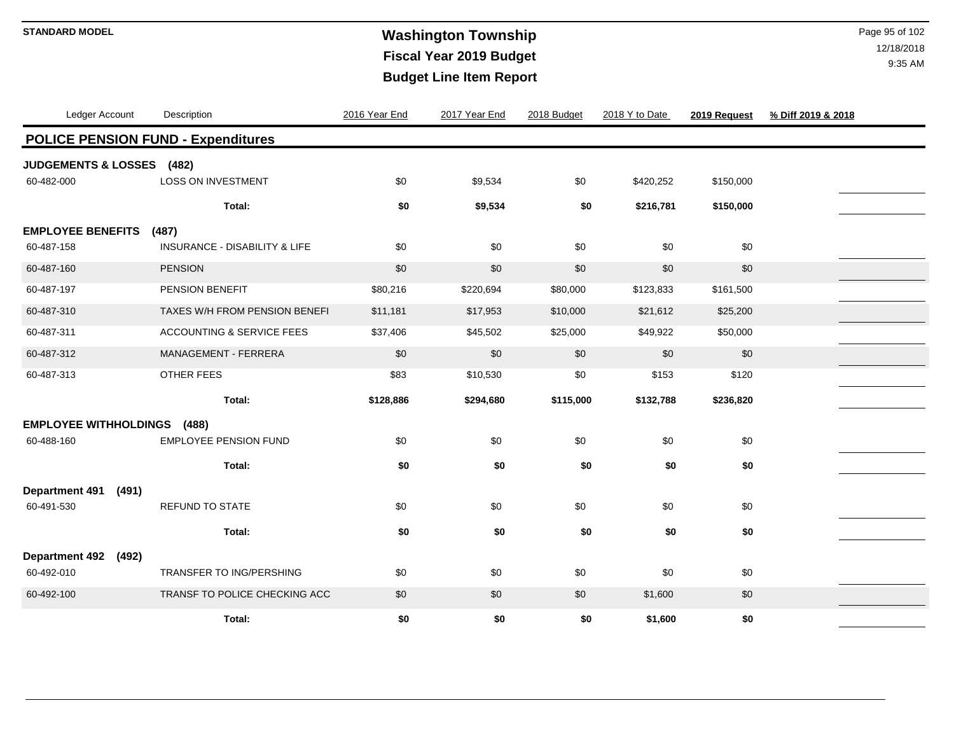# **Washington Township STANDARD MODEL** Page 95 of 102 **Fiscal Year 2019 Budget Budget Line Item Report**

| Ledger Account                 | Description                               | 2016 Year End | 2017 Year End | 2018 Budget | 2018 Y to Date | 2019 Request | % Diff 2019 & 2018 |
|--------------------------------|-------------------------------------------|---------------|---------------|-------------|----------------|--------------|--------------------|
|                                | <b>POLICE PENSION FUND - Expenditures</b> |               |               |             |                |              |                    |
| <b>JUDGEMENTS &amp; LOSSES</b> | (482)                                     |               |               |             |                |              |                    |
| 60-482-000                     | <b>LOSS ON INVESTMENT</b>                 | \$0           | \$9,534       | \$0         | \$420,252      | \$150,000    |                    |
|                                | Total:                                    | \$0           | \$9,534       | \$0         | \$216,781      | \$150,000    |                    |
| <b>EMPLOYEE BENEFITS</b>       | (487)                                     |               |               |             |                |              |                    |
| 60-487-158                     | <b>INSURANCE - DISABILITY &amp; LIFE</b>  | \$0           | \$0           | \$0         | \$0            | \$0          |                    |
| 60-487-160                     | <b>PENSION</b>                            | \$0           | \$0           | \$0         | \$0            | \$0          |                    |
| 60-487-197                     | PENSION BENEFIT                           | \$80,216      | \$220,694     | \$80,000    | \$123,833      | \$161,500    |                    |
| 60-487-310                     | TAXES W/H FROM PENSION BENEFI             | \$11,181      | \$17,953      | \$10,000    | \$21,612       | \$25,200     |                    |
| 60-487-311                     | <b>ACCOUNTING &amp; SERVICE FEES</b>      | \$37,406      | \$45,502      | \$25,000    | \$49,922       | \$50,000     |                    |
| 60-487-312                     | MANAGEMENT - FERRERA                      | \$0           | \$0           | \$0         | \$0            | \$0          |                    |
| 60-487-313                     | OTHER FEES                                | \$83          | \$10,530      | \$0         | \$153          | \$120        |                    |
|                                | Total:                                    | \$128,886     | \$294,680     | \$115,000   | \$132,788      | \$236,820    |                    |
| <b>EMPLOYEE WITHHOLDINGS</b>   | (488)                                     |               |               |             |                |              |                    |
| 60-488-160                     | <b>EMPLOYEE PENSION FUND</b>              | \$0           | \$0           | \$0         | \$0            | \$0          |                    |
|                                | Total:                                    | \$0           | \$0           | \$0         | \$0            | \$0          |                    |
| (491)<br><b>Department 491</b> |                                           |               |               |             |                |              |                    |
| 60-491-530                     | <b>REFUND TO STATE</b>                    | \$0           | \$0           | \$0         | \$0            | \$0          |                    |
|                                | Total:                                    | \$0           | \$0           | \$0         | \$0            | \$0          |                    |
| <b>Department 492</b><br>(492) |                                           |               |               |             |                |              |                    |
| 60-492-010                     | TRANSFER TO ING/PERSHING                  | \$0           | \$0           | \$0         | \$0            | \$0          |                    |
| 60-492-100                     | TRANSF TO POLICE CHECKING ACC             | \$0           | \$0           | \$0         | \$1,600        | \$0          |                    |
|                                | Total:                                    | \$0           | \$0           | \$0         | \$1,600        | \$0          |                    |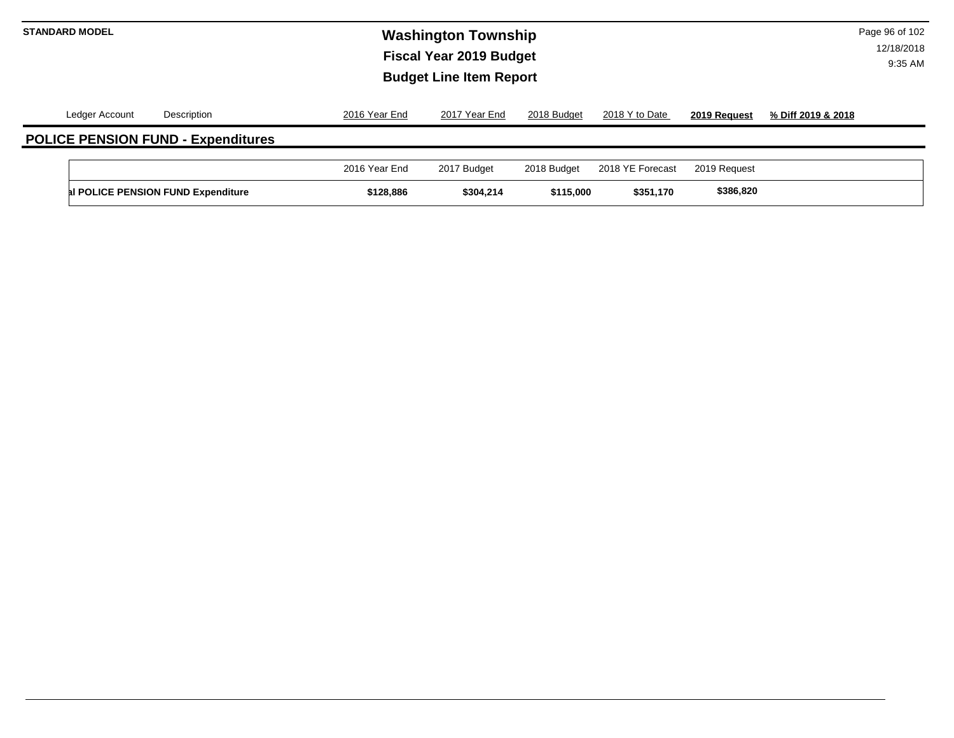# **Washington Township STANDARD MODEL** Page 96 of 102 **Fiscal Year 2019 Budget Budget Line Item Report**

|                | al POLICE PENSION FUND Expenditure        | \$128,886     | \$304,214     | \$115,000   | \$351,170        | \$386,820    |                    |
|----------------|-------------------------------------------|---------------|---------------|-------------|------------------|--------------|--------------------|
|                |                                           | 2016 Year End | 2017 Budget   | 2018 Budget | 2018 YE Forecast | 2019 Request |                    |
|                | <b>POLICE PENSION FUND - Expenditures</b> |               |               |             |                  |              |                    |
| Ledger Account | Description                               | 2016 Year End | 2017 Year End | 2018 Budget | 2018 Y to Date   | 2019 Request | % Diff 2019 & 2018 |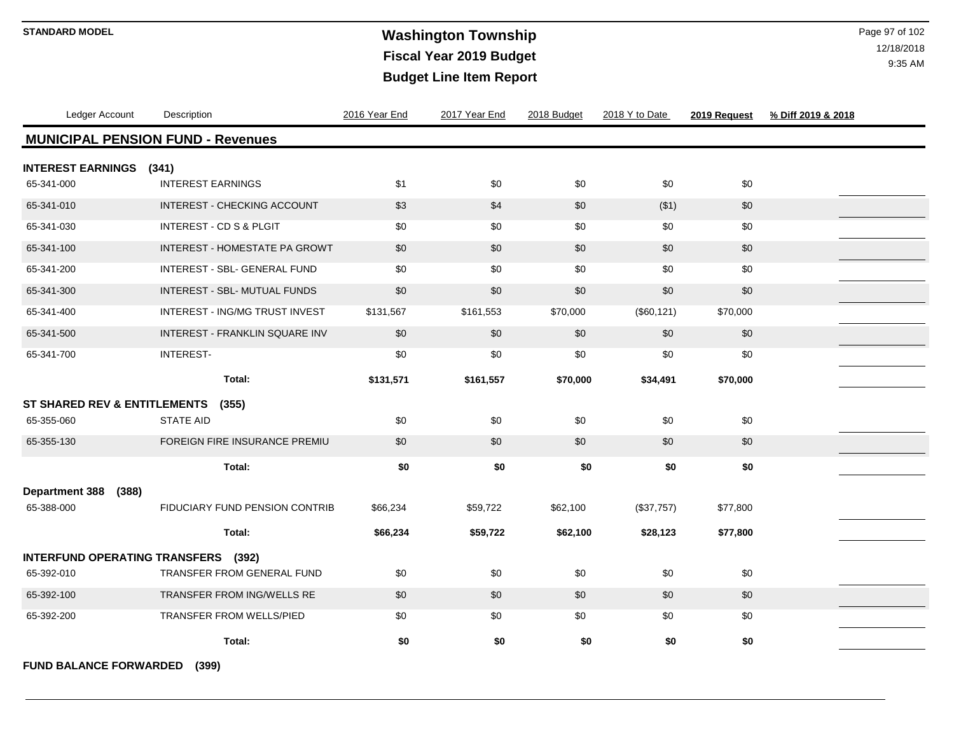# **Washington Township STANDARD MODEL** Page 97 of 102 **Fiscal Year 2019 Budget Budget Line Item Report**

12/18/2018 9:35 AM

| Ledger Account                           | Description                        | 2016 Year End | 2017 Year End | 2018 Budget | 2018 Y to Date | 2019 Request | % Diff 2019 & 2018 |  |  |  |  |
|------------------------------------------|------------------------------------|---------------|---------------|-------------|----------------|--------------|--------------------|--|--|--|--|
| <b>MUNICIPAL PENSION FUND - Revenues</b> |                                    |               |               |             |                |              |                    |  |  |  |  |
| <b>INTEREST EARNINGS</b>                 | (341)                              |               |               |             |                |              |                    |  |  |  |  |
| 65-341-000                               | <b>INTEREST EARNINGS</b>           | \$1           | \$0           | \$0         | \$0            | \$0          |                    |  |  |  |  |
| 65-341-010                               | INTEREST - CHECKING ACCOUNT        | \$3           | \$4           | \$0         | ( \$1)         | \$0          |                    |  |  |  |  |
| 65-341-030                               | <b>INTEREST - CD S &amp; PLGIT</b> | \$0           | \$0           | \$0         | \$0            | \$0          |                    |  |  |  |  |
| 65-341-100                               | INTEREST - HOMESTATE PA GROWT      | \$0           | \$0           | \$0         | \$0            | \$0          |                    |  |  |  |  |
| 65-341-200                               | INTEREST - SBL- GENERAL FUND       | \$0           | \$0           | \$0         | \$0            | \$0          |                    |  |  |  |  |
| 65-341-300                               | INTEREST - SBL- MUTUAL FUNDS       | \$0           | \$0           | \$0         | \$0            | \$0          |                    |  |  |  |  |
| 65-341-400                               | INTEREST - ING/MG TRUST INVEST     | \$131,567     | \$161,553     | \$70,000    | (\$60, 121)    | \$70,000     |                    |  |  |  |  |
| 65-341-500                               | INTEREST - FRANKLIN SQUARE INV     | \$0           | \$0           | \$0         | \$0            | \$0          |                    |  |  |  |  |
| 65-341-700                               | <b>INTEREST-</b>                   | \$0           | \$0           | \$0         | \$0            | \$0          |                    |  |  |  |  |
|                                          | Total:                             | \$131,571     | \$161,557     | \$70,000    | \$34,491       | \$70,000     |                    |  |  |  |  |
| ST SHARED REV & ENTITLEMENTS             | (355)                              |               |               |             |                |              |                    |  |  |  |  |
| 65-355-060                               | <b>STATE AID</b>                   | \$0           | \$0           | \$0         | \$0            | \$0          |                    |  |  |  |  |
| 65-355-130                               | FOREIGN FIRE INSURANCE PREMIU      | \$0           | \$0           | \$0         | \$0            | \$0          |                    |  |  |  |  |
|                                          | Total:                             | \$0           | \$0           | \$0         | \$0            | \$0          |                    |  |  |  |  |
| <b>Department 388</b><br>(388)           |                                    |               |               |             |                |              |                    |  |  |  |  |
| 65-388-000                               | FIDUCIARY FUND PENSION CONTRIB     | \$66,234      | \$59,722      | \$62,100    | (\$37,757)     | \$77,800     |                    |  |  |  |  |
|                                          | Total:                             | \$66,234      | \$59,722      | \$62,100    | \$28,123       | \$77,800     |                    |  |  |  |  |
| INTERFUND OPERATING TRANSFERS (392)      |                                    |               |               |             |                |              |                    |  |  |  |  |
| 65-392-010                               | <b>TRANSFER FROM GENERAL FUND</b>  | \$0           | \$0           | \$0         | \$0            | \$0          |                    |  |  |  |  |
| 65-392-100                               | TRANSFER FROM ING/WELLS RE         | \$0           | \$0           | \$0         | \$0            | \$0          |                    |  |  |  |  |
| 65-392-200                               | <b>TRANSFER FROM WELLS/PIED</b>    | \$0           | \$0           | \$0         | \$0            | \$0          |                    |  |  |  |  |
|                                          | Total:                             | \$0           | \$0           | \$0         | \$0            | \$0          |                    |  |  |  |  |
|                                          |                                    |               |               |             |                |              |                    |  |  |  |  |

**FUND BALANCE FORWARDED (399)**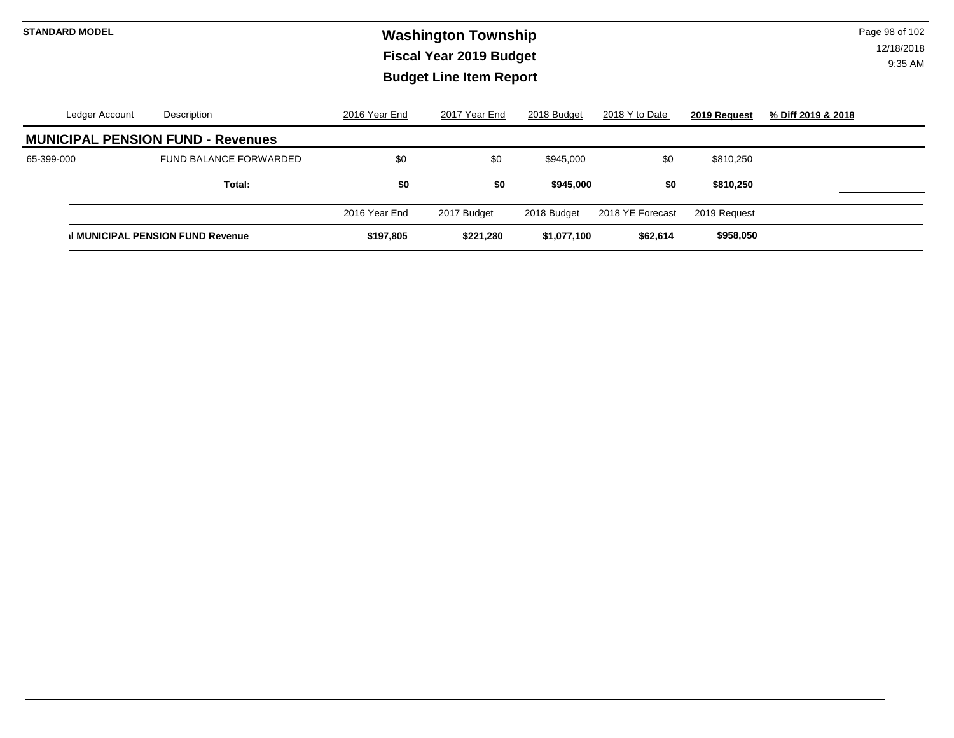# **Washington Township STANDARD MODEL** Page 98 of 102 **Fiscal Year 2019 Budget Budget Line Item Report**

|                                          | Ledger Account | Description                              | 2016 Year End | 2017 Year End | 2018 Budget | 2018 Y to Date   | 2019 Request | % Diff 2019 & 2018 |  |  |
|------------------------------------------|----------------|------------------------------------------|---------------|---------------|-------------|------------------|--------------|--------------------|--|--|
| <b>MUNICIPAL PENSION FUND - Revenues</b> |                |                                          |               |               |             |                  |              |                    |  |  |
| 65-399-000                               |                | <b>FUND BALANCE FORWARDED</b>            | \$0           | \$0           | \$945,000   | \$0              | \$810,250    |                    |  |  |
|                                          |                | Total:                                   | \$0           | \$0           | \$945,000   | \$0              | \$810,250    |                    |  |  |
|                                          |                |                                          | 2016 Year End | 2017 Budget   | 2018 Budget | 2018 YE Forecast | 2019 Request |                    |  |  |
|                                          |                | <b>II MUNICIPAL PENSION FUND Revenue</b> | \$197,805     | \$221,280     | \$1,077,100 | \$62,614         | \$958,050    |                    |  |  |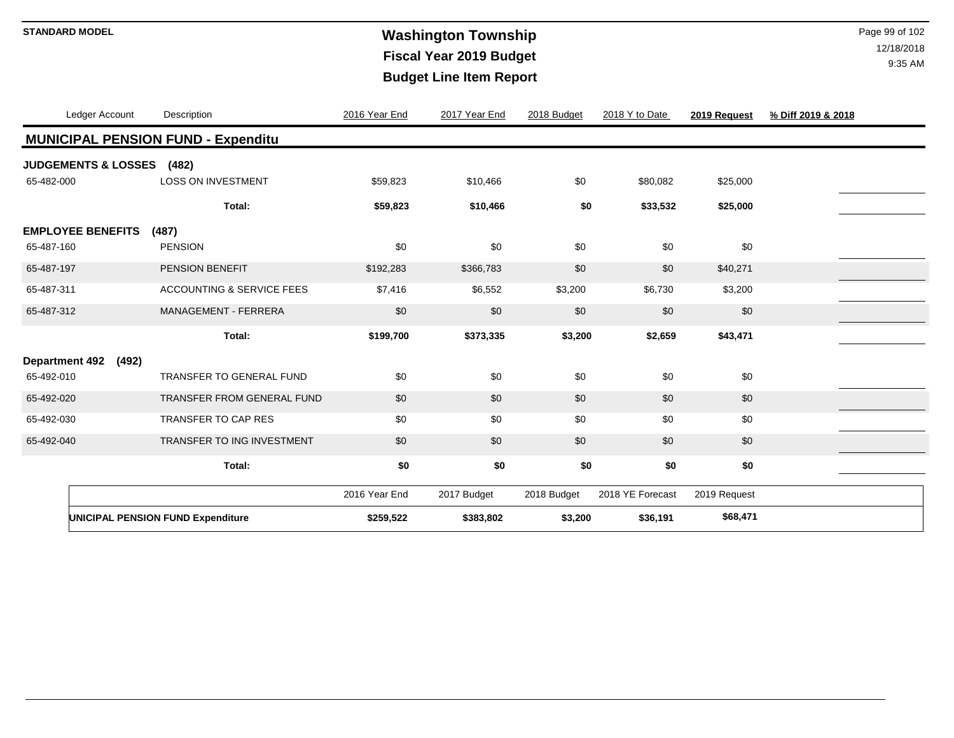# **Washington Township STANDARD MODEL** Page 99 of 102 **Fiscal Year 2019 Budget Budget Line Item Report**

| Ledger Account                           |       | Description                               | 2016 Year End | 2017 Year End | 2018 Budget | 2018 Y to Date   | 2019 Request | % Diff 2019 & 2018 |
|------------------------------------------|-------|-------------------------------------------|---------------|---------------|-------------|------------------|--------------|--------------------|
|                                          |       | <b>MUNICIPAL PENSION FUND - Expenditu</b> |               |               |             |                  |              |                    |
| <b>JUDGEMENTS &amp; LOSSES</b>           |       | (482)                                     |               |               |             |                  |              |                    |
| 65-482-000                               |       | <b>LOSS ON INVESTMENT</b>                 | \$59,823      | \$10,466      | \$0         | \$80,082         | \$25,000     |                    |
|                                          |       | Total:                                    | \$59,823      | \$10,466      | \$0         | \$33,532         | \$25,000     |                    |
| <b>EMPLOYEE BENEFITS</b>                 |       | (487)                                     |               |               |             |                  |              |                    |
| 65-487-160                               |       | <b>PENSION</b>                            | \$0           | \$0           | \$0         | \$0              | \$0          |                    |
| 65-487-197                               |       | PENSION BENEFIT                           | \$192,283     | \$366,783     | \$0         | \$0              | \$40,271     |                    |
| 65-487-311                               |       | <b>ACCOUNTING &amp; SERVICE FEES</b>      | \$7,416       | \$6,552       | \$3,200     | \$6,730          | \$3,200      |                    |
| 65-487-312                               |       | <b>MANAGEMENT - FERRERA</b>               | \$0           | \$0           | \$0         | \$0              | \$0          |                    |
|                                          |       | Total:                                    | \$199,700     | \$373,335     | \$3,200     | \$2,659          | \$43,471     |                    |
| <b>Department 492</b>                    | (492) |                                           |               |               |             |                  |              |                    |
| 65-492-010                               |       | TRANSFER TO GENERAL FUND                  | \$0           | \$0           | \$0         | \$0              | \$0          |                    |
| 65-492-020                               |       | TRANSFER FROM GENERAL FUND                | \$0           | \$0           | \$0         | \$0              | \$0          |                    |
| 65-492-030                               |       | TRANSFER TO CAP RES                       | \$0           | \$0           | \$0         | \$0              | \$0          |                    |
| 65-492-040                               |       | TRANSFER TO ING INVESTMENT                | \$0           | \$0           | \$0         | \$0              | \$0          |                    |
|                                          |       | Total:                                    | \$0           | \$0           | \$0         | \$0              | \$0          |                    |
|                                          |       |                                           |               |               |             |                  |              |                    |
|                                          |       |                                           | 2016 Year End | 2017 Budget   | 2018 Budget | 2018 YE Forecast | 2019 Request |                    |
| <b>UNICIPAL PENSION FUND Expenditure</b> |       | \$259,522                                 | \$383,802     | \$3,200       | \$36,191    | \$68,471         |              |                    |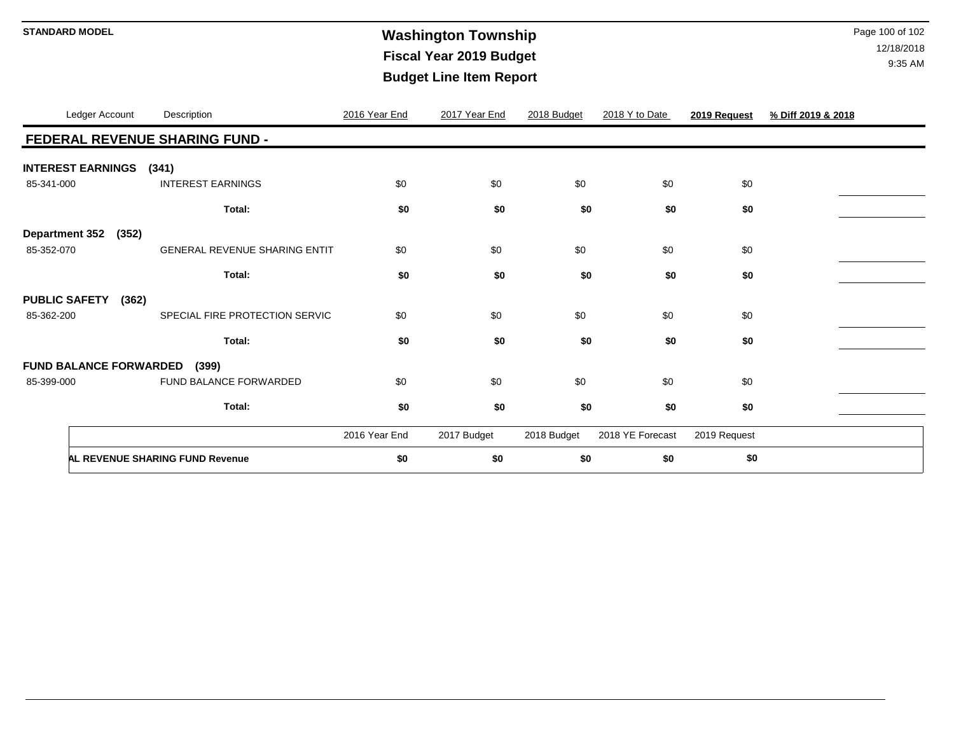# **Washington Township STANDARD MODEL** Page 100 of 102 **Fiscal Year 2019 Budget Budget Line Item Report**

|                       | Ledger Account                | Description                            | 2016 Year End | 2017 Year End | 2018 Budget | 2018 Y to Date   | 2019 Request | % Diff 2019 & 2018 |
|-----------------------|-------------------------------|----------------------------------------|---------------|---------------|-------------|------------------|--------------|--------------------|
|                       |                               | FEDERAL REVENUE SHARING FUND -         |               |               |             |                  |              |                    |
|                       | <b>INTEREST EARNINGS</b>      | (341)                                  |               |               |             |                  |              |                    |
| 85-341-000            |                               | <b>INTEREST EARNINGS</b>               | \$0           | \$0           | \$0         | \$0              | \$0          |                    |
|                       |                               | Total:                                 | \$0           | \$0           | \$0         | \$0              | \$0          |                    |
| <b>Department 352</b> | (352)                         |                                        |               |               |             |                  |              |                    |
| 85-352-070            |                               | <b>GENERAL REVENUE SHARING ENTIT</b>   | \$0           | \$0           | \$0         | \$0              | \$0          |                    |
|                       |                               | Total:                                 | \$0           | \$0           | \$0         | \$0              | \$0          |                    |
| <b>PUBLIC SAFETY</b>  | (362)                         |                                        |               |               |             |                  |              |                    |
| 85-362-200            |                               | SPECIAL FIRE PROTECTION SERVIC         | \$0           | \$0           | \$0         | \$0              | \$0          |                    |
|                       |                               | Total:                                 | \$0           | \$0           | \$0         | \$0              | \$0          |                    |
|                       | <b>FUND BALANCE FORWARDED</b> | (399)                                  |               |               |             |                  |              |                    |
| 85-399-000            |                               | FUND BALANCE FORWARDED                 | \$0           | \$0           | \$0         | \$0              | \$0          |                    |
|                       |                               | Total:                                 | \$0           | \$0           | \$0         | \$0              | \$0          |                    |
|                       |                               |                                        | 2016 Year End | 2017 Budget   | 2018 Budget | 2018 YE Forecast | 2019 Request |                    |
|                       |                               | <b>AL REVENUE SHARING FUND Revenue</b> | \$0           | \$0           | \$0         | \$0              | \$0          |                    |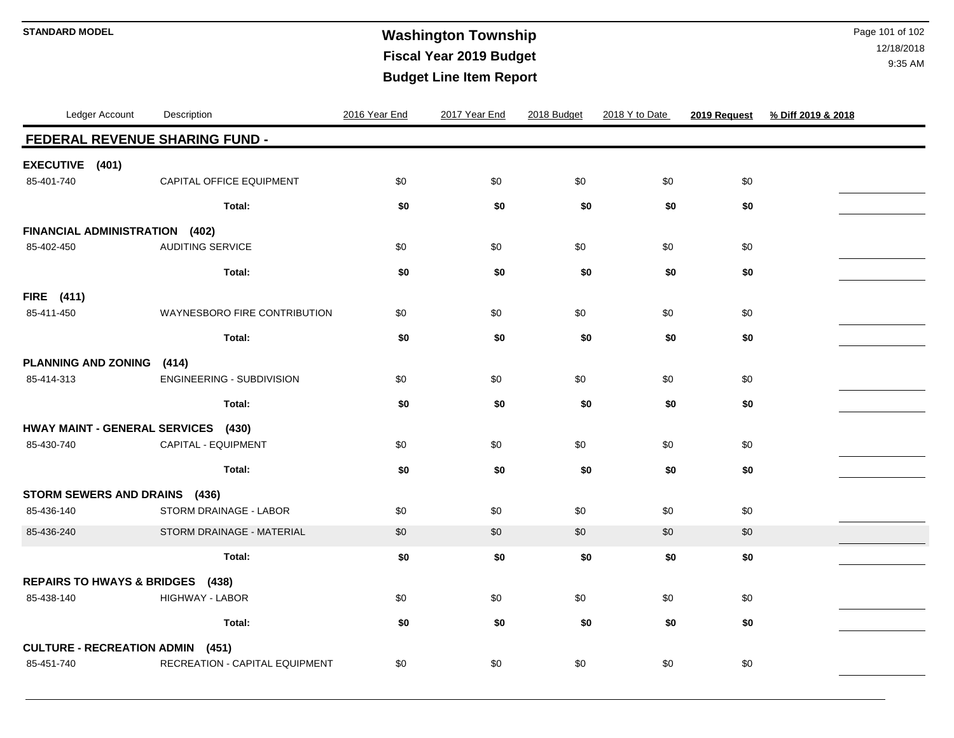# **Washington Township STANDARD MODEL** Page 101 of 102 **Fiscal Year 2019 Budget Budget Line Item Report**

| Ledger Account                          | Description                      | 2016 Year End | 2017 Year End | 2018 Budget | 2018 Y to Date | 2019 Request | % Diff 2019 & 2018 |  |  |  |
|-----------------------------------------|----------------------------------|---------------|---------------|-------------|----------------|--------------|--------------------|--|--|--|
| FEDERAL REVENUE SHARING FUND -          |                                  |               |               |             |                |              |                    |  |  |  |
| EXECUTIVE (401)                         |                                  |               |               |             |                |              |                    |  |  |  |
| 85-401-740                              | CAPITAL OFFICE EQUIPMENT         | \$0           | \$0           | \$0         | \$0            | \$0          |                    |  |  |  |
|                                         | Total:                           | \$0           | \$0           | \$0         | \$0            | \$0          |                    |  |  |  |
| FINANCIAL ADMINISTRATION (402)          |                                  |               |               |             |                |              |                    |  |  |  |
| 85-402-450                              | <b>AUDITING SERVICE</b>          | \$0           | \$0           | \$0         | \$0            | \$0          |                    |  |  |  |
|                                         | Total:                           | \$0           | \$0           | \$0         | \$0            | \$0          |                    |  |  |  |
| <b>FIRE</b> (411)                       |                                  |               |               |             |                |              |                    |  |  |  |
| 85-411-450                              | WAYNESBORO FIRE CONTRIBUTION     | \$0           | \$0           | \$0         | \$0            | \$0          |                    |  |  |  |
|                                         | Total:                           | \$0           | \$0           | \$0         | \$0            | \$0          |                    |  |  |  |
| <b>PLANNING AND ZONING</b>              | (414)                            |               |               |             |                |              |                    |  |  |  |
| 85-414-313                              | ENGINEERING - SUBDIVISION        | \$0           | \$0           | \$0         | \$0            | \$0          |                    |  |  |  |
|                                         | Total:                           | \$0           | \$0           | \$0         | \$0            | \$0          |                    |  |  |  |
| HWAY MAINT - GENERAL SERVICES (430)     |                                  |               |               |             |                |              |                    |  |  |  |
| 85-430-740                              | CAPITAL - EQUIPMENT              | \$0           | \$0           | \$0         | \$0            | \$0          |                    |  |  |  |
|                                         | Total:                           | \$0           | \$0           | \$0         | \$0            | \$0          |                    |  |  |  |
| STORM SEWERS AND DRAINS (436)           |                                  |               |               |             |                |              |                    |  |  |  |
| 85-436-140                              | STORM DRAINAGE - LABOR           | \$0           | \$0           | \$0         | \$0            | \$0          |                    |  |  |  |
| 85-436-240                              | STORM DRAINAGE - MATERIAL        | \$0           | \$0           | \$0         | \$0            | \$0          |                    |  |  |  |
|                                         | Total:                           | \$0           | \$0           | \$0         | \$0            | \$0          |                    |  |  |  |
|                                         | REPAIRS TO HWAYS & BRIDGES (438) |               |               |             |                |              |                    |  |  |  |
| 85-438-140                              | HIGHWAY - LABOR                  | \$0           | \$0           | \$0         | \$0            | \$0          |                    |  |  |  |
|                                         | Total:                           | \$0           | \$0           | \$0         | \$0            | \$0          |                    |  |  |  |
| <b>CULTURE - RECREATION ADMIN (451)</b> |                                  |               |               |             |                |              |                    |  |  |  |
| 85-451-740                              | RECREATION - CAPITAL EQUIPMENT   | \$0           | \$0           | \$0         | \$0            | \$0          |                    |  |  |  |